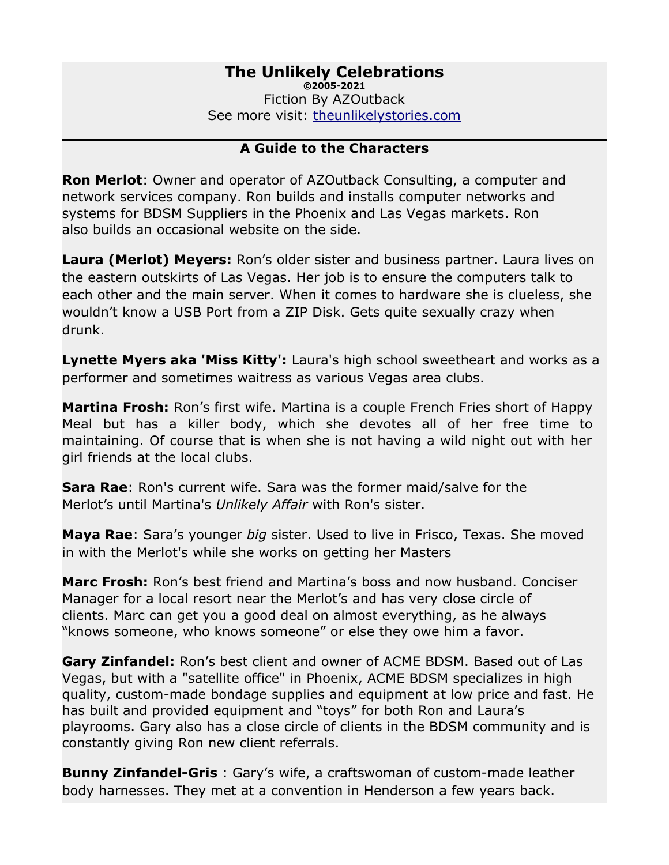# **The Unlikely Celebrations**

**©2005-2021** Fiction By AZOutback See more visit: [theunlikelystories.com](http://theunlikelystories.com/)

### **A Guide to the Characters**

**Ron Merlot**: Owner and operator of AZOutback Consulting, a computer and network services company. Ron builds and installs computer networks and systems for BDSM Suppliers in the Phoenix and Las Vegas markets. Ron also builds an occasional website on the side.

**Laura (Merlot) Meyers:** Ron's older sister and business partner. Laura lives on the eastern outskirts of Las Vegas. Her job is to ensure the computers talk to each other and the main server. When it comes to hardware she is clueless, she wouldn't know a USB Port from a ZIP Disk. Gets quite sexually crazy when drunk.

**Lynette Myers aka 'Miss Kitty':** Laura's high school sweetheart and works as a performer and sometimes waitress as various Vegas area clubs.

**Martina Frosh:** Ron's first wife. Martina is a couple French Fries short of Happy Meal but has a killer body, which she devotes all of her free time to maintaining. Of course that is when she is not having a wild night out with her girl friends at the local clubs.

**Sara Rae**: Ron's current wife. Sara was the former maid/salve for the Merlot's until Martina's *Unlikely Affair* with Ron's sister.

**Maya Rae**: Sara's younger *big* sister. Used to live in Frisco, Texas. She moved in with the Merlot's while she works on getting her Masters

**Marc Frosh:** Ron's best friend and Martina's boss and now husband. Conciser Manager for a local resort near the Merlot's and has very close circle of clients. Marc can get you a good deal on almost everything, as he always "knows someone, who knows someone" or else they owe him a favor.

**Gary Zinfandel:** Ron's best client and owner of ACME BDSM. Based out of Las Vegas, but with a "satellite office" in Phoenix, ACME BDSM specializes in high quality, custom-made bondage supplies and equipment at low price and fast. He has built and provided equipment and "toys" for both Ron and Laura's playrooms. Gary also has a close circle of clients in the BDSM community and is constantly giving Ron new client referrals.

**Bunny Zinfandel-Gris** : Gary's wife, a craftswoman of custom-made leather body harnesses. They met at a convention in Henderson a few years back.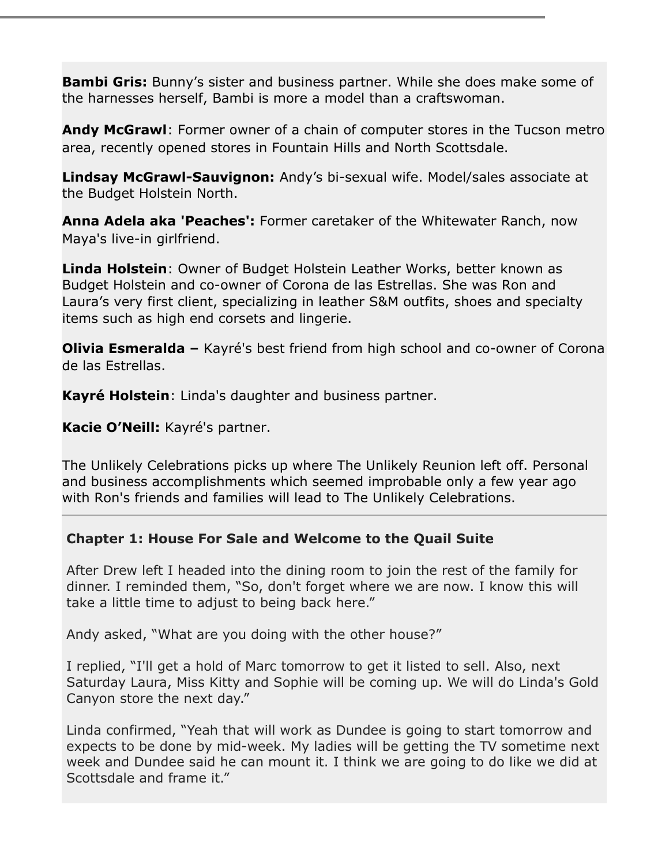**Bambi Gris:** Bunny's sister and business partner. While she does make some of the harnesses herself, Bambi is more a model than a craftswoman.

**Andy McGrawl**: Former owner of a chain of computer stores in the Tucson metro area, recently opened stores in Fountain Hills and North Scottsdale.

**Lindsay McGrawl-Sauvignon:** Andy's bi-sexual wife. Model/sales associate at the Budget Holstein North.

**Anna Adela aka 'Peaches':** Former caretaker of the Whitewater Ranch, now Maya's live-in girlfriend.

**Linda Holstein**: Owner of Budget Holstein Leather Works, better known as Budget Holstein and co-owner of Corona de las Estrellas. She was Ron and Laura's very first client, specializing in leather S&M outfits, shoes and specialty items such as high end corsets and lingerie.

**Olivia Esmeralda –** Kayré's best friend from high school and co-owner of Corona de las Estrellas.

**Kayré Holstein**: Linda's daughter and business partner.

**Kacie O'Neill:** Kayré's partner.

The Unlikely Celebrations picks up where The Unlikely Reunion left off. Personal and business accomplishments which seemed improbable only a few year ago with Ron's friends and families will lead to The Unlikely Celebrations.

# **Chapter 1: House For Sale and Welcome to the Quail Suite**

After Drew left I headed into the dining room to join the rest of the family for dinner. I reminded them, "So, don't forget where we are now. I know this will take a little time to adjust to being back here."

Andy asked, "What are you doing with the other house?"

I replied, "I'll get a hold of Marc tomorrow to get it listed to sell. Also, next Saturday Laura, Miss Kitty and Sophie will be coming up. We will do Linda's Gold Canyon store the next day."

Linda confirmed, "Yeah that will work as Dundee is going to start tomorrow and expects to be done by mid-week. My ladies will be getting the TV sometime next week and Dundee said he can mount it. I think we are going to do like we did at Scottsdale and frame it."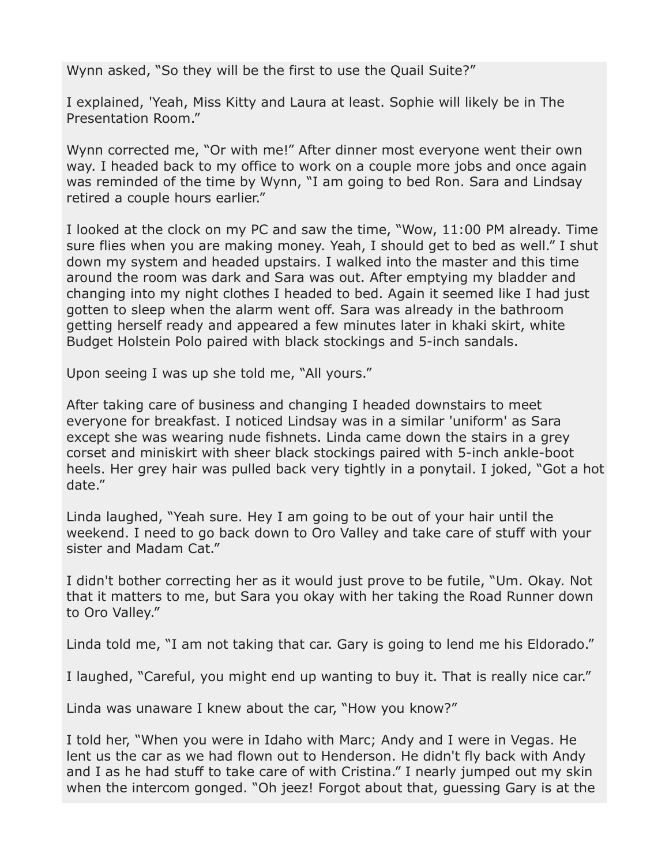Wynn asked, "So they will be the first to use the Quail Suite?"

I explained, 'Yeah, Miss Kitty and Laura at least. Sophie will likely be in The Presentation Room."

Wynn corrected me, "Or with me!" After dinner most everyone went their own way. I headed back to my office to work on a couple more jobs and once again was reminded of the time by Wynn, "I am going to bed Ron. Sara and Lindsay retired a couple hours earlier."

I looked at the clock on my PC and saw the time, "Wow, 11:00 PM already. Time sure flies when you are making money. Yeah, I should get to bed as well." I shut down my system and headed upstairs. I walked into the master and this time around the room was dark and Sara was out. After emptying my bladder and changing into my night clothes I headed to bed. Again it seemed like I had just gotten to sleep when the alarm went off. Sara was already in the bathroom getting herself ready and appeared a few minutes later in khaki skirt, white Budget Holstein Polo paired with black stockings and 5-inch sandals.

Upon seeing I was up she told me, "All yours."

After taking care of business and changing I headed downstairs to meet everyone for breakfast. I noticed Lindsay was in a similar 'uniform' as Sara except she was wearing nude fishnets. Linda came down the stairs in a grey corset and miniskirt with sheer black stockings paired with 5-inch ankle-boot heels. Her grey hair was pulled back very tightly in a ponytail. I joked, "Got a hot date."

Linda laughed, "Yeah sure. Hey I am going to be out of your hair until the weekend. I need to go back down to Oro Valley and take care of stuff with your sister and Madam Cat."

I didn't bother correcting her as it would just prove to be futile, "Um. Okay. Not that it matters to me, but Sara you okay with her taking the Road Runner down to Oro Valley."

Linda told me, "I am not taking that car. Gary is going to lend me his Eldorado."

I laughed, "Careful, you might end up wanting to buy it. That is really nice car."

Linda was unaware I knew about the car, "How you know?"

I told her, "When you were in Idaho with Marc; Andy and I were in Vegas. He lent us the car as we had flown out to Henderson. He didn't fly back with Andy and I as he had stuff to take care of with Cristina." I nearly jumped out my skin when the intercom gonged. "Oh jeez! Forgot about that, guessing Gary is at the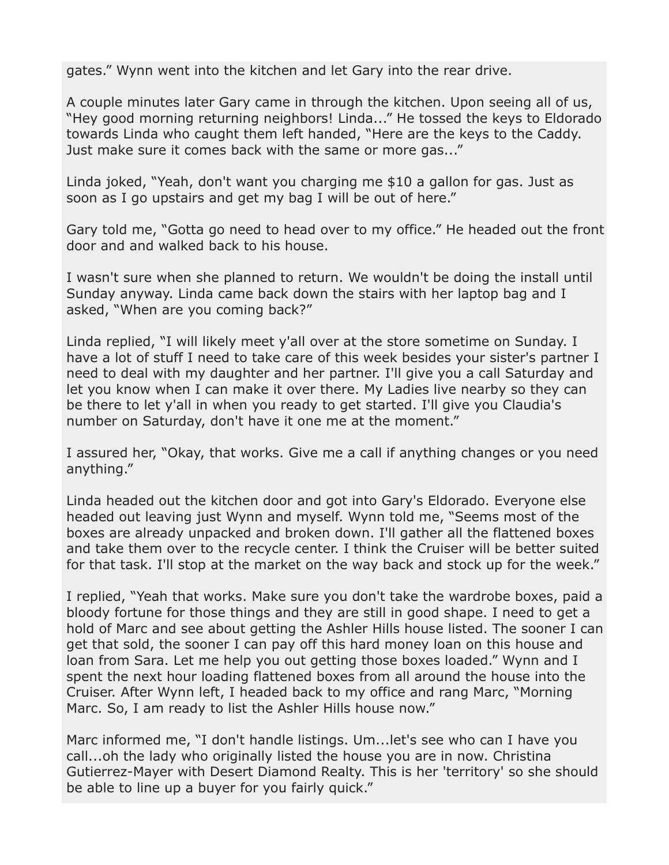gates." Wynn went into the kitchen and let Gary into the rear drive.

A couple minutes later Gary came in through the kitchen. Upon seeing all of us, "Hey good morning returning neighbors! Linda..." He tossed the keys to Eldorado towards Linda who caught them left handed, "Here are the keys to the Caddy. Just make sure it comes back with the same or more gas..."

Linda joked, "Yeah, don't want you charging me \$10 a gallon for gas. Just as soon as I go upstairs and get my bag I will be out of here."

Gary told me, "Gotta go need to head over to my office." He headed out the front door and and walked back to his house.

I wasn't sure when she planned to return. We wouldn't be doing the install until Sunday anyway. Linda came back down the stairs with her laptop bag and I asked, "When are you coming back?"

Linda replied, "I will likely meet y'all over at the store sometime on Sunday. I have a lot of stuff I need to take care of this week besides your sister's partner I need to deal with my daughter and her partner. I'll give you a call Saturday and let you know when I can make it over there. My Ladies live nearby so they can be there to let y'all in when you ready to get started. I'll give you Claudia's number on Saturday, don't have it one me at the moment."

I assured her, "Okay, that works. Give me a call if anything changes or you need anything."

Linda headed out the kitchen door and got into Gary's Eldorado. Everyone else headed out leaving just Wynn and myself. Wynn told me, "Seems most of the boxes are already unpacked and broken down. I'll gather all the flattened boxes and take them over to the recycle center. I think the Cruiser will be better suited for that task. I'll stop at the market on the way back and stock up for the week."

I replied, "Yeah that works. Make sure you don't take the wardrobe boxes, paid a bloody fortune for those things and they are still in good shape. I need to get a hold of Marc and see about getting the Ashler Hills house listed. The sooner I can get that sold, the sooner I can pay off this hard money loan on this house and loan from Sara. Let me help you out getting those boxes loaded." Wynn and I spent the next hour loading flattened boxes from all around the house into the Cruiser. After Wynn left, I headed back to my office and rang Marc, "Morning Marc. So, I am ready to list the Ashler Hills house now."

Marc informed me, "I don't handle listings. Um...let's see who can I have you call...oh the lady who originally listed the house you are in now. Christina Gutierrez-Mayer with Desert Diamond Realty. This is her 'territory' so she should be able to line up a buyer for you fairly quick."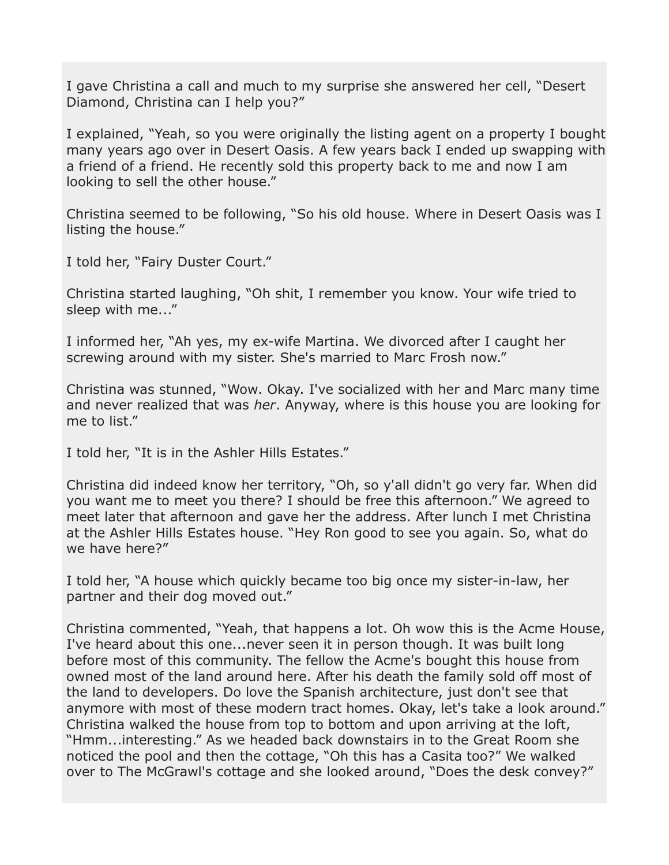I gave Christina a call and much to my surprise she answered her cell, "Desert Diamond, Christina can I help you?"

I explained, "Yeah, so you were originally the listing agent on a property I bought many years ago over in Desert Oasis. A few years back I ended up swapping with a friend of a friend. He recently sold this property back to me and now I am looking to sell the other house."

Christina seemed to be following, "So his old house. Where in Desert Oasis was I listing the house."

I told her, "Fairy Duster Court."

Christina started laughing, "Oh shit, I remember you know. Your wife tried to sleep with me..."

I informed her, "Ah yes, my ex-wife Martina. We divorced after I caught her screwing around with my sister. She's married to Marc Frosh now."

Christina was stunned, "Wow. Okay. I've socialized with her and Marc many time and never realized that was *her*. Anyway, where is this house you are looking for me to list."

I told her, "It is in the Ashler Hills Estates."

Christina did indeed know her territory, "Oh, so y'all didn't go very far. When did you want me to meet you there? I should be free this afternoon." We agreed to meet later that afternoon and gave her the address. After lunch I met Christina at the Ashler Hills Estates house. "Hey Ron good to see you again. So, what do we have here?"

I told her, "A house which quickly became too big once my sister-in-law, her partner and their dog moved out."

Christina commented, "Yeah, that happens a lot. Oh wow this is the Acme House, I've heard about this one...never seen it in person though. It was built long before most of this community. The fellow the Acme's bought this house from owned most of the land around here. After his death the family sold off most of the land to developers. Do love the Spanish architecture, just don't see that anymore with most of these modern tract homes. Okay, let's take a look around." Christina walked the house from top to bottom and upon arriving at the loft, "Hmm...interesting." As we headed back downstairs in to the Great Room she noticed the pool and then the cottage, "Oh this has a Casita too?" We walked over to The McGrawl's cottage and she looked around, "Does the desk convey?"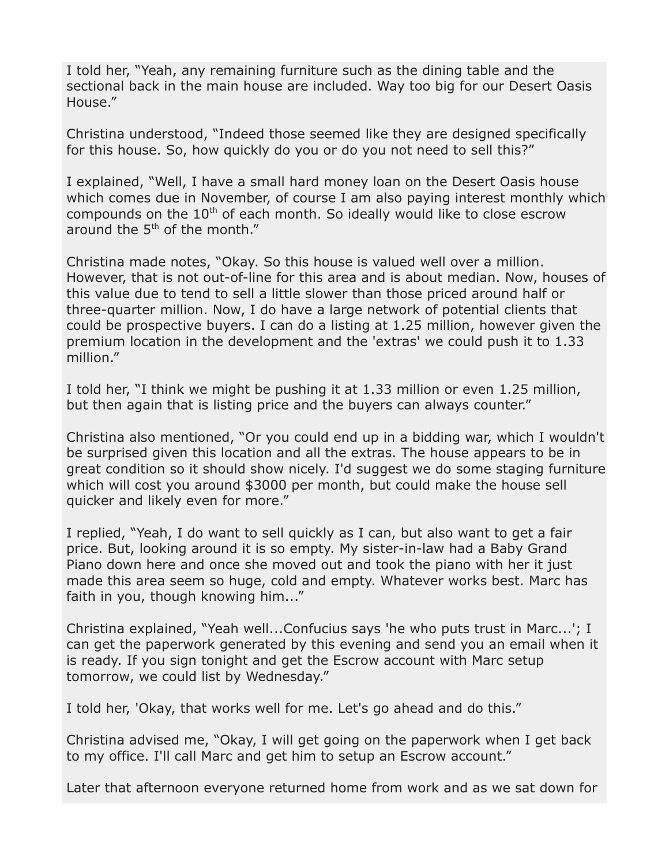I told her, "Yeah, any remaining furniture such as the dining table and the sectional back in the main house are included. Way too big for our Desert Oasis House."

Christina understood, "Indeed those seemed like they are designed specifically for this house. So, how quickly do you or do you not need to sell this?"

I explained, "Well, I have a small hard money loan on the Desert Oasis house which comes due in November, of course I am also paying interest monthly which compounds on the  $10<sup>th</sup>$  of each month. So ideally would like to close escrow around the  $5<sup>th</sup>$  of the month."

Christina made notes, "Okay. So this house is valued well over a million. However, that is not out-of-line for this area and is about median. Now, houses of this value due to tend to sell a little slower than those priced around half or three-quarter million. Now, I do have a large network of potential clients that could be prospective buyers. I can do a listing at 1.25 million, however given the premium location in the development and the 'extras' we could push it to 1.33 million."

I told her, "I think we might be pushing it at 1.33 million or even 1.25 million, but then again that is listing price and the buyers can always counter."

Christina also mentioned, "Or you could end up in a bidding war, which I wouldn't be surprised given this location and all the extras. The house appears to be in great condition so it should show nicely. I'd suggest we do some staging furniture which will cost you around \$3000 per month, but could make the house sell quicker and likely even for more."

I replied, "Yeah, I do want to sell quickly as I can, but also want to get a fair price. But, looking around it is so empty. My sister-in-law had a Baby Grand Piano down here and once she moved out and took the piano with her it just made this area seem so huge, cold and empty. Whatever works best. Marc has faith in you, though knowing him..."

Christina explained, "Yeah well...Confucius says 'he who puts trust in Marc...'; I can get the paperwork generated by this evening and send you an email when it is ready. If you sign tonight and get the Escrow account with Marc setup tomorrow, we could list by Wednesday."

I told her, 'Okay, that works well for me. Let's go ahead and do this."

Christina advised me, "Okay, I will get going on the paperwork when I get back to my office. I'll call Marc and get him to setup an Escrow account."

Later that afternoon everyone returned home from work and as we sat down for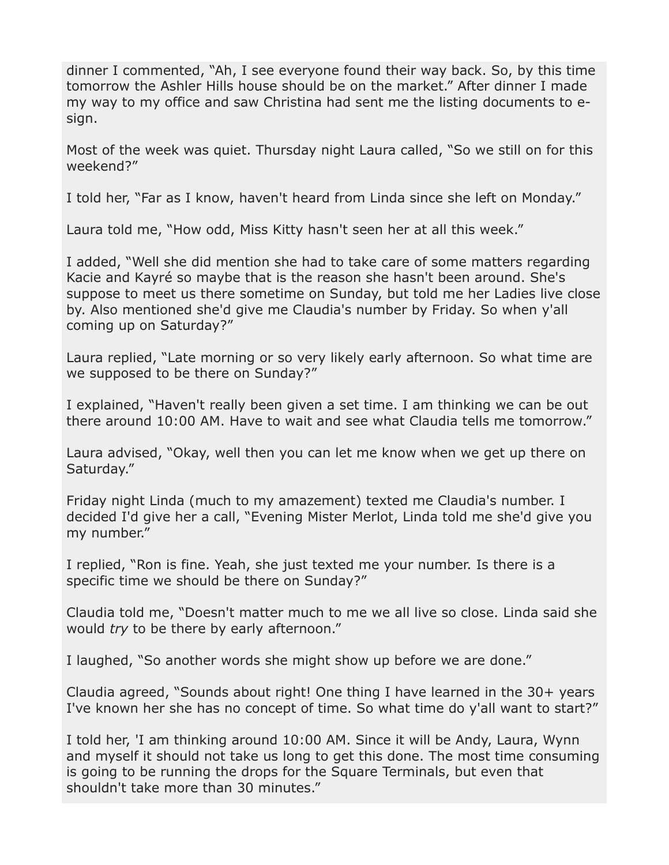dinner I commented, "Ah, I see everyone found their way back. So, by this time tomorrow the Ashler Hills house should be on the market." After dinner I made my way to my office and saw Christina had sent me the listing documents to esign.

Most of the week was quiet. Thursday night Laura called, "So we still on for this weekend?"

I told her, "Far as I know, haven't heard from Linda since she left on Monday."

Laura told me, "How odd, Miss Kitty hasn't seen her at all this week."

I added, "Well she did mention she had to take care of some matters regarding Kacie and Kayré so maybe that is the reason she hasn't been around. She's suppose to meet us there sometime on Sunday, but told me her Ladies live close by. Also mentioned she'd give me Claudia's number by Friday. So when y'all coming up on Saturday?"

Laura replied, "Late morning or so very likely early afternoon. So what time are we supposed to be there on Sunday?"

I explained, "Haven't really been given a set time. I am thinking we can be out there around 10:00 AM. Have to wait and see what Claudia tells me tomorrow."

Laura advised, "Okay, well then you can let me know when we get up there on Saturday."

Friday night Linda (much to my amazement) texted me Claudia's number. I decided I'd give her a call, "Evening Mister Merlot, Linda told me she'd give you my number."

I replied, "Ron is fine. Yeah, she just texted me your number. Is there is a specific time we should be there on Sunday?"

Claudia told me, "Doesn't matter much to me we all live so close. Linda said she would *try* to be there by early afternoon."

I laughed, "So another words she might show up before we are done."

Claudia agreed, "Sounds about right! One thing I have learned in the 30+ years I've known her she has no concept of time. So what time do y'all want to start?"

I told her, 'I am thinking around 10:00 AM. Since it will be Andy, Laura, Wynn and myself it should not take us long to get this done. The most time consuming is going to be running the drops for the Square Terminals, but even that shouldn't take more than 30 minutes."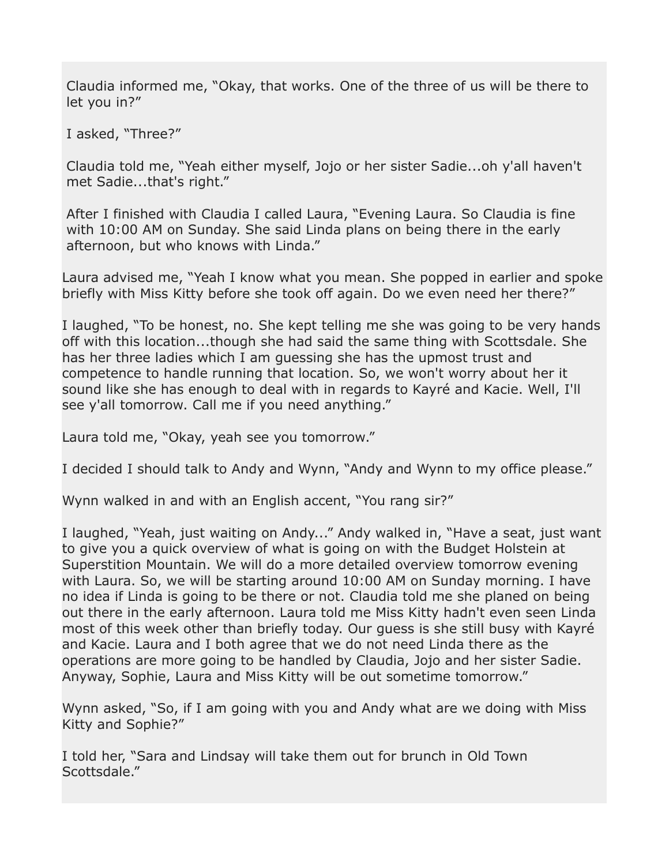Claudia informed me, "Okay, that works. One of the three of us will be there to let you in?"

I asked, "Three?"

Claudia told me, "Yeah either myself, Jojo or her sister Sadie...oh y'all haven't met Sadie...that's right."

After I finished with Claudia I called Laura, "Evening Laura. So Claudia is fine with 10:00 AM on Sunday. She said Linda plans on being there in the early afternoon, but who knows with Linda."

Laura advised me, "Yeah I know what you mean. She popped in earlier and spoke briefly with Miss Kitty before she took off again. Do we even need her there?"

I laughed, "To be honest, no. She kept telling me she was going to be very hands off with this location...though she had said the same thing with Scottsdale. She has her three ladies which I am guessing she has the upmost trust and competence to handle running that location. So, we won't worry about her it sound like she has enough to deal with in regards to Kayré and Kacie. Well, I'll see y'all tomorrow. Call me if you need anything."

Laura told me, "Okay, yeah see you tomorrow."

I decided I should talk to Andy and Wynn, "Andy and Wynn to my office please."

Wynn walked in and with an English accent, "You rang sir?"

I laughed, "Yeah, just waiting on Andy..." Andy walked in, "Have a seat, just want to give you a quick overview of what is going on with the Budget Holstein at Superstition Mountain. We will do a more detailed overview tomorrow evening with Laura. So, we will be starting around 10:00 AM on Sunday morning. I have no idea if Linda is going to be there or not. Claudia told me she planed on being out there in the early afternoon. Laura told me Miss Kitty hadn't even seen Linda most of this week other than briefly today. Our guess is she still busy with Kayré and Kacie. Laura and I both agree that we do not need Linda there as the operations are more going to be handled by Claudia, Jojo and her sister Sadie. Anyway, Sophie, Laura and Miss Kitty will be out sometime tomorrow."

Wynn asked, "So, if I am going with you and Andy what are we doing with Miss Kitty and Sophie?"

I told her, "Sara and Lindsay will take them out for brunch in Old Town Scottsdale."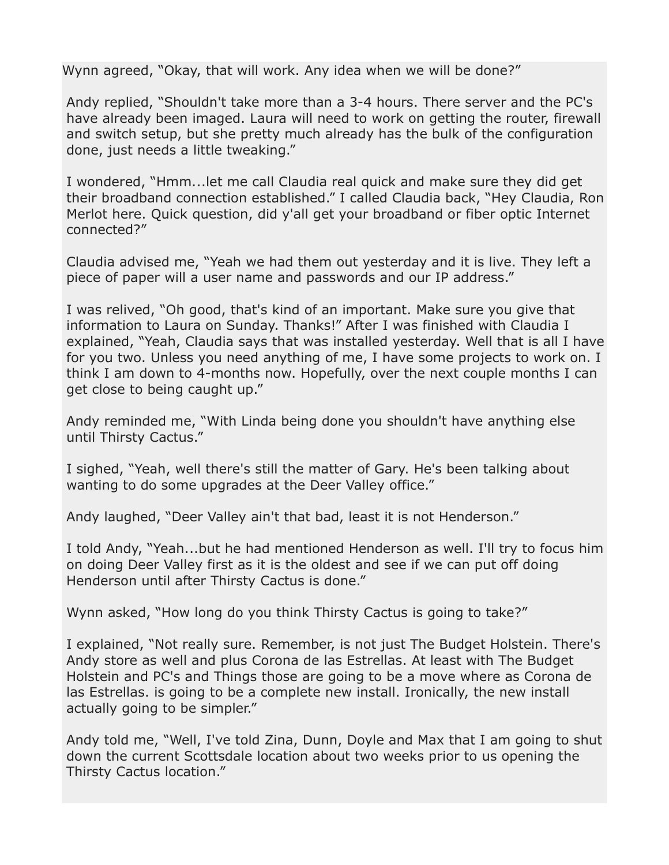Wynn agreed, "Okay, that will work. Any idea when we will be done?"

Andy replied, "Shouldn't take more than a 3-4 hours. There server and the PC's have already been imaged. Laura will need to work on getting the router, firewall and switch setup, but she pretty much already has the bulk of the configuration done, just needs a little tweaking."

I wondered, "Hmm...let me call Claudia real quick and make sure they did get their broadband connection established." I called Claudia back, "Hey Claudia, Ron Merlot here. Quick question, did y'all get your broadband or fiber optic Internet connected?"

Claudia advised me, "Yeah we had them out yesterday and it is live. They left a piece of paper will a user name and passwords and our IP address."

I was relived, "Oh good, that's kind of an important. Make sure you give that information to Laura on Sunday. Thanks!" After I was finished with Claudia I explained, "Yeah, Claudia says that was installed yesterday. Well that is all I have for you two. Unless you need anything of me, I have some projects to work on. I think I am down to 4-months now. Hopefully, over the next couple months I can get close to being caught up."

Andy reminded me, "With Linda being done you shouldn't have anything else until Thirsty Cactus."

I sighed, "Yeah, well there's still the matter of Gary. He's been talking about wanting to do some upgrades at the Deer Valley office."

Andy laughed, "Deer Valley ain't that bad, least it is not Henderson."

I told Andy, "Yeah...but he had mentioned Henderson as well. I'll try to focus him on doing Deer Valley first as it is the oldest and see if we can put off doing Henderson until after Thirsty Cactus is done."

Wynn asked, "How long do you think Thirsty Cactus is going to take?"

I explained, "Not really sure. Remember, is not just The Budget Holstein. There's Andy store as well and plus Corona de las Estrellas. At least with The Budget Holstein and PC's and Things those are going to be a move where as Corona de las Estrellas. is going to be a complete new install. Ironically, the new install actually going to be simpler."

Andy told me, "Well, I've told Zina, Dunn, Doyle and Max that I am going to shut down the current Scottsdale location about two weeks prior to us opening the Thirsty Cactus location."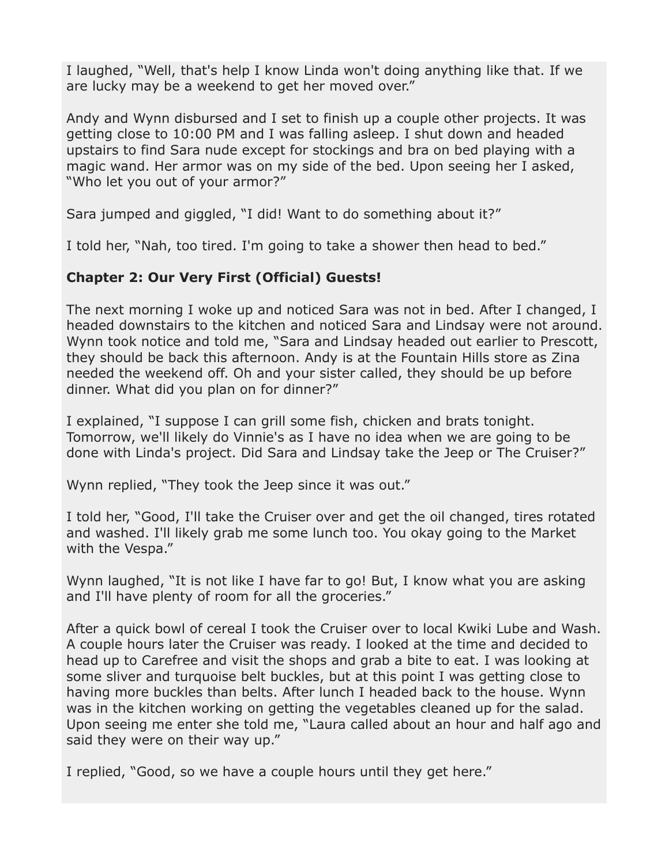I laughed, "Well, that's help I know Linda won't doing anything like that. If we are lucky may be a weekend to get her moved over."

Andy and Wynn disbursed and I set to finish up a couple other projects. It was getting close to 10:00 PM and I was falling asleep. I shut down and headed upstairs to find Sara nude except for stockings and bra on bed playing with a magic wand. Her armor was on my side of the bed. Upon seeing her I asked, "Who let you out of your armor?"

Sara jumped and giggled, "I did! Want to do something about it?"

I told her, "Nah, too tired. I'm going to take a shower then head to bed."

# **Chapter 2: Our Very First (Official) Guests!**

The next morning I woke up and noticed Sara was not in bed. After I changed, I headed downstairs to the kitchen and noticed Sara and Lindsay were not around. Wynn took notice and told me, "Sara and Lindsay headed out earlier to Prescott, they should be back this afternoon. Andy is at the Fountain Hills store as Zina needed the weekend off. Oh and your sister called, they should be up before dinner. What did you plan on for dinner?"

I explained, "I suppose I can grill some fish, chicken and brats tonight. Tomorrow, we'll likely do Vinnie's as I have no idea when we are going to be done with Linda's project. Did Sara and Lindsay take the Jeep or The Cruiser?"

Wynn replied, "They took the Jeep since it was out."

I told her, "Good, I'll take the Cruiser over and get the oil changed, tires rotated and washed. I'll likely grab me some lunch too. You okay going to the Market with the Vespa."

Wynn laughed, "It is not like I have far to go! But, I know what you are asking and I'll have plenty of room for all the groceries."

After a quick bowl of cereal I took the Cruiser over to local Kwiki Lube and Wash. A couple hours later the Cruiser was ready. I looked at the time and decided to head up to Carefree and visit the shops and grab a bite to eat. I was looking at some sliver and turquoise belt buckles, but at this point I was getting close to having more buckles than belts. After lunch I headed back to the house. Wynn was in the kitchen working on getting the vegetables cleaned up for the salad. Upon seeing me enter she told me, "Laura called about an hour and half ago and said they were on their way up."

I replied, "Good, so we have a couple hours until they get here."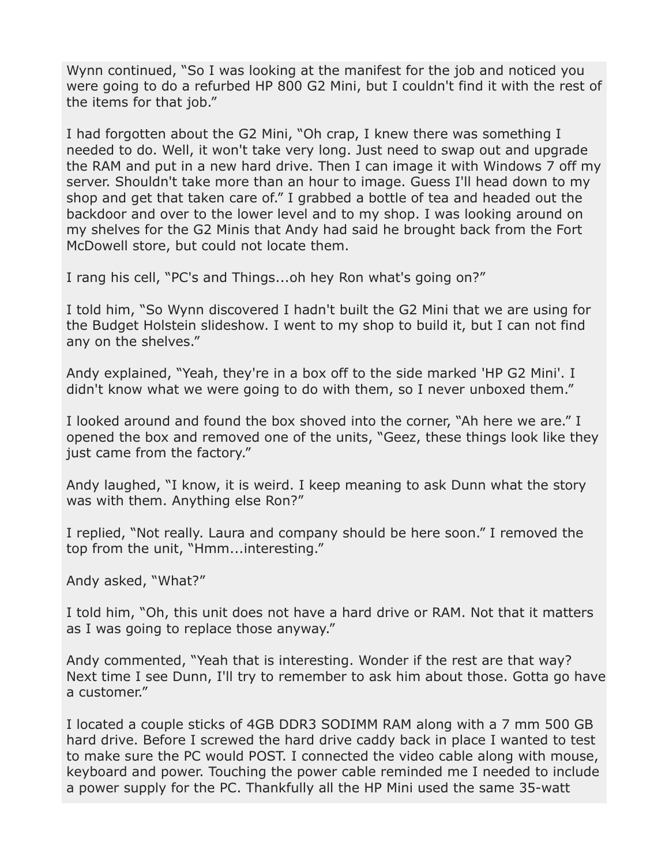Wynn continued, "So I was looking at the manifest for the job and noticed you were going to do a refurbed HP 800 G2 Mini, but I couldn't find it with the rest of the items for that job."

I had forgotten about the G2 Mini, "Oh crap, I knew there was something I needed to do. Well, it won't take very long. Just need to swap out and upgrade the RAM and put in a new hard drive. Then I can image it with Windows 7 off my server. Shouldn't take more than an hour to image. Guess I'll head down to my shop and get that taken care of." I grabbed a bottle of tea and headed out the backdoor and over to the lower level and to my shop. I was looking around on my shelves for the G2 Minis that Andy had said he brought back from the Fort McDowell store, but could not locate them.

I rang his cell, "PC's and Things...oh hey Ron what's going on?"

I told him, "So Wynn discovered I hadn't built the G2 Mini that we are using for the Budget Holstein slideshow. I went to my shop to build it, but I can not find any on the shelves."

Andy explained, "Yeah, they're in a box off to the side marked 'HP G2 Mini'. I didn't know what we were going to do with them, so I never unboxed them."

I looked around and found the box shoved into the corner, "Ah here we are." I opened the box and removed one of the units, "Geez, these things look like they just came from the factory."

Andy laughed, "I know, it is weird. I keep meaning to ask Dunn what the story was with them. Anything else Ron?"

I replied, "Not really. Laura and company should be here soon." I removed the top from the unit, "Hmm...interesting."

Andy asked, "What?"

I told him, "Oh, this unit does not have a hard drive or RAM. Not that it matters as I was going to replace those anyway."

Andy commented, "Yeah that is interesting. Wonder if the rest are that way? Next time I see Dunn, I'll try to remember to ask him about those. Gotta go have a customer."

I located a couple sticks of 4GB DDR3 SODIMM RAM along with a 7 mm 500 GB hard drive. Before I screwed the hard drive caddy back in place I wanted to test to make sure the PC would POST. I connected the video cable along with mouse, keyboard and power. Touching the power cable reminded me I needed to include a power supply for the PC. Thankfully all the HP Mini used the same 35-watt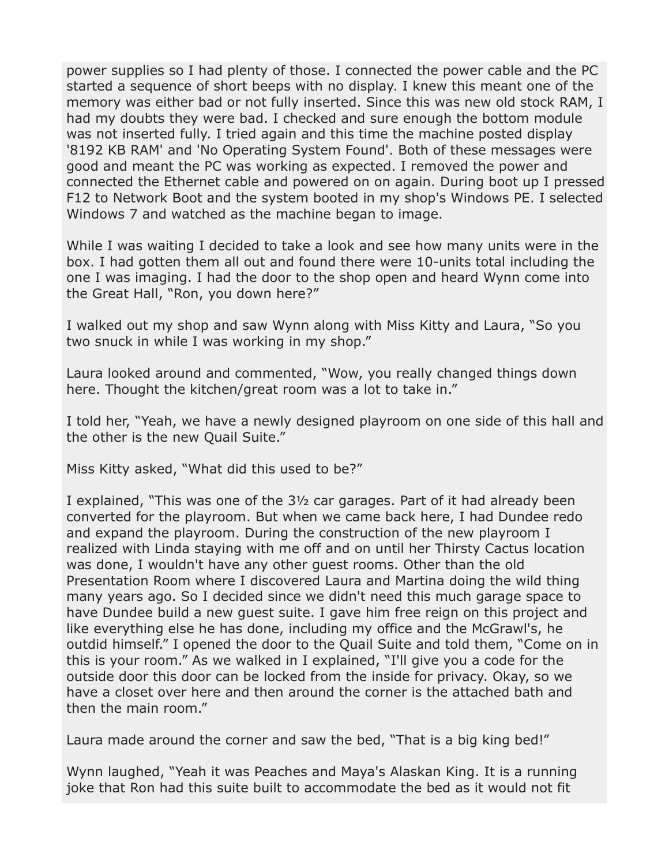power supplies so I had plenty of those. I connected the power cable and the PC started a sequence of short beeps with no display. I knew this meant one of the memory was either bad or not fully inserted. Since this was new old stock RAM, I had my doubts they were bad. I checked and sure enough the bottom module was not inserted fully. I tried again and this time the machine posted display '8192 KB RAM' and 'No Operating System Found'. Both of these messages were good and meant the PC was working as expected. I removed the power and connected the Ethernet cable and powered on on again. During boot up I pressed F12 to Network Boot and the system booted in my shop's Windows PE. I selected Windows 7 and watched as the machine began to image.

While I was waiting I decided to take a look and see how many units were in the box. I had gotten them all out and found there were 10-units total including the one I was imaging. I had the door to the shop open and heard Wynn come into the Great Hall, "Ron, you down here?"

I walked out my shop and saw Wynn along with Miss Kitty and Laura, "So you two snuck in while I was working in my shop."

Laura looked around and commented, "Wow, you really changed things down here. Thought the kitchen/great room was a lot to take in."

I told her, "Yeah, we have a newly designed playroom on one side of this hall and the other is the new Quail Suite."

Miss Kitty asked, "What did this used to be?"

I explained, "This was one of the 3½ car garages. Part of it had already been converted for the playroom. But when we came back here, I had Dundee redo and expand the playroom. During the construction of the new playroom I realized with Linda staying with me off and on until her Thirsty Cactus location was done, I wouldn't have any other guest rooms. Other than the old Presentation Room where I discovered Laura and Martina doing the wild thing many years ago. So I decided since we didn't need this much garage space to have Dundee build a new guest suite. I gave him free reign on this project and like everything else he has done, including my office and the McGrawl's, he outdid himself." I opened the door to the Quail Suite and told them, "Come on in this is your room." As we walked in I explained, "I'll give you a code for the outside door this door can be locked from the inside for privacy. Okay, so we have a closet over here and then around the corner is the attached bath and then the main room."

Laura made around the corner and saw the bed, "That is a big king bed!"

Wynn laughed, "Yeah it was Peaches and Maya's Alaskan King. It is a running joke that Ron had this suite built to accommodate the bed as it would not fit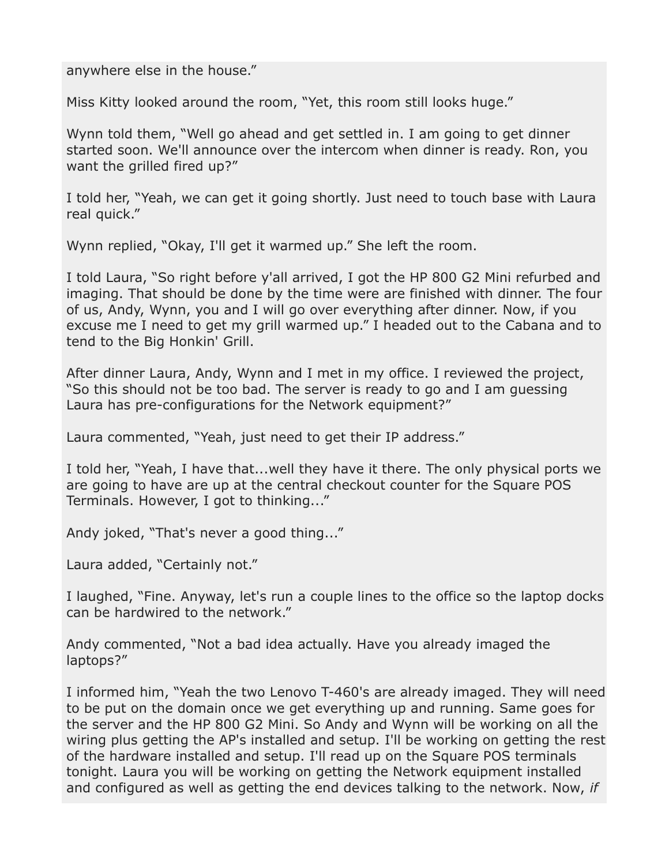#### anywhere else in the house."

Miss Kitty looked around the room, "Yet, this room still looks huge."

Wynn told them, "Well go ahead and get settled in. I am going to get dinner started soon. We'll announce over the intercom when dinner is ready. Ron, you want the grilled fired up?"

I told her, "Yeah, we can get it going shortly. Just need to touch base with Laura real quick."

Wynn replied, "Okay, I'll get it warmed up." She left the room.

I told Laura, "So right before y'all arrived, I got the HP 800 G2 Mini refurbed and imaging. That should be done by the time were are finished with dinner. The four of us, Andy, Wynn, you and I will go over everything after dinner. Now, if you excuse me I need to get my grill warmed up." I headed out to the Cabana and to tend to the Big Honkin' Grill.

After dinner Laura, Andy, Wynn and I met in my office. I reviewed the project, "So this should not be too bad. The server is ready to go and I am guessing Laura has pre-configurations for the Network equipment?"

Laura commented, "Yeah, just need to get their IP address."

I told her, "Yeah, I have that...well they have it there. The only physical ports we are going to have are up at the central checkout counter for the Square POS Terminals. However, I got to thinking..."

Andy joked, "That's never a good thing..."

Laura added, "Certainly not."

I laughed, "Fine. Anyway, let's run a couple lines to the office so the laptop docks can be hardwired to the network."

Andy commented, "Not a bad idea actually. Have you already imaged the laptops?"

I informed him, "Yeah the two Lenovo T-460's are already imaged. They will need to be put on the domain once we get everything up and running. Same goes for the server and the HP 800 G2 Mini. So Andy and Wynn will be working on all the wiring plus getting the AP's installed and setup. I'll be working on getting the rest of the hardware installed and setup. I'll read up on the Square POS terminals tonight. Laura you will be working on getting the Network equipment installed and configured as well as getting the end devices talking to the network. Now, *if*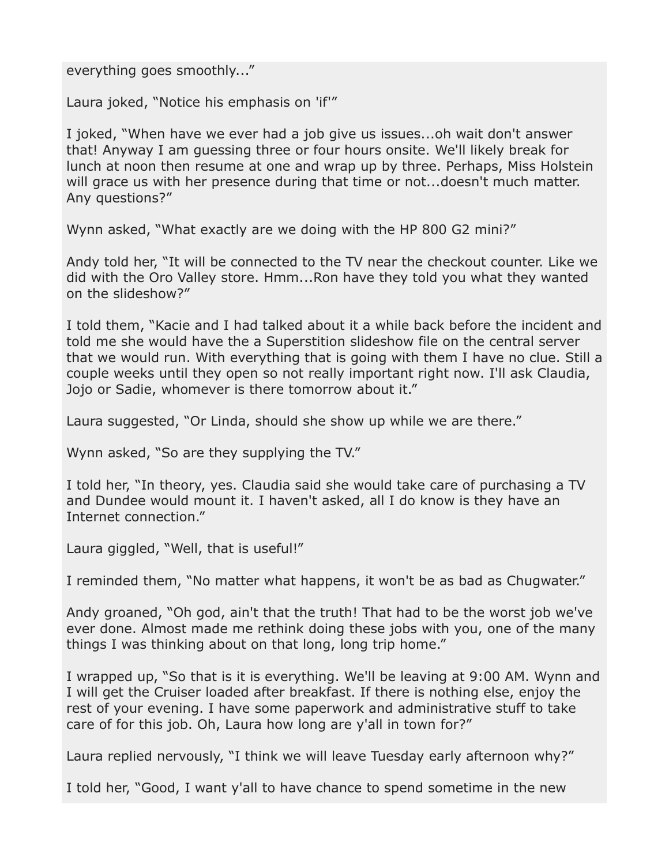everything goes smoothly..."

Laura joked, "Notice his emphasis on 'if'"

I joked, "When have we ever had a job give us issues...oh wait don't answer that! Anyway I am guessing three or four hours onsite. We'll likely break for lunch at noon then resume at one and wrap up by three. Perhaps, Miss Holstein will grace us with her presence during that time or not...doesn't much matter. Any questions?"

Wynn asked, "What exactly are we doing with the HP 800 G2 mini?"

Andy told her, "It will be connected to the TV near the checkout counter. Like we did with the Oro Valley store. Hmm...Ron have they told you what they wanted on the slideshow?"

I told them, "Kacie and I had talked about it a while back before the incident and told me she would have the a Superstition slideshow file on the central server that we would run. With everything that is going with them I have no clue. Still a couple weeks until they open so not really important right now. I'll ask Claudia, Jojo or Sadie, whomever is there tomorrow about it."

Laura suggested, "Or Linda, should she show up while we are there."

Wynn asked, "So are they supplying the TV."

I told her, "In theory, yes. Claudia said she would take care of purchasing a TV and Dundee would mount it. I haven't asked, all I do know is they have an Internet connection."

Laura giggled, "Well, that is useful!"

I reminded them, "No matter what happens, it won't be as bad as Chugwater."

Andy groaned, "Oh god, ain't that the truth! That had to be the worst job we've ever done. Almost made me rethink doing these jobs with you, one of the many things I was thinking about on that long, long trip home."

I wrapped up, "So that is it is everything. We'll be leaving at 9:00 AM. Wynn and I will get the Cruiser loaded after breakfast. If there is nothing else, enjoy the rest of your evening. I have some paperwork and administrative stuff to take care of for this job. Oh, Laura how long are y'all in town for?"

Laura replied nervously, "I think we will leave Tuesday early afternoon why?"

I told her, "Good, I want y'all to have chance to spend sometime in the new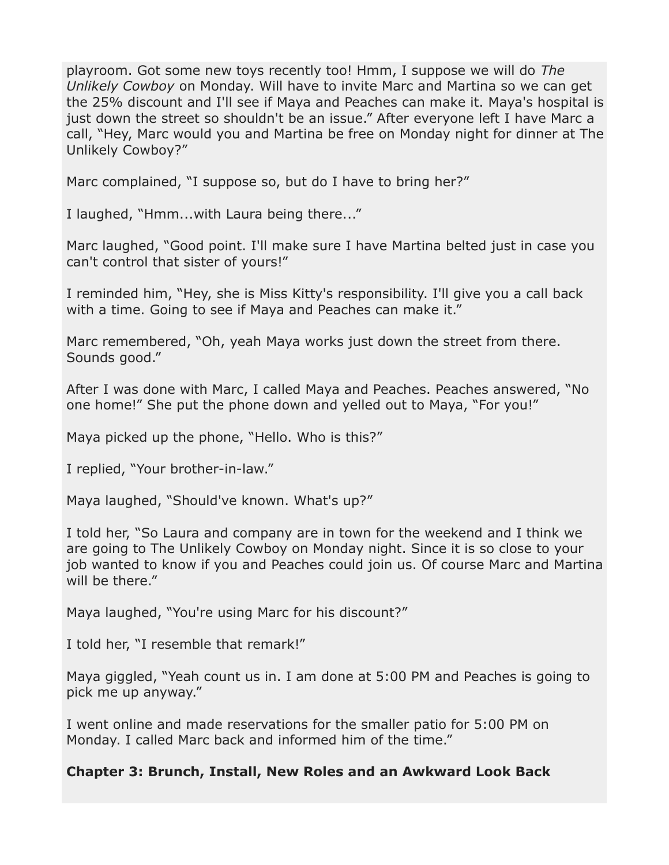playroom. Got some new toys recently too! Hmm, I suppose we will do *The Unlikely Cowboy* on Monday. Will have to invite Marc and Martina so we can get the 25% discount and I'll see if Maya and Peaches can make it. Maya's hospital is just down the street so shouldn't be an issue." After everyone left I have Marc a call, "Hey, Marc would you and Martina be free on Monday night for dinner at The Unlikely Cowboy?"

Marc complained, "I suppose so, but do I have to bring her?"

I laughed, "Hmm...with Laura being there..."

Marc laughed, "Good point. I'll make sure I have Martina belted just in case you can't control that sister of yours!"

I reminded him, "Hey, she is Miss Kitty's responsibility. I'll give you a call back with a time. Going to see if Maya and Peaches can make it."

Marc remembered, "Oh, yeah Maya works just down the street from there. Sounds good."

After I was done with Marc, I called Maya and Peaches. Peaches answered, "No one home!" She put the phone down and yelled out to Maya, "For you!"

Maya picked up the phone, "Hello. Who is this?"

I replied, "Your brother-in-law."

Maya laughed, "Should've known. What's up?"

I told her, "So Laura and company are in town for the weekend and I think we are going to The Unlikely Cowboy on Monday night. Since it is so close to your job wanted to know if you and Peaches could join us. Of course Marc and Martina will be there."

Maya laughed, "You're using Marc for his discount?"

I told her, "I resemble that remark!"

Maya giggled, "Yeah count us in. I am done at 5:00 PM and Peaches is going to pick me up anyway."

I went online and made reservations for the smaller patio for 5:00 PM on Monday. I called Marc back and informed him of the time."

### **Chapter 3: Brunch, Install, New Roles and an Awkward Look Back**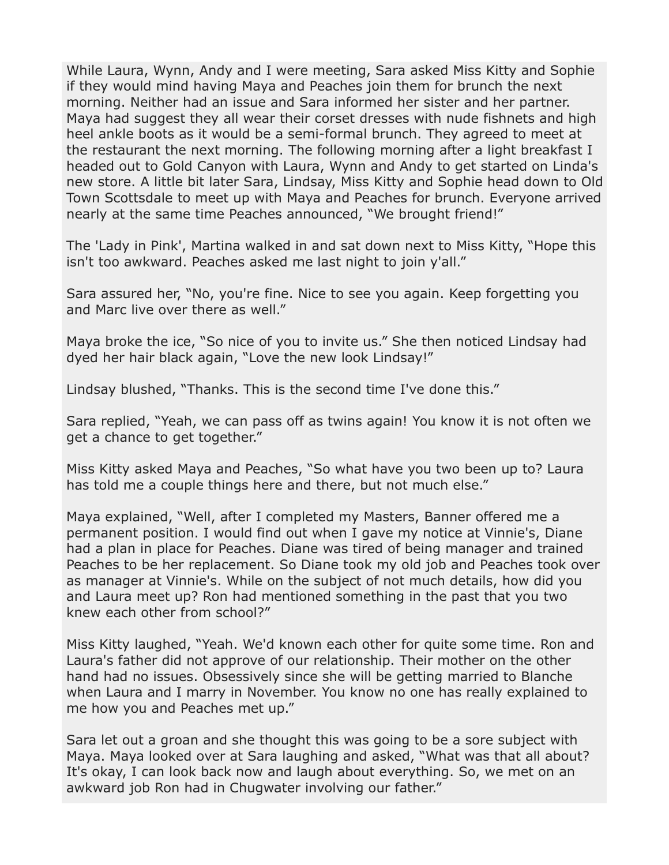While Laura, Wynn, Andy and I were meeting, Sara asked Miss Kitty and Sophie if they would mind having Maya and Peaches join them for brunch the next morning. Neither had an issue and Sara informed her sister and her partner. Maya had suggest they all wear their corset dresses with nude fishnets and high heel ankle boots as it would be a semi-formal brunch. They agreed to meet at the restaurant the next morning. The following morning after a light breakfast I headed out to Gold Canyon with Laura, Wynn and Andy to get started on Linda's new store. A little bit later Sara, Lindsay, Miss Kitty and Sophie head down to Old Town Scottsdale to meet up with Maya and Peaches for brunch. Everyone arrived nearly at the same time Peaches announced, "We brought friend!"

The 'Lady in Pink', Martina walked in and sat down next to Miss Kitty, "Hope this isn't too awkward. Peaches asked me last night to join y'all."

Sara assured her, "No, you're fine. Nice to see you again. Keep forgetting you and Marc live over there as well."

Maya broke the ice, "So nice of you to invite us." She then noticed Lindsay had dyed her hair black again, "Love the new look Lindsay!"

Lindsay blushed, "Thanks. This is the second time I've done this."

Sara replied, "Yeah, we can pass off as twins again! You know it is not often we get a chance to get together."

Miss Kitty asked Maya and Peaches, "So what have you two been up to? Laura has told me a couple things here and there, but not much else."

Maya explained, "Well, after I completed my Masters, Banner offered me a permanent position. I would find out when I gave my notice at Vinnie's, Diane had a plan in place for Peaches. Diane was tired of being manager and trained Peaches to be her replacement. So Diane took my old job and Peaches took over as manager at Vinnie's. While on the subject of not much details, how did you and Laura meet up? Ron had mentioned something in the past that you two knew each other from school?"

Miss Kitty laughed, "Yeah. We'd known each other for quite some time. Ron and Laura's father did not approve of our relationship. Their mother on the other hand had no issues. Obsessively since she will be getting married to Blanche when Laura and I marry in November. You know no one has really explained to me how you and Peaches met up."

Sara let out a groan and she thought this was going to be a sore subject with Maya. Maya looked over at Sara laughing and asked, "What was that all about? It's okay, I can look back now and laugh about everything. So, we met on an awkward job Ron had in Chugwater involving our father."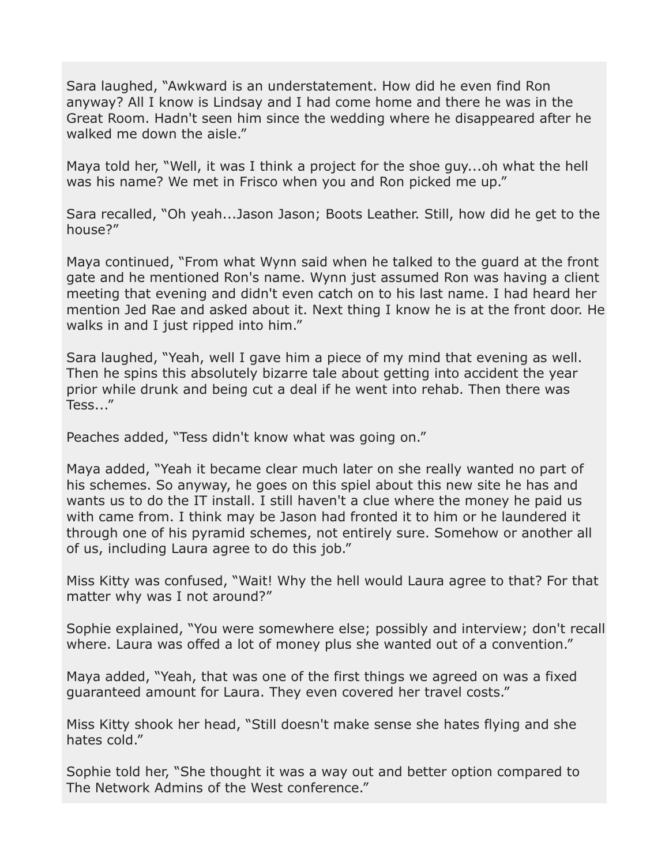Sara laughed, "Awkward is an understatement. How did he even find Ron anyway? All I know is Lindsay and I had come home and there he was in the Great Room. Hadn't seen him since the wedding where he disappeared after he walked me down the aisle."

Maya told her, "Well, it was I think a project for the shoe guy...oh what the hell was his name? We met in Frisco when you and Ron picked me up."

Sara recalled, "Oh yeah...Jason Jason; Boots Leather. Still, how did he get to the house?"

Maya continued, "From what Wynn said when he talked to the guard at the front gate and he mentioned Ron's name. Wynn just assumed Ron was having a client meeting that evening and didn't even catch on to his last name. I had heard her mention Jed Rae and asked about it. Next thing I know he is at the front door. He walks in and I just ripped into him."

Sara laughed, "Yeah, well I gave him a piece of my mind that evening as well. Then he spins this absolutely bizarre tale about getting into accident the year prior while drunk and being cut a deal if he went into rehab. Then there was Tess..."

Peaches added, "Tess didn't know what was going on."

Maya added, "Yeah it became clear much later on she really wanted no part of his schemes. So anyway, he goes on this spiel about this new site he has and wants us to do the IT install. I still haven't a clue where the money he paid us with came from. I think may be Jason had fronted it to him or he laundered it through one of his pyramid schemes, not entirely sure. Somehow or another all of us, including Laura agree to do this job."

Miss Kitty was confused, "Wait! Why the hell would Laura agree to that? For that matter why was I not around?"

Sophie explained, "You were somewhere else; possibly and interview; don't recall where. Laura was offed a lot of money plus she wanted out of a convention."

Maya added, "Yeah, that was one of the first things we agreed on was a fixed guaranteed amount for Laura. They even covered her travel costs."

Miss Kitty shook her head, "Still doesn't make sense she hates flying and she hates cold."

Sophie told her, "She thought it was a way out and better option compared to The Network Admins of the West conference."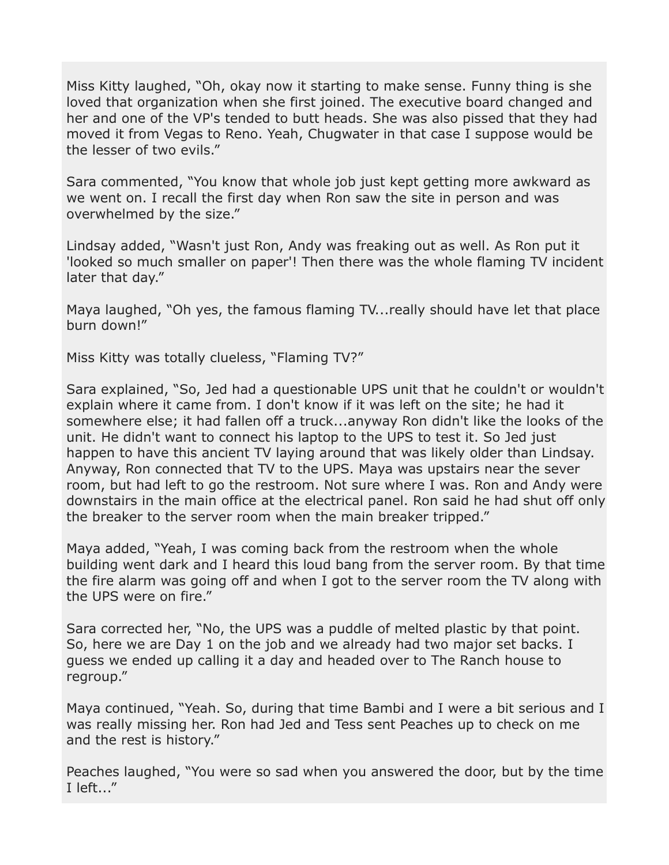Miss Kitty laughed, "Oh, okay now it starting to make sense. Funny thing is she loved that organization when she first joined. The executive board changed and her and one of the VP's tended to butt heads. She was also pissed that they had moved it from Vegas to Reno. Yeah, Chugwater in that case I suppose would be the lesser of two evils."

Sara commented, "You know that whole job just kept getting more awkward as we went on. I recall the first day when Ron saw the site in person and was overwhelmed by the size."

Lindsay added, "Wasn't just Ron, Andy was freaking out as well. As Ron put it 'looked so much smaller on paper'! Then there was the whole flaming TV incident later that day."

Maya laughed, "Oh yes, the famous flaming TV...really should have let that place burn down!"

Miss Kitty was totally clueless, "Flaming TV?"

Sara explained, "So, Jed had a questionable UPS unit that he couldn't or wouldn't explain where it came from. I don't know if it was left on the site; he had it somewhere else; it had fallen off a truck...anyway Ron didn't like the looks of the unit. He didn't want to connect his laptop to the UPS to test it. So Jed just happen to have this ancient TV laying around that was likely older than Lindsay. Anyway, Ron connected that TV to the UPS. Maya was upstairs near the sever room, but had left to go the restroom. Not sure where I was. Ron and Andy were downstairs in the main office at the electrical panel. Ron said he had shut off only the breaker to the server room when the main breaker tripped."

Maya added, "Yeah, I was coming back from the restroom when the whole building went dark and I heard this loud bang from the server room. By that time the fire alarm was going off and when I got to the server room the TV along with the UPS were on fire."

Sara corrected her, "No, the UPS was a puddle of melted plastic by that point. So, here we are Day 1 on the job and we already had two major set backs. I guess we ended up calling it a day and headed over to The Ranch house to regroup."

Maya continued, "Yeah. So, during that time Bambi and I were a bit serious and I was really missing her. Ron had Jed and Tess sent Peaches up to check on me and the rest is history."

Peaches laughed, "You were so sad when you answered the door, but by the time I left..."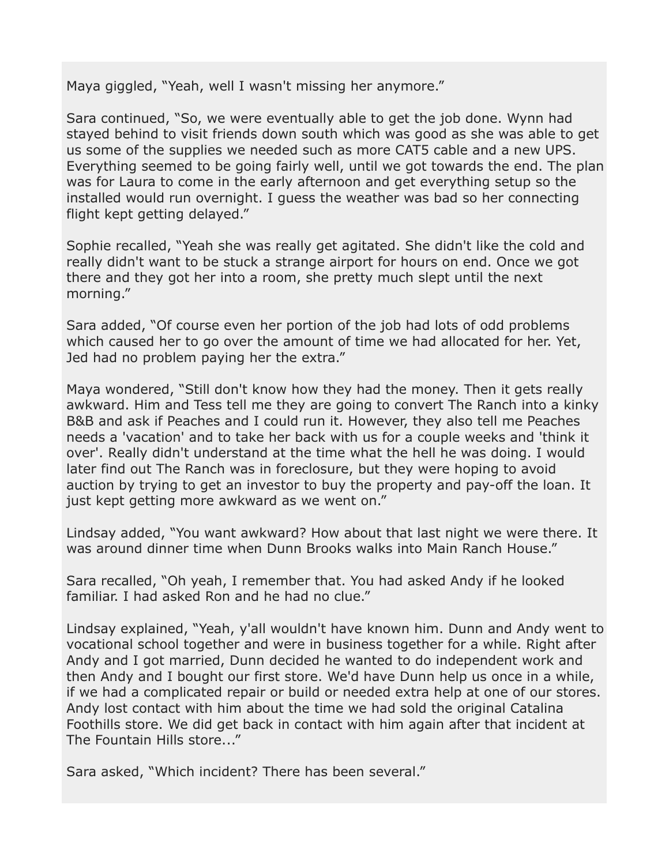Maya giggled, "Yeah, well I wasn't missing her anymore."

Sara continued, "So, we were eventually able to get the job done. Wynn had stayed behind to visit friends down south which was good as she was able to get us some of the supplies we needed such as more CAT5 cable and a new UPS. Everything seemed to be going fairly well, until we got towards the end. The plan was for Laura to come in the early afternoon and get everything setup so the installed would run overnight. I guess the weather was bad so her connecting flight kept getting delayed."

Sophie recalled, "Yeah she was really get agitated. She didn't like the cold and really didn't want to be stuck a strange airport for hours on end. Once we got there and they got her into a room, she pretty much slept until the next morning."

Sara added, "Of course even her portion of the job had lots of odd problems which caused her to go over the amount of time we had allocated for her. Yet, Jed had no problem paying her the extra."

Maya wondered, "Still don't know how they had the money. Then it gets really awkward. Him and Tess tell me they are going to convert The Ranch into a kinky B&B and ask if Peaches and I could run it. However, they also tell me Peaches needs a 'vacation' and to take her back with us for a couple weeks and 'think it over'. Really didn't understand at the time what the hell he was doing. I would later find out The Ranch was in foreclosure, but they were hoping to avoid auction by trying to get an investor to buy the property and pay-off the loan. It just kept getting more awkward as we went on."

Lindsay added, "You want awkward? How about that last night we were there. It was around dinner time when Dunn Brooks walks into Main Ranch House."

Sara recalled, "Oh yeah, I remember that. You had asked Andy if he looked familiar. I had asked Ron and he had no clue."

Lindsay explained, "Yeah, y'all wouldn't have known him. Dunn and Andy went to vocational school together and were in business together for a while. Right after Andy and I got married, Dunn decided he wanted to do independent work and then Andy and I bought our first store. We'd have Dunn help us once in a while, if we had a complicated repair or build or needed extra help at one of our stores. Andy lost contact with him about the time we had sold the original Catalina Foothills store. We did get back in contact with him again after that incident at The Fountain Hills store..."

Sara asked, "Which incident? There has been several."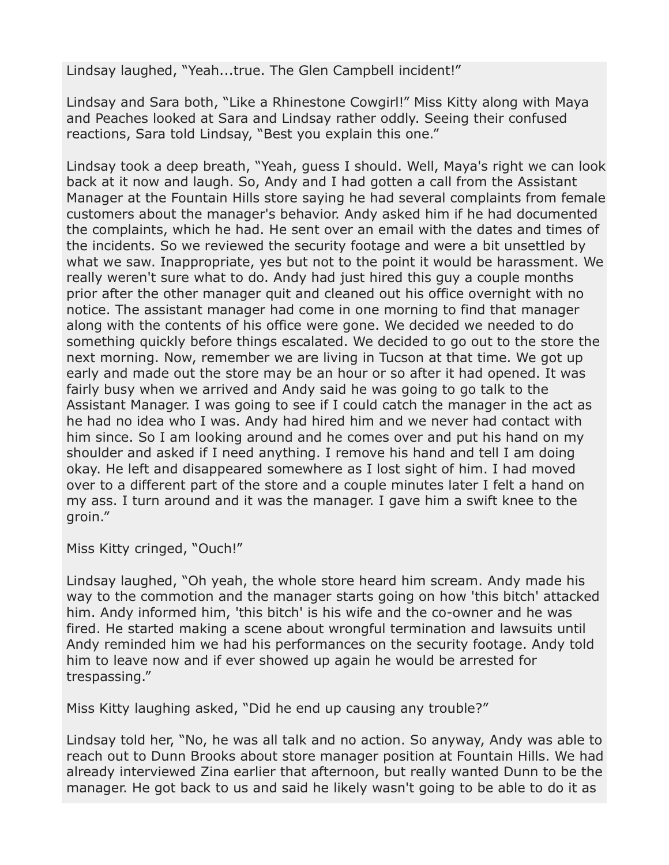Lindsay laughed, "Yeah...true. The Glen Campbell incident!"

Lindsay and Sara both, "Like a Rhinestone Cowgirl!" Miss Kitty along with Maya and Peaches looked at Sara and Lindsay rather oddly. Seeing their confused reactions, Sara told Lindsay, "Best you explain this one."

Lindsay took a deep breath, "Yeah, guess I should. Well, Maya's right we can look back at it now and laugh. So, Andy and I had gotten a call from the Assistant Manager at the Fountain Hills store saying he had several complaints from female customers about the manager's behavior. Andy asked him if he had documented the complaints, which he had. He sent over an email with the dates and times of the incidents. So we reviewed the security footage and were a bit unsettled by what we saw. Inappropriate, yes but not to the point it would be harassment. We really weren't sure what to do. Andy had just hired this guy a couple months prior after the other manager quit and cleaned out his office overnight with no notice. The assistant manager had come in one morning to find that manager along with the contents of his office were gone. We decided we needed to do something quickly before things escalated. We decided to go out to the store the next morning. Now, remember we are living in Tucson at that time. We got up early and made out the store may be an hour or so after it had opened. It was fairly busy when we arrived and Andy said he was going to go talk to the Assistant Manager. I was going to see if I could catch the manager in the act as he had no idea who I was. Andy had hired him and we never had contact with him since. So I am looking around and he comes over and put his hand on my shoulder and asked if I need anything. I remove his hand and tell I am doing okay. He left and disappeared somewhere as I lost sight of him. I had moved over to a different part of the store and a couple minutes later I felt a hand on my ass. I turn around and it was the manager. I gave him a swift knee to the groin."

Miss Kitty cringed, "Ouch!"

Lindsay laughed, "Oh yeah, the whole store heard him scream. Andy made his way to the commotion and the manager starts going on how 'this bitch' attacked him. Andy informed him, 'this bitch' is his wife and the co-owner and he was fired. He started making a scene about wrongful termination and lawsuits until Andy reminded him we had his performances on the security footage. Andy told him to leave now and if ever showed up again he would be arrested for trespassing."

Miss Kitty laughing asked, "Did he end up causing any trouble?"

Lindsay told her, "No, he was all talk and no action. So anyway, Andy was able to reach out to Dunn Brooks about store manager position at Fountain Hills. We had already interviewed Zina earlier that afternoon, but really wanted Dunn to be the manager. He got back to us and said he likely wasn't going to be able to do it as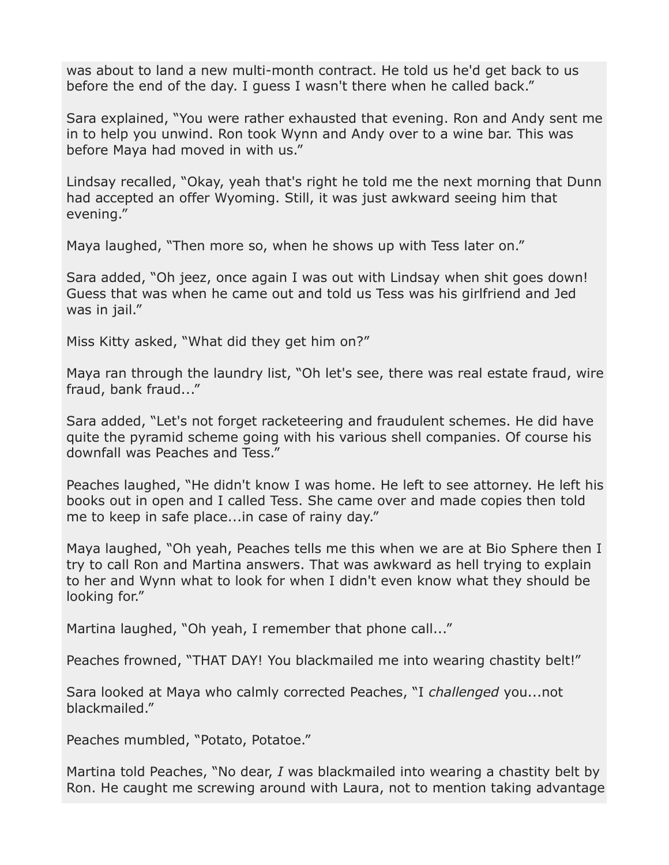was about to land a new multi-month contract. He told us he'd get back to us before the end of the day. I guess I wasn't there when he called back."

Sara explained, "You were rather exhausted that evening. Ron and Andy sent me in to help you unwind. Ron took Wynn and Andy over to a wine bar. This was before Maya had moved in with us."

Lindsay recalled, "Okay, yeah that's right he told me the next morning that Dunn had accepted an offer Wyoming. Still, it was just awkward seeing him that evening."

Maya laughed, "Then more so, when he shows up with Tess later on."

Sara added, "Oh jeez, once again I was out with Lindsay when shit goes down! Guess that was when he came out and told us Tess was his girlfriend and Jed was in jail."

Miss Kitty asked, "What did they get him on?"

Maya ran through the laundry list, "Oh let's see, there was real estate fraud, wire fraud, bank fraud..."

Sara added, "Let's not forget racketeering and fraudulent schemes. He did have quite the pyramid scheme going with his various shell companies. Of course his downfall was Peaches and Tess."

Peaches laughed, "He didn't know I was home. He left to see attorney. He left his books out in open and I called Tess. She came over and made copies then told me to keep in safe place...in case of rainy day."

Maya laughed, "Oh yeah, Peaches tells me this when we are at Bio Sphere then I try to call Ron and Martina answers. That was awkward as hell trying to explain to her and Wynn what to look for when I didn't even know what they should be looking for."

Martina laughed, "Oh yeah, I remember that phone call..."

Peaches frowned, "THAT DAY! You blackmailed me into wearing chastity belt!"

Sara looked at Maya who calmly corrected Peaches, "I *challenged* you...not blackmailed."

Peaches mumbled, "Potato, Potatoe."

Martina told Peaches, "No dear, *I* was blackmailed into wearing a chastity belt by Ron. He caught me screwing around with Laura, not to mention taking advantage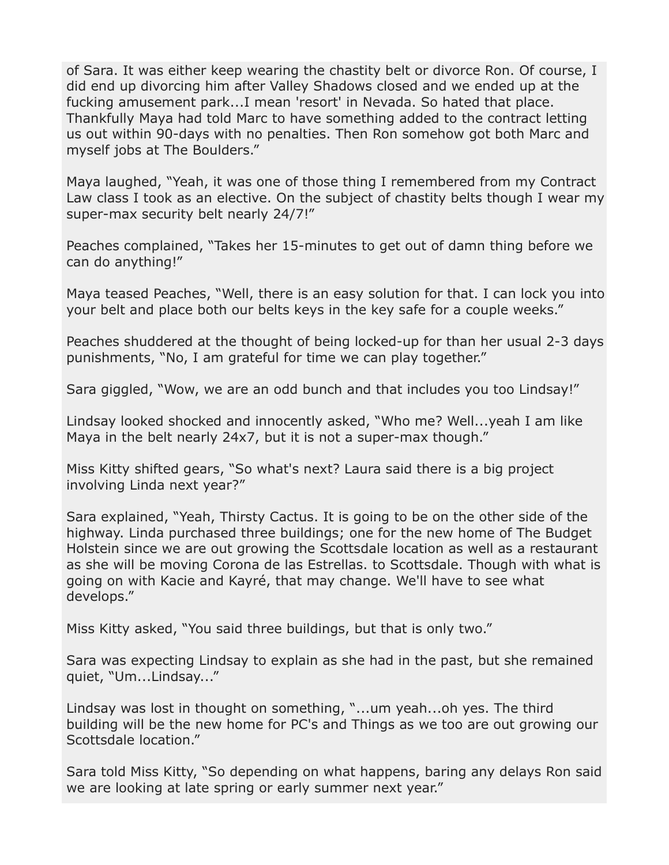of Sara. It was either keep wearing the chastity belt or divorce Ron. Of course, I did end up divorcing him after Valley Shadows closed and we ended up at the fucking amusement park...I mean 'resort' in Nevada. So hated that place. Thankfully Maya had told Marc to have something added to the contract letting us out within 90-days with no penalties. Then Ron somehow got both Marc and myself jobs at The Boulders."

Maya laughed, "Yeah, it was one of those thing I remembered from my Contract Law class I took as an elective. On the subject of chastity belts though I wear my super-max security belt nearly 24/7!"

Peaches complained, "Takes her 15-minutes to get out of damn thing before we can do anything!"

Maya teased Peaches, "Well, there is an easy solution for that. I can lock you into your belt and place both our belts keys in the key safe for a couple weeks."

Peaches shuddered at the thought of being locked-up for than her usual 2-3 days punishments, "No, I am grateful for time we can play together."

Sara giggled, "Wow, we are an odd bunch and that includes you too Lindsay!"

Lindsay looked shocked and innocently asked, "Who me? Well...yeah I am like Maya in the belt nearly 24x7, but it is not a super-max though."

Miss Kitty shifted gears, "So what's next? Laura said there is a big project involving Linda next year?"

Sara explained, "Yeah, Thirsty Cactus. It is going to be on the other side of the highway. Linda purchased three buildings; one for the new home of The Budget Holstein since we are out growing the Scottsdale location as well as a restaurant as she will be moving Corona de las Estrellas. to Scottsdale. Though with what is going on with Kacie and Kayré, that may change. We'll have to see what develops."

Miss Kitty asked, "You said three buildings, but that is only two."

Sara was expecting Lindsay to explain as she had in the past, but she remained quiet, "Um...Lindsay..."

Lindsay was lost in thought on something, "...um yeah...oh yes. The third building will be the new home for PC's and Things as we too are out growing our Scottsdale location."

Sara told Miss Kitty, "So depending on what happens, baring any delays Ron said we are looking at late spring or early summer next year."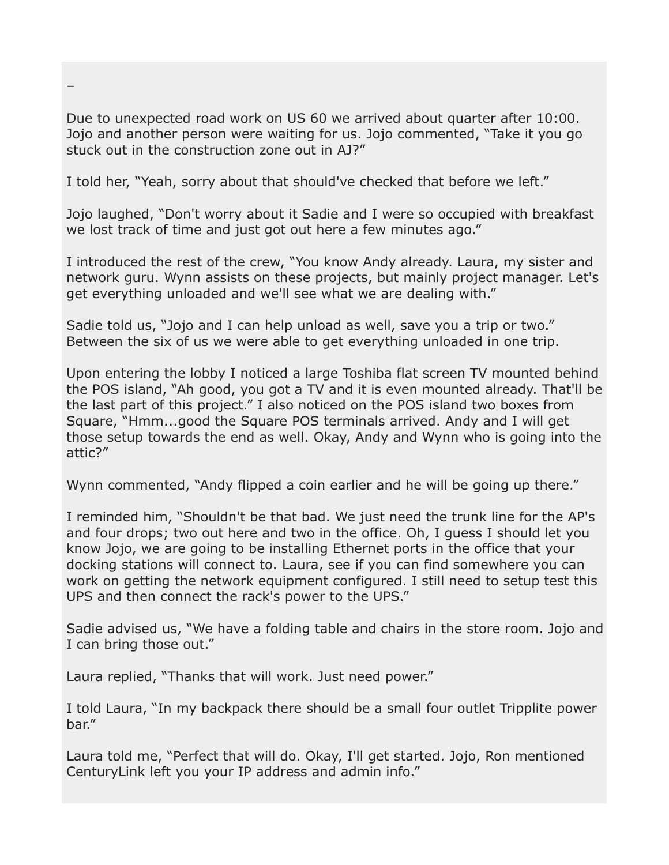Due to unexpected road work on US 60 we arrived about quarter after 10:00. Jojo and another person were waiting for us. Jojo commented, "Take it you go stuck out in the construction zone out in AJ?"

I told her, "Yeah, sorry about that should've checked that before we left."

Jojo laughed, "Don't worry about it Sadie and I were so occupied with breakfast we lost track of time and just got out here a few minutes ago."

I introduced the rest of the crew, "You know Andy already. Laura, my sister and network guru. Wynn assists on these projects, but mainly project manager. Let's get everything unloaded and we'll see what we are dealing with."

Sadie told us, "Jojo and I can help unload as well, save you a trip or two." Between the six of us we were able to get everything unloaded in one trip.

Upon entering the lobby I noticed a large Toshiba flat screen TV mounted behind the POS island, "Ah good, you got a TV and it is even mounted already. That'll be the last part of this project." I also noticed on the POS island two boxes from Square, "Hmm...good the Square POS terminals arrived. Andy and I will get those setup towards the end as well. Okay, Andy and Wynn who is going into the attic?"

Wynn commented, "Andy flipped a coin earlier and he will be going up there."

I reminded him, "Shouldn't be that bad. We just need the trunk line for the AP's and four drops; two out here and two in the office. Oh, I guess I should let you know Jojo, we are going to be installing Ethernet ports in the office that your docking stations will connect to. Laura, see if you can find somewhere you can work on getting the network equipment configured. I still need to setup test this UPS and then connect the rack's power to the UPS."

Sadie advised us, "We have a folding table and chairs in the store room. Jojo and I can bring those out."

Laura replied, "Thanks that will work. Just need power."

I told Laura, "In my backpack there should be a small four outlet Tripplite power bar."

Laura told me, "Perfect that will do. Okay, I'll get started. Jojo, Ron mentioned CenturyLink left you your IP address and admin info."

–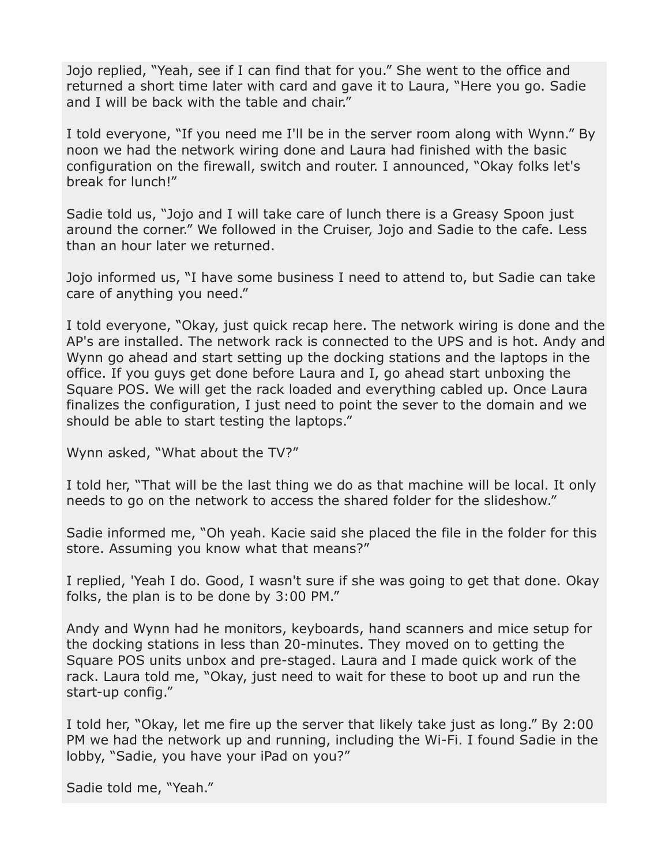Jojo replied, "Yeah, see if I can find that for you." She went to the office and returned a short time later with card and gave it to Laura, "Here you go. Sadie and I will be back with the table and chair."

I told everyone, "If you need me I'll be in the server room along with Wynn." By noon we had the network wiring done and Laura had finished with the basic configuration on the firewall, switch and router. I announced, "Okay folks let's break for lunch!"

Sadie told us, "Jojo and I will take care of lunch there is a Greasy Spoon just around the corner." We followed in the Cruiser, Jojo and Sadie to the cafe. Less than an hour later we returned.

Jojo informed us, "I have some business I need to attend to, but Sadie can take care of anything you need."

I told everyone, "Okay, just quick recap here. The network wiring is done and the AP's are installed. The network rack is connected to the UPS and is hot. Andy and Wynn go ahead and start setting up the docking stations and the laptops in the office. If you guys get done before Laura and I, go ahead start unboxing the Square POS. We will get the rack loaded and everything cabled up. Once Laura finalizes the configuration, I just need to point the sever to the domain and we should be able to start testing the laptops."

Wynn asked, "What about the TV?"

I told her, "That will be the last thing we do as that machine will be local. It only needs to go on the network to access the shared folder for the slideshow."

Sadie informed me, "Oh yeah. Kacie said she placed the file in the folder for this store. Assuming you know what that means?"

I replied, 'Yeah I do. Good, I wasn't sure if she was going to get that done. Okay folks, the plan is to be done by 3:00 PM."

Andy and Wynn had he monitors, keyboards, hand scanners and mice setup for the docking stations in less than 20-minutes. They moved on to getting the Square POS units unbox and pre-staged. Laura and I made quick work of the rack. Laura told me, "Okay, just need to wait for these to boot up and run the start-up config."

I told her, "Okay, let me fire up the server that likely take just as long." By 2:00 PM we had the network up and running, including the Wi-Fi. I found Sadie in the lobby, "Sadie, you have your iPad on you?"

Sadie told me, "Yeah."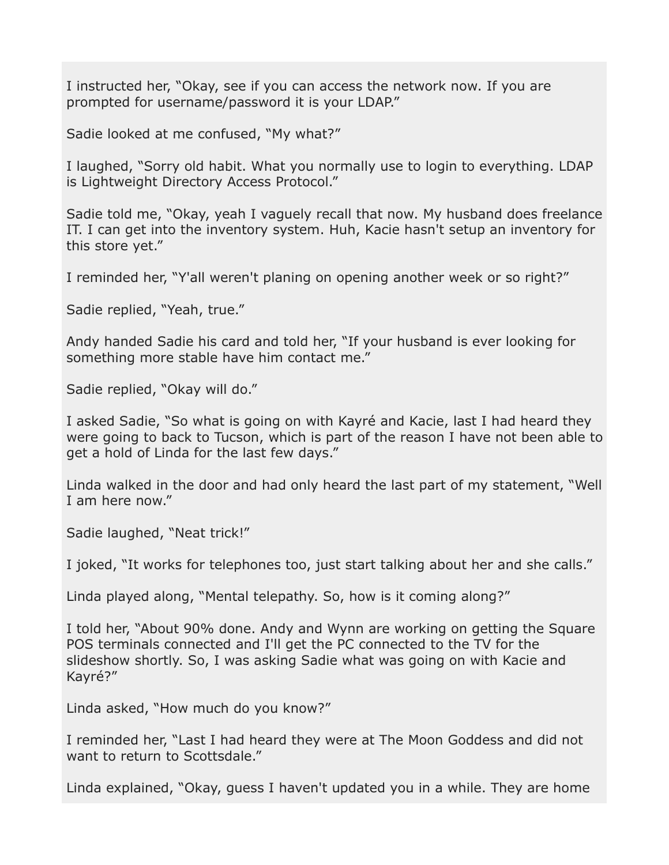I instructed her, "Okay, see if you can access the network now. If you are prompted for username/password it is your LDAP."

Sadie looked at me confused, "My what?"

I laughed, "Sorry old habit. What you normally use to login to everything. LDAP is Lightweight Directory Access Protocol."

Sadie told me, "Okay, yeah I vaguely recall that now. My husband does freelance IT. I can get into the inventory system. Huh, Kacie hasn't setup an inventory for this store yet."

I reminded her, "Y'all weren't planing on opening another week or so right?"

Sadie replied, "Yeah, true."

Andy handed Sadie his card and told her, "If your husband is ever looking for something more stable have him contact me."

Sadie replied, "Okay will do."

I asked Sadie, "So what is going on with Kayré and Kacie, last I had heard they were going to back to Tucson, which is part of the reason I have not been able to get a hold of Linda for the last few days."

Linda walked in the door and had only heard the last part of my statement, "Well I am here now."

Sadie laughed, "Neat trick!"

I joked, "It works for telephones too, just start talking about her and she calls."

Linda played along, "Mental telepathy. So, how is it coming along?"

I told her, "About 90% done. Andy and Wynn are working on getting the Square POS terminals connected and I'll get the PC connected to the TV for the slideshow shortly. So, I was asking Sadie what was going on with Kacie and Kayré?"

Linda asked, "How much do you know?"

I reminded her, "Last I had heard they were at The Moon Goddess and did not want to return to Scottsdale."

Linda explained, "Okay, guess I haven't updated you in a while. They are home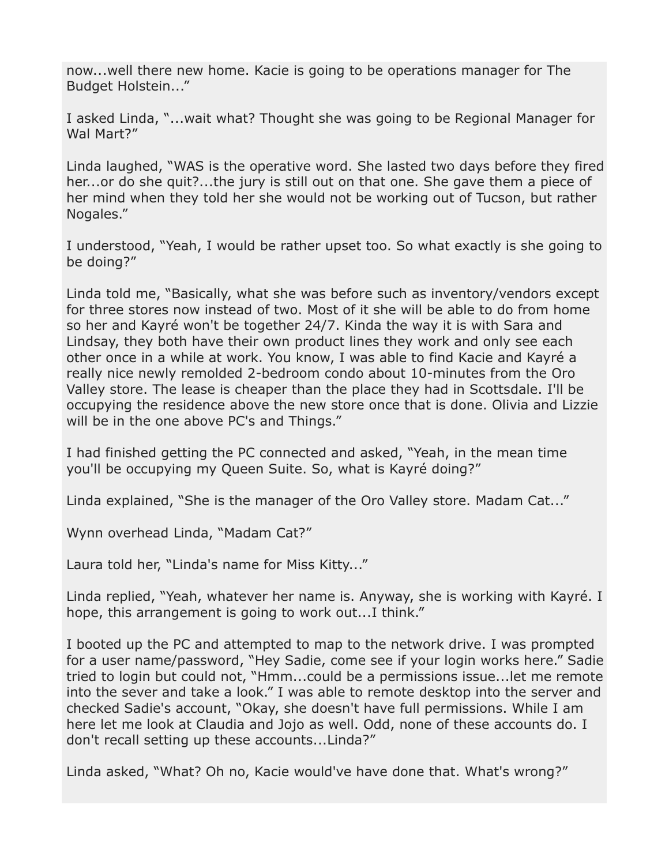now...well there new home. Kacie is going to be operations manager for The Budget Holstein..."

I asked Linda, "...wait what? Thought she was going to be Regional Manager for Wal Mart?"

Linda laughed, "WAS is the operative word. She lasted two days before they fired her...or do she quit?...the jury is still out on that one. She gave them a piece of her mind when they told her she would not be working out of Tucson, but rather Nogales."

I understood, "Yeah, I would be rather upset too. So what exactly is she going to be doing?"

Linda told me, "Basically, what she was before such as inventory/vendors except for three stores now instead of two. Most of it she will be able to do from home so her and Kayré won't be together 24/7. Kinda the way it is with Sara and Lindsay, they both have their own product lines they work and only see each other once in a while at work. You know, I was able to find Kacie and Kayré a really nice newly remolded 2-bedroom condo about 10-minutes from the Oro Valley store. The lease is cheaper than the place they had in Scottsdale. I'll be occupying the residence above the new store once that is done. Olivia and Lizzie will be in the one above PC's and Things."

I had finished getting the PC connected and asked, "Yeah, in the mean time you'll be occupying my Queen Suite. So, what is Kayré doing?"

Linda explained, "She is the manager of the Oro Valley store. Madam Cat..."

Wynn overhead Linda, "Madam Cat?"

Laura told her, "Linda's name for Miss Kitty..."

Linda replied, "Yeah, whatever her name is. Anyway, she is working with Kayré. I hope, this arrangement is going to work out...I think."

I booted up the PC and attempted to map to the network drive. I was prompted for a user name/password, "Hey Sadie, come see if your login works here." Sadie tried to login but could not, "Hmm...could be a permissions issue...let me remote into the sever and take a look." I was able to remote desktop into the server and checked Sadie's account, "Okay, she doesn't have full permissions. While I am here let me look at Claudia and Jojo as well. Odd, none of these accounts do. I don't recall setting up these accounts...Linda?"

Linda asked, "What? Oh no, Kacie would've have done that. What's wrong?"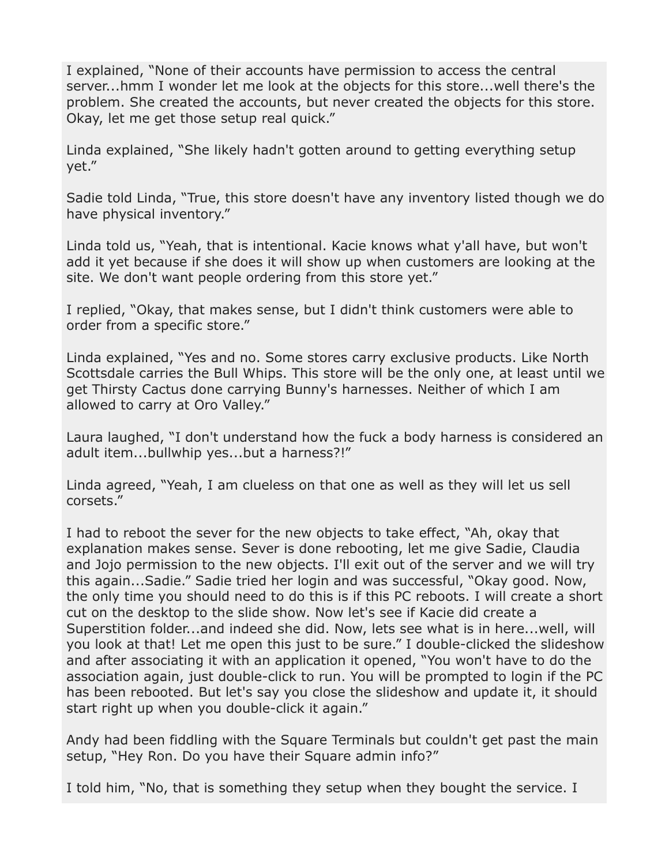I explained, "None of their accounts have permission to access the central server...hmm I wonder let me look at the objects for this store...well there's the problem. She created the accounts, but never created the objects for this store. Okay, let me get those setup real quick."

Linda explained, "She likely hadn't gotten around to getting everything setup yet."

Sadie told Linda, "True, this store doesn't have any inventory listed though we do have physical inventory."

Linda told us, "Yeah, that is intentional. Kacie knows what y'all have, but won't add it yet because if she does it will show up when customers are looking at the site. We don't want people ordering from this store yet."

I replied, "Okay, that makes sense, but I didn't think customers were able to order from a specific store."

Linda explained, "Yes and no. Some stores carry exclusive products. Like North Scottsdale carries the Bull Whips. This store will be the only one, at least until we get Thirsty Cactus done carrying Bunny's harnesses. Neither of which I am allowed to carry at Oro Valley."

Laura laughed, "I don't understand how the fuck a body harness is considered an adult item...bullwhip yes...but a harness?!"

Linda agreed, "Yeah, I am clueless on that one as well as they will let us sell corsets."

I had to reboot the sever for the new objects to take effect, "Ah, okay that explanation makes sense. Sever is done rebooting, let me give Sadie, Claudia and Jojo permission to the new objects. I'll exit out of the server and we will try this again...Sadie." Sadie tried her login and was successful, "Okay good. Now, the only time you should need to do this is if this PC reboots. I will create a short cut on the desktop to the slide show. Now let's see if Kacie did create a Superstition folder...and indeed she did. Now, lets see what is in here...well, will you look at that! Let me open this just to be sure." I double-clicked the slideshow and after associating it with an application it opened, "You won't have to do the association again, just double-click to run. You will be prompted to login if the PC has been rebooted. But let's say you close the slideshow and update it, it should start right up when you double-click it again."

Andy had been fiddling with the Square Terminals but couldn't get past the main setup, "Hey Ron. Do you have their Square admin info?"

I told him, "No, that is something they setup when they bought the service. I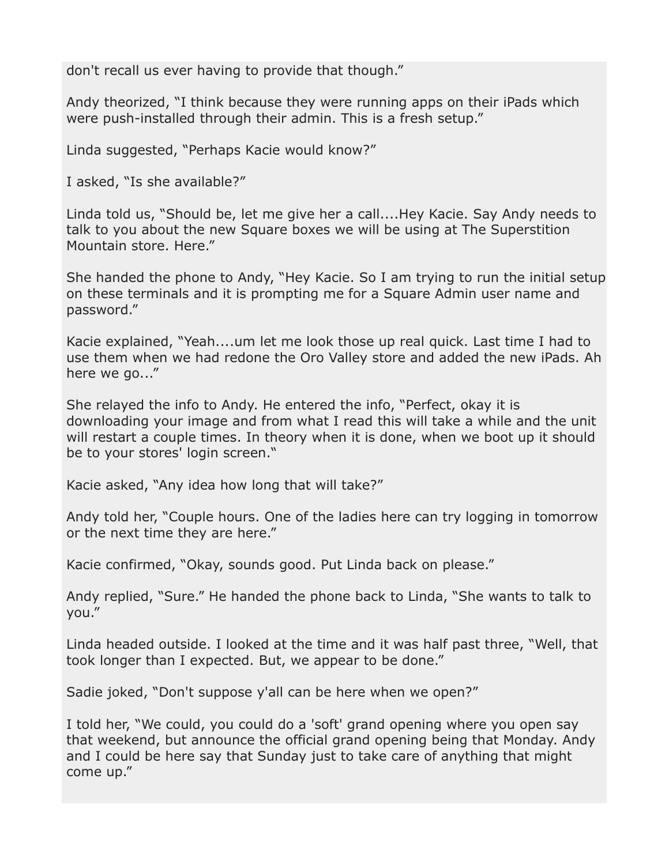don't recall us ever having to provide that though."

Andy theorized, "I think because they were running apps on their iPads which were push-installed through their admin. This is a fresh setup."

Linda suggested, "Perhaps Kacie would know?"

I asked, "Is she available?"

Linda told us, "Should be, let me give her a call....Hey Kacie. Say Andy needs to talk to you about the new Square boxes we will be using at The Superstition Mountain store. Here."

She handed the phone to Andy, "Hey Kacie. So I am trying to run the initial setup on these terminals and it is prompting me for a Square Admin user name and password."

Kacie explained, "Yeah....um let me look those up real quick. Last time I had to use them when we had redone the Oro Valley store and added the new iPads. Ah here we go..."

She relayed the info to Andy. He entered the info, "Perfect, okay it is downloading your image and from what I read this will take a while and the unit will restart a couple times. In theory when it is done, when we boot up it should be to your stores' login screen."

Kacie asked, "Any idea how long that will take?"

Andy told her, "Couple hours. One of the ladies here can try logging in tomorrow or the next time they are here."

Kacie confirmed, "Okay, sounds good. Put Linda back on please."

Andy replied, "Sure." He handed the phone back to Linda, "She wants to talk to you."

Linda headed outside. I looked at the time and it was half past three, "Well, that took longer than I expected. But, we appear to be done."

Sadie joked, "Don't suppose y'all can be here when we open?"

I told her, "We could, you could do a 'soft' grand opening where you open say that weekend, but announce the official grand opening being that Monday. Andy and I could be here say that Sunday just to take care of anything that might come up."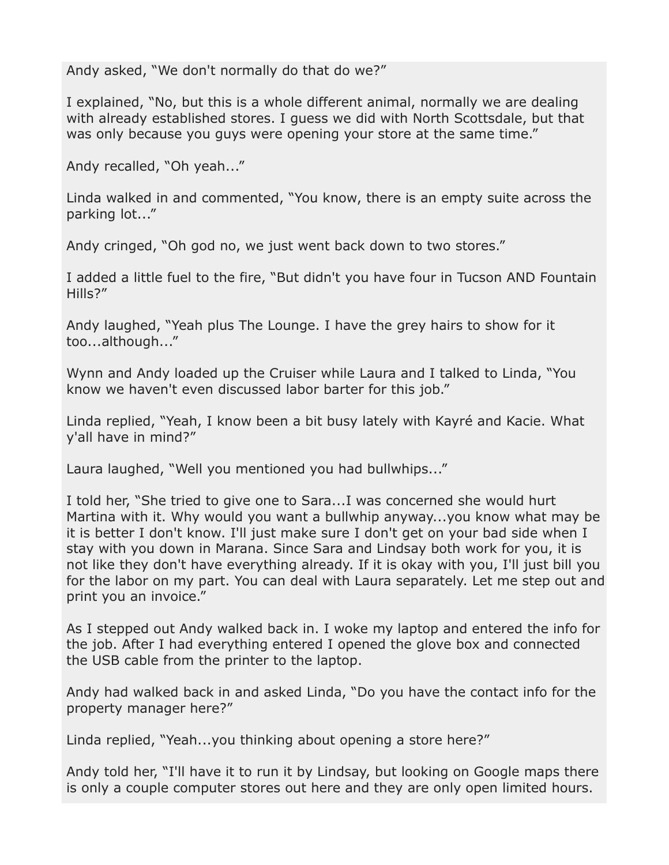Andy asked, "We don't normally do that do we?"

I explained, "No, but this is a whole different animal, normally we are dealing with already established stores. I guess we did with North Scottsdale, but that was only because you guys were opening your store at the same time."

Andy recalled, "Oh yeah..."

Linda walked in and commented, "You know, there is an empty suite across the parking lot..."

Andy cringed, "Oh god no, we just went back down to two stores."

I added a little fuel to the fire, "But didn't you have four in Tucson AND Fountain Hills?"

Andy laughed, "Yeah plus The Lounge. I have the grey hairs to show for it too...although..."

Wynn and Andy loaded up the Cruiser while Laura and I talked to Linda, "You know we haven't even discussed labor barter for this job."

Linda replied, "Yeah, I know been a bit busy lately with Kayré and Kacie. What y'all have in mind?"

Laura laughed, "Well you mentioned you had bullwhips..."

I told her, "She tried to give one to Sara...I was concerned she would hurt Martina with it. Why would you want a bullwhip anyway...you know what may be it is better I don't know. I'll just make sure I don't get on your bad side when I stay with you down in Marana. Since Sara and Lindsay both work for you, it is not like they don't have everything already. If it is okay with you, I'll just bill you for the labor on my part. You can deal with Laura separately. Let me step out and print you an invoice."

As I stepped out Andy walked back in. I woke my laptop and entered the info for the job. After I had everything entered I opened the glove box and connected the USB cable from the printer to the laptop.

Andy had walked back in and asked Linda, "Do you have the contact info for the property manager here?"

Linda replied, "Yeah...you thinking about opening a store here?"

Andy told her, "I'll have it to run it by Lindsay, but looking on Google maps there is only a couple computer stores out here and they are only open limited hours.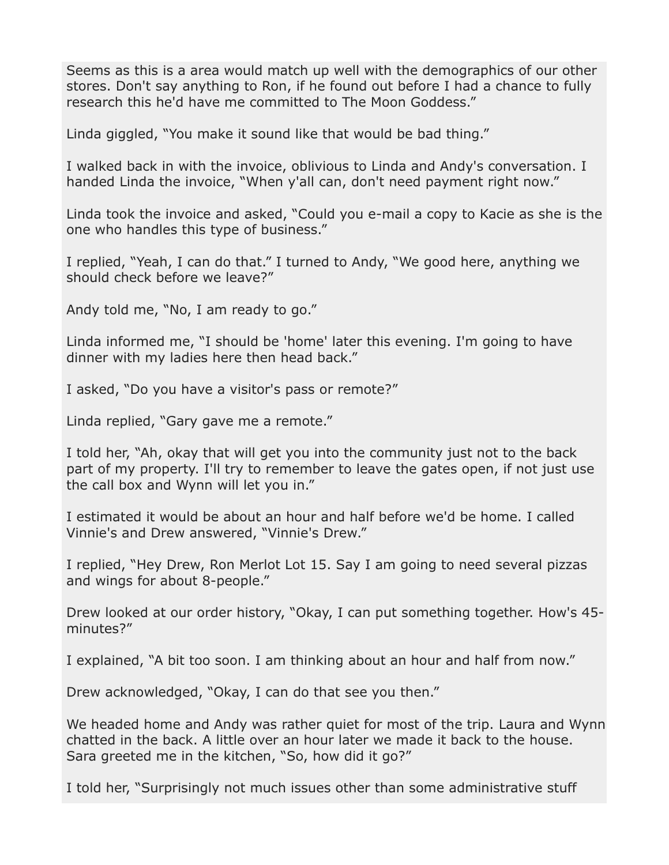Seems as this is a area would match up well with the demographics of our other stores. Don't say anything to Ron, if he found out before I had a chance to fully research this he'd have me committed to The Moon Goddess."

Linda giggled, "You make it sound like that would be bad thing."

I walked back in with the invoice, oblivious to Linda and Andy's conversation. I handed Linda the invoice, "When y'all can, don't need payment right now."

Linda took the invoice and asked, "Could you e-mail a copy to Kacie as she is the one who handles this type of business."

I replied, "Yeah, I can do that." I turned to Andy, "We good here, anything we should check before we leave?"

Andy told me, "No, I am ready to go."

Linda informed me, "I should be 'home' later this evening. I'm going to have dinner with my ladies here then head back."

I asked, "Do you have a visitor's pass or remote?"

Linda replied, "Gary gave me a remote."

I told her, "Ah, okay that will get you into the community just not to the back part of my property. I'll try to remember to leave the gates open, if not just use the call box and Wynn will let you in."

I estimated it would be about an hour and half before we'd be home. I called Vinnie's and Drew answered, "Vinnie's Drew."

I replied, "Hey Drew, Ron Merlot Lot 15. Say I am going to need several pizzas and wings for about 8-people."

Drew looked at our order history, "Okay, I can put something together. How's 45 minutes?"

I explained, "A bit too soon. I am thinking about an hour and half from now."

Drew acknowledged, "Okay, I can do that see you then."

We headed home and Andy was rather quiet for most of the trip. Laura and Wynn chatted in the back. A little over an hour later we made it back to the house. Sara greeted me in the kitchen, "So, how did it go?"

I told her, "Surprisingly not much issues other than some administrative stuff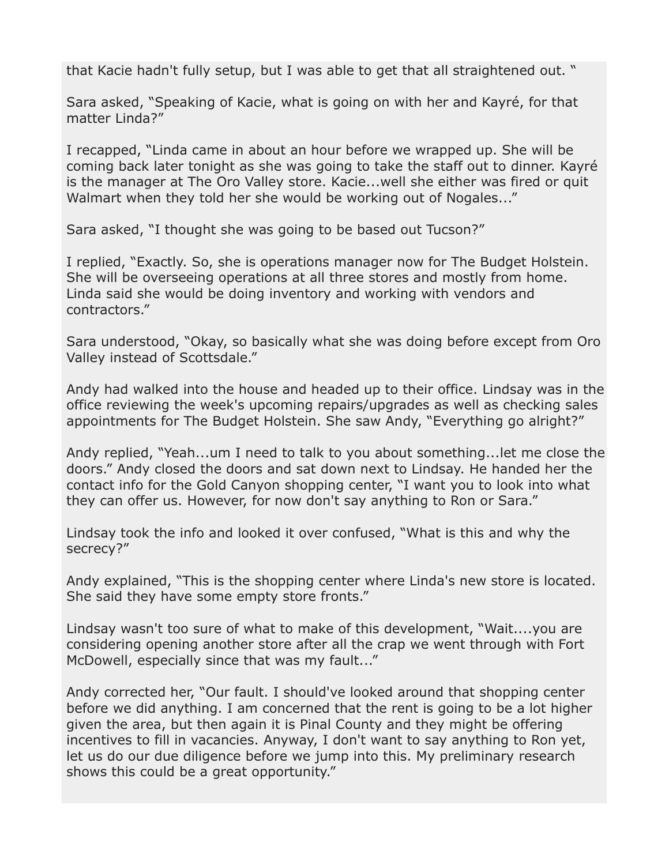that Kacie hadn't fully setup, but I was able to get that all straightened out. "

Sara asked, "Speaking of Kacie, what is going on with her and Kayré, for that matter Linda?"

I recapped, "Linda came in about an hour before we wrapped up. She will be coming back later tonight as she was going to take the staff out to dinner. Kayré is the manager at The Oro Valley store. Kacie...well she either was fired or quit Walmart when they told her she would be working out of Nogales..."

Sara asked, "I thought she was going to be based out Tucson?"

I replied, "Exactly. So, she is operations manager now for The Budget Holstein. She will be overseeing operations at all three stores and mostly from home. Linda said she would be doing inventory and working with vendors and contractors."

Sara understood, "Okay, so basically what she was doing before except from Oro Valley instead of Scottsdale."

Andy had walked into the house and headed up to their office. Lindsay was in the office reviewing the week's upcoming repairs/upgrades as well as checking sales appointments for The Budget Holstein. She saw Andy, "Everything go alright?"

Andy replied, "Yeah...um I need to talk to you about something...let me close the doors." Andy closed the doors and sat down next to Lindsay. He handed her the contact info for the Gold Canyon shopping center, "I want you to look into what they can offer us. However, for now don't say anything to Ron or Sara."

Lindsay took the info and looked it over confused, "What is this and why the secrecy?"

Andy explained, "This is the shopping center where Linda's new store is located. She said they have some empty store fronts."

Lindsay wasn't too sure of what to make of this development, "Wait....you are considering opening another store after all the crap we went through with Fort McDowell, especially since that was my fault..."

Andy corrected her, "Our fault. I should've looked around that shopping center before we did anything. I am concerned that the rent is going to be a lot higher given the area, but then again it is Pinal County and they might be offering incentives to fill in vacancies. Anyway, I don't want to say anything to Ron yet, let us do our due diligence before we jump into this. My preliminary research shows this could be a great opportunity."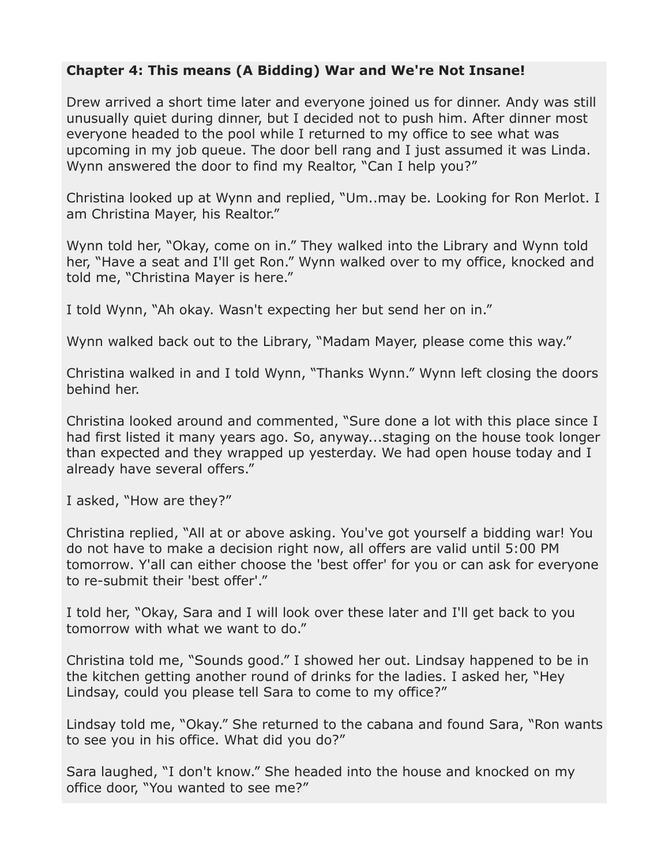## **Chapter 4: This means (A Bidding) War and We're Not Insane!**

Drew arrived a short time later and everyone joined us for dinner. Andy was still unusually quiet during dinner, but I decided not to push him. After dinner most everyone headed to the pool while I returned to my office to see what was upcoming in my job queue. The door bell rang and I just assumed it was Linda. Wynn answered the door to find my Realtor, "Can I help you?"

Christina looked up at Wynn and replied, "Um..may be. Looking for Ron Merlot. I am Christina Mayer, his Realtor."

Wynn told her, "Okay, come on in." They walked into the Library and Wynn told her, "Have a seat and I'll get Ron." Wynn walked over to my office, knocked and told me, "Christina Mayer is here."

I told Wynn, "Ah okay. Wasn't expecting her but send her on in."

Wynn walked back out to the Library, "Madam Mayer, please come this way."

Christina walked in and I told Wynn, "Thanks Wynn." Wynn left closing the doors behind her.

Christina looked around and commented, "Sure done a lot with this place since I had first listed it many years ago. So, anyway...staging on the house took longer than expected and they wrapped up yesterday. We had open house today and I already have several offers."

I asked, "How are they?"

Christina replied, "All at or above asking. You've got yourself a bidding war! You do not have to make a decision right now, all offers are valid until 5:00 PM tomorrow. Y'all can either choose the 'best offer' for you or can ask for everyone to re-submit their 'best offer'."

I told her, "Okay, Sara and I will look over these later and I'll get back to you tomorrow with what we want to do."

Christina told me, "Sounds good." I showed her out. Lindsay happened to be in the kitchen getting another round of drinks for the ladies. I asked her, "Hey Lindsay, could you please tell Sara to come to my office?"

Lindsay told me, "Okay." She returned to the cabana and found Sara, "Ron wants to see you in his office. What did you do?"

Sara laughed, "I don't know." She headed into the house and knocked on my office door, "You wanted to see me?"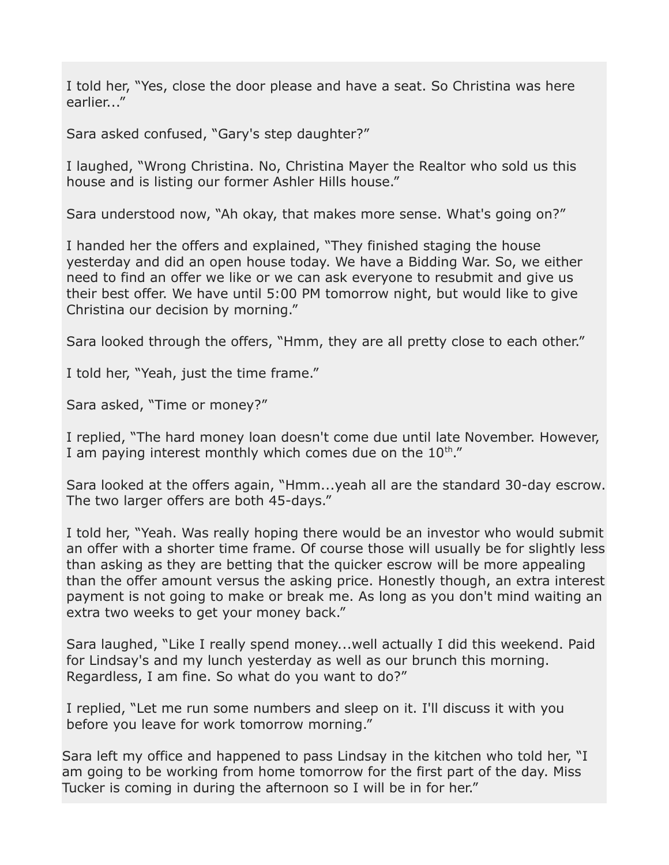I told her, "Yes, close the door please and have a seat. So Christina was here earlier..."

Sara asked confused, "Gary's step daughter?"

I laughed, "Wrong Christina. No, Christina Mayer the Realtor who sold us this house and is listing our former Ashler Hills house."

Sara understood now, "Ah okay, that makes more sense. What's going on?"

I handed her the offers and explained, "They finished staging the house yesterday and did an open house today. We have a Bidding War. So, we either need to find an offer we like or we can ask everyone to resubmit and give us their best offer. We have until 5:00 PM tomorrow night, but would like to give Christina our decision by morning."

Sara looked through the offers, "Hmm, they are all pretty close to each other."

I told her, "Yeah, just the time frame."

Sara asked, "Time or money?"

I replied, "The hard money loan doesn't come due until late November. However, I am paying interest monthly which comes due on the  $10^{th}$ ."

Sara looked at the offers again, "Hmm...yeah all are the standard 30-day escrow. The two larger offers are both 45-days."

I told her, "Yeah. Was really hoping there would be an investor who would submit an offer with a shorter time frame. Of course those will usually be for slightly less than asking as they are betting that the quicker escrow will be more appealing than the offer amount versus the asking price. Honestly though, an extra interest payment is not going to make or break me. As long as you don't mind waiting an extra two weeks to get your money back."

Sara laughed, "Like I really spend money...well actually I did this weekend. Paid for Lindsay's and my lunch yesterday as well as our brunch this morning. Regardless, I am fine. So what do you want to do?"

I replied, "Let me run some numbers and sleep on it. I'll discuss it with you before you leave for work tomorrow morning."

Sara left my office and happened to pass Lindsay in the kitchen who told her, "I am going to be working from home tomorrow for the first part of the day. Miss Tucker is coming in during the afternoon so I will be in for her."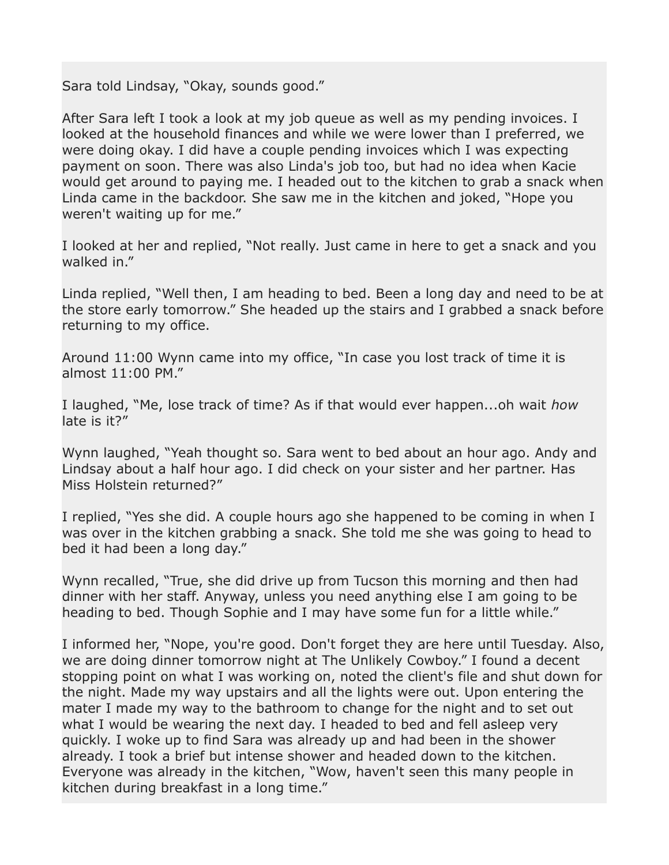Sara told Lindsay, "Okay, sounds good."

After Sara left I took a look at my job queue as well as my pending invoices. I looked at the household finances and while we were lower than I preferred, we were doing okay. I did have a couple pending invoices which I was expecting payment on soon. There was also Linda's job too, but had no idea when Kacie would get around to paying me. I headed out to the kitchen to grab a snack when Linda came in the backdoor. She saw me in the kitchen and joked, "Hope you weren't waiting up for me."

I looked at her and replied, "Not really. Just came in here to get a snack and you walked in."

Linda replied, "Well then, I am heading to bed. Been a long day and need to be at the store early tomorrow." She headed up the stairs and I grabbed a snack before returning to my office.

Around 11:00 Wynn came into my office, "In case you lost track of time it is almost 11:00 PM."

I laughed, "Me, lose track of time? As if that would ever happen...oh wait *how* late is it?"

Wynn laughed, "Yeah thought so. Sara went to bed about an hour ago. Andy and Lindsay about a half hour ago. I did check on your sister and her partner. Has Miss Holstein returned?"

I replied, "Yes she did. A couple hours ago she happened to be coming in when I was over in the kitchen grabbing a snack. She told me she was going to head to bed it had been a long day."

Wynn recalled, "True, she did drive up from Tucson this morning and then had dinner with her staff. Anyway, unless you need anything else I am going to be heading to bed. Though Sophie and I may have some fun for a little while."

I informed her, "Nope, you're good. Don't forget they are here until Tuesday. Also, we are doing dinner tomorrow night at The Unlikely Cowboy." I found a decent stopping point on what I was working on, noted the client's file and shut down for the night. Made my way upstairs and all the lights were out. Upon entering the mater I made my way to the bathroom to change for the night and to set out what I would be wearing the next day. I headed to bed and fell asleep very quickly. I woke up to find Sara was already up and had been in the shower already. I took a brief but intense shower and headed down to the kitchen. Everyone was already in the kitchen, "Wow, haven't seen this many people in kitchen during breakfast in a long time."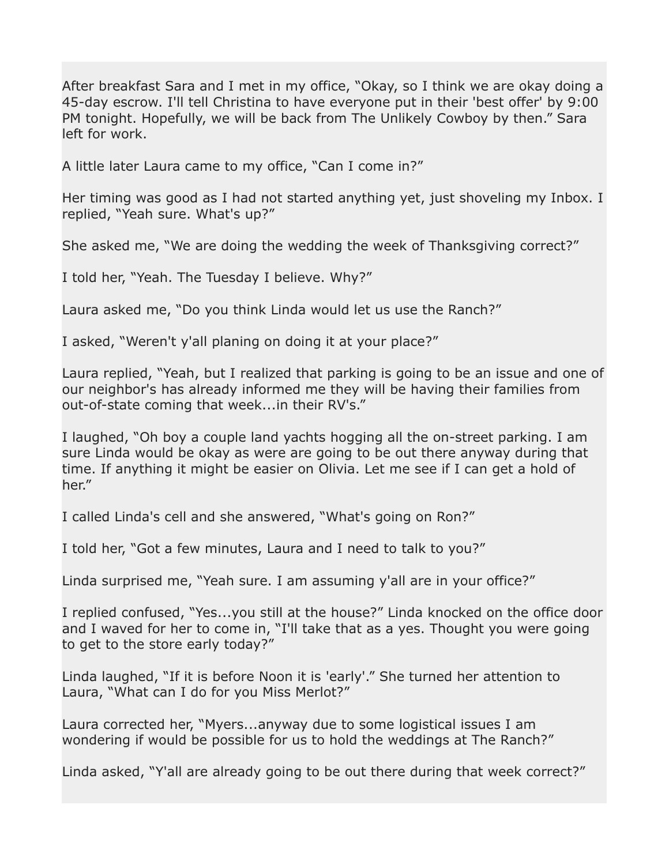After breakfast Sara and I met in my office, "Okay, so I think we are okay doing a 45-day escrow. I'll tell Christina to have everyone put in their 'best offer' by 9:00 PM tonight. Hopefully, we will be back from The Unlikely Cowboy by then." Sara left for work.

A little later Laura came to my office, "Can I come in?"

Her timing was good as I had not started anything yet, just shoveling my Inbox. I replied, "Yeah sure. What's up?"

She asked me, "We are doing the wedding the week of Thanksgiving correct?"

I told her, "Yeah. The Tuesday I believe. Why?"

Laura asked me, "Do you think Linda would let us use the Ranch?"

I asked, "Weren't y'all planing on doing it at your place?"

Laura replied, "Yeah, but I realized that parking is going to be an issue and one of our neighbor's has already informed me they will be having their families from out-of-state coming that week...in their RV's."

I laughed, "Oh boy a couple land yachts hogging all the on-street parking. I am sure Linda would be okay as were are going to be out there anyway during that time. If anything it might be easier on Olivia. Let me see if I can get a hold of her."

I called Linda's cell and she answered, "What's going on Ron?"

I told her, "Got a few minutes, Laura and I need to talk to you?"

Linda surprised me, "Yeah sure. I am assuming y'all are in your office?"

I replied confused, "Yes...you still at the house?" Linda knocked on the office door and I waved for her to come in, "I'll take that as a yes. Thought you were going to get to the store early today?"

Linda laughed, "If it is before Noon it is 'early'." She turned her attention to Laura, "What can I do for you Miss Merlot?"

Laura corrected her, "Myers...anyway due to some logistical issues I am wondering if would be possible for us to hold the weddings at The Ranch?"

Linda asked, "Y'all are already going to be out there during that week correct?"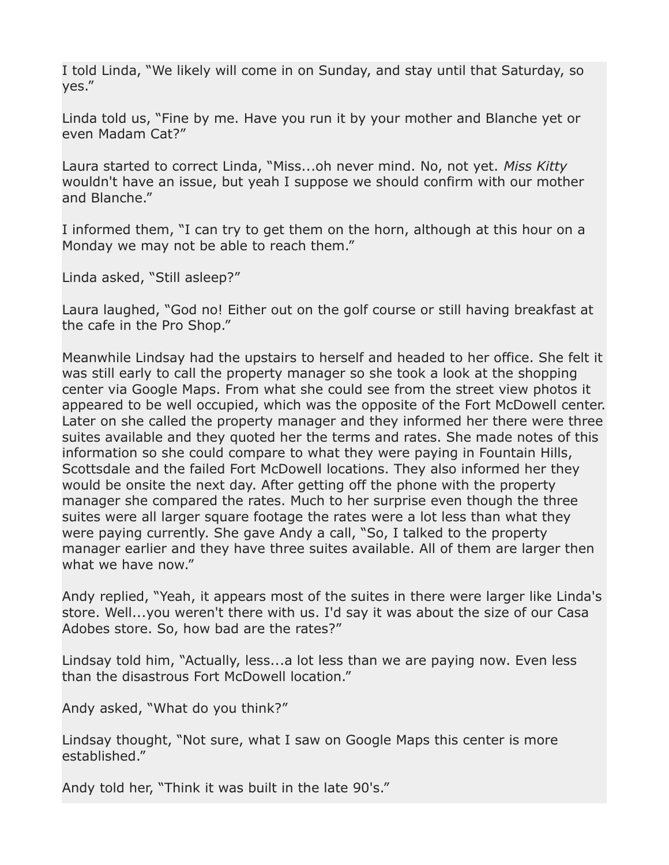I told Linda, "We likely will come in on Sunday, and stay until that Saturday, so yes."

Linda told us, "Fine by me. Have you run it by your mother and Blanche yet or even Madam Cat?"

Laura started to correct Linda, "Miss...oh never mind. No, not yet. *Miss Kitty* wouldn't have an issue, but yeah I suppose we should confirm with our mother and Blanche."

I informed them, "I can try to get them on the horn, although at this hour on a Monday we may not be able to reach them."

Linda asked, "Still asleep?"

Laura laughed, "God no! Either out on the golf course or still having breakfast at the cafe in the Pro Shop."

Meanwhile Lindsay had the upstairs to herself and headed to her office. She felt it was still early to call the property manager so she took a look at the shopping center via Google Maps. From what she could see from the street view photos it appeared to be well occupied, which was the opposite of the Fort McDowell center. Later on she called the property manager and they informed her there were three suites available and they quoted her the terms and rates. She made notes of this information so she could compare to what they were paying in Fountain Hills, Scottsdale and the failed Fort McDowell locations. They also informed her they would be onsite the next day. After getting off the phone with the property manager she compared the rates. Much to her surprise even though the three suites were all larger square footage the rates were a lot less than what they were paying currently. She gave Andy a call, "So, I talked to the property manager earlier and they have three suites available. All of them are larger then what we have now."

Andy replied, "Yeah, it appears most of the suites in there were larger like Linda's store. Well...you weren't there with us. I'd say it was about the size of our Casa Adobes store. So, how bad are the rates?"

Lindsay told him, "Actually, less...a lot less than we are paying now. Even less than the disastrous Fort McDowell location."

Andy asked, "What do you think?"

Lindsay thought, "Not sure, what I saw on Google Maps this center is more established."

Andy told her, "Think it was built in the late 90's."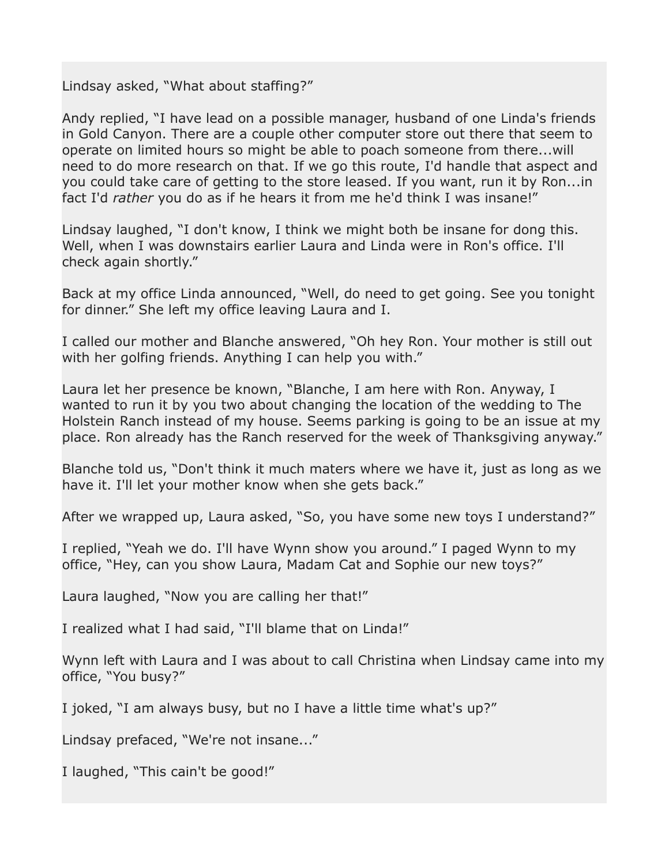Lindsay asked, "What about staffing?"

Andy replied, "I have lead on a possible manager, husband of one Linda's friends in Gold Canyon. There are a couple other computer store out there that seem to operate on limited hours so might be able to poach someone from there...will need to do more research on that. If we go this route, I'd handle that aspect and you could take care of getting to the store leased. If you want, run it by Ron...in fact I'd *rather* you do as if he hears it from me he'd think I was insane!"

Lindsay laughed, "I don't know, I think we might both be insane for dong this. Well, when I was downstairs earlier Laura and Linda were in Ron's office. I'll check again shortly."

Back at my office Linda announced, "Well, do need to get going. See you tonight for dinner." She left my office leaving Laura and I.

I called our mother and Blanche answered, "Oh hey Ron. Your mother is still out with her golfing friends. Anything I can help you with."

Laura let her presence be known, "Blanche, I am here with Ron. Anyway, I wanted to run it by you two about changing the location of the wedding to The Holstein Ranch instead of my house. Seems parking is going to be an issue at my place. Ron already has the Ranch reserved for the week of Thanksgiving anyway."

Blanche told us, "Don't think it much maters where we have it, just as long as we have it. I'll let your mother know when she gets back."

After we wrapped up, Laura asked, "So, you have some new toys I understand?"

I replied, "Yeah we do. I'll have Wynn show you around." I paged Wynn to my office, "Hey, can you show Laura, Madam Cat and Sophie our new toys?"

Laura laughed, "Now you are calling her that!"

I realized what I had said, "I'll blame that on Linda!"

Wynn left with Laura and I was about to call Christina when Lindsay came into my office, "You busy?"

I joked, "I am always busy, but no I have a little time what's up?"

Lindsay prefaced, "We're not insane..."

I laughed, "This cain't be good!"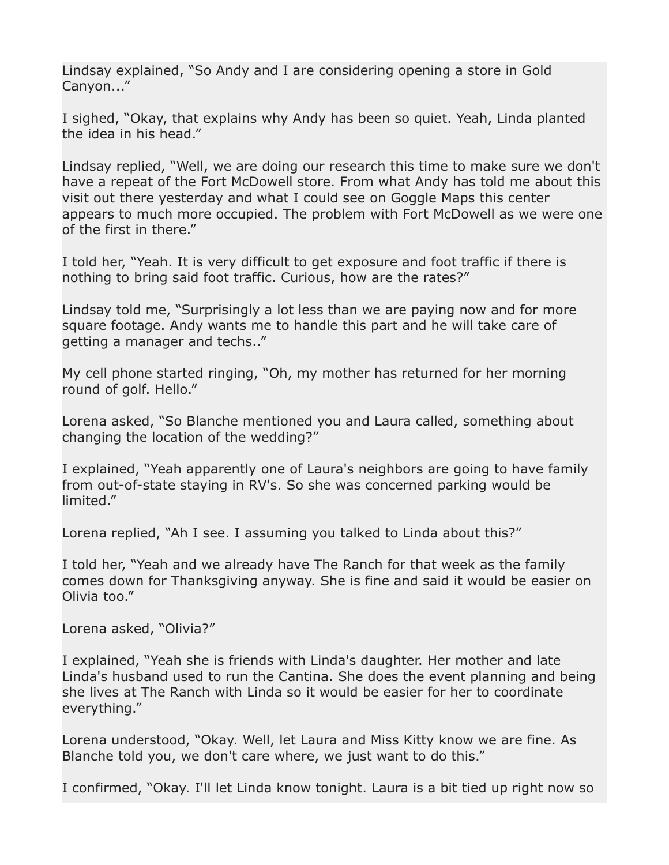Lindsay explained, "So Andy and I are considering opening a store in Gold Canyon..."

I sighed, "Okay, that explains why Andy has been so quiet. Yeah, Linda planted the idea in his head."

Lindsay replied, "Well, we are doing our research this time to make sure we don't have a repeat of the Fort McDowell store. From what Andy has told me about this visit out there yesterday and what I could see on Goggle Maps this center appears to much more occupied. The problem with Fort McDowell as we were one of the first in there."

I told her, "Yeah. It is very difficult to get exposure and foot traffic if there is nothing to bring said foot traffic. Curious, how are the rates?"

Lindsay told me, "Surprisingly a lot less than we are paying now and for more square footage. Andy wants me to handle this part and he will take care of getting a manager and techs.."

My cell phone started ringing, "Oh, my mother has returned for her morning round of golf. Hello."

Lorena asked, "So Blanche mentioned you and Laura called, something about changing the location of the wedding?"

I explained, "Yeah apparently one of Laura's neighbors are going to have family from out-of-state staying in RV's. So she was concerned parking would be limited."

Lorena replied, "Ah I see. I assuming you talked to Linda about this?"

I told her, "Yeah and we already have The Ranch for that week as the family comes down for Thanksgiving anyway. She is fine and said it would be easier on Olivia too."

Lorena asked, "Olivia?"

I explained, "Yeah she is friends with Linda's daughter. Her mother and late Linda's husband used to run the Cantina. She does the event planning and being she lives at The Ranch with Linda so it would be easier for her to coordinate everything."

Lorena understood, "Okay. Well, let Laura and Miss Kitty know we are fine. As Blanche told you, we don't care where, we just want to do this."

I confirmed, "Okay. I'll let Linda know tonight. Laura is a bit tied up right now so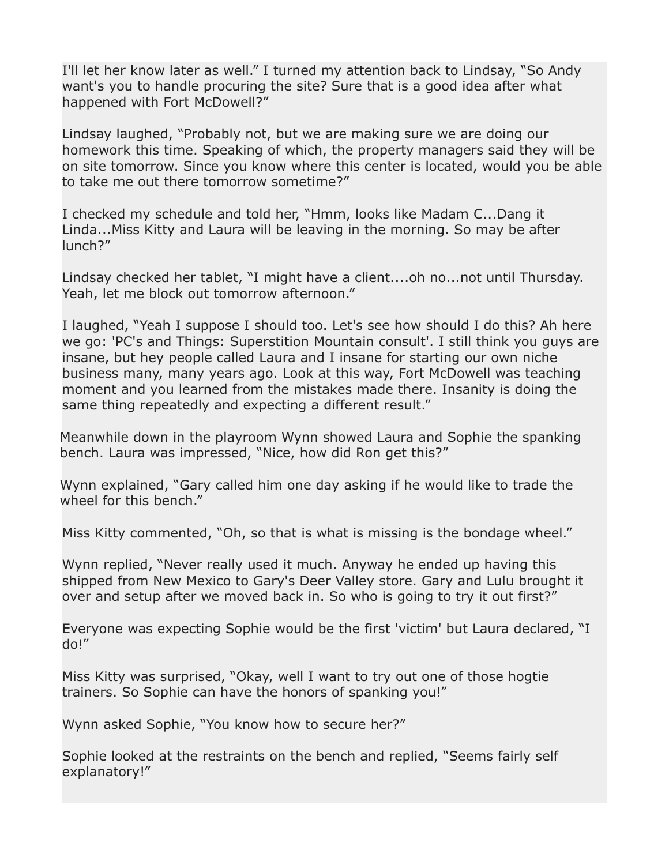I'll let her know later as well." I turned my attention back to Lindsay, "So Andy want's you to handle procuring the site? Sure that is a good idea after what happened with Fort McDowell?"

Lindsay laughed, "Probably not, but we are making sure we are doing our homework this time. Speaking of which, the property managers said they will be on site tomorrow. Since you know where this center is located, would you be able to take me out there tomorrow sometime?"

I checked my schedule and told her, "Hmm, looks like Madam C...Dang it Linda...Miss Kitty and Laura will be leaving in the morning. So may be after lunch?"

Lindsay checked her tablet, "I might have a client....oh no...not until Thursday. Yeah, let me block out tomorrow afternoon."

I laughed, "Yeah I suppose I should too. Let's see how should I do this? Ah here we go: 'PC's and Things: Superstition Mountain consult'. I still think you guys are insane, but hey people called Laura and I insane for starting our own niche business many, many years ago. Look at this way, Fort McDowell was teaching moment and you learned from the mistakes made there. Insanity is doing the same thing repeatedly and expecting a different result."

Meanwhile down in the playroom Wynn showed Laura and Sophie the spanking bench. Laura was impressed, "Nice, how did Ron get this?"

Wynn explained, "Gary called him one day asking if he would like to trade the wheel for this bench."

Miss Kitty commented, "Oh, so that is what is missing is the bondage wheel."

Wynn replied, "Never really used it much. Anyway he ended up having this shipped from New Mexico to Gary's Deer Valley store. Gary and Lulu brought it over and setup after we moved back in. So who is going to try it out first?"

Everyone was expecting Sophie would be the first 'victim' but Laura declared, "I do!"

Miss Kitty was surprised, "Okay, well I want to try out one of those hogtie trainers. So Sophie can have the honors of spanking you!"

Wynn asked Sophie, "You know how to secure her?"

Sophie looked at the restraints on the bench and replied, "Seems fairly self explanatory!"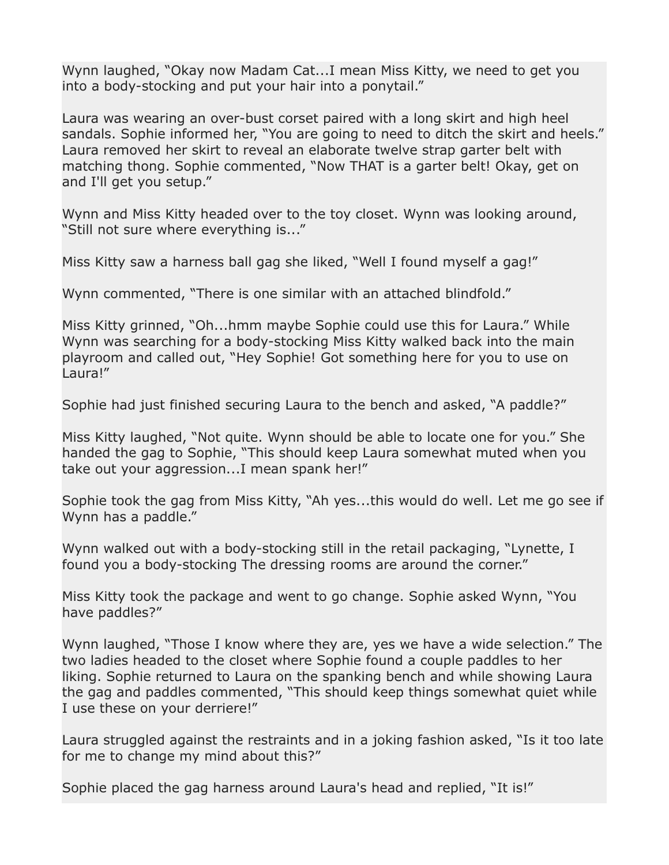Wynn laughed, "Okay now Madam Cat...I mean Miss Kitty, we need to get you into a body-stocking and put your hair into a ponytail."

Laura was wearing an over-bust corset paired with a long skirt and high heel sandals. Sophie informed her, "You are going to need to ditch the skirt and heels." Laura removed her skirt to reveal an elaborate twelve strap garter belt with matching thong. Sophie commented, "Now THAT is a garter belt! Okay, get on and I'll get you setup."

Wynn and Miss Kitty headed over to the toy closet. Wynn was looking around, "Still not sure where everything is..."

Miss Kitty saw a harness ball gag she liked, "Well I found myself a gag!"

Wynn commented, "There is one similar with an attached blindfold."

Miss Kitty grinned, "Oh...hmm maybe Sophie could use this for Laura." While Wynn was searching for a body-stocking Miss Kitty walked back into the main playroom and called out, "Hey Sophie! Got something here for you to use on Laura!"

Sophie had just finished securing Laura to the bench and asked, "A paddle?"

Miss Kitty laughed, "Not quite. Wynn should be able to locate one for you." She handed the gag to Sophie, "This should keep Laura somewhat muted when you take out your aggression...I mean spank her!"

Sophie took the gag from Miss Kitty, "Ah yes...this would do well. Let me go see if Wynn has a paddle."

Wynn walked out with a body-stocking still in the retail packaging, "Lynette, I found you a body-stocking The dressing rooms are around the corner."

Miss Kitty took the package and went to go change. Sophie asked Wynn, "You have paddles?"

Wynn laughed, "Those I know where they are, yes we have a wide selection." The two ladies headed to the closet where Sophie found a couple paddles to her liking. Sophie returned to Laura on the spanking bench and while showing Laura the gag and paddles commented, "This should keep things somewhat quiet while I use these on your derriere!"

Laura struggled against the restraints and in a joking fashion asked, "Is it too late for me to change my mind about this?"

Sophie placed the gag harness around Laura's head and replied, "It is!"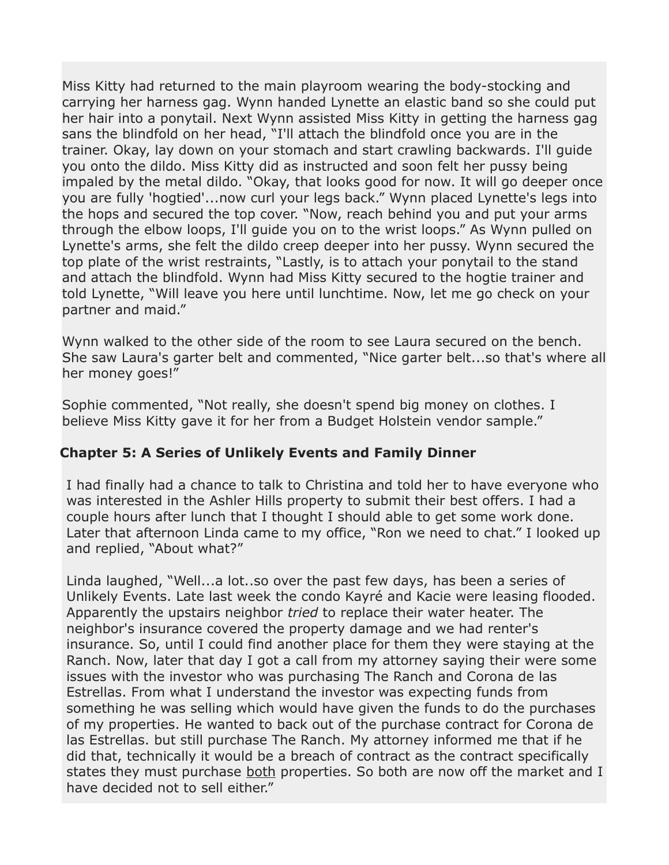Miss Kitty had returned to the main playroom wearing the body-stocking and carrying her harness gag. Wynn handed Lynette an elastic band so she could put her hair into a ponytail. Next Wynn assisted Miss Kitty in getting the harness gag sans the blindfold on her head, "I'll attach the blindfold once you are in the trainer. Okay, lay down on your stomach and start crawling backwards. I'll guide you onto the dildo. Miss Kitty did as instructed and soon felt her pussy being impaled by the metal dildo. "Okay, that looks good for now. It will go deeper once you are fully 'hogtied'...now curl your legs back." Wynn placed Lynette's legs into the hops and secured the top cover. "Now, reach behind you and put your arms through the elbow loops, I'll guide you on to the wrist loops." As Wynn pulled on Lynette's arms, she felt the dildo creep deeper into her pussy. Wynn secured the top plate of the wrist restraints, "Lastly, is to attach your ponytail to the stand and attach the blindfold. Wynn had Miss Kitty secured to the hogtie trainer and told Lynette, "Will leave you here until lunchtime. Now, let me go check on your partner and maid."

Wynn walked to the other side of the room to see Laura secured on the bench. She saw Laura's garter belt and commented, "Nice garter belt...so that's where all her money goes!"

Sophie commented, "Not really, she doesn't spend big money on clothes. I believe Miss Kitty gave it for her from a Budget Holstein vendor sample."

# **Chapter 5: A Series of Unlikely Events and Family Dinner**

I had finally had a chance to talk to Christina and told her to have everyone who was interested in the Ashler Hills property to submit their best offers. I had a couple hours after lunch that I thought I should able to get some work done. Later that afternoon Linda came to my office, "Ron we need to chat." I looked up and replied, "About what?"

Linda laughed, "Well...a lot..so over the past few days, has been a series of Unlikely Events. Late last week the condo Kayré and Kacie were leasing flooded. Apparently the upstairs neighbor *tried* to replace their water heater. The neighbor's insurance covered the property damage and we had renter's insurance. So, until I could find another place for them they were staying at the Ranch. Now, later that day I got a call from my attorney saying their were some issues with the investor who was purchasing The Ranch and Corona de las Estrellas. From what I understand the investor was expecting funds from something he was selling which would have given the funds to do the purchases of my properties. He wanted to back out of the purchase contract for Corona de las Estrellas. but still purchase The Ranch. My attorney informed me that if he did that, technically it would be a breach of contract as the contract specifically states they must purchase both properties. So both are now off the market and I have decided not to sell either."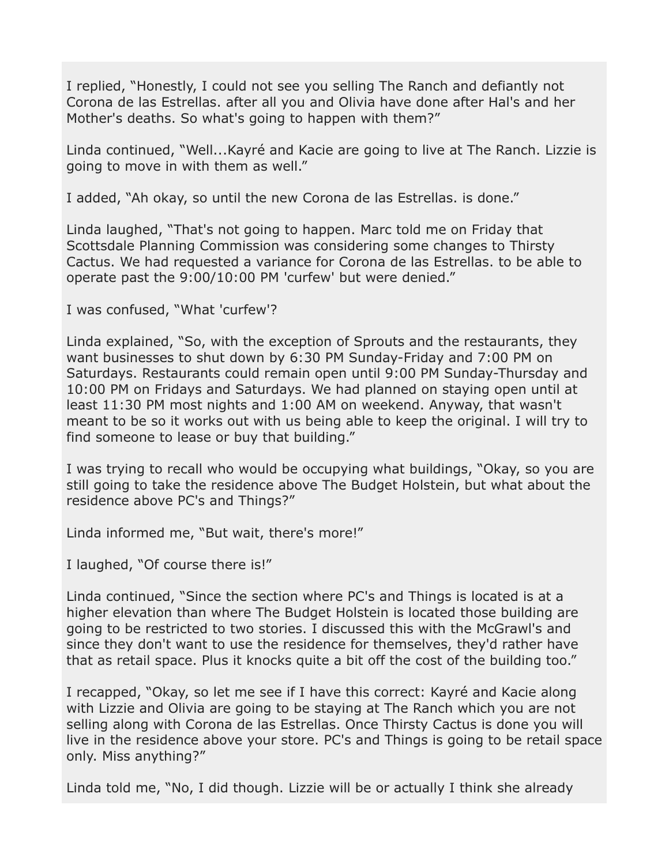I replied, "Honestly, I could not see you selling The Ranch and defiantly not Corona de las Estrellas. after all you and Olivia have done after Hal's and her Mother's deaths. So what's going to happen with them?"

Linda continued, "Well...Kayré and Kacie are going to live at The Ranch. Lizzie is going to move in with them as well."

I added, "Ah okay, so until the new Corona de las Estrellas. is done."

Linda laughed, "That's not going to happen. Marc told me on Friday that Scottsdale Planning Commission was considering some changes to Thirsty Cactus. We had requested a variance for Corona de las Estrellas. to be able to operate past the 9:00/10:00 PM 'curfew' but were denied."

I was confused, "What 'curfew'?

Linda explained, "So, with the exception of Sprouts and the restaurants, they want businesses to shut down by 6:30 PM Sunday-Friday and 7:00 PM on Saturdays. Restaurants could remain open until 9:00 PM Sunday-Thursday and 10:00 PM on Fridays and Saturdays. We had planned on staying open until at least 11:30 PM most nights and 1:00 AM on weekend. Anyway, that wasn't meant to be so it works out with us being able to keep the original. I will try to find someone to lease or buy that building."

I was trying to recall who would be occupying what buildings, "Okay, so you are still going to take the residence above The Budget Holstein, but what about the residence above PC's and Things?"

Linda informed me, "But wait, there's more!"

I laughed, "Of course there is!"

Linda continued, "Since the section where PC's and Things is located is at a higher elevation than where The Budget Holstein is located those building are going to be restricted to two stories. I discussed this with the McGrawl's and since they don't want to use the residence for themselves, they'd rather have that as retail space. Plus it knocks quite a bit off the cost of the building too."

I recapped, "Okay, so let me see if I have this correct: Kayré and Kacie along with Lizzie and Olivia are going to be staying at The Ranch which you are not selling along with Corona de las Estrellas. Once Thirsty Cactus is done you will live in the residence above your store. PC's and Things is going to be retail space only. Miss anything?"

Linda told me, "No, I did though. Lizzie will be or actually I think she already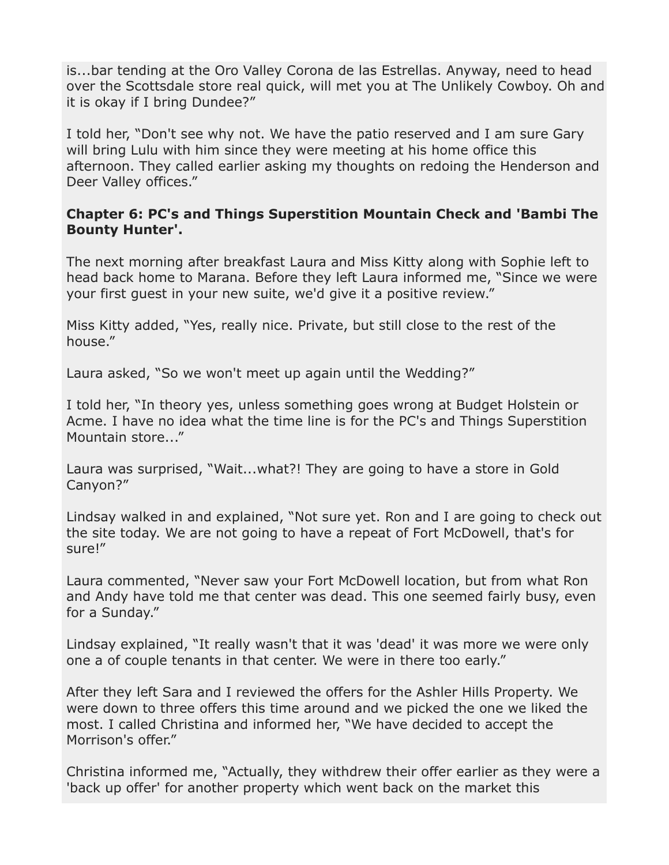is...bar tending at the Oro Valley Corona de las Estrellas. Anyway, need to head over the Scottsdale store real quick, will met you at The Unlikely Cowboy. Oh and it is okay if I bring Dundee?"

I told her, "Don't see why not. We have the patio reserved and I am sure Gary will bring Lulu with him since they were meeting at his home office this afternoon. They called earlier asking my thoughts on redoing the Henderson and Deer Valley offices."

### **Chapter 6: PC's and Things Superstition Mountain Check and 'Bambi The Bounty Hunter'.**

The next morning after breakfast Laura and Miss Kitty along with Sophie left to head back home to Marana. Before they left Laura informed me, "Since we were your first guest in your new suite, we'd give it a positive review."

Miss Kitty added, "Yes, really nice. Private, but still close to the rest of the house."

Laura asked, "So we won't meet up again until the Wedding?"

I told her, "In theory yes, unless something goes wrong at Budget Holstein or Acme. I have no idea what the time line is for the PC's and Things Superstition Mountain store..."

Laura was surprised, "Wait...what?! They are going to have a store in Gold Canyon?"

Lindsay walked in and explained, "Not sure yet. Ron and I are going to check out the site today. We are not going to have a repeat of Fort McDowell, that's for sure!"

Laura commented, "Never saw your Fort McDowell location, but from what Ron and Andy have told me that center was dead. This one seemed fairly busy, even for a Sunday."

Lindsay explained, "It really wasn't that it was 'dead' it was more we were only one a of couple tenants in that center. We were in there too early."

After they left Sara and I reviewed the offers for the Ashler Hills Property. We were down to three offers this time around and we picked the one we liked the most. I called Christina and informed her, "We have decided to accept the Morrison's offer."

Christina informed me, "Actually, they withdrew their offer earlier as they were a 'back up offer' for another property which went back on the market this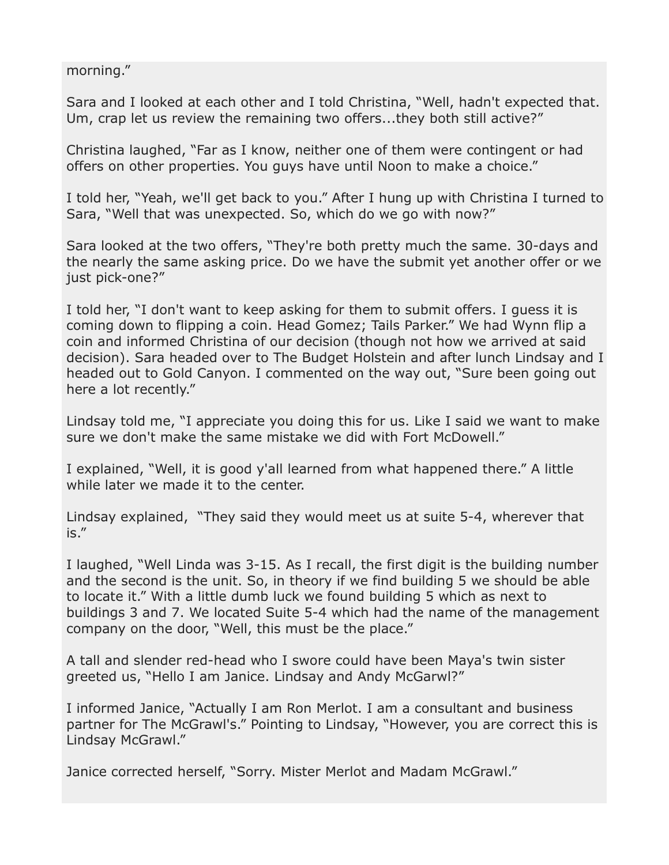morning."

Sara and I looked at each other and I told Christina, "Well, hadn't expected that. Um, crap let us review the remaining two offers...they both still active?"

Christina laughed, "Far as I know, neither one of them were contingent or had offers on other properties. You guys have until Noon to make a choice."

I told her, "Yeah, we'll get back to you." After I hung up with Christina I turned to Sara, "Well that was unexpected. So, which do we go with now?"

Sara looked at the two offers, "They're both pretty much the same. 30-days and the nearly the same asking price. Do we have the submit yet another offer or we just pick-one?"

I told her, "I don't want to keep asking for them to submit offers. I guess it is coming down to flipping a coin. Head Gomez; Tails Parker." We had Wynn flip a coin and informed Christina of our decision (though not how we arrived at said decision). Sara headed over to The Budget Holstein and after lunch Lindsay and I headed out to Gold Canyon. I commented on the way out, "Sure been going out here a lot recently."

Lindsay told me, "I appreciate you doing this for us. Like I said we want to make sure we don't make the same mistake we did with Fort McDowell."

I explained, "Well, it is good y'all learned from what happened there." A little while later we made it to the center.

Lindsay explained, "They said they would meet us at suite 5-4, wherever that is."

I laughed, "Well Linda was 3-15. As I recall, the first digit is the building number and the second is the unit. So, in theory if we find building 5 we should be able to locate it." With a little dumb luck we found building 5 which as next to buildings 3 and 7. We located Suite 5-4 which had the name of the management company on the door, "Well, this must be the place."

A tall and slender red-head who I swore could have been Maya's twin sister greeted us, "Hello I am Janice. Lindsay and Andy McGarwl?"

I informed Janice, "Actually I am Ron Merlot. I am a consultant and business partner for The McGrawl's." Pointing to Lindsay, "However, you are correct this is Lindsay McGrawl."

Janice corrected herself, "Sorry. Mister Merlot and Madam McGrawl."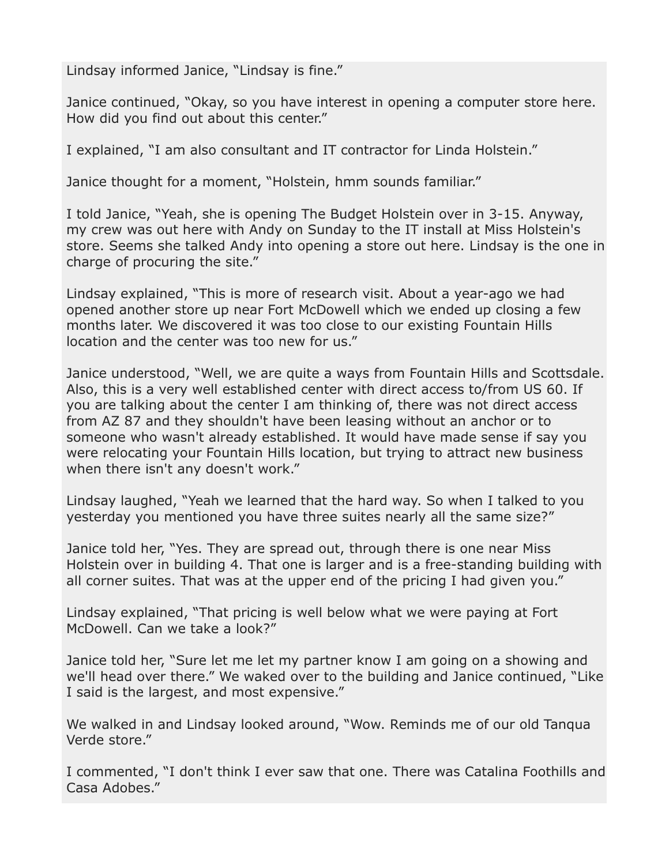Lindsay informed Janice, "Lindsay is fine."

Janice continued, "Okay, so you have interest in opening a computer store here. How did you find out about this center."

I explained, "I am also consultant and IT contractor for Linda Holstein."

Janice thought for a moment, "Holstein, hmm sounds familiar."

I told Janice, "Yeah, she is opening The Budget Holstein over in 3-15. Anyway, my crew was out here with Andy on Sunday to the IT install at Miss Holstein's store. Seems she talked Andy into opening a store out here. Lindsay is the one in charge of procuring the site."

Lindsay explained, "This is more of research visit. About a year-ago we had opened another store up near Fort McDowell which we ended up closing a few months later. We discovered it was too close to our existing Fountain Hills location and the center was too new for us."

Janice understood, "Well, we are quite a ways from Fountain Hills and Scottsdale. Also, this is a very well established center with direct access to/from US 60. If you are talking about the center I am thinking of, there was not direct access from AZ 87 and they shouldn't have been leasing without an anchor or to someone who wasn't already established. It would have made sense if say you were relocating your Fountain Hills location, but trying to attract new business when there isn't any doesn't work."

Lindsay laughed, "Yeah we learned that the hard way. So when I talked to you yesterday you mentioned you have three suites nearly all the same size?"

Janice told her, "Yes. They are spread out, through there is one near Miss Holstein over in building 4. That one is larger and is a free-standing building with all corner suites. That was at the upper end of the pricing I had given you."

Lindsay explained, "That pricing is well below what we were paying at Fort McDowell. Can we take a look?"

Janice told her, "Sure let me let my partner know I am going on a showing and we'll head over there." We waked over to the building and Janice continued, "Like I said is the largest, and most expensive."

We walked in and Lindsay looked around, "Wow. Reminds me of our old Tanqua Verde store."

I commented, "I don't think I ever saw that one. There was Catalina Foothills and Casa Adobes."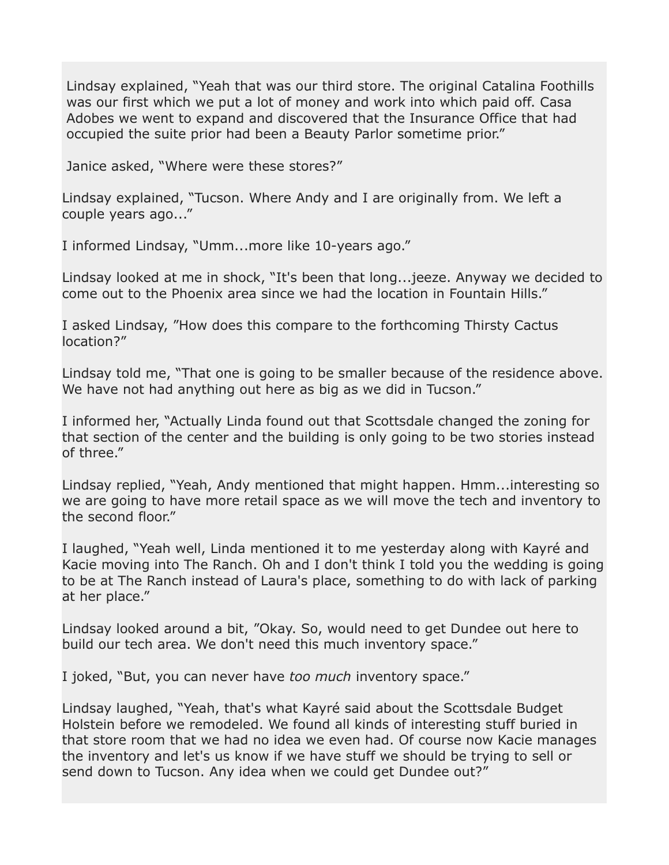Lindsay explained, "Yeah that was our third store. The original Catalina Foothills was our first which we put a lot of money and work into which paid off. Casa Adobes we went to expand and discovered that the Insurance Office that had occupied the suite prior had been a Beauty Parlor sometime prior."

Janice asked, "Where were these stores?"

Lindsay explained, "Tucson. Where Andy and I are originally from. We left a couple years ago..."

I informed Lindsay, "Umm...more like 10-years ago."

Lindsay looked at me in shock, "It's been that long...jeeze. Anyway we decided to come out to the Phoenix area since we had the location in Fountain Hills."

I asked Lindsay, "How does this compare to the forthcoming Thirsty Cactus location?"

Lindsay told me, "That one is going to be smaller because of the residence above. We have not had anything out here as big as we did in Tucson."

I informed her, "Actually Linda found out that Scottsdale changed the zoning for that section of the center and the building is only going to be two stories instead of three."

Lindsay replied, "Yeah, Andy mentioned that might happen. Hmm...interesting so we are going to have more retail space as we will move the tech and inventory to the second floor."

I laughed, "Yeah well, Linda mentioned it to me yesterday along with Kayré and Kacie moving into The Ranch. Oh and I don't think I told you the wedding is going to be at The Ranch instead of Laura's place, something to do with lack of parking at her place."

Lindsay looked around a bit, "Okay. So, would need to get Dundee out here to build our tech area. We don't need this much inventory space."

I joked, "But, you can never have *too much* inventory space."

Lindsay laughed, "Yeah, that's what Kayré said about the Scottsdale Budget Holstein before we remodeled. We found all kinds of interesting stuff buried in that store room that we had no idea we even had. Of course now Kacie manages the inventory and let's us know if we have stuff we should be trying to sell or send down to Tucson. Any idea when we could get Dundee out?"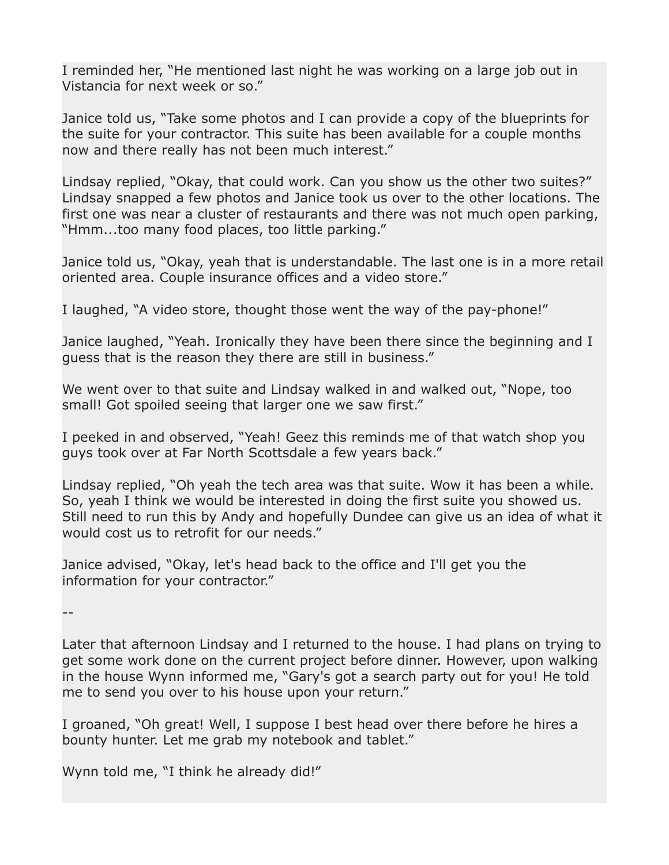I reminded her, "He mentioned last night he was working on a large job out in Vistancia for next week or so."

Janice told us, "Take some photos and I can provide a copy of the blueprints for the suite for your contractor. This suite has been available for a couple months now and there really has not been much interest."

Lindsay replied, "Okay, that could work. Can you show us the other two suites?" Lindsay snapped a few photos and Janice took us over to the other locations. The first one was near a cluster of restaurants and there was not much open parking, "Hmm...too many food places, too little parking."

Janice told us, "Okay, yeah that is understandable. The last one is in a more retail oriented area. Couple insurance offices and a video store."

I laughed, "A video store, thought those went the way of the pay-phone!"

Janice laughed, "Yeah. Ironically they have been there since the beginning and I guess that is the reason they there are still in business."

We went over to that suite and Lindsay walked in and walked out, "Nope, too small! Got spoiled seeing that larger one we saw first."

I peeked in and observed, "Yeah! Geez this reminds me of that watch shop you guys took over at Far North Scottsdale a few years back."

Lindsay replied, "Oh yeah the tech area was that suite. Wow it has been a while. So, yeah I think we would be interested in doing the first suite you showed us. Still need to run this by Andy and hopefully Dundee can give us an idea of what it would cost us to retrofit for our needs."

Janice advised, "Okay, let's head back to the office and I'll get you the information for your contractor."

--

Later that afternoon Lindsay and I returned to the house. I had plans on trying to get some work done on the current project before dinner. However, upon walking in the house Wynn informed me, "Gary's got a search party out for you! He told me to send you over to his house upon your return."

I groaned, "Oh great! Well, I suppose I best head over there before he hires a bounty hunter. Let me grab my notebook and tablet."

Wynn told me, "I think he already did!"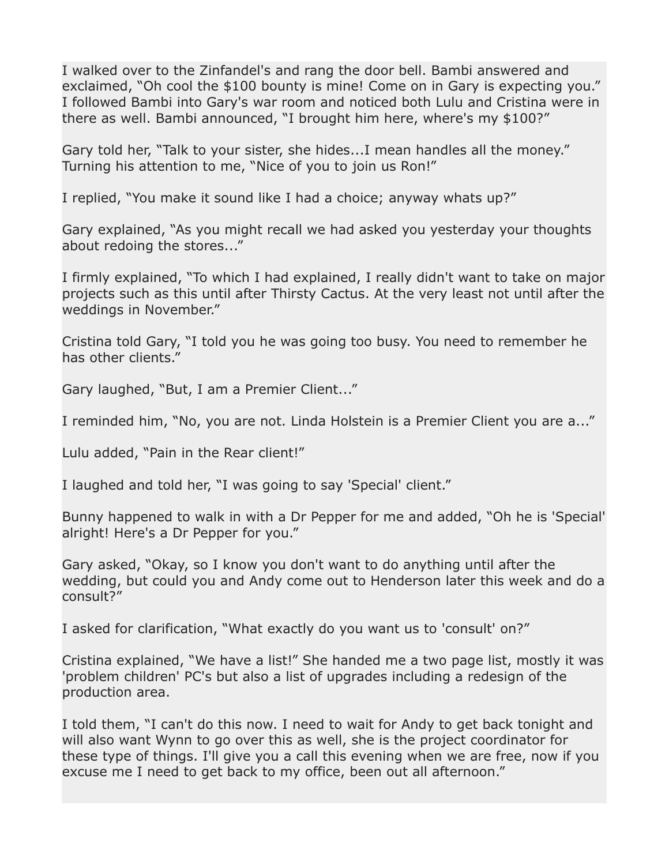I walked over to the Zinfandel's and rang the door bell. Bambi answered and exclaimed, "Oh cool the \$100 bounty is mine! Come on in Gary is expecting you." I followed Bambi into Gary's war room and noticed both Lulu and Cristina were in there as well. Bambi announced, "I brought him here, where's my \$100?"

Gary told her, "Talk to your sister, she hides...I mean handles all the money." Turning his attention to me, "Nice of you to join us Ron!"

I replied, "You make it sound like I had a choice; anyway whats up?"

Gary explained, "As you might recall we had asked you yesterday your thoughts about redoing the stores..."

I firmly explained, "To which I had explained, I really didn't want to take on major projects such as this until after Thirsty Cactus. At the very least not until after the weddings in November."

Cristina told Gary, "I told you he was going too busy. You need to remember he has other clients."

Gary laughed, "But, I am a Premier Client..."

I reminded him, "No, you are not. Linda Holstein is a Premier Client you are a..."

Lulu added, "Pain in the Rear client!"

I laughed and told her, "I was going to say 'Special' client."

Bunny happened to walk in with a Dr Pepper for me and added, "Oh he is 'Special' alright! Here's a Dr Pepper for you."

Gary asked, "Okay, so I know you don't want to do anything until after the wedding, but could you and Andy come out to Henderson later this week and do a consult?"

I asked for clarification, "What exactly do you want us to 'consult' on?"

Cristina explained, "We have a list!" She handed me a two page list, mostly it was 'problem children' PC's but also a list of upgrades including a redesign of the production area.

I told them, "I can't do this now. I need to wait for Andy to get back tonight and will also want Wynn to go over this as well, she is the project coordinator for these type of things. I'll give you a call this evening when we are free, now if you excuse me I need to get back to my office, been out all afternoon."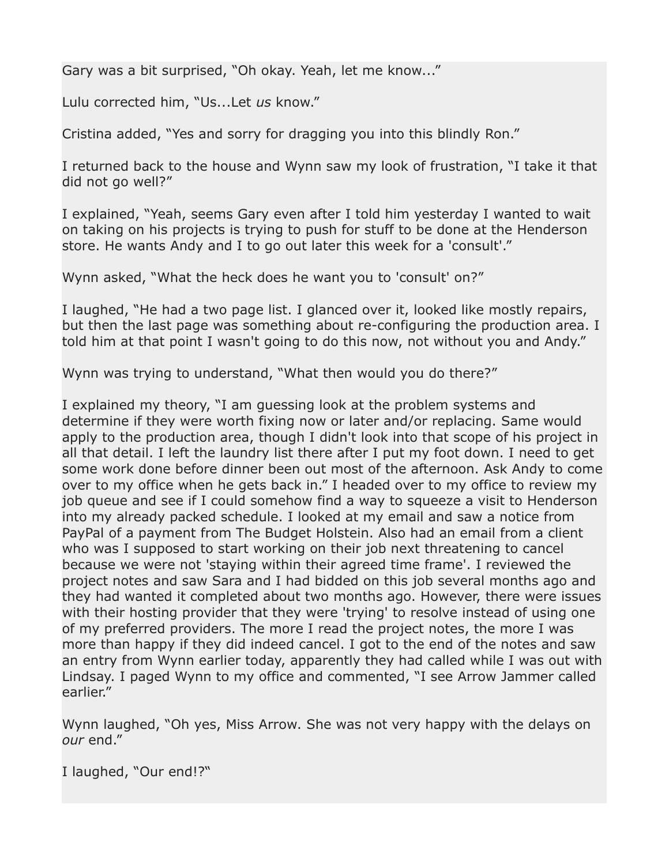Gary was a bit surprised, "Oh okay. Yeah, let me know..."

Lulu corrected him, "Us...Let *us* know."

Cristina added, "Yes and sorry for dragging you into this blindly Ron."

I returned back to the house and Wynn saw my look of frustration, "I take it that did not go well?"

I explained, "Yeah, seems Gary even after I told him yesterday I wanted to wait on taking on his projects is trying to push for stuff to be done at the Henderson store. He wants Andy and I to go out later this week for a 'consult'."

Wynn asked, "What the heck does he want you to 'consult' on?"

I laughed, "He had a two page list. I glanced over it, looked like mostly repairs, but then the last page was something about re-configuring the production area. I told him at that point I wasn't going to do this now, not without you and Andy."

Wynn was trying to understand, "What then would you do there?"

I explained my theory, "I am guessing look at the problem systems and determine if they were worth fixing now or later and/or replacing. Same would apply to the production area, though I didn't look into that scope of his project in all that detail. I left the laundry list there after I put my foot down. I need to get some work done before dinner been out most of the afternoon. Ask Andy to come over to my office when he gets back in." I headed over to my office to review my job queue and see if I could somehow find a way to squeeze a visit to Henderson into my already packed schedule. I looked at my email and saw a notice from PayPal of a payment from The Budget Holstein. Also had an email from a client who was I supposed to start working on their job next threatening to cancel because we were not 'staying within their agreed time frame'. I reviewed the project notes and saw Sara and I had bidded on this job several months ago and they had wanted it completed about two months ago. However, there were issues with their hosting provider that they were 'trying' to resolve instead of using one of my preferred providers. The more I read the project notes, the more I was more than happy if they did indeed cancel. I got to the end of the notes and saw an entry from Wynn earlier today, apparently they had called while I was out with Lindsay. I paged Wynn to my office and commented, "I see Arrow Jammer called earlier."

Wynn laughed, "Oh yes, Miss Arrow. She was not very happy with the delays on *our* end."

I laughed, "Our end!?"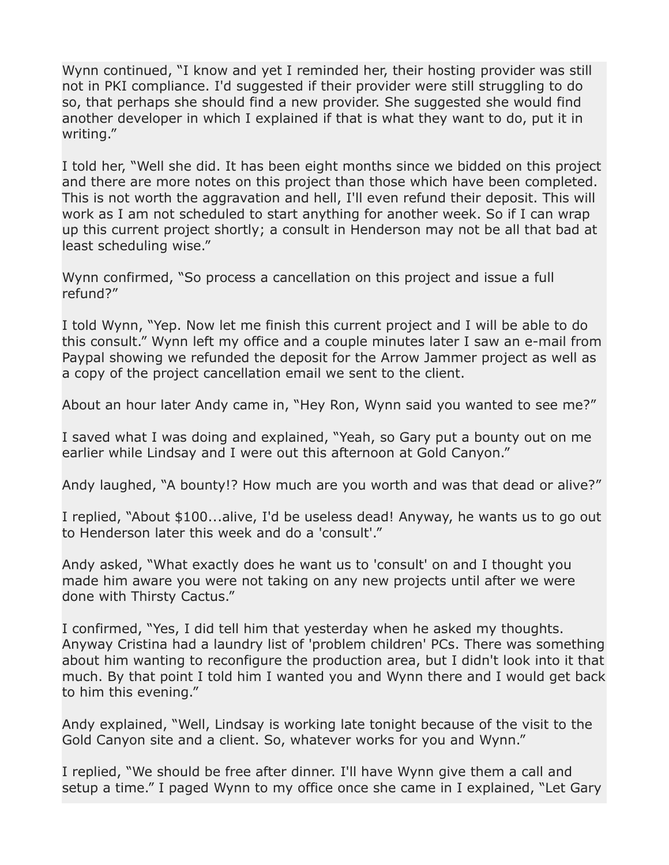Wynn continued, "I know and yet I reminded her, their hosting provider was still not in PKI compliance. I'd suggested if their provider were still struggling to do so, that perhaps she should find a new provider. She suggested she would find another developer in which I explained if that is what they want to do, put it in writing."

I told her, "Well she did. It has been eight months since we bidded on this project and there are more notes on this project than those which have been completed. This is not worth the aggravation and hell, I'll even refund their deposit. This will work as I am not scheduled to start anything for another week. So if I can wrap up this current project shortly; a consult in Henderson may not be all that bad at least scheduling wise."

Wynn confirmed, "So process a cancellation on this project and issue a full refund?"

I told Wynn, "Yep. Now let me finish this current project and I will be able to do this consult." Wynn left my office and a couple minutes later I saw an e-mail from Paypal showing we refunded the deposit for the Arrow Jammer project as well as a copy of the project cancellation email we sent to the client.

About an hour later Andy came in, "Hey Ron, Wynn said you wanted to see me?"

I saved what I was doing and explained, "Yeah, so Gary put a bounty out on me earlier while Lindsay and I were out this afternoon at Gold Canyon."

Andy laughed, "A bounty!? How much are you worth and was that dead or alive?"

I replied, "About \$100...alive, I'd be useless dead! Anyway, he wants us to go out to Henderson later this week and do a 'consult'."

Andy asked, "What exactly does he want us to 'consult' on and I thought you made him aware you were not taking on any new projects until after we were done with Thirsty Cactus."

I confirmed, "Yes, I did tell him that yesterday when he asked my thoughts. Anyway Cristina had a laundry list of 'problem children' PCs. There was something about him wanting to reconfigure the production area, but I didn't look into it that much. By that point I told him I wanted you and Wynn there and I would get back to him this evening."

Andy explained, "Well, Lindsay is working late tonight because of the visit to the Gold Canyon site and a client. So, whatever works for you and Wynn."

I replied, "We should be free after dinner. I'll have Wynn give them a call and setup a time." I paged Wynn to my office once she came in I explained, "Let Gary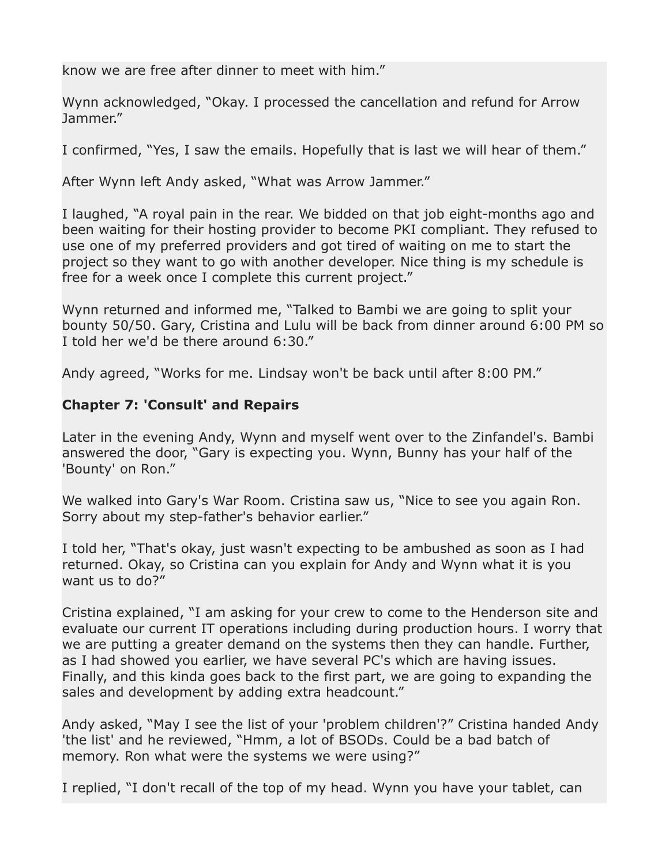know we are free after dinner to meet with him."

Wynn acknowledged, "Okay. I processed the cancellation and refund for Arrow Jammer."

I confirmed, "Yes, I saw the emails. Hopefully that is last we will hear of them."

After Wynn left Andy asked, "What was Arrow Jammer."

I laughed, "A royal pain in the rear. We bidded on that job eight-months ago and been waiting for their hosting provider to become PKI compliant. They refused to use one of my preferred providers and got tired of waiting on me to start the project so they want to go with another developer. Nice thing is my schedule is free for a week once I complete this current project."

Wynn returned and informed me, "Talked to Bambi we are going to split your bounty 50/50. Gary, Cristina and Lulu will be back from dinner around 6:00 PM so I told her we'd be there around 6:30."

Andy agreed, "Works for me. Lindsay won't be back until after 8:00 PM."

# **Chapter 7: 'Consult' and Repairs**

Later in the evening Andy, Wynn and myself went over to the Zinfandel's. Bambi answered the door, "Gary is expecting you. Wynn, Bunny has your half of the 'Bounty' on Ron."

We walked into Gary's War Room. Cristina saw us, "Nice to see you again Ron. Sorry about my step-father's behavior earlier."

I told her, "That's okay, just wasn't expecting to be ambushed as soon as I had returned. Okay, so Cristina can you explain for Andy and Wynn what it is you want us to do?"

Cristina explained, "I am asking for your crew to come to the Henderson site and evaluate our current IT operations including during production hours. I worry that we are putting a greater demand on the systems then they can handle. Further, as I had showed you earlier, we have several PC's which are having issues. Finally, and this kinda goes back to the first part, we are going to expanding the sales and development by adding extra headcount."

Andy asked, "May I see the list of your 'problem children'?" Cristina handed Andy 'the list' and he reviewed, "Hmm, a lot of BSODs. Could be a bad batch of memory. Ron what were the systems we were using?"

I replied, "I don't recall of the top of my head. Wynn you have your tablet, can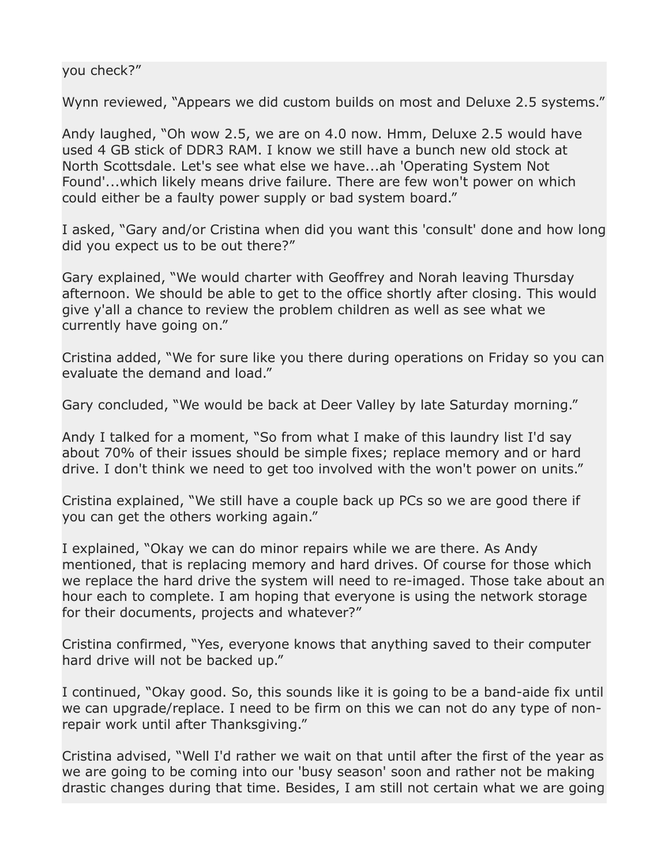#### you check?"

Wynn reviewed, "Appears we did custom builds on most and Deluxe 2.5 systems."

Andy laughed, "Oh wow 2.5, we are on 4.0 now. Hmm, Deluxe 2.5 would have used 4 GB stick of DDR3 RAM. I know we still have a bunch new old stock at North Scottsdale. Let's see what else we have...ah 'Operating System Not Found'...which likely means drive failure. There are few won't power on which could either be a faulty power supply or bad system board."

I asked, "Gary and/or Cristina when did you want this 'consult' done and how long did you expect us to be out there?"

Gary explained, "We would charter with Geoffrey and Norah leaving Thursday afternoon. We should be able to get to the office shortly after closing. This would give y'all a chance to review the problem children as well as see what we currently have going on."

Cristina added, "We for sure like you there during operations on Friday so you can evaluate the demand and load."

Gary concluded, "We would be back at Deer Valley by late Saturday morning."

Andy I talked for a moment, "So from what I make of this laundry list I'd say about 70% of their issues should be simple fixes; replace memory and or hard drive. I don't think we need to get too involved with the won't power on units."

Cristina explained, "We still have a couple back up PCs so we are good there if you can get the others working again."

I explained, "Okay we can do minor repairs while we are there. As Andy mentioned, that is replacing memory and hard drives. Of course for those which we replace the hard drive the system will need to re-imaged. Those take about an hour each to complete. I am hoping that everyone is using the network storage for their documents, projects and whatever?"

Cristina confirmed, "Yes, everyone knows that anything saved to their computer hard drive will not be backed up."

I continued, "Okay good. So, this sounds like it is going to be a band-aide fix until we can upgrade/replace. I need to be firm on this we can not do any type of nonrepair work until after Thanksgiving."

Cristina advised, "Well I'd rather we wait on that until after the first of the year as we are going to be coming into our 'busy season' soon and rather not be making drastic changes during that time. Besides, I am still not certain what we are going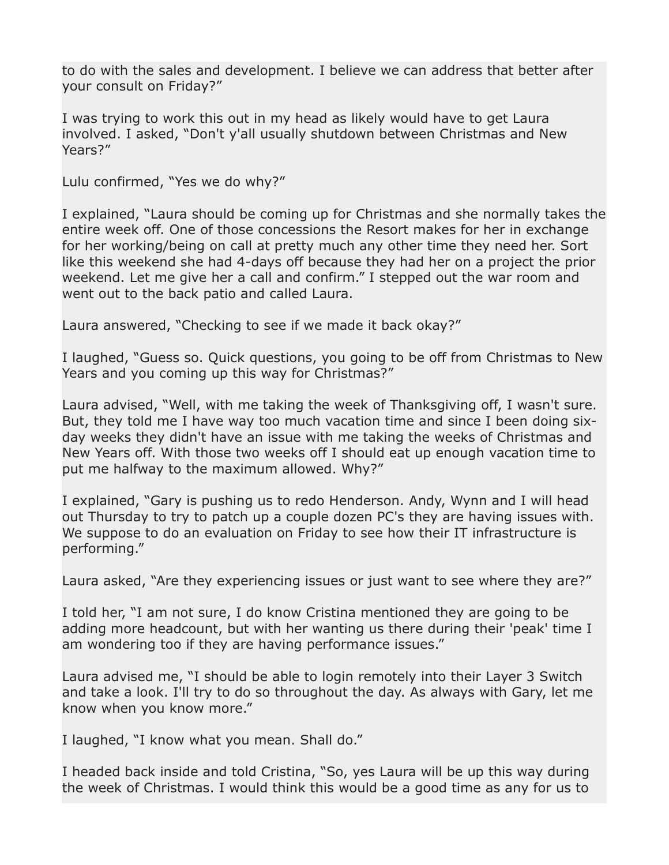to do with the sales and development. I believe we can address that better after your consult on Friday?"

I was trying to work this out in my head as likely would have to get Laura involved. I asked, "Don't y'all usually shutdown between Christmas and New Years?"

Lulu confirmed, "Yes we do why?"

I explained, "Laura should be coming up for Christmas and she normally takes the entire week off. One of those concessions the Resort makes for her in exchange for her working/being on call at pretty much any other time they need her. Sort like this weekend she had 4-days off because they had her on a project the prior weekend. Let me give her a call and confirm." I stepped out the war room and went out to the back patio and called Laura.

Laura answered, "Checking to see if we made it back okay?"

I laughed, "Guess so. Quick questions, you going to be off from Christmas to New Years and you coming up this way for Christmas?"

Laura advised, "Well, with me taking the week of Thanksgiving off, I wasn't sure. But, they told me I have way too much vacation time and since I been doing sixday weeks they didn't have an issue with me taking the weeks of Christmas and New Years off. With those two weeks off I should eat up enough vacation time to put me halfway to the maximum allowed. Why?"

I explained, "Gary is pushing us to redo Henderson. Andy, Wynn and I will head out Thursday to try to patch up a couple dozen PC's they are having issues with. We suppose to do an evaluation on Friday to see how their IT infrastructure is performing."

Laura asked, "Are they experiencing issues or just want to see where they are?"

I told her, "I am not sure, I do know Cristina mentioned they are going to be adding more headcount, but with her wanting us there during their 'peak' time I am wondering too if they are having performance issues."

Laura advised me, "I should be able to login remotely into their Layer 3 Switch and take a look. I'll try to do so throughout the day. As always with Gary, let me know when you know more."

I laughed, "I know what you mean. Shall do."

I headed back inside and told Cristina, "So, yes Laura will be up this way during the week of Christmas. I would think this would be a good time as any for us to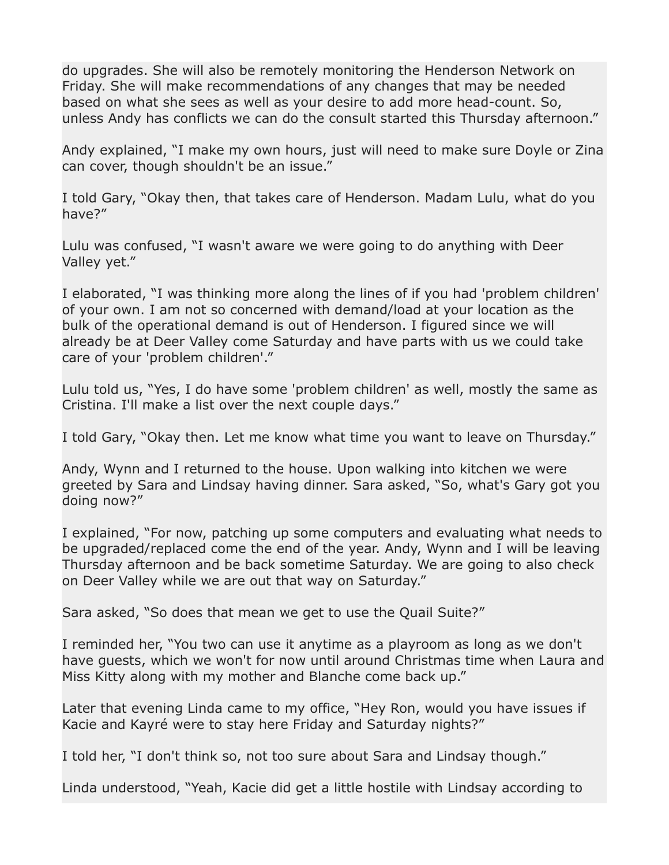do upgrades. She will also be remotely monitoring the Henderson Network on Friday. She will make recommendations of any changes that may be needed based on what she sees as well as your desire to add more head-count. So, unless Andy has conflicts we can do the consult started this Thursday afternoon."

Andy explained, "I make my own hours, just will need to make sure Doyle or Zina can cover, though shouldn't be an issue."

I told Gary, "Okay then, that takes care of Henderson. Madam Lulu, what do you have?"

Lulu was confused, "I wasn't aware we were going to do anything with Deer Valley yet."

I elaborated, "I was thinking more along the lines of if you had 'problem children' of your own. I am not so concerned with demand/load at your location as the bulk of the operational demand is out of Henderson. I figured since we will already be at Deer Valley come Saturday and have parts with us we could take care of your 'problem children'."

Lulu told us, "Yes, I do have some 'problem children' as well, mostly the same as Cristina. I'll make a list over the next couple days."

I told Gary, "Okay then. Let me know what time you want to leave on Thursday."

Andy, Wynn and I returned to the house. Upon walking into kitchen we were greeted by Sara and Lindsay having dinner. Sara asked, "So, what's Gary got you doing now?"

I explained, "For now, patching up some computers and evaluating what needs to be upgraded/replaced come the end of the year. Andy, Wynn and I will be leaving Thursday afternoon and be back sometime Saturday. We are going to also check on Deer Valley while we are out that way on Saturday."

Sara asked, "So does that mean we get to use the Quail Suite?"

I reminded her, "You two can use it anytime as a playroom as long as we don't have guests, which we won't for now until around Christmas time when Laura and Miss Kitty along with my mother and Blanche come back up."

Later that evening Linda came to my office, "Hey Ron, would you have issues if Kacie and Kayré were to stay here Friday and Saturday nights?"

I told her, "I don't think so, not too sure about Sara and Lindsay though."

Linda understood, "Yeah, Kacie did get a little hostile with Lindsay according to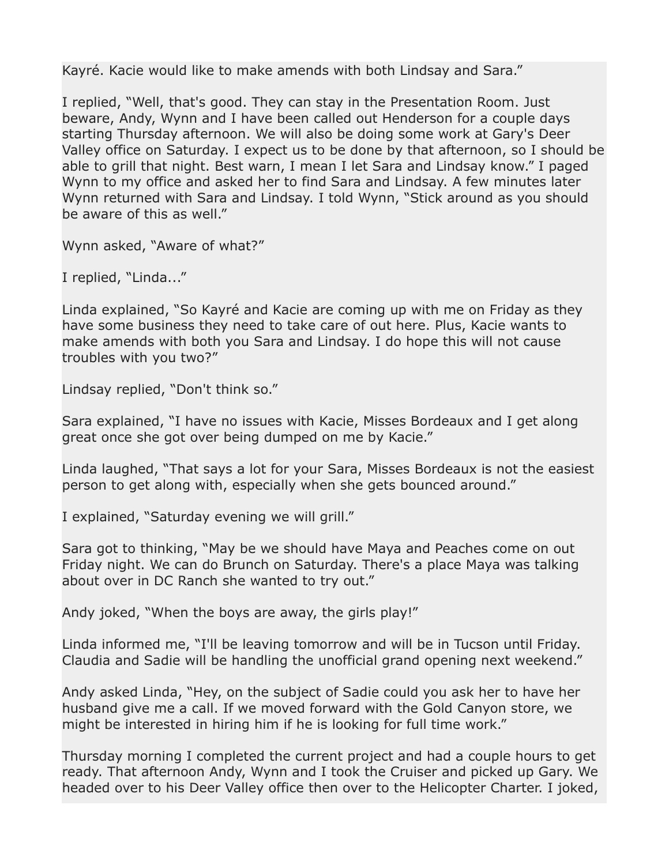Kayré. Kacie would like to make amends with both Lindsay and Sara."

I replied, "Well, that's good. They can stay in the Presentation Room. Just beware, Andy, Wynn and I have been called out Henderson for a couple days starting Thursday afternoon. We will also be doing some work at Gary's Deer Valley office on Saturday. I expect us to be done by that afternoon, so I should be able to grill that night. Best warn, I mean I let Sara and Lindsay know." I paged Wynn to my office and asked her to find Sara and Lindsay. A few minutes later Wynn returned with Sara and Lindsay. I told Wynn, "Stick around as you should be aware of this as well."

Wynn asked, "Aware of what?"

I replied, "Linda..."

Linda explained, "So Kayré and Kacie are coming up with me on Friday as they have some business they need to take care of out here. Plus, Kacie wants to make amends with both you Sara and Lindsay. I do hope this will not cause troubles with you two?"

Lindsay replied, "Don't think so."

Sara explained, "I have no issues with Kacie, Misses Bordeaux and I get along great once she got over being dumped on me by Kacie."

Linda laughed, "That says a lot for your Sara, Misses Bordeaux is not the easiest person to get along with, especially when she gets bounced around."

I explained, "Saturday evening we will grill."

Sara got to thinking, "May be we should have Maya and Peaches come on out Friday night. We can do Brunch on Saturday. There's a place Maya was talking about over in DC Ranch she wanted to try out."

Andy joked, "When the boys are away, the girls play!"

Linda informed me, "I'll be leaving tomorrow and will be in Tucson until Friday. Claudia and Sadie will be handling the unofficial grand opening next weekend."

Andy asked Linda, "Hey, on the subject of Sadie could you ask her to have her husband give me a call. If we moved forward with the Gold Canyon store, we might be interested in hiring him if he is looking for full time work."

Thursday morning I completed the current project and had a couple hours to get ready. That afternoon Andy, Wynn and I took the Cruiser and picked up Gary. We headed over to his Deer Valley office then over to the Helicopter Charter. I joked,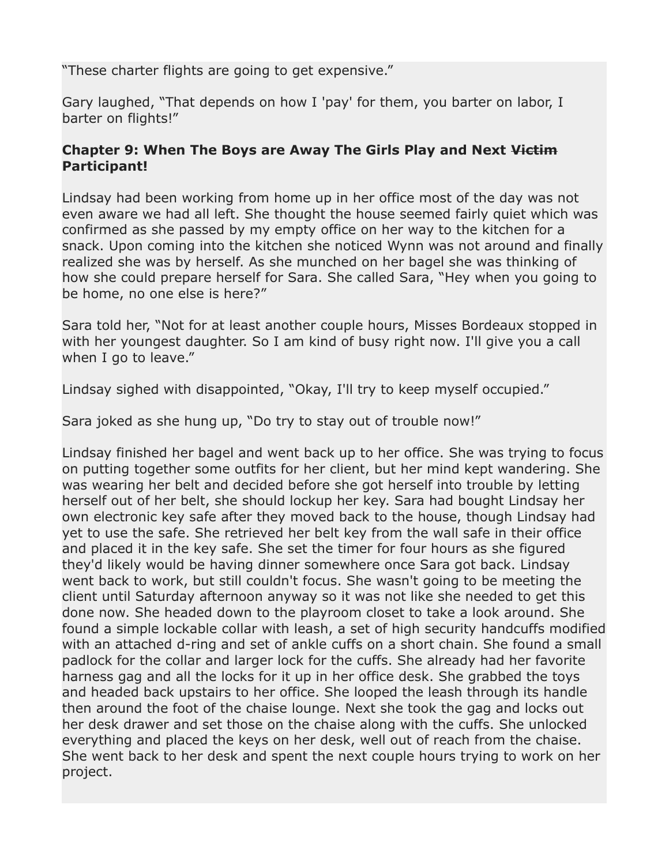"These charter flights are going to get expensive."

Gary laughed, "That depends on how I 'pay' for them, you barter on labor, I barter on flights!"

# **Chapter 9: When The Boys are Away The Girls Play and Next Victim Participant!**

Lindsay had been working from home up in her office most of the day was not even aware we had all left. She thought the house seemed fairly quiet which was confirmed as she passed by my empty office on her way to the kitchen for a snack. Upon coming into the kitchen she noticed Wynn was not around and finally realized she was by herself. As she munched on her bagel she was thinking of how she could prepare herself for Sara. She called Sara, "Hey when you going to be home, no one else is here?"

Sara told her, "Not for at least another couple hours, Misses Bordeaux stopped in with her youngest daughter. So I am kind of busy right now. I'll give you a call when I go to leave."

Lindsay sighed with disappointed, "Okay, I'll try to keep myself occupied."

Sara joked as she hung up, "Do try to stay out of trouble now!"

Lindsay finished her bagel and went back up to her office. She was trying to focus on putting together some outfits for her client, but her mind kept wandering. She was wearing her belt and decided before she got herself into trouble by letting herself out of her belt, she should lockup her key. Sara had bought Lindsay her own electronic key safe after they moved back to the house, though Lindsay had yet to use the safe. She retrieved her belt key from the wall safe in their office and placed it in the key safe. She set the timer for four hours as she figured they'd likely would be having dinner somewhere once Sara got back. Lindsay went back to work, but still couldn't focus. She wasn't going to be meeting the client until Saturday afternoon anyway so it was not like she needed to get this done now. She headed down to the playroom closet to take a look around. She found a simple lockable collar with leash, a set of high security handcuffs modified with an attached d-ring and set of ankle cuffs on a short chain. She found a small padlock for the collar and larger lock for the cuffs. She already had her favorite harness gag and all the locks for it up in her office desk. She grabbed the toys and headed back upstairs to her office. She looped the leash through its handle then around the foot of the chaise lounge. Next she took the gag and locks out her desk drawer and set those on the chaise along with the cuffs. She unlocked everything and placed the keys on her desk, well out of reach from the chaise. She went back to her desk and spent the next couple hours trying to work on her project.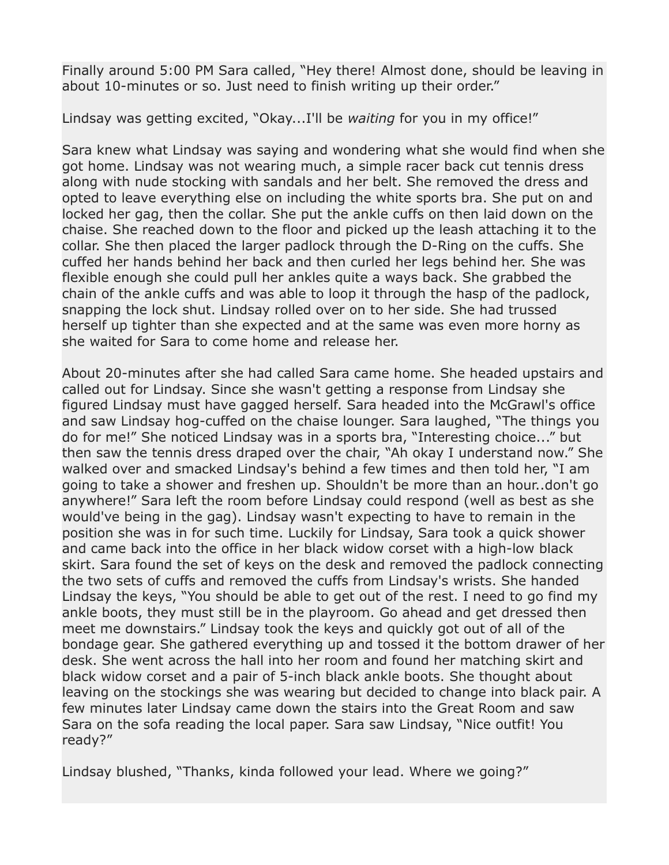Finally around 5:00 PM Sara called, "Hey there! Almost done, should be leaving in about 10-minutes or so. Just need to finish writing up their order."

Lindsay was getting excited, "Okay...I'll be *waiting* for you in my office!"

Sara knew what Lindsay was saying and wondering what she would find when she got home. Lindsay was not wearing much, a simple racer back cut tennis dress along with nude stocking with sandals and her belt. She removed the dress and opted to leave everything else on including the white sports bra. She put on and locked her gag, then the collar. She put the ankle cuffs on then laid down on the chaise. She reached down to the floor and picked up the leash attaching it to the collar. She then placed the larger padlock through the D-Ring on the cuffs. She cuffed her hands behind her back and then curled her legs behind her. She was flexible enough she could pull her ankles quite a ways back. She grabbed the chain of the ankle cuffs and was able to loop it through the hasp of the padlock, snapping the lock shut. Lindsay rolled over on to her side. She had trussed herself up tighter than she expected and at the same was even more horny as she waited for Sara to come home and release her.

About 20-minutes after she had called Sara came home. She headed upstairs and called out for Lindsay. Since she wasn't getting a response from Lindsay she figured Lindsay must have gagged herself. Sara headed into the McGrawl's office and saw Lindsay hog-cuffed on the chaise lounger. Sara laughed, "The things you do for me!" She noticed Lindsay was in a sports bra, "Interesting choice..." but then saw the tennis dress draped over the chair, "Ah okay I understand now." She walked over and smacked Lindsay's behind a few times and then told her, "I am going to take a shower and freshen up. Shouldn't be more than an hour..don't go anywhere!" Sara left the room before Lindsay could respond (well as best as she would've being in the gag). Lindsay wasn't expecting to have to remain in the position she was in for such time. Luckily for Lindsay, Sara took a quick shower and came back into the office in her black widow corset with a high-low black skirt. Sara found the set of keys on the desk and removed the padlock connecting the two sets of cuffs and removed the cuffs from Lindsay's wrists. She handed Lindsay the keys, "You should be able to get out of the rest. I need to go find my ankle boots, they must still be in the playroom. Go ahead and get dressed then meet me downstairs." Lindsay took the keys and quickly got out of all of the bondage gear. She gathered everything up and tossed it the bottom drawer of her desk. She went across the hall into her room and found her matching skirt and black widow corset and a pair of 5-inch black ankle boots. She thought about leaving on the stockings she was wearing but decided to change into black pair. A few minutes later Lindsay came down the stairs into the Great Room and saw Sara on the sofa reading the local paper. Sara saw Lindsay, "Nice outfit! You ready?"

Lindsay blushed, "Thanks, kinda followed your lead. Where we going?"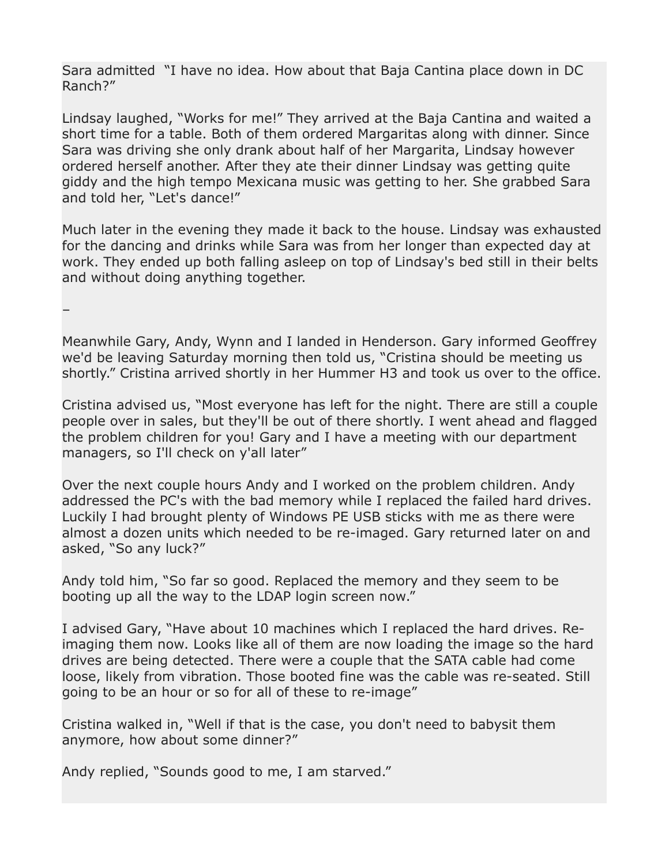Sara admitted "I have no idea. How about that Baja Cantina place down in DC Ranch?"

Lindsay laughed, "Works for me!" They arrived at the Baja Cantina and waited a short time for a table. Both of them ordered Margaritas along with dinner. Since Sara was driving she only drank about half of her Margarita, Lindsay however ordered herself another. After they ate their dinner Lindsay was getting quite giddy and the high tempo Mexicana music was getting to her. She grabbed Sara and told her, "Let's dance!"

Much later in the evening they made it back to the house. Lindsay was exhausted for the dancing and drinks while Sara was from her longer than expected day at work. They ended up both falling asleep on top of Lindsay's bed still in their belts and without doing anything together.

–

Meanwhile Gary, Andy, Wynn and I landed in Henderson. Gary informed Geoffrey we'd be leaving Saturday morning then told us, "Cristina should be meeting us shortly." Cristina arrived shortly in her Hummer H3 and took us over to the office.

Cristina advised us, "Most everyone has left for the night. There are still a couple people over in sales, but they'll be out of there shortly. I went ahead and flagged the problem children for you! Gary and I have a meeting with our department managers, so I'll check on y'all later"

Over the next couple hours Andy and I worked on the problem children. Andy addressed the PC's with the bad memory while I replaced the failed hard drives. Luckily I had brought plenty of Windows PE USB sticks with me as there were almost a dozen units which needed to be re-imaged. Gary returned later on and asked, "So any luck?"

Andy told him, "So far so good. Replaced the memory and they seem to be booting up all the way to the LDAP login screen now."

I advised Gary, "Have about 10 machines which I replaced the hard drives. Reimaging them now. Looks like all of them are now loading the image so the hard drives are being detected. There were a couple that the SATA cable had come loose, likely from vibration. Those booted fine was the cable was re-seated. Still going to be an hour or so for all of these to re-image"

Cristina walked in, "Well if that is the case, you don't need to babysit them anymore, how about some dinner?"

Andy replied, "Sounds good to me, I am starved."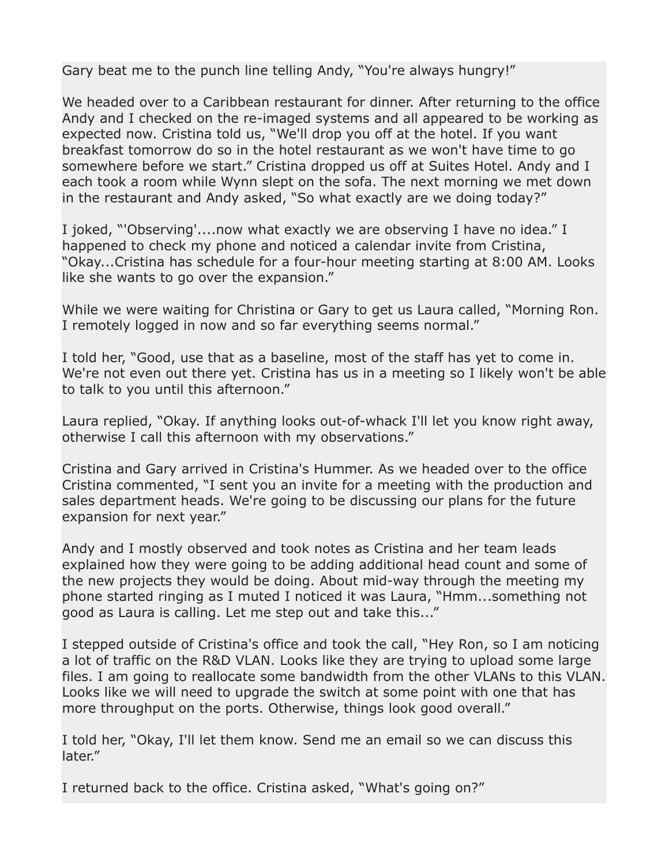Gary beat me to the punch line telling Andy, "You're always hungry!"

We headed over to a Caribbean restaurant for dinner. After returning to the office Andy and I checked on the re-imaged systems and all appeared to be working as expected now. Cristina told us, "We'll drop you off at the hotel. If you want breakfast tomorrow do so in the hotel restaurant as we won't have time to go somewhere before we start." Cristina dropped us off at Suites Hotel. Andy and I each took a room while Wynn slept on the sofa. The next morning we met down in the restaurant and Andy asked, "So what exactly are we doing today?"

I joked, "'Observing'....now what exactly we are observing I have no idea." I happened to check my phone and noticed a calendar invite from Cristina, "Okay...Cristina has schedule for a four-hour meeting starting at 8:00 AM. Looks like she wants to go over the expansion."

While we were waiting for Christina or Gary to get us Laura called, "Morning Ron. I remotely logged in now and so far everything seems normal."

I told her, "Good, use that as a baseline, most of the staff has yet to come in. We're not even out there yet. Cristina has us in a meeting so I likely won't be able to talk to you until this afternoon."

Laura replied, "Okay. If anything looks out-of-whack I'll let you know right away, otherwise I call this afternoon with my observations."

Cristina and Gary arrived in Cristina's Hummer. As we headed over to the office Cristina commented, "I sent you an invite for a meeting with the production and sales department heads. We're going to be discussing our plans for the future expansion for next year."

Andy and I mostly observed and took notes as Cristina and her team leads explained how they were going to be adding additional head count and some of the new projects they would be doing. About mid-way through the meeting my phone started ringing as I muted I noticed it was Laura, "Hmm...something not good as Laura is calling. Let me step out and take this..."

I stepped outside of Cristina's office and took the call, "Hey Ron, so I am noticing a lot of traffic on the R&D VLAN. Looks like they are trying to upload some large files. I am going to reallocate some bandwidth from the other VLANs to this VLAN. Looks like we will need to upgrade the switch at some point with one that has more throughput on the ports. Otherwise, things look good overall."

I told her, "Okay, I'll let them know. Send me an email so we can discuss this later."

I returned back to the office. Cristina asked, "What's going on?"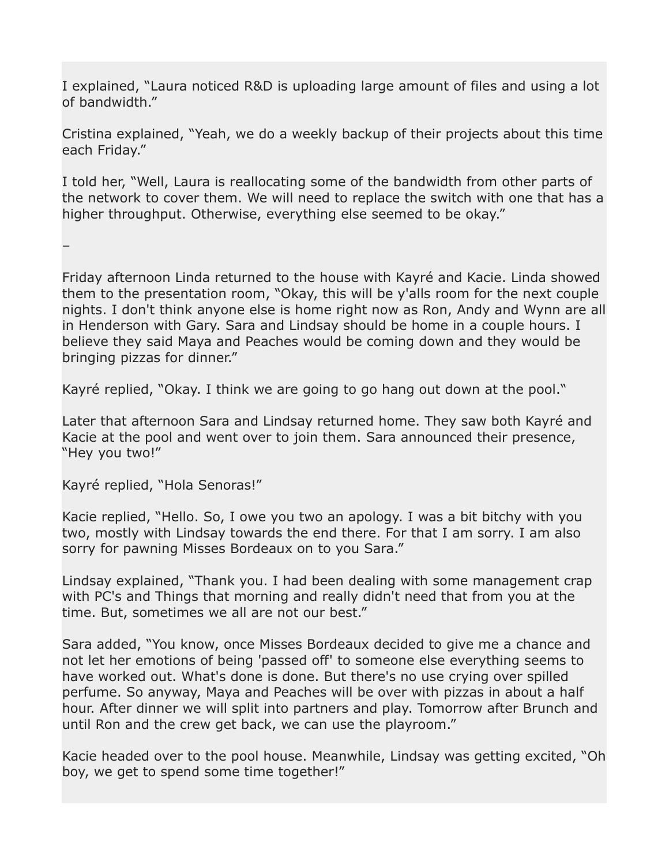I explained, "Laura noticed R&D is uploading large amount of files and using a lot of bandwidth."

Cristina explained, "Yeah, we do a weekly backup of their projects about this time each Friday."

I told her, "Well, Laura is reallocating some of the bandwidth from other parts of the network to cover them. We will need to replace the switch with one that has a higher throughput. Otherwise, everything else seemed to be okay."

–

Friday afternoon Linda returned to the house with Kayré and Kacie. Linda showed them to the presentation room, "Okay, this will be y'alls room for the next couple nights. I don't think anyone else is home right now as Ron, Andy and Wynn are all in Henderson with Gary. Sara and Lindsay should be home in a couple hours. I believe they said Maya and Peaches would be coming down and they would be bringing pizzas for dinner."

Kayré replied, "Okay. I think we are going to go hang out down at the pool."

Later that afternoon Sara and Lindsay returned home. They saw both Kayré and Kacie at the pool and went over to join them. Sara announced their presence, "Hey you two!"

Kayré replied, "Hola Senoras!"

Kacie replied, "Hello. So, I owe you two an apology. I was a bit bitchy with you two, mostly with Lindsay towards the end there. For that I am sorry. I am also sorry for pawning Misses Bordeaux on to you Sara."

Lindsay explained, "Thank you. I had been dealing with some management crap with PC's and Things that morning and really didn't need that from you at the time. But, sometimes we all are not our best."

Sara added, "You know, once Misses Bordeaux decided to give me a chance and not let her emotions of being 'passed off' to someone else everything seems to have worked out. What's done is done. But there's no use crying over spilled perfume. So anyway, Maya and Peaches will be over with pizzas in about a half hour. After dinner we will split into partners and play. Tomorrow after Brunch and until Ron and the crew get back, we can use the playroom."

Kacie headed over to the pool house. Meanwhile, Lindsay was getting excited, "Oh boy, we get to spend some time together!"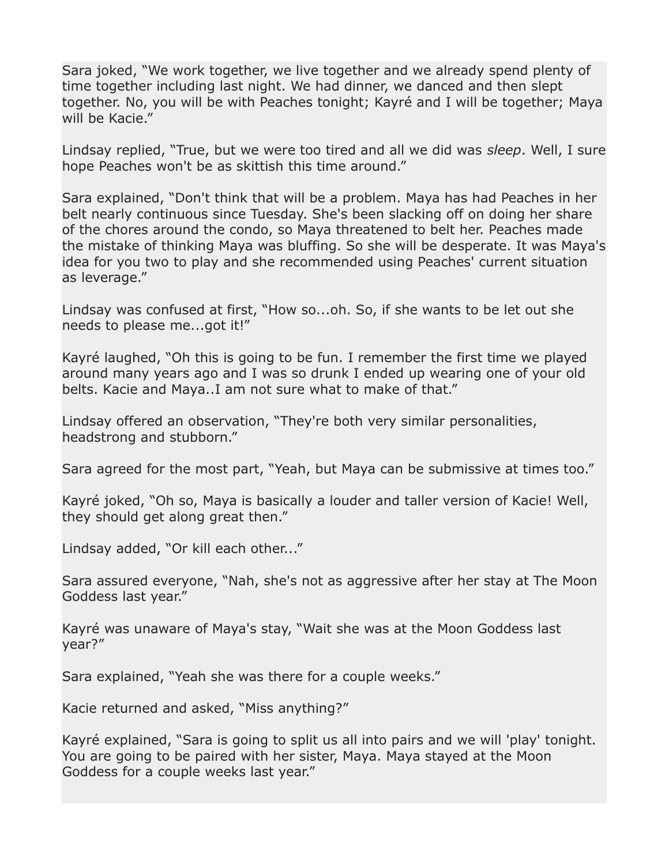Sara joked, "We work together, we live together and we already spend plenty of time together including last night. We had dinner, we danced and then slept together. No, you will be with Peaches tonight; Kayré and I will be together; Maya will be Kacie."

Lindsay replied, "True, but we were too tired and all we did was *sleep*. Well, I sure hope Peaches won't be as skittish this time around."

Sara explained, "Don't think that will be a problem. Maya has had Peaches in her belt nearly continuous since Tuesday. She's been slacking off on doing her share of the chores around the condo, so Maya threatened to belt her. Peaches made the mistake of thinking Maya was bluffing. So she will be desperate. It was Maya's idea for you two to play and she recommended using Peaches' current situation as leverage."

Lindsay was confused at first, "How so...oh. So, if she wants to be let out she needs to please me...got it!"

Kayré laughed, "Oh this is going to be fun. I remember the first time we played around many years ago and I was so drunk I ended up wearing one of your old belts. Kacie and Maya..I am not sure what to make of that."

Lindsay offered an observation, "They're both very similar personalities, headstrong and stubborn."

Sara agreed for the most part, "Yeah, but Maya can be submissive at times too."

Kayré joked, "Oh so, Maya is basically a louder and taller version of Kacie! Well, they should get along great then."

Lindsay added, "Or kill each other..."

Sara assured everyone, "Nah, she's not as aggressive after her stay at The Moon Goddess last year."

Kayré was unaware of Maya's stay, "Wait she was at the Moon Goddess last year?"

Sara explained, "Yeah she was there for a couple weeks."

Kacie returned and asked, "Miss anything?"

Kayré explained, "Sara is going to split us all into pairs and we will 'play' tonight. You are going to be paired with her sister, Maya. Maya stayed at the Moon Goddess for a couple weeks last year."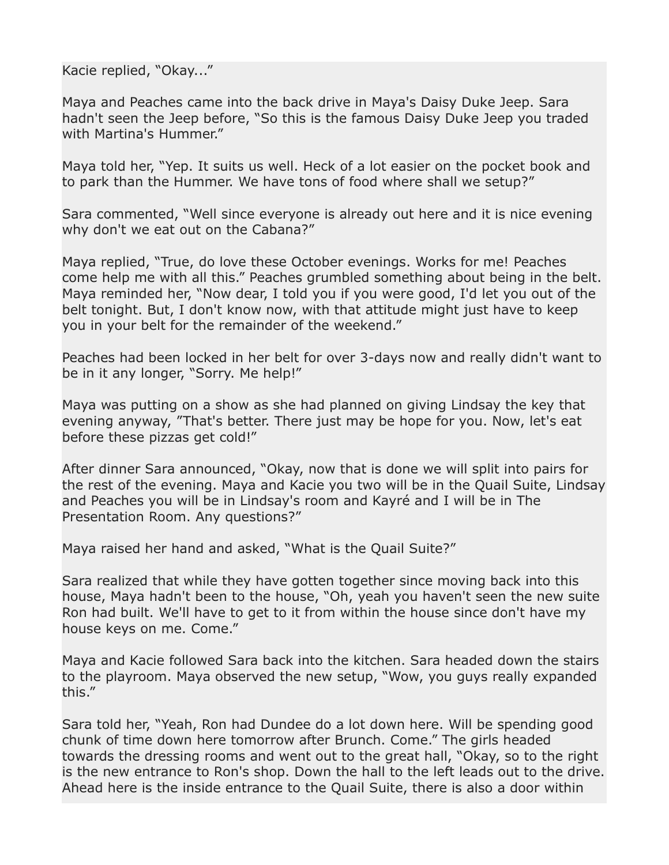Kacie replied, "Okay..."

Maya and Peaches came into the back drive in Maya's Daisy Duke Jeep. Sara hadn't seen the Jeep before, "So this is the famous Daisy Duke Jeep you traded with Martina's Hummer."

Maya told her, "Yep. It suits us well. Heck of a lot easier on the pocket book and to park than the Hummer. We have tons of food where shall we setup?"

Sara commented, "Well since everyone is already out here and it is nice evening why don't we eat out on the Cabana?"

Maya replied, "True, do love these October evenings. Works for me! Peaches come help me with all this." Peaches grumbled something about being in the belt. Maya reminded her, "Now dear, I told you if you were good, I'd let you out of the belt tonight. But, I don't know now, with that attitude might just have to keep you in your belt for the remainder of the weekend."

Peaches had been locked in her belt for over 3-days now and really didn't want to be in it any longer, "Sorry. Me help!"

Maya was putting on a show as she had planned on giving Lindsay the key that evening anyway, "That's better. There just may be hope for you. Now, let's eat before these pizzas get cold!"

After dinner Sara announced, "Okay, now that is done we will split into pairs for the rest of the evening. Maya and Kacie you two will be in the Quail Suite, Lindsay and Peaches you will be in Lindsay's room and Kayré and I will be in The Presentation Room. Any questions?"

Maya raised her hand and asked, "What is the Quail Suite?"

Sara realized that while they have gotten together since moving back into this house, Maya hadn't been to the house, "Oh, yeah you haven't seen the new suite Ron had built. We'll have to get to it from within the house since don't have my house keys on me. Come."

Maya and Kacie followed Sara back into the kitchen. Sara headed down the stairs to the playroom. Maya observed the new setup, "Wow, you guys really expanded this."

Sara told her, "Yeah, Ron had Dundee do a lot down here. Will be spending good chunk of time down here tomorrow after Brunch. Come." The girls headed towards the dressing rooms and went out to the great hall, "Okay, so to the right is the new entrance to Ron's shop. Down the hall to the left leads out to the drive. Ahead here is the inside entrance to the Quail Suite, there is also a door within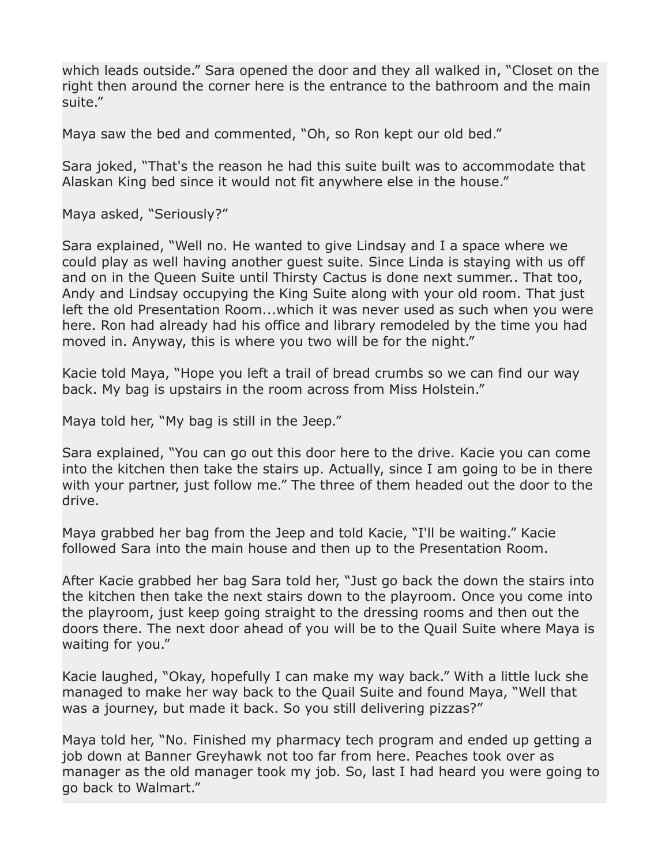which leads outside." Sara opened the door and they all walked in, "Closet on the right then around the corner here is the entrance to the bathroom and the main suite."

Maya saw the bed and commented, "Oh, so Ron kept our old bed."

Sara joked, "That's the reason he had this suite built was to accommodate that Alaskan King bed since it would not fit anywhere else in the house."

Maya asked, "Seriously?"

Sara explained, "Well no. He wanted to give Lindsay and I a space where we could play as well having another guest suite. Since Linda is staying with us off and on in the Queen Suite until Thirsty Cactus is done next summer.. That too, Andy and Lindsay occupying the King Suite along with your old room. That just left the old Presentation Room...which it was never used as such when you were here. Ron had already had his office and library remodeled by the time you had moved in. Anyway, this is where you two will be for the night."

Kacie told Maya, "Hope you left a trail of bread crumbs so we can find our way back. My bag is upstairs in the room across from Miss Holstein."

Maya told her, "My bag is still in the Jeep."

Sara explained, "You can go out this door here to the drive. Kacie you can come into the kitchen then take the stairs up. Actually, since I am going to be in there with your partner, just follow me." The three of them headed out the door to the drive.

Maya grabbed her bag from the Jeep and told Kacie, "I'll be waiting." Kacie followed Sara into the main house and then up to the Presentation Room.

After Kacie grabbed her bag Sara told her, "Just go back the down the stairs into the kitchen then take the next stairs down to the playroom. Once you come into the playroom, just keep going straight to the dressing rooms and then out the doors there. The next door ahead of you will be to the Quail Suite where Maya is waiting for you."

Kacie laughed, "Okay, hopefully I can make my way back." With a little luck she managed to make her way back to the Quail Suite and found Maya, "Well that was a journey, but made it back. So you still delivering pizzas?"

Maya told her, "No. Finished my pharmacy tech program and ended up getting a job down at Banner Greyhawk not too far from here. Peaches took over as manager as the old manager took my job. So, last I had heard you were going to go back to Walmart."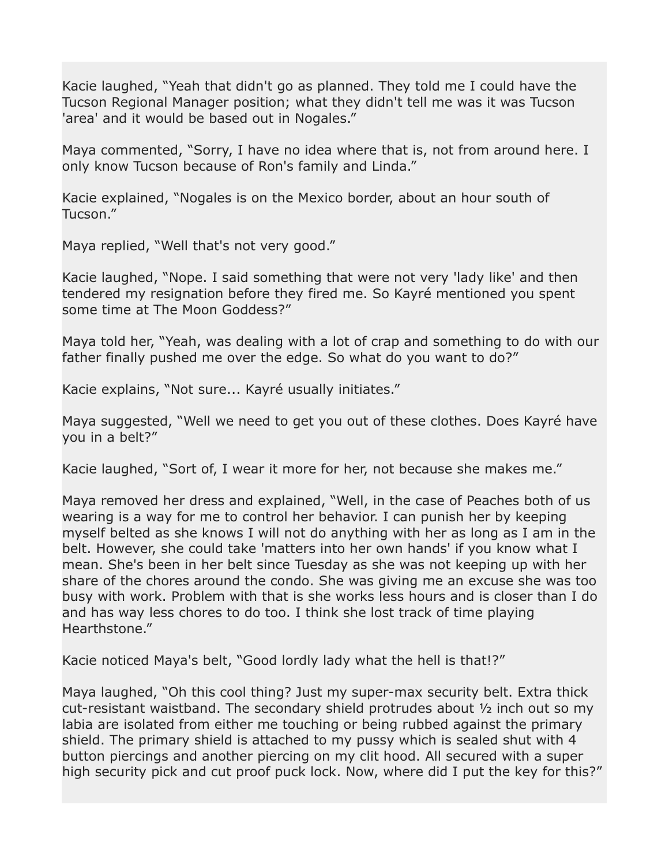Kacie laughed, "Yeah that didn't go as planned. They told me I could have the Tucson Regional Manager position; what they didn't tell me was it was Tucson 'area' and it would be based out in Nogales."

Maya commented, "Sorry, I have no idea where that is, not from around here. I only know Tucson because of Ron's family and Linda."

Kacie explained, "Nogales is on the Mexico border, about an hour south of Tucson."

Maya replied, "Well that's not very good."

Kacie laughed, "Nope. I said something that were not very 'lady like' and then tendered my resignation before they fired me. So Kayré mentioned you spent some time at The Moon Goddess?"

Maya told her, "Yeah, was dealing with a lot of crap and something to do with our father finally pushed me over the edge. So what do you want to do?"

Kacie explains, "Not sure... Kayré usually initiates."

Maya suggested, "Well we need to get you out of these clothes. Does Kayré have you in a belt?"

Kacie laughed, "Sort of, I wear it more for her, not because she makes me."

Maya removed her dress and explained, "Well, in the case of Peaches both of us wearing is a way for me to control her behavior. I can punish her by keeping myself belted as she knows I will not do anything with her as long as I am in the belt. However, she could take 'matters into her own hands' if you know what I mean. She's been in her belt since Tuesday as she was not keeping up with her share of the chores around the condo. She was giving me an excuse she was too busy with work. Problem with that is she works less hours and is closer than I do and has way less chores to do too. I think she lost track of time playing Hearthstone."

Kacie noticed Maya's belt, "Good lordly lady what the hell is that!?"

Maya laughed, "Oh this cool thing? Just my super-max security belt. Extra thick cut-resistant waistband. The secondary shield protrudes about ½ inch out so my labia are isolated from either me touching or being rubbed against the primary shield. The primary shield is attached to my pussy which is sealed shut with 4 button piercings and another piercing on my clit hood. All secured with a super high security pick and cut proof puck lock. Now, where did I put the key for this?"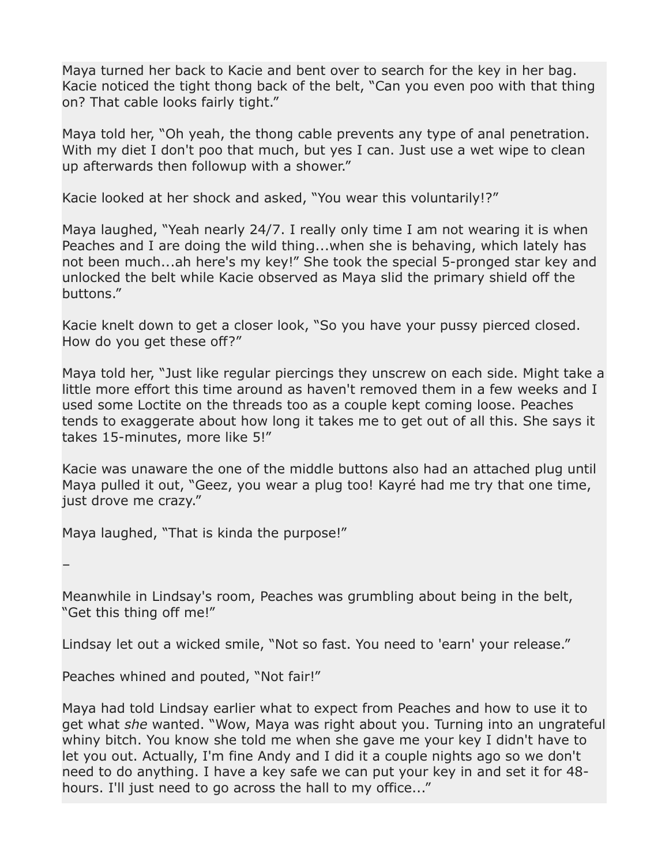Maya turned her back to Kacie and bent over to search for the key in her bag. Kacie noticed the tight thong back of the belt, "Can you even poo with that thing on? That cable looks fairly tight."

Maya told her, "Oh yeah, the thong cable prevents any type of anal penetration. With my diet I don't poo that much, but yes I can. Just use a wet wipe to clean up afterwards then followup with a shower."

Kacie looked at her shock and asked, "You wear this voluntarily!?"

Maya laughed, "Yeah nearly 24/7. I really only time I am not wearing it is when Peaches and I are doing the wild thing...when she is behaving, which lately has not been much...ah here's my key!" She took the special 5-pronged star key and unlocked the belt while Kacie observed as Maya slid the primary shield off the buttons."

Kacie knelt down to get a closer look, "So you have your pussy pierced closed. How do you get these off?"

Maya told her, "Just like regular piercings they unscrew on each side. Might take a little more effort this time around as haven't removed them in a few weeks and I used some Loctite on the threads too as a couple kept coming loose. Peaches tends to exaggerate about how long it takes me to get out of all this. She says it takes 15-minutes, more like 5!"

Kacie was unaware the one of the middle buttons also had an attached plug until Maya pulled it out, "Geez, you wear a plug too! Kayré had me try that one time, just drove me crazy."

Maya laughed, "That is kinda the purpose!"

–

Meanwhile in Lindsay's room, Peaches was grumbling about being in the belt, "Get this thing off me!"

Lindsay let out a wicked smile, "Not so fast. You need to 'earn' your release."

Peaches whined and pouted, "Not fair!"

Maya had told Lindsay earlier what to expect from Peaches and how to use it to get what *she* wanted. "Wow, Maya was right about you. Turning into an ungrateful whiny bitch. You know she told me when she gave me your key I didn't have to let you out. Actually, I'm fine Andy and I did it a couple nights ago so we don't need to do anything. I have a key safe we can put your key in and set it for 48 hours. I'll just need to go across the hall to my office..."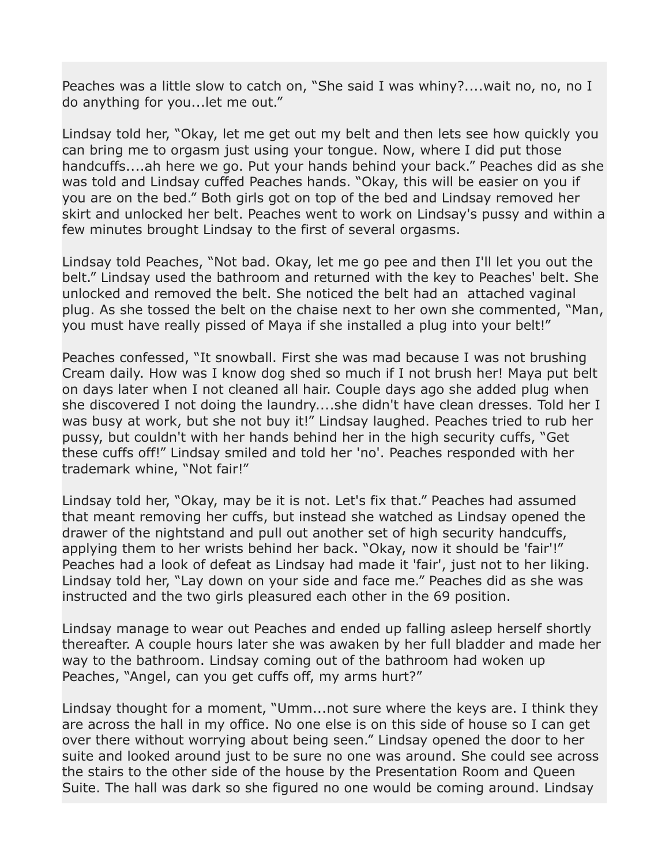Peaches was a little slow to catch on, "She said I was whiny?....wait no, no, no I do anything for you...let me out."

Lindsay told her, "Okay, let me get out my belt and then lets see how quickly you can bring me to orgasm just using your tongue. Now, where I did put those handcuffs....ah here we go. Put your hands behind your back." Peaches did as she was told and Lindsay cuffed Peaches hands. "Okay, this will be easier on you if you are on the bed." Both girls got on top of the bed and Lindsay removed her skirt and unlocked her belt. Peaches went to work on Lindsay's pussy and within a few minutes brought Lindsay to the first of several orgasms.

Lindsay told Peaches, "Not bad. Okay, let me go pee and then I'll let you out the belt." Lindsay used the bathroom and returned with the key to Peaches' belt. She unlocked and removed the belt. She noticed the belt had an attached vaginal plug. As she tossed the belt on the chaise next to her own she commented, "Man, you must have really pissed of Maya if she installed a plug into your belt!"

Peaches confessed, "It snowball. First she was mad because I was not brushing Cream daily. How was I know dog shed so much if I not brush her! Maya put belt on days later when I not cleaned all hair. Couple days ago she added plug when she discovered I not doing the laundry....she didn't have clean dresses. Told her I was busy at work, but she not buy it!" Lindsay laughed. Peaches tried to rub her pussy, but couldn't with her hands behind her in the high security cuffs, "Get these cuffs off!" Lindsay smiled and told her 'no'. Peaches responded with her trademark whine, "Not fair!"

Lindsay told her, "Okay, may be it is not. Let's fix that." Peaches had assumed that meant removing her cuffs, but instead she watched as Lindsay opened the drawer of the nightstand and pull out another set of high security handcuffs, applying them to her wrists behind her back. "Okay, now it should be 'fair'!" Peaches had a look of defeat as Lindsay had made it 'fair', just not to her liking. Lindsay told her, "Lay down on your side and face me." Peaches did as she was instructed and the two girls pleasured each other in the 69 position.

Lindsay manage to wear out Peaches and ended up falling asleep herself shortly thereafter. A couple hours later she was awaken by her full bladder and made her way to the bathroom. Lindsay coming out of the bathroom had woken up Peaches, "Angel, can you get cuffs off, my arms hurt?"

Lindsay thought for a moment, "Umm...not sure where the keys are. I think they are across the hall in my office. No one else is on this side of house so I can get over there without worrying about being seen." Lindsay opened the door to her suite and looked around just to be sure no one was around. She could see across the stairs to the other side of the house by the Presentation Room and Queen Suite. The hall was dark so she figured no one would be coming around. Lindsay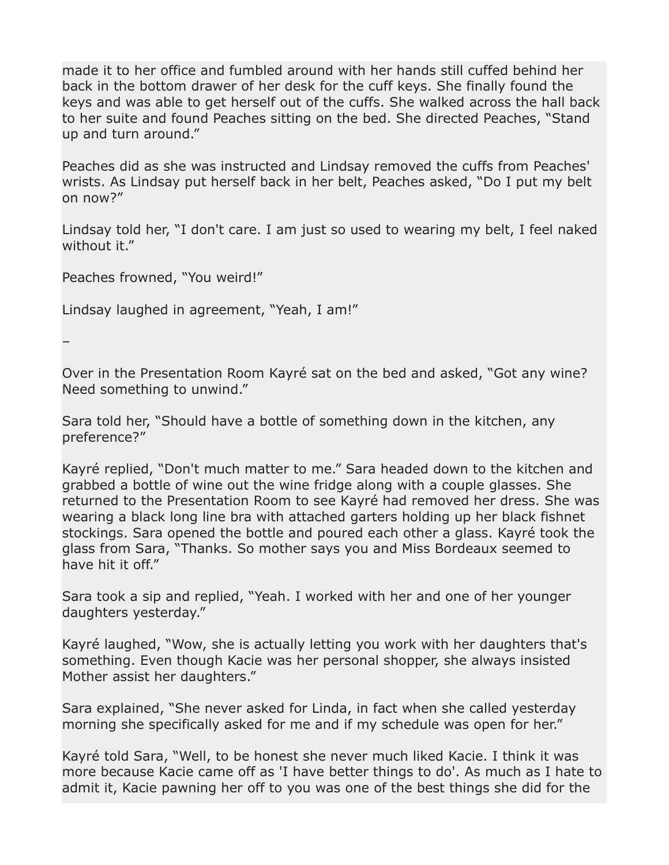made it to her office and fumbled around with her hands still cuffed behind her back in the bottom drawer of her desk for the cuff keys. She finally found the keys and was able to get herself out of the cuffs. She walked across the hall back to her suite and found Peaches sitting on the bed. She directed Peaches, "Stand up and turn around."

Peaches did as she was instructed and Lindsay removed the cuffs from Peaches' wrists. As Lindsay put herself back in her belt, Peaches asked, "Do I put my belt on now?"

Lindsay told her, "I don't care. I am just so used to wearing my belt, I feel naked without it."

Peaches frowned, "You weird!"

Lindsay laughed in agreement, "Yeah, I am!"

–

Over in the Presentation Room Kayré sat on the bed and asked, "Got any wine? Need something to unwind."

Sara told her, "Should have a bottle of something down in the kitchen, any preference?"

Kayré replied, "Don't much matter to me." Sara headed down to the kitchen and grabbed a bottle of wine out the wine fridge along with a couple glasses. She returned to the Presentation Room to see Kayré had removed her dress. She was wearing a black long line bra with attached garters holding up her black fishnet stockings. Sara opened the bottle and poured each other a glass. Kayré took the glass from Sara, "Thanks. So mother says you and Miss Bordeaux seemed to have hit it off."

Sara took a sip and replied, "Yeah. I worked with her and one of her younger daughters yesterday."

Kayré laughed, "Wow, she is actually letting you work with her daughters that's something. Even though Kacie was her personal shopper, she always insisted Mother assist her daughters."

Sara explained, "She never asked for Linda, in fact when she called yesterday morning she specifically asked for me and if my schedule was open for her."

Kayré told Sara, "Well, to be honest she never much liked Kacie. I think it was more because Kacie came off as 'I have better things to do'. As much as I hate to admit it, Kacie pawning her off to you was one of the best things she did for the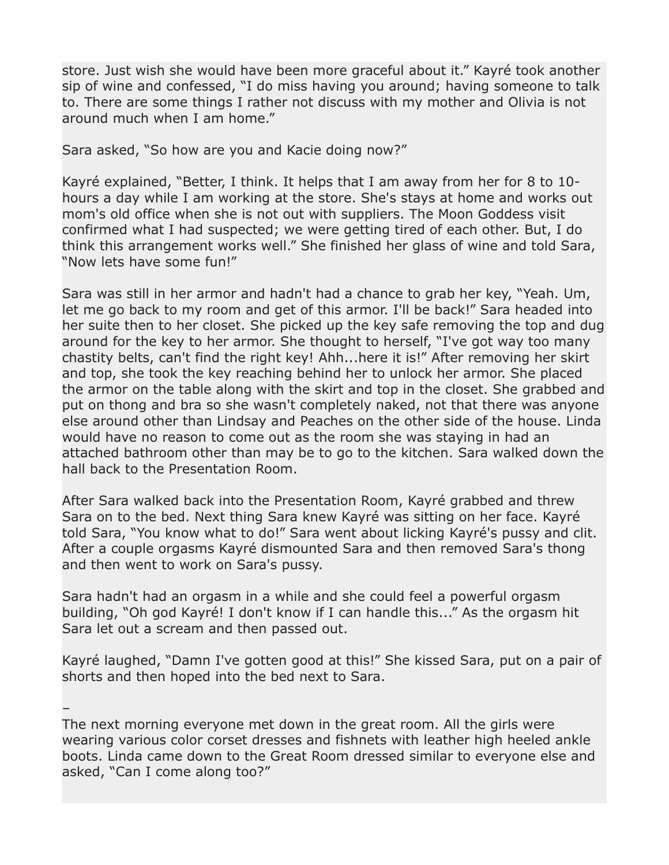store. Just wish she would have been more graceful about it." Kayré took another sip of wine and confessed, "I do miss having you around; having someone to talk to. There are some things I rather not discuss with my mother and Olivia is not around much when I am home."

Sara asked, "So how are you and Kacie doing now?"

Kayré explained, "Better, I think. It helps that I am away from her for 8 to 10 hours a day while I am working at the store. She's stays at home and works out mom's old office when she is not out with suppliers. The Moon Goddess visit confirmed what I had suspected; we were getting tired of each other. But, I do think this arrangement works well." She finished her glass of wine and told Sara, "Now lets have some fun!"

Sara was still in her armor and hadn't had a chance to grab her key, "Yeah. Um, let me go back to my room and get of this armor. I'll be back!" Sara headed into her suite then to her closet. She picked up the key safe removing the top and dug around for the key to her armor. She thought to herself, "I've got way too many chastity belts, can't find the right key! Ahh...here it is!" After removing her skirt and top, she took the key reaching behind her to unlock her armor. She placed the armor on the table along with the skirt and top in the closet. She grabbed and put on thong and bra so she wasn't completely naked, not that there was anyone else around other than Lindsay and Peaches on the other side of the house. Linda would have no reason to come out as the room she was staying in had an attached bathroom other than may be to go to the kitchen. Sara walked down the hall back to the Presentation Room.

After Sara walked back into the Presentation Room, Kayré grabbed and threw Sara on to the bed. Next thing Sara knew Kayré was sitting on her face. Kayré told Sara, "You know what to do!" Sara went about licking Kayré's pussy and clit. After a couple orgasms Kayré dismounted Sara and then removed Sara's thong and then went to work on Sara's pussy.

Sara hadn't had an orgasm in a while and she could feel a powerful orgasm building, "Oh god Kayré! I don't know if I can handle this..." As the orgasm hit Sara let out a scream and then passed out.

Kayré laughed, "Damn I've gotten good at this!" She kissed Sara, put on a pair of shorts and then hoped into the bed next to Sara.

– The next morning everyone met down in the great room. All the girls were wearing various color corset dresses and fishnets with leather high heeled ankle boots. Linda came down to the Great Room dressed similar to everyone else and asked, "Can I come along too?"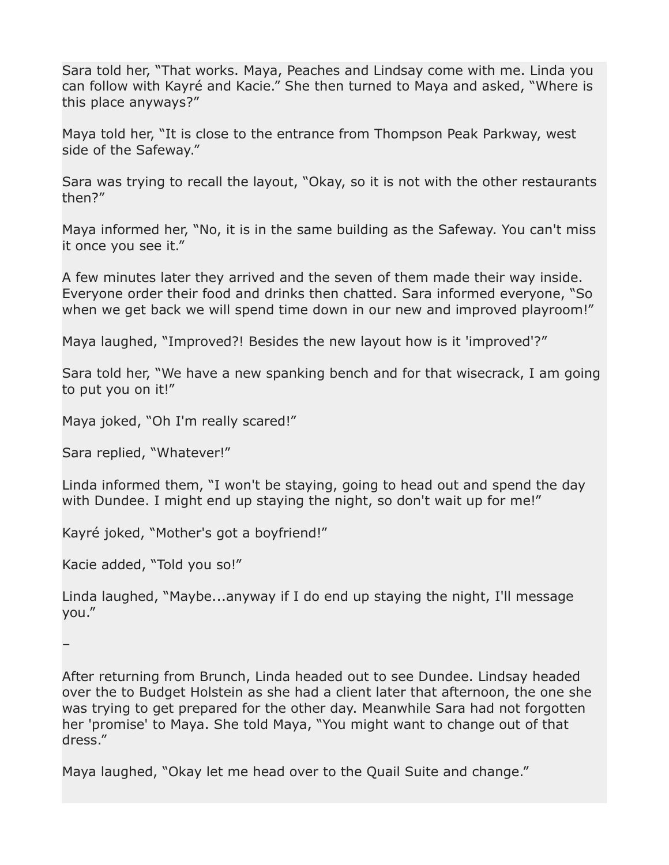Sara told her, "That works. Maya, Peaches and Lindsay come with me. Linda you can follow with Kayré and Kacie." She then turned to Maya and asked, "Where is this place anyways?"

Maya told her, "It is close to the entrance from Thompson Peak Parkway, west side of the Safeway."

Sara was trying to recall the layout, "Okay, so it is not with the other restaurants then?"

Maya informed her, "No, it is in the same building as the Safeway. You can't miss it once you see it."

A few minutes later they arrived and the seven of them made their way inside. Everyone order their food and drinks then chatted. Sara informed everyone, "So when we get back we will spend time down in our new and improved playroom!"

Maya laughed, "Improved?! Besides the new layout how is it 'improved'?"

Sara told her, "We have a new spanking bench and for that wisecrack, I am going to put you on it!"

Maya joked, "Oh I'm really scared!"

Sara replied, "Whatever!"

Linda informed them, "I won't be staying, going to head out and spend the day with Dundee. I might end up staying the night, so don't wait up for me!"

Kayré joked, "Mother's got a boyfriend!"

Kacie added, "Told you so!"

Linda laughed, "Maybe...anyway if I do end up staying the night, I'll message you."

–

After returning from Brunch, Linda headed out to see Dundee. Lindsay headed over the to Budget Holstein as she had a client later that afternoon, the one she was trying to get prepared for the other day. Meanwhile Sara had not forgotten her 'promise' to Maya. She told Maya, "You might want to change out of that dress."

Maya laughed, "Okay let me head over to the Quail Suite and change."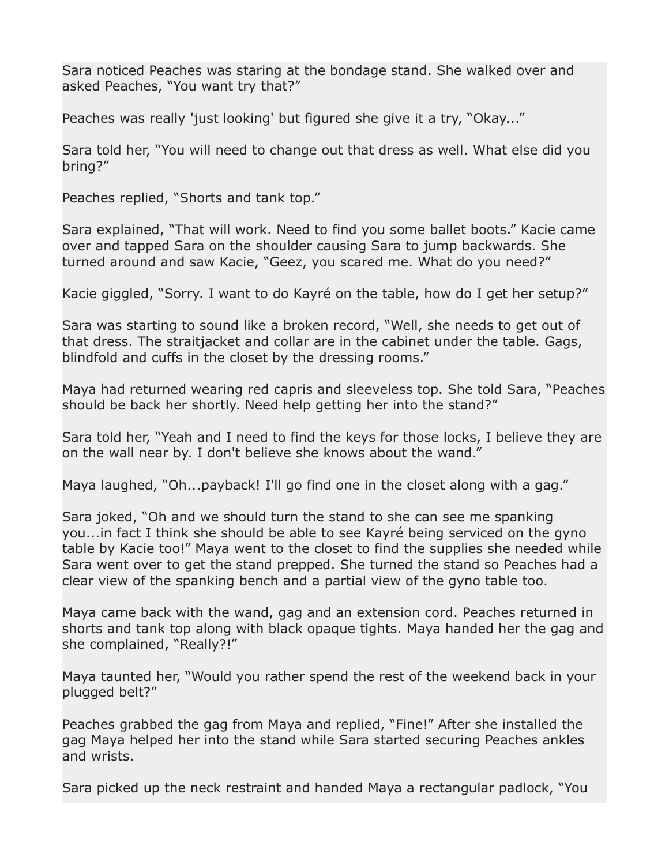Sara noticed Peaches was staring at the bondage stand. She walked over and asked Peaches, "You want try that?"

Peaches was really 'just looking' but figured she give it a try, "Okay..."

Sara told her, "You will need to change out that dress as well. What else did you bring?"

Peaches replied, "Shorts and tank top."

Sara explained, "That will work. Need to find you some ballet boots." Kacie came over and tapped Sara on the shoulder causing Sara to jump backwards. She turned around and saw Kacie, "Geez, you scared me. What do you need?"

Kacie giggled, "Sorry. I want to do Kayré on the table, how do I get her setup?"

Sara was starting to sound like a broken record, "Well, she needs to get out of that dress. The straitjacket and collar are in the cabinet under the table. Gags, blindfold and cuffs in the closet by the dressing rooms."

Maya had returned wearing red capris and sleeveless top. She told Sara, "Peaches should be back her shortly. Need help getting her into the stand?"

Sara told her, "Yeah and I need to find the keys for those locks, I believe they are on the wall near by. I don't believe she knows about the wand."

Maya laughed, "Oh...payback! I'll go find one in the closet along with a gag."

Sara joked, "Oh and we should turn the stand to she can see me spanking you...in fact I think she should be able to see Kayré being serviced on the gyno table by Kacie too!" Maya went to the closet to find the supplies she needed while Sara went over to get the stand prepped. She turned the stand so Peaches had a clear view of the spanking bench and a partial view of the gyno table too.

Maya came back with the wand, gag and an extension cord. Peaches returned in shorts and tank top along with black opaque tights. Maya handed her the gag and she complained, "Really?!"

Maya taunted her, "Would you rather spend the rest of the weekend back in your plugged belt?"

Peaches grabbed the gag from Maya and replied, "Fine!" After she installed the gag Maya helped her into the stand while Sara started securing Peaches ankles and wrists.

Sara picked up the neck restraint and handed Maya a rectangular padlock, "You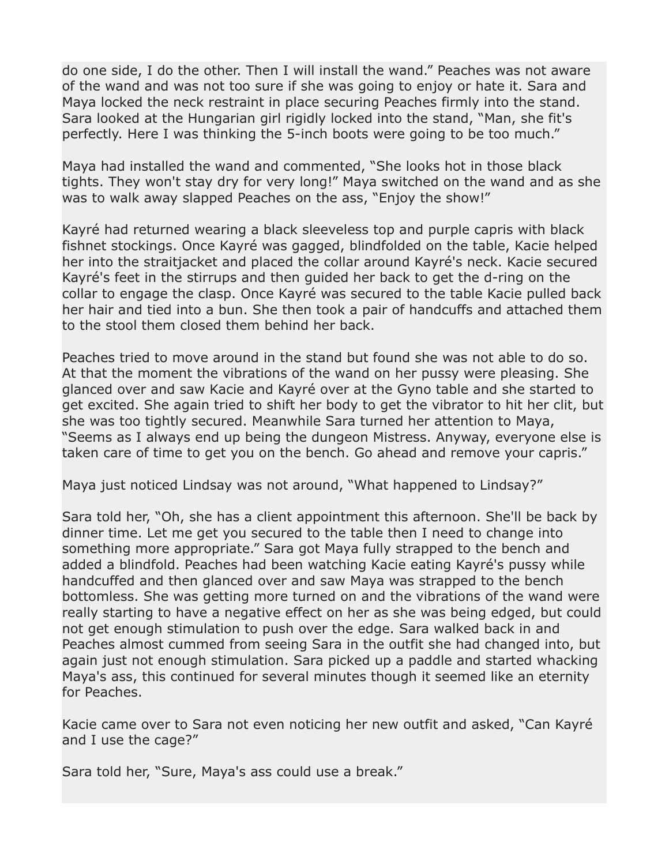do one side, I do the other. Then I will install the wand." Peaches was not aware of the wand and was not too sure if she was going to enjoy or hate it. Sara and Maya locked the neck restraint in place securing Peaches firmly into the stand. Sara looked at the Hungarian girl rigidly locked into the stand, "Man, she fit's perfectly. Here I was thinking the 5-inch boots were going to be too much."

Maya had installed the wand and commented, "She looks hot in those black tights. They won't stay dry for very long!" Maya switched on the wand and as she was to walk away slapped Peaches on the ass, "Enjoy the show!"

Kayré had returned wearing a black sleeveless top and purple capris with black fishnet stockings. Once Kayré was gagged, blindfolded on the table, Kacie helped her into the straitjacket and placed the collar around Kayré's neck. Kacie secured Kayré's feet in the stirrups and then guided her back to get the d-ring on the collar to engage the clasp. Once Kayré was secured to the table Kacie pulled back her hair and tied into a bun. She then took a pair of handcuffs and attached them to the stool them closed them behind her back.

Peaches tried to move around in the stand but found she was not able to do so. At that the moment the vibrations of the wand on her pussy were pleasing. She glanced over and saw Kacie and Kayré over at the Gyno table and she started to get excited. She again tried to shift her body to get the vibrator to hit her clit, but she was too tightly secured. Meanwhile Sara turned her attention to Maya, "Seems as I always end up being the dungeon Mistress. Anyway, everyone else is taken care of time to get you on the bench. Go ahead and remove your capris."

Maya just noticed Lindsay was not around, "What happened to Lindsay?"

Sara told her, "Oh, she has a client appointment this afternoon. She'll be back by dinner time. Let me get you secured to the table then I need to change into something more appropriate." Sara got Maya fully strapped to the bench and added a blindfold. Peaches had been watching Kacie eating Kayré's pussy while handcuffed and then glanced over and saw Maya was strapped to the bench bottomless. She was getting more turned on and the vibrations of the wand were really starting to have a negative effect on her as she was being edged, but could not get enough stimulation to push over the edge. Sara walked back in and Peaches almost cummed from seeing Sara in the outfit she had changed into, but again just not enough stimulation. Sara picked up a paddle and started whacking Maya's ass, this continued for several minutes though it seemed like an eternity for Peaches.

Kacie came over to Sara not even noticing her new outfit and asked, "Can Kayré and I use the cage?"

Sara told her, "Sure, Maya's ass could use a break."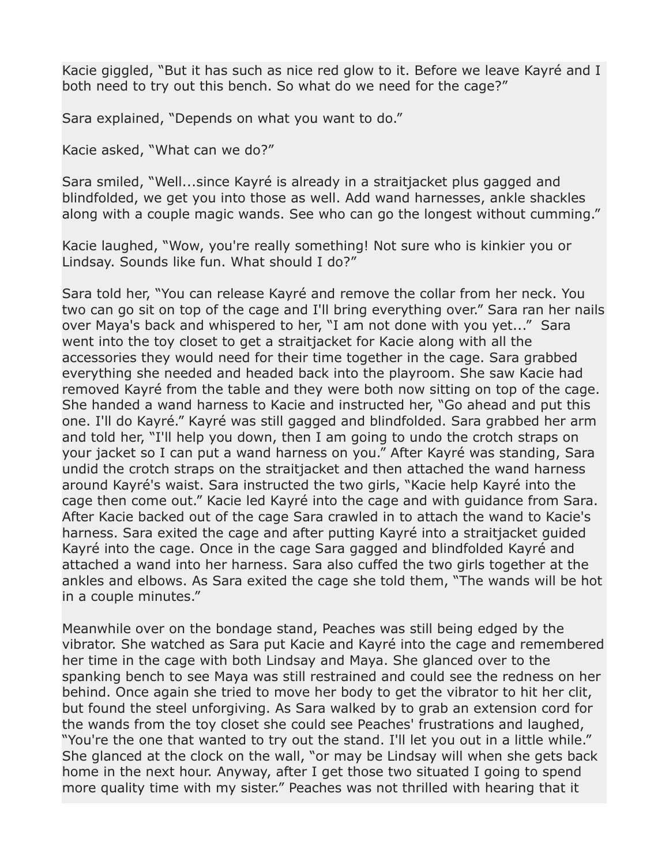Kacie giggled, "But it has such as nice red glow to it. Before we leave Kayré and I both need to try out this bench. So what do we need for the cage?"

Sara explained, "Depends on what you want to do."

Kacie asked, "What can we do?"

Sara smiled, "Well...since Kayré is already in a straitjacket plus gagged and blindfolded, we get you into those as well. Add wand harnesses, ankle shackles along with a couple magic wands. See who can go the longest without cumming."

Kacie laughed, "Wow, you're really something! Not sure who is kinkier you or Lindsay. Sounds like fun. What should I do?"

Sara told her, "You can release Kayré and remove the collar from her neck. You two can go sit on top of the cage and I'll bring everything over." Sara ran her nails over Maya's back and whispered to her, "I am not done with you yet..." Sara went into the toy closet to get a straitjacket for Kacie along with all the accessories they would need for their time together in the cage. Sara grabbed everything she needed and headed back into the playroom. She saw Kacie had removed Kayré from the table and they were both now sitting on top of the cage. She handed a wand harness to Kacie and instructed her, "Go ahead and put this one. I'll do Kayré." Kayré was still gagged and blindfolded. Sara grabbed her arm and told her, "I'll help you down, then I am going to undo the crotch straps on your jacket so I can put a wand harness on you." After Kayré was standing, Sara undid the crotch straps on the straitjacket and then attached the wand harness around Kayré's waist. Sara instructed the two girls, "Kacie help Kayré into the cage then come out." Kacie led Kayré into the cage and with guidance from Sara. After Kacie backed out of the cage Sara crawled in to attach the wand to Kacie's harness. Sara exited the cage and after putting Kayré into a straitjacket guided Kayré into the cage. Once in the cage Sara gagged and blindfolded Kayré and attached a wand into her harness. Sara also cuffed the two girls together at the ankles and elbows. As Sara exited the cage she told them, "The wands will be hot in a couple minutes."

Meanwhile over on the bondage stand, Peaches was still being edged by the vibrator. She watched as Sara put Kacie and Kayré into the cage and remembered her time in the cage with both Lindsay and Maya. She glanced over to the spanking bench to see Maya was still restrained and could see the redness on her behind. Once again she tried to move her body to get the vibrator to hit her clit, but found the steel unforgiving. As Sara walked by to grab an extension cord for the wands from the toy closet she could see Peaches' frustrations and laughed, "You're the one that wanted to try out the stand. I'll let you out in a little while." She glanced at the clock on the wall, "or may be Lindsay will when she gets back home in the next hour. Anyway, after I get those two situated I going to spend more quality time with my sister." Peaches was not thrilled with hearing that it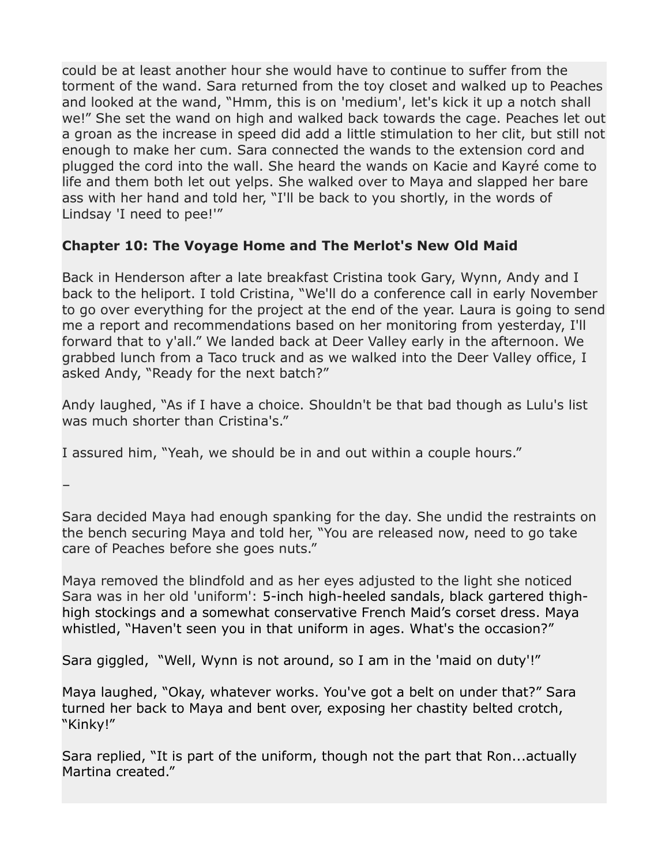could be at least another hour she would have to continue to suffer from the torment of the wand. Sara returned from the toy closet and walked up to Peaches and looked at the wand, "Hmm, this is on 'medium', let's kick it up a notch shall we!" She set the wand on high and walked back towards the cage. Peaches let out a groan as the increase in speed did add a little stimulation to her clit, but still not enough to make her cum. Sara connected the wands to the extension cord and plugged the cord into the wall. She heard the wands on Kacie and Kayré come to life and them both let out yelps. She walked over to Maya and slapped her bare ass with her hand and told her, "I'll be back to you shortly, in the words of Lindsay 'I need to pee!'"

# **Chapter 10: The Voyage Home and The Merlot's New Old Maid**

Back in Henderson after a late breakfast Cristina took Gary, Wynn, Andy and I back to the heliport. I told Cristina, "We'll do a conference call in early November to go over everything for the project at the end of the year. Laura is going to send me a report and recommendations based on her monitoring from yesterday, I'll forward that to y'all." We landed back at Deer Valley early in the afternoon. We grabbed lunch from a Taco truck and as we walked into the Deer Valley office, I asked Andy, "Ready for the next batch?"

Andy laughed, "As if I have a choice. Shouldn't be that bad though as Lulu's list was much shorter than Cristina's."

I assured him, "Yeah, we should be in and out within a couple hours."

–

Sara decided Maya had enough spanking for the day. She undid the restraints on the bench securing Maya and told her, "You are released now, need to go take care of Peaches before she goes nuts."

Maya removed the blindfold and as her eyes adjusted to the light she noticed Sara was in her old 'uniform': 5-inch high-heeled sandals, black gartered thighhigh stockings and a somewhat conservative French Maid's corset dress. Maya whistled, "Haven't seen you in that uniform in ages. What's the occasion?"

Sara giggled, "Well, Wynn is not around, so I am in the 'maid on duty'!"

Maya laughed, "Okay, whatever works. You've got a belt on under that?" Sara turned her back to Maya and bent over, exposing her chastity belted crotch, "Kinky!"

Sara replied, "It is part of the uniform, though not the part that Ron...actually Martina created."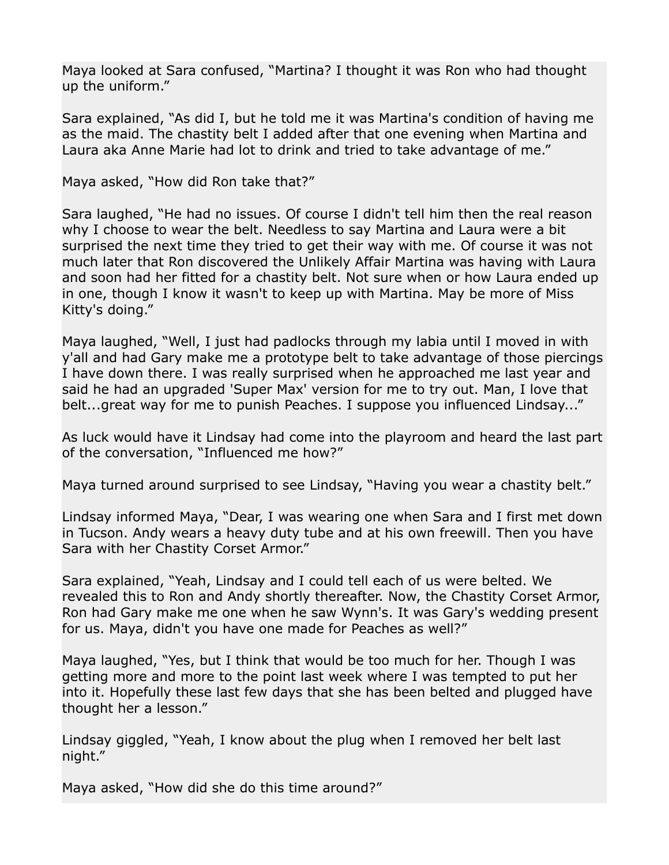Maya looked at Sara confused, "Martina? I thought it was Ron who had thought up the uniform."

Sara explained, "As did I, but he told me it was Martina's condition of having me as the maid. The chastity belt I added after that one evening when Martina and Laura aka Anne Marie had lot to drink and tried to take advantage of me."

Maya asked, "How did Ron take that?"

Sara laughed, "He had no issues. Of course I didn't tell him then the real reason why I choose to wear the belt. Needless to say Martina and Laura were a bit surprised the next time they tried to get their way with me. Of course it was not much later that Ron discovered the Unlikely Affair Martina was having with Laura and soon had her fitted for a chastity belt. Not sure when or how Laura ended up in one, though I know it wasn't to keep up with Martina. May be more of Miss Kitty's doing."

Maya laughed, "Well, I just had padlocks through my labia until I moved in with y'all and had Gary make me a prototype belt to take advantage of those piercings I have down there. I was really surprised when he approached me last year and said he had an upgraded 'Super Max' version for me to try out. Man, I love that belt...great way for me to punish Peaches. I suppose you influenced Lindsay..."

As luck would have it Lindsay had come into the playroom and heard the last part of the conversation, "Influenced me how?"

Maya turned around surprised to see Lindsay, "Having you wear a chastity belt."

Lindsay informed Maya, "Dear, I was wearing one when Sara and I first met down in Tucson. Andy wears a heavy duty tube and at his own freewill. Then you have Sara with her Chastity Corset Armor."

Sara explained, "Yeah, Lindsay and I could tell each of us were belted. We revealed this to Ron and Andy shortly thereafter. Now, the Chastity Corset Armor, Ron had Gary make me one when he saw Wynn's. It was Gary's wedding present for us. Maya, didn't you have one made for Peaches as well?"

Maya laughed, "Yes, but I think that would be too much for her. Though I was getting more and more to the point last week where I was tempted to put her into it. Hopefully these last few days that she has been belted and plugged have thought her a lesson."

Lindsay giggled, "Yeah, I know about the plug when I removed her belt last night."

Maya asked, "How did she do this time around?"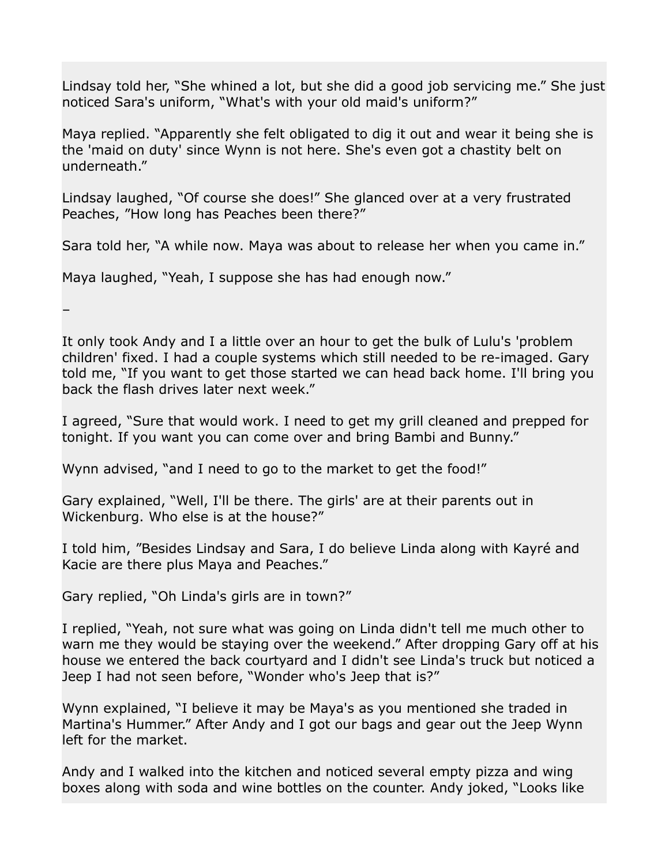Lindsay told her, "She whined a lot, but she did a good job servicing me." She just noticed Sara's uniform, "What's with your old maid's uniform?"

Maya replied. "Apparently she felt obligated to dig it out and wear it being she is the 'maid on duty' since Wynn is not here. She's even got a chastity belt on underneath."

Lindsay laughed, "Of course she does!" She glanced over at a very frustrated Peaches, "How long has Peaches been there?"

Sara told her, "A while now. Maya was about to release her when you came in."

Maya laughed, "Yeah, I suppose she has had enough now."

–

It only took Andy and I a little over an hour to get the bulk of Lulu's 'problem children' fixed. I had a couple systems which still needed to be re-imaged. Gary told me, "If you want to get those started we can head back home. I'll bring you back the flash drives later next week."

I agreed, "Sure that would work. I need to get my grill cleaned and prepped for tonight. If you want you can come over and bring Bambi and Bunny."

Wynn advised, "and I need to go to the market to get the food!"

Gary explained, "Well, I'll be there. The girls' are at their parents out in Wickenburg. Who else is at the house?"

I told him, "Besides Lindsay and Sara, I do believe Linda along with Kayré and Kacie are there plus Maya and Peaches."

Gary replied, "Oh Linda's girls are in town?"

I replied, "Yeah, not sure what was going on Linda didn't tell me much other to warn me they would be staying over the weekend." After dropping Gary off at his house we entered the back courtyard and I didn't see Linda's truck but noticed a Jeep I had not seen before, "Wonder who's Jeep that is?"

Wynn explained, "I believe it may be Maya's as you mentioned she traded in Martina's Hummer." After Andy and I got our bags and gear out the Jeep Wynn left for the market.

Andy and I walked into the kitchen and noticed several empty pizza and wing boxes along with soda and wine bottles on the counter. Andy joked, "Looks like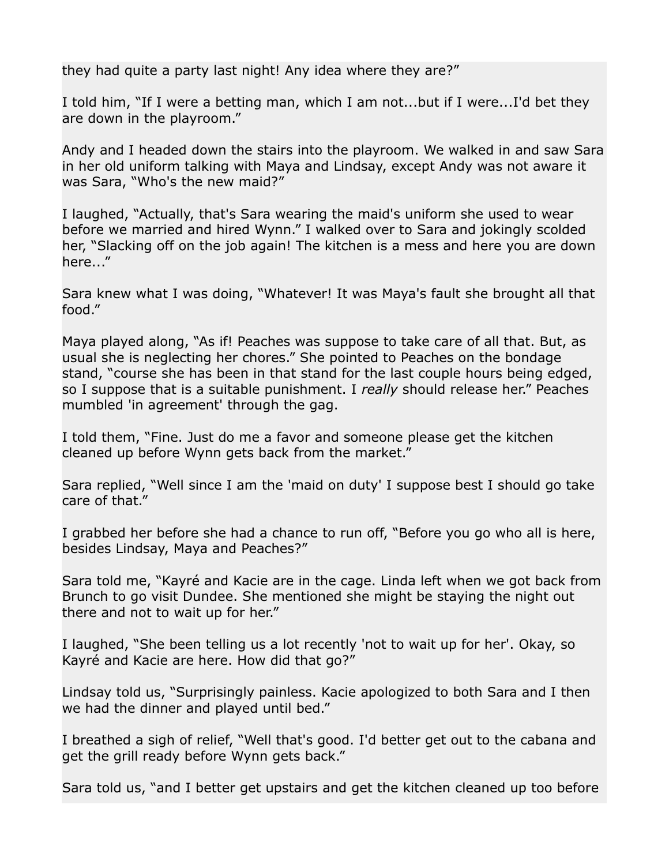they had quite a party last night! Any idea where they are?"

I told him, "If I were a betting man, which I am not...but if I were...I'd bet they are down in the playroom."

Andy and I headed down the stairs into the playroom. We walked in and saw Sara in her old uniform talking with Maya and Lindsay, except Andy was not aware it was Sara, "Who's the new maid?"

I laughed, "Actually, that's Sara wearing the maid's uniform she used to wear before we married and hired Wynn." I walked over to Sara and jokingly scolded her, "Slacking off on the job again! The kitchen is a mess and here you are down here..."

Sara knew what I was doing, "Whatever! It was Maya's fault she brought all that food."

Maya played along, "As if! Peaches was suppose to take care of all that. But, as usual she is neglecting her chores." She pointed to Peaches on the bondage stand, "course she has been in that stand for the last couple hours being edged, so I suppose that is a suitable punishment. I *really* should release her." Peaches mumbled 'in agreement' through the gag.

I told them, "Fine. Just do me a favor and someone please get the kitchen cleaned up before Wynn gets back from the market."

Sara replied, "Well since I am the 'maid on duty' I suppose best I should go take care of that."

I grabbed her before she had a chance to run off, "Before you go who all is here, besides Lindsay, Maya and Peaches?"

Sara told me, "Kayré and Kacie are in the cage. Linda left when we got back from Brunch to go visit Dundee. She mentioned she might be staying the night out there and not to wait up for her."

I laughed, "She been telling us a lot recently 'not to wait up for her'. Okay, so Kayré and Kacie are here. How did that go?"

Lindsay told us, "Surprisingly painless. Kacie apologized to both Sara and I then we had the dinner and played until bed."

I breathed a sigh of relief, "Well that's good. I'd better get out to the cabana and get the grill ready before Wynn gets back."

Sara told us, "and I better get upstairs and get the kitchen cleaned up too before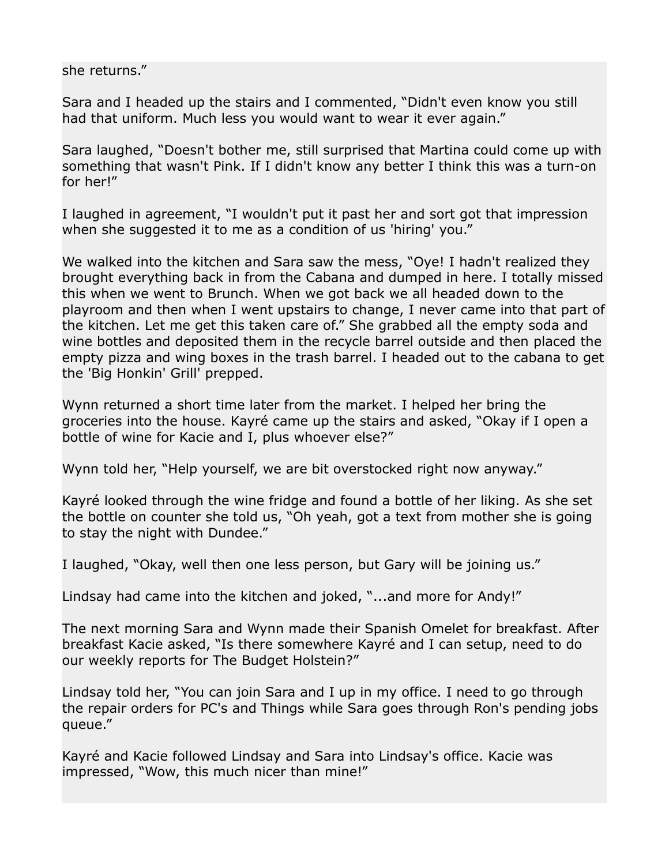she returns."

Sara and I headed up the stairs and I commented, "Didn't even know you still had that uniform. Much less you would want to wear it ever again."

Sara laughed, "Doesn't bother me, still surprised that Martina could come up with something that wasn't Pink. If I didn't know any better I think this was a turn-on for her!"

I laughed in agreement, "I wouldn't put it past her and sort got that impression when she suggested it to me as a condition of us 'hiring' you."

We walked into the kitchen and Sara saw the mess, "Oye! I hadn't realized they brought everything back in from the Cabana and dumped in here. I totally missed this when we went to Brunch. When we got back we all headed down to the playroom and then when I went upstairs to change, I never came into that part of the kitchen. Let me get this taken care of." She grabbed all the empty soda and wine bottles and deposited them in the recycle barrel outside and then placed the empty pizza and wing boxes in the trash barrel. I headed out to the cabana to get the 'Big Honkin' Grill' prepped.

Wynn returned a short time later from the market. I helped her bring the groceries into the house. Kayré came up the stairs and asked, "Okay if I open a bottle of wine for Kacie and I, plus whoever else?"

Wynn told her, "Help yourself, we are bit overstocked right now anyway."

Kayré looked through the wine fridge and found a bottle of her liking. As she set the bottle on counter she told us, "Oh yeah, got a text from mother she is going to stay the night with Dundee."

I laughed, "Okay, well then one less person, but Gary will be joining us."

Lindsay had came into the kitchen and joked, "...and more for Andy!"

The next morning Sara and Wynn made their Spanish Omelet for breakfast. After breakfast Kacie asked, "Is there somewhere Kayré and I can setup, need to do our weekly reports for The Budget Holstein?"

Lindsay told her, "You can join Sara and I up in my office. I need to go through the repair orders for PC's and Things while Sara goes through Ron's pending jobs queue."

Kayré and Kacie followed Lindsay and Sara into Lindsay's office. Kacie was impressed, "Wow, this much nicer than mine!"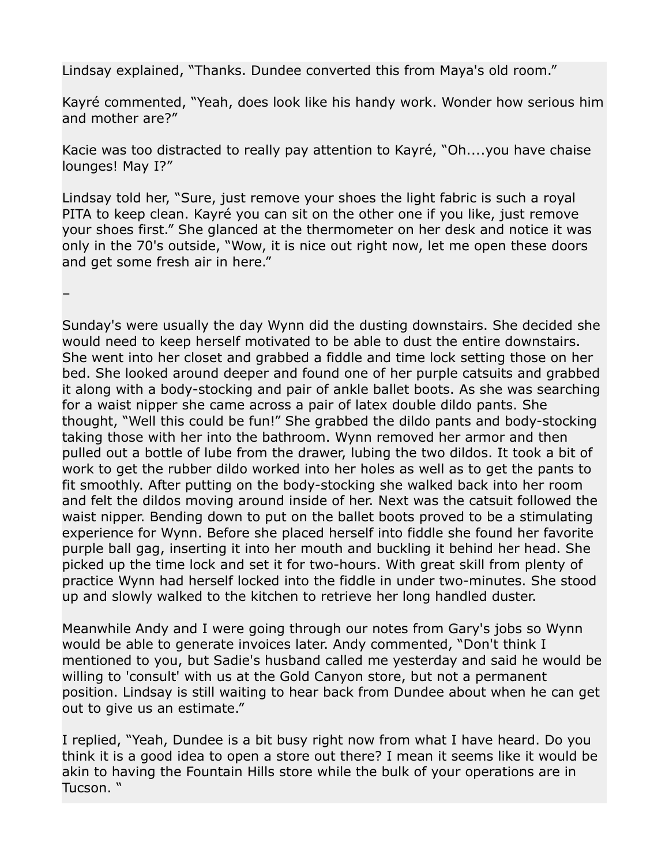Lindsay explained, "Thanks. Dundee converted this from Maya's old room."

Kayré commented, "Yeah, does look like his handy work. Wonder how serious him and mother are?"

Kacie was too distracted to really pay attention to Kayré, "Oh....you have chaise lounges! May I?"

Lindsay told her, "Sure, just remove your shoes the light fabric is such a royal PITA to keep clean. Kayré you can sit on the other one if you like, just remove your shoes first." She glanced at the thermometer on her desk and notice it was only in the 70's outside, "Wow, it is nice out right now, let me open these doors and get some fresh air in here."

–

Sunday's were usually the day Wynn did the dusting downstairs. She decided she would need to keep herself motivated to be able to dust the entire downstairs. She went into her closet and grabbed a fiddle and time lock setting those on her bed. She looked around deeper and found one of her purple catsuits and grabbed it along with a body-stocking and pair of ankle ballet boots. As she was searching for a waist nipper she came across a pair of latex double dildo pants. She thought, "Well this could be fun!" She grabbed the dildo pants and body-stocking taking those with her into the bathroom. Wynn removed her armor and then pulled out a bottle of lube from the drawer, lubing the two dildos. It took a bit of work to get the rubber dildo worked into her holes as well as to get the pants to fit smoothly. After putting on the body-stocking she walked back into her room and felt the dildos moving around inside of her. Next was the catsuit followed the waist nipper. Bending down to put on the ballet boots proved to be a stimulating experience for Wynn. Before she placed herself into fiddle she found her favorite purple ball gag, inserting it into her mouth and buckling it behind her head. She picked up the time lock and set it for two-hours. With great skill from plenty of practice Wynn had herself locked into the fiddle in under two-minutes. She stood up and slowly walked to the kitchen to retrieve her long handled duster.

Meanwhile Andy and I were going through our notes from Gary's jobs so Wynn would be able to generate invoices later. Andy commented, "Don't think I mentioned to you, but Sadie's husband called me yesterday and said he would be willing to 'consult' with us at the Gold Canyon store, but not a permanent position. Lindsay is still waiting to hear back from Dundee about when he can get out to give us an estimate."

I replied, "Yeah, Dundee is a bit busy right now from what I have heard. Do you think it is a good idea to open a store out there? I mean it seems like it would be akin to having the Fountain Hills store while the bulk of your operations are in Tucson. "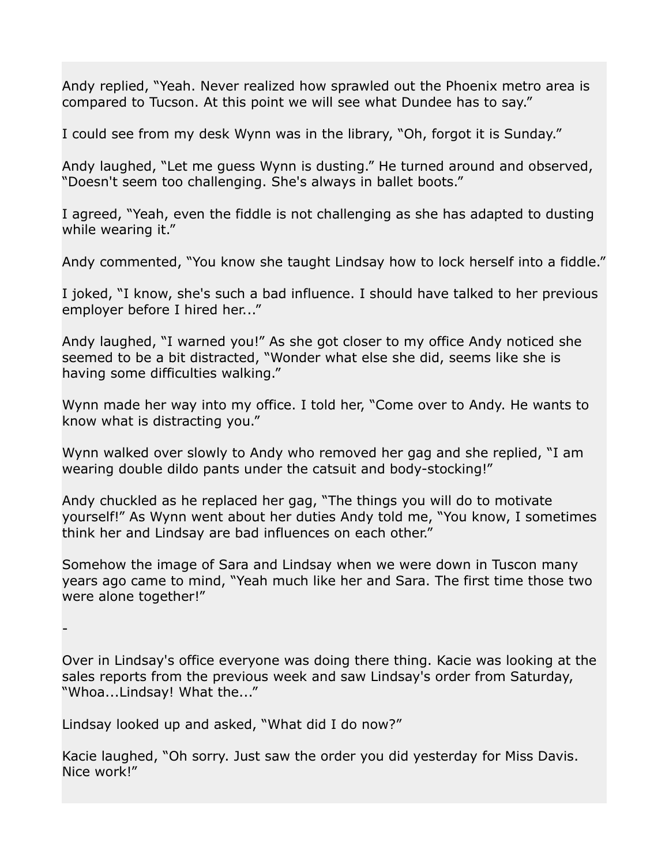Andy replied, "Yeah. Never realized how sprawled out the Phoenix metro area is compared to Tucson. At this point we will see what Dundee has to say."

I could see from my desk Wynn was in the library, "Oh, forgot it is Sunday."

Andy laughed, "Let me guess Wynn is dusting." He turned around and observed, "Doesn't seem too challenging. She's always in ballet boots."

I agreed, "Yeah, even the fiddle is not challenging as she has adapted to dusting while wearing it."

Andy commented, "You know she taught Lindsay how to lock herself into a fiddle."

I joked, "I know, she's such a bad influence. I should have talked to her previous employer before I hired her..."

Andy laughed, "I warned you!" As she got closer to my office Andy noticed she seemed to be a bit distracted, "Wonder what else she did, seems like she is having some difficulties walking."

Wynn made her way into my office. I told her, "Come over to Andy. He wants to know what is distracting you."

Wynn walked over slowly to Andy who removed her gag and she replied, "I am wearing double dildo pants under the catsuit and body-stocking!"

Andy chuckled as he replaced her gag, "The things you will do to motivate yourself!" As Wynn went about her duties Andy told me, "You know, I sometimes think her and Lindsay are bad influences on each other."

Somehow the image of Sara and Lindsay when we were down in Tuscon many years ago came to mind, "Yeah much like her and Sara. The first time those two were alone together!"

-

Over in Lindsay's office everyone was doing there thing. Kacie was looking at the sales reports from the previous week and saw Lindsay's order from Saturday, "Whoa...Lindsay! What the..."

Lindsay looked up and asked, "What did I do now?"

Kacie laughed, "Oh sorry. Just saw the order you did yesterday for Miss Davis. Nice work!"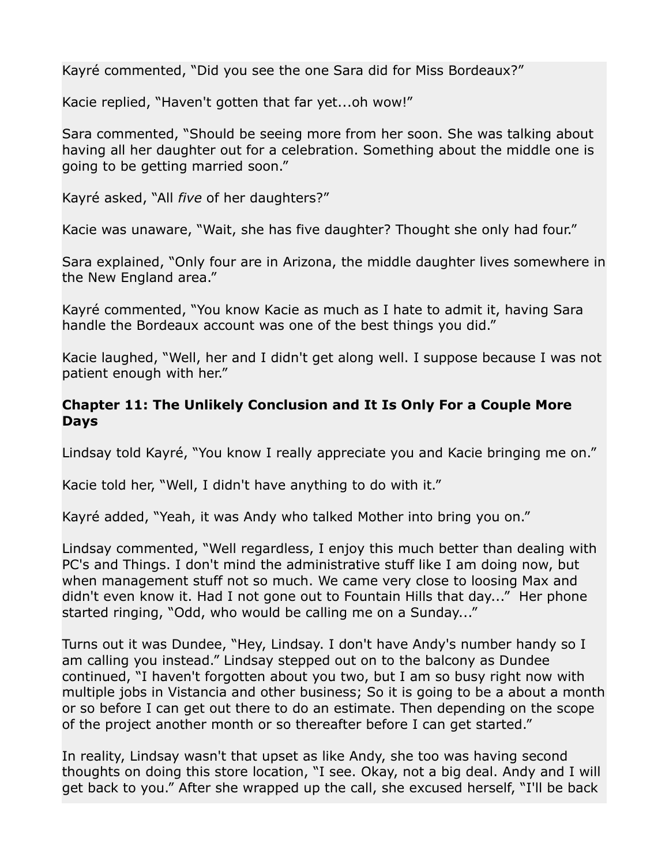Kayré commented, "Did you see the one Sara did for Miss Bordeaux?"

Kacie replied, "Haven't gotten that far yet...oh wow!"

Sara commented, "Should be seeing more from her soon. She was talking about having all her daughter out for a celebration. Something about the middle one is going to be getting married soon."

Kayré asked, "All *five* of her daughters?"

Kacie was unaware, "Wait, she has five daughter? Thought she only had four."

Sara explained, "Only four are in Arizona, the middle daughter lives somewhere in the New England area."

Kayré commented, "You know Kacie as much as I hate to admit it, having Sara handle the Bordeaux account was one of the best things you did."

Kacie laughed, "Well, her and I didn't get along well. I suppose because I was not patient enough with her."

## **Chapter 11: The Unlikely Conclusion and It Is Only For a Couple More Days**

Lindsay told Kayré, "You know I really appreciate you and Kacie bringing me on."

Kacie told her, "Well, I didn't have anything to do with it."

Kayré added, "Yeah, it was Andy who talked Mother into bring you on."

Lindsay commented, "Well regardless, I enjoy this much better than dealing with PC's and Things. I don't mind the administrative stuff like I am doing now, but when management stuff not so much. We came very close to loosing Max and didn't even know it. Had I not gone out to Fountain Hills that day..." Her phone started ringing, "Odd, who would be calling me on a Sunday..."

Turns out it was Dundee, "Hey, Lindsay. I don't have Andy's number handy so I am calling you instead." Lindsay stepped out on to the balcony as Dundee continued, "I haven't forgotten about you two, but I am so busy right now with multiple jobs in Vistancia and other business; So it is going to be a about a month or so before I can get out there to do an estimate. Then depending on the scope of the project another month or so thereafter before I can get started."

In reality, Lindsay wasn't that upset as like Andy, she too was having second thoughts on doing this store location, "I see. Okay, not a big deal. Andy and I will get back to you." After she wrapped up the call, she excused herself, "I'll be back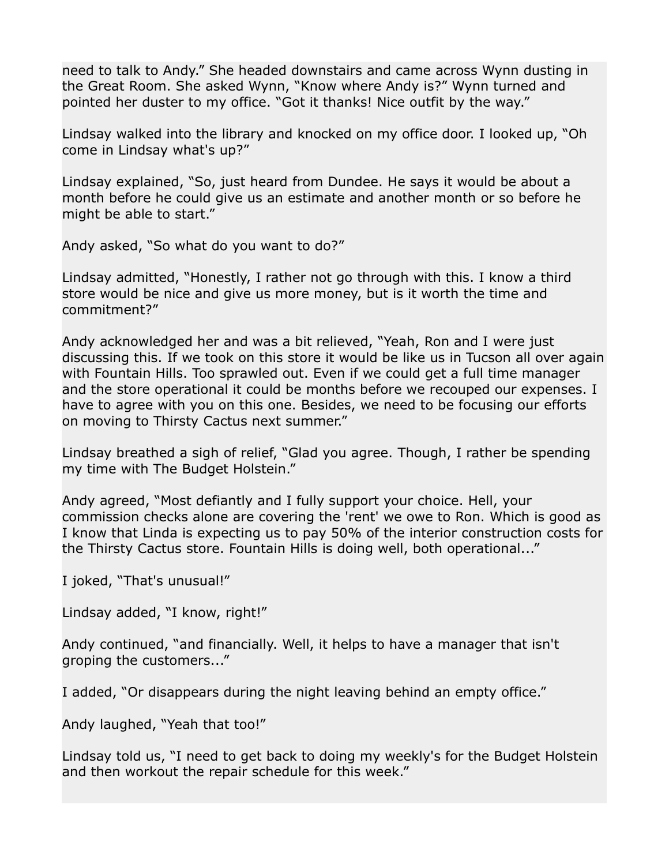need to talk to Andy." She headed downstairs and came across Wynn dusting in the Great Room. She asked Wynn, "Know where Andy is?" Wynn turned and pointed her duster to my office. "Got it thanks! Nice outfit by the way."

Lindsay walked into the library and knocked on my office door. I looked up, "Oh come in Lindsay what's up?"

Lindsay explained, "So, just heard from Dundee. He says it would be about a month before he could give us an estimate and another month or so before he might be able to start."

Andy asked, "So what do you want to do?"

Lindsay admitted, "Honestly, I rather not go through with this. I know a third store would be nice and give us more money, but is it worth the time and commitment?"

Andy acknowledged her and was a bit relieved, "Yeah, Ron and I were just discussing this. If we took on this store it would be like us in Tucson all over again with Fountain Hills. Too sprawled out. Even if we could get a full time manager and the store operational it could be months before we recouped our expenses. I have to agree with you on this one. Besides, we need to be focusing our efforts on moving to Thirsty Cactus next summer."

Lindsay breathed a sigh of relief, "Glad you agree. Though, I rather be spending my time with The Budget Holstein."

Andy agreed, "Most defiantly and I fully support your choice. Hell, your commission checks alone are covering the 'rent' we owe to Ron. Which is good as I know that Linda is expecting us to pay 50% of the interior construction costs for the Thirsty Cactus store. Fountain Hills is doing well, both operational..."

I joked, "That's unusual!"

Lindsay added, "I know, right!"

Andy continued, "and financially. Well, it helps to have a manager that isn't groping the customers..."

I added, "Or disappears during the night leaving behind an empty office."

Andy laughed, "Yeah that too!"

Lindsay told us, "I need to get back to doing my weekly's for the Budget Holstein and then workout the repair schedule for this week."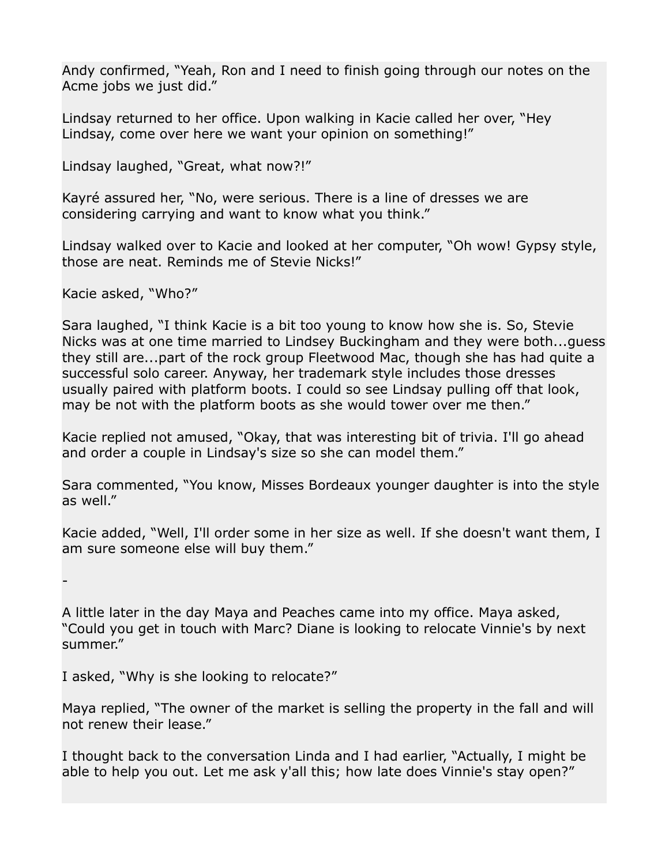Andy confirmed, "Yeah, Ron and I need to finish going through our notes on the Acme jobs we just did."

Lindsay returned to her office. Upon walking in Kacie called her over, "Hey Lindsay, come over here we want your opinion on something!"

Lindsay laughed, "Great, what now?!"

Kayré assured her, "No, were serious. There is a line of dresses we are considering carrying and want to know what you think."

Lindsay walked over to Kacie and looked at her computer, "Oh wow! Gypsy style, those are neat. Reminds me of Stevie Nicks!"

Kacie asked, "Who?"

Sara laughed, "I think Kacie is a bit too young to know how she is. So, Stevie Nicks was at one time married to Lindsey Buckingham and they were both...guess they still are...part of the rock group Fleetwood Mac, though she has had quite a successful solo career. Anyway, her trademark style includes those dresses usually paired with platform boots. I could so see Lindsay pulling off that look, may be not with the platform boots as she would tower over me then."

Kacie replied not amused, "Okay, that was interesting bit of trivia. I'll go ahead and order a couple in Lindsay's size so she can model them."

Sara commented, "You know, Misses Bordeaux younger daughter is into the style as well."

Kacie added, "Well, I'll order some in her size as well. If she doesn't want them, I am sure someone else will buy them."

-

A little later in the day Maya and Peaches came into my office. Maya asked, "Could you get in touch with Marc? Diane is looking to relocate Vinnie's by next summer."

I asked, "Why is she looking to relocate?"

Maya replied, "The owner of the market is selling the property in the fall and will not renew their lease."

I thought back to the conversation Linda and I had earlier, "Actually, I might be able to help you out. Let me ask y'all this; how late does Vinnie's stay open?"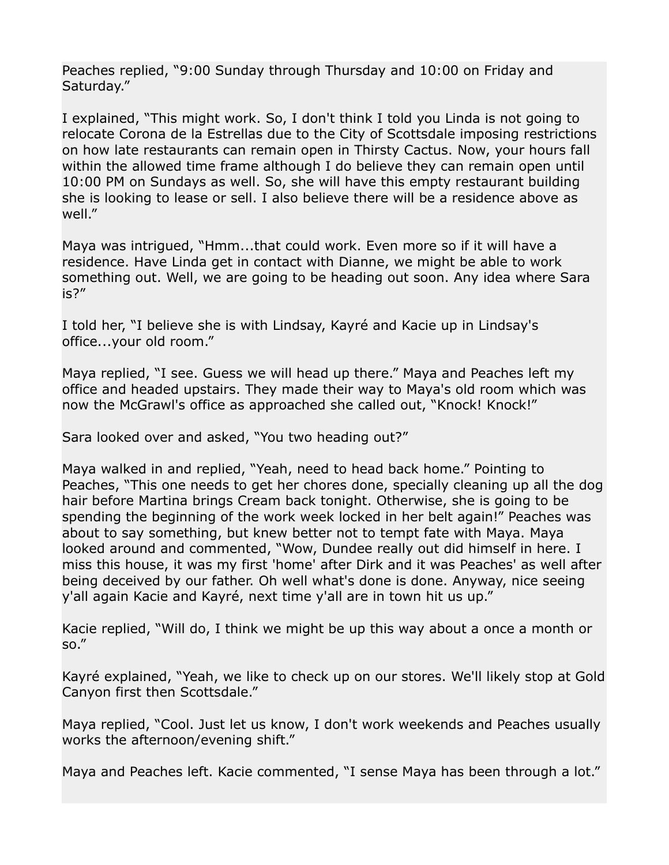Peaches replied, "9:00 Sunday through Thursday and 10:00 on Friday and Saturday."

I explained, "This might work. So, I don't think I told you Linda is not going to relocate Corona de la Estrellas due to the City of Scottsdale imposing restrictions on how late restaurants can remain open in Thirsty Cactus. Now, your hours fall within the allowed time frame although I do believe they can remain open until 10:00 PM on Sundays as well. So, she will have this empty restaurant building she is looking to lease or sell. I also believe there will be a residence above as well."

Maya was intrigued, "Hmm...that could work. Even more so if it will have a residence. Have Linda get in contact with Dianne, we might be able to work something out. Well, we are going to be heading out soon. Any idea where Sara is?"

I told her, "I believe she is with Lindsay, Kayré and Kacie up in Lindsay's office...your old room."

Maya replied, "I see. Guess we will head up there." Maya and Peaches left my office and headed upstairs. They made their way to Maya's old room which was now the McGrawl's office as approached she called out, "Knock! Knock!"

Sara looked over and asked, "You two heading out?"

Maya walked in and replied, "Yeah, need to head back home." Pointing to Peaches, "This one needs to get her chores done, specially cleaning up all the dog hair before Martina brings Cream back tonight. Otherwise, she is going to be spending the beginning of the work week locked in her belt again!" Peaches was about to say something, but knew better not to tempt fate with Maya. Maya looked around and commented, "Wow, Dundee really out did himself in here. I miss this house, it was my first 'home' after Dirk and it was Peaches' as well after being deceived by our father. Oh well what's done is done. Anyway, nice seeing y'all again Kacie and Kayré, next time y'all are in town hit us up."

Kacie replied, "Will do, I think we might be up this way about a once a month or so."

Kayré explained, "Yeah, we like to check up on our stores. We'll likely stop at Gold Canyon first then Scottsdale."

Maya replied, "Cool. Just let us know, I don't work weekends and Peaches usually works the afternoon/evening shift."

Maya and Peaches left. Kacie commented, "I sense Maya has been through a lot."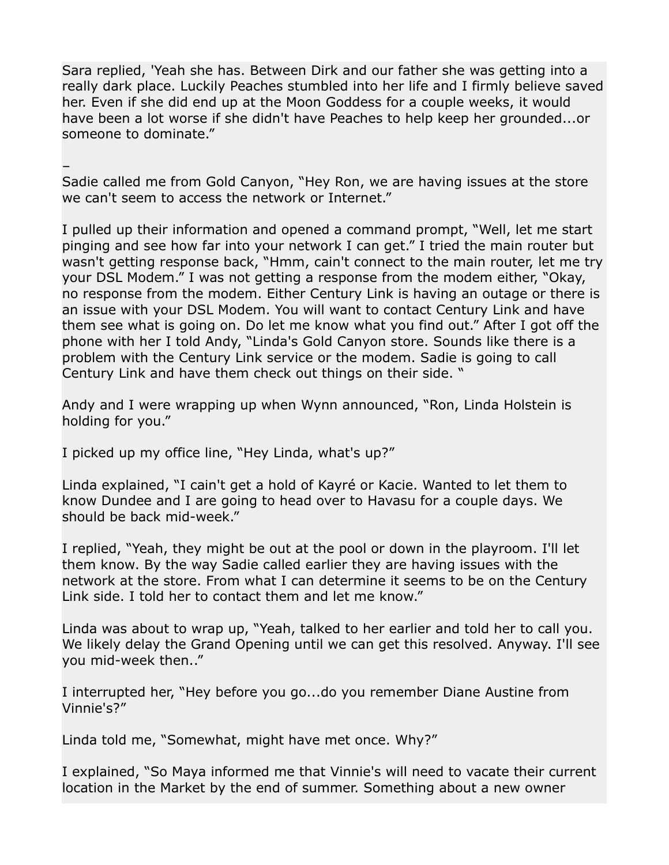Sara replied, 'Yeah she has. Between Dirk and our father she was getting into a really dark place. Luckily Peaches stumbled into her life and I firmly believe saved her. Even if she did end up at the Moon Goddess for a couple weeks, it would have been a lot worse if she didn't have Peaches to help keep her grounded...or someone to dominate."

–

Sadie called me from Gold Canyon, "Hey Ron, we are having issues at the store we can't seem to access the network or Internet."

I pulled up their information and opened a command prompt, "Well, let me start pinging and see how far into your network I can get." I tried the main router but wasn't getting response back, "Hmm, cain't connect to the main router, let me try your DSL Modem." I was not getting a response from the modem either, "Okay, no response from the modem. Either Century Link is having an outage or there is an issue with your DSL Modem. You will want to contact Century Link and have them see what is going on. Do let me know what you find out." After I got off the phone with her I told Andy, "Linda's Gold Canyon store. Sounds like there is a problem with the Century Link service or the modem. Sadie is going to call Century Link and have them check out things on their side. "

Andy and I were wrapping up when Wynn announced, "Ron, Linda Holstein is holding for you."

I picked up my office line, "Hey Linda, what's up?"

Linda explained, "I cain't get a hold of Kayré or Kacie. Wanted to let them to know Dundee and I are going to head over to Havasu for a couple days. We should be back mid-week."

I replied, "Yeah, they might be out at the pool or down in the playroom. I'll let them know. By the way Sadie called earlier they are having issues with the network at the store. From what I can determine it seems to be on the Century Link side. I told her to contact them and let me know."

Linda was about to wrap up, "Yeah, talked to her earlier and told her to call you. We likely delay the Grand Opening until we can get this resolved. Anyway. I'll see you mid-week then.."

I interrupted her, "Hey before you go...do you remember Diane Austine from Vinnie's?"

Linda told me, "Somewhat, might have met once. Why?"

I explained, "So Maya informed me that Vinnie's will need to vacate their current location in the Market by the end of summer. Something about a new owner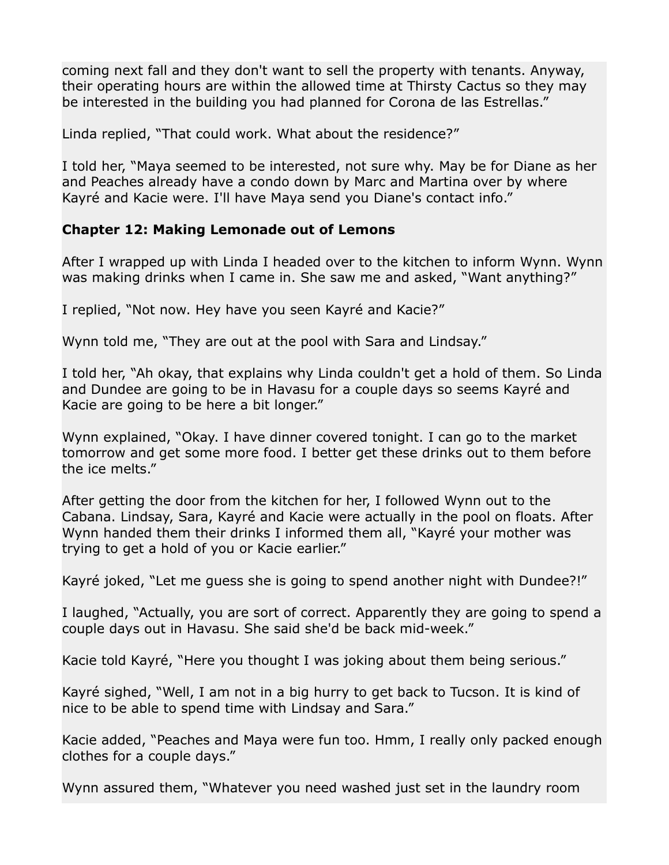coming next fall and they don't want to sell the property with tenants. Anyway, their operating hours are within the allowed time at Thirsty Cactus so they may be interested in the building you had planned for Corona de las Estrellas."

Linda replied, "That could work. What about the residence?"

I told her, "Maya seemed to be interested, not sure why. May be for Diane as her and Peaches already have a condo down by Marc and Martina over by where Kayré and Kacie were. I'll have Maya send you Diane's contact info."

## **Chapter 12: Making Lemonade out of Lemons**

After I wrapped up with Linda I headed over to the kitchen to inform Wynn. Wynn was making drinks when I came in. She saw me and asked, "Want anything?"

I replied, "Not now. Hey have you seen Kayré and Kacie?"

Wynn told me, "They are out at the pool with Sara and Lindsay."

I told her, "Ah okay, that explains why Linda couldn't get a hold of them. So Linda and Dundee are going to be in Havasu for a couple days so seems Kayré and Kacie are going to be here a bit longer."

Wynn explained, "Okay. I have dinner covered tonight. I can go to the market tomorrow and get some more food. I better get these drinks out to them before the ice melts."

After getting the door from the kitchen for her, I followed Wynn out to the Cabana. Lindsay, Sara, Kayré and Kacie were actually in the pool on floats. After Wynn handed them their drinks I informed them all, "Kayré your mother was trying to get a hold of you or Kacie earlier."

Kayré joked, "Let me guess she is going to spend another night with Dundee?!"

I laughed, "Actually, you are sort of correct. Apparently they are going to spend a couple days out in Havasu. She said she'd be back mid-week."

Kacie told Kayré, "Here you thought I was joking about them being serious."

Kayré sighed, "Well, I am not in a big hurry to get back to Tucson. It is kind of nice to be able to spend time with Lindsay and Sara."

Kacie added, "Peaches and Maya were fun too. Hmm, I really only packed enough clothes for a couple days."

Wynn assured them, "Whatever you need washed just set in the laundry room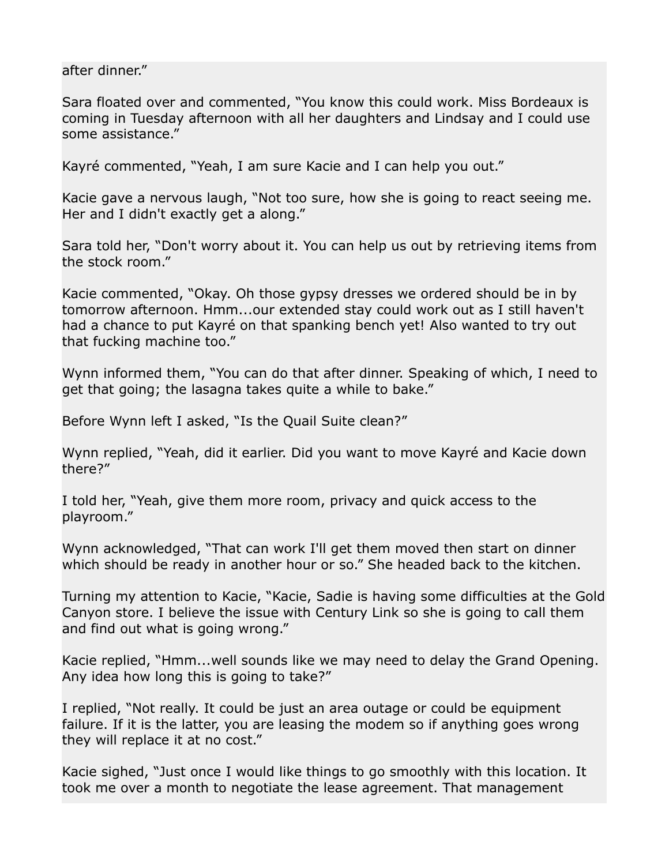after dinner."

Sara floated over and commented, "You know this could work. Miss Bordeaux is coming in Tuesday afternoon with all her daughters and Lindsay and I could use some assistance."

Kayré commented, "Yeah, I am sure Kacie and I can help you out."

Kacie gave a nervous laugh, "Not too sure, how she is going to react seeing me. Her and I didn't exactly get a along."

Sara told her, "Don't worry about it. You can help us out by retrieving items from the stock room."

Kacie commented, "Okay. Oh those gypsy dresses we ordered should be in by tomorrow afternoon. Hmm...our extended stay could work out as I still haven't had a chance to put Kayré on that spanking bench yet! Also wanted to try out that fucking machine too."

Wynn informed them, "You can do that after dinner. Speaking of which, I need to get that going; the lasagna takes quite a while to bake."

Before Wynn left I asked, "Is the Quail Suite clean?"

Wynn replied, "Yeah, did it earlier. Did you want to move Kayré and Kacie down there?"

I told her, "Yeah, give them more room, privacy and quick access to the playroom."

Wynn acknowledged, "That can work I'll get them moved then start on dinner which should be ready in another hour or so." She headed back to the kitchen.

Turning my attention to Kacie, "Kacie, Sadie is having some difficulties at the Gold Canyon store. I believe the issue with Century Link so she is going to call them and find out what is going wrong."

Kacie replied, "Hmm...well sounds like we may need to delay the Grand Opening. Any idea how long this is going to take?"

I replied, "Not really. It could be just an area outage or could be equipment failure. If it is the latter, you are leasing the modem so if anything goes wrong they will replace it at no cost."

Kacie sighed, "Just once I would like things to go smoothly with this location. It took me over a month to negotiate the lease agreement. That management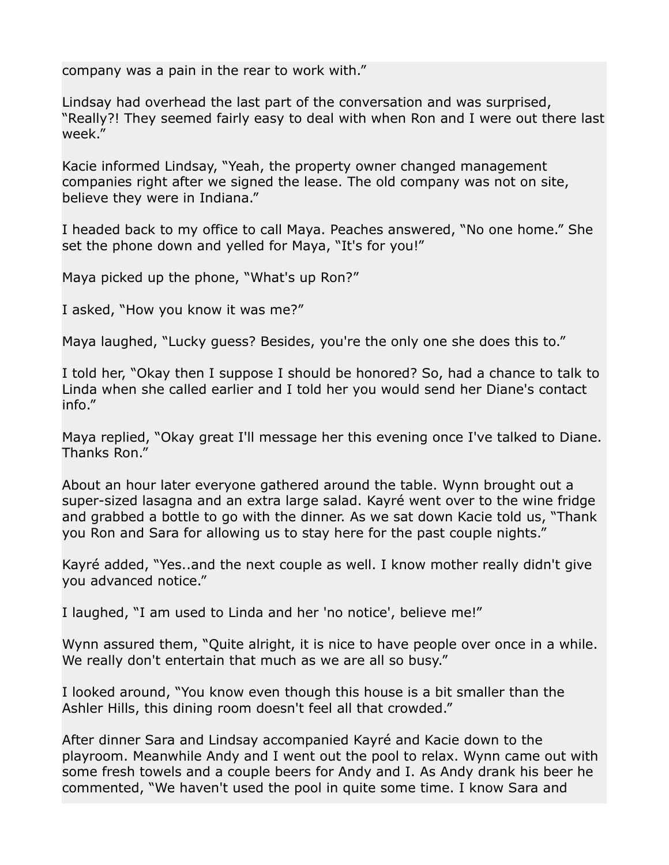company was a pain in the rear to work with."

Lindsay had overhead the last part of the conversation and was surprised, "Really?! They seemed fairly easy to deal with when Ron and I were out there last week."

Kacie informed Lindsay, "Yeah, the property owner changed management companies right after we signed the lease. The old company was not on site, believe they were in Indiana."

I headed back to my office to call Maya. Peaches answered, "No one home." She set the phone down and yelled for Maya, "It's for you!"

Maya picked up the phone, "What's up Ron?"

I asked, "How you know it was me?"

Maya laughed, "Lucky guess? Besides, you're the only one she does this to."

I told her, "Okay then I suppose I should be honored? So, had a chance to talk to Linda when she called earlier and I told her you would send her Diane's contact info."

Maya replied, "Okay great I'll message her this evening once I've talked to Diane. Thanks Ron."

About an hour later everyone gathered around the table. Wynn brought out a super-sized lasagna and an extra large salad. Kayré went over to the wine fridge and grabbed a bottle to go with the dinner. As we sat down Kacie told us, "Thank you Ron and Sara for allowing us to stay here for the past couple nights."

Kayré added, "Yes..and the next couple as well. I know mother really didn't give you advanced notice."

I laughed, "I am used to Linda and her 'no notice', believe me!"

Wynn assured them, "Quite alright, it is nice to have people over once in a while. We really don't entertain that much as we are all so busy."

I looked around, "You know even though this house is a bit smaller than the Ashler Hills, this dining room doesn't feel all that crowded."

After dinner Sara and Lindsay accompanied Kayré and Kacie down to the playroom. Meanwhile Andy and I went out the pool to relax. Wynn came out with some fresh towels and a couple beers for Andy and I. As Andy drank his beer he commented, "We haven't used the pool in quite some time. I know Sara and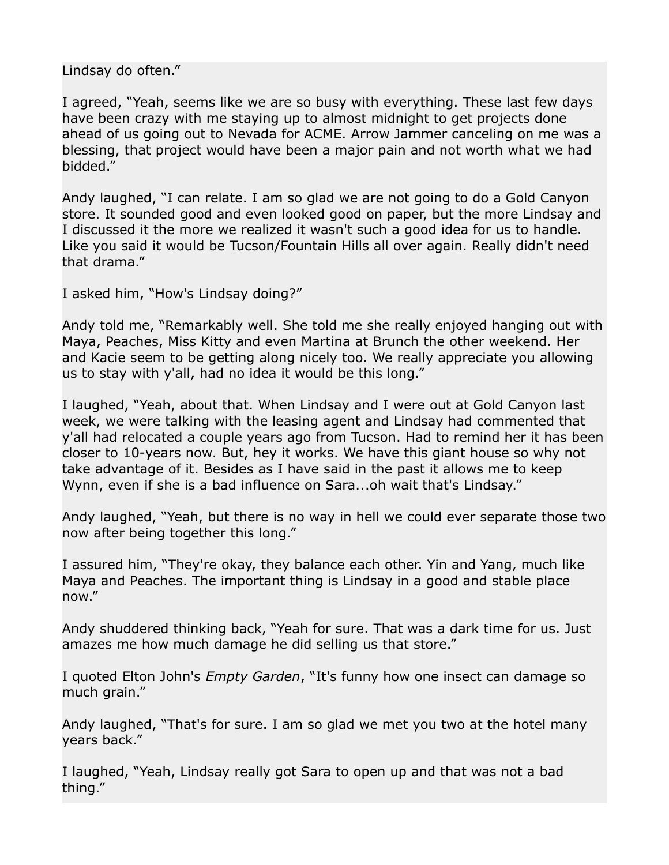Lindsay do often."

I agreed, "Yeah, seems like we are so busy with everything. These last few days have been crazy with me staying up to almost midnight to get projects done ahead of us going out to Nevada for ACME. Arrow Jammer canceling on me was a blessing, that project would have been a major pain and not worth what we had bidded."

Andy laughed, "I can relate. I am so glad we are not going to do a Gold Canyon store. It sounded good and even looked good on paper, but the more Lindsay and I discussed it the more we realized it wasn't such a good idea for us to handle. Like you said it would be Tucson/Fountain Hills all over again. Really didn't need that drama."

I asked him, "How's Lindsay doing?"

Andy told me, "Remarkably well. She told me she really enjoyed hanging out with Maya, Peaches, Miss Kitty and even Martina at Brunch the other weekend. Her and Kacie seem to be getting along nicely too. We really appreciate you allowing us to stay with y'all, had no idea it would be this long."

I laughed, "Yeah, about that. When Lindsay and I were out at Gold Canyon last week, we were talking with the leasing agent and Lindsay had commented that y'all had relocated a couple years ago from Tucson. Had to remind her it has been closer to 10-years now. But, hey it works. We have this giant house so why not take advantage of it. Besides as I have said in the past it allows me to keep Wynn, even if she is a bad influence on Sara...oh wait that's Lindsay."

Andy laughed, "Yeah, but there is no way in hell we could ever separate those two now after being together this long."

I assured him, "They're okay, they balance each other. Yin and Yang, much like Maya and Peaches. The important thing is Lindsay in a good and stable place now."

Andy shuddered thinking back, "Yeah for sure. That was a dark time for us. Just amazes me how much damage he did selling us that store."

I quoted Elton John's *Empty Garden*, "It's funny how one insect can damage so much grain."

Andy laughed, "That's for sure. I am so glad we met you two at the hotel many years back."

I laughed, "Yeah, Lindsay really got Sara to open up and that was not a bad thing."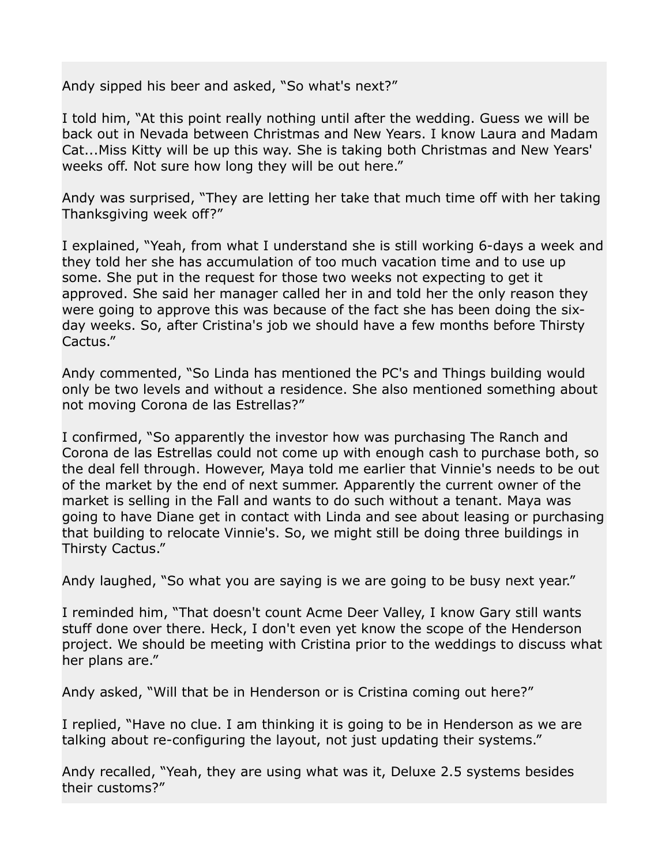Andy sipped his beer and asked, "So what's next?"

I told him, "At this point really nothing until after the wedding. Guess we will be back out in Nevada between Christmas and New Years. I know Laura and Madam Cat...Miss Kitty will be up this way. She is taking both Christmas and New Years' weeks off. Not sure how long they will be out here."

Andy was surprised, "They are letting her take that much time off with her taking Thanksgiving week off?"

I explained, "Yeah, from what I understand she is still working 6-days a week and they told her she has accumulation of too much vacation time and to use up some. She put in the request for those two weeks not expecting to get it approved. She said her manager called her in and told her the only reason they were going to approve this was because of the fact she has been doing the sixday weeks. So, after Cristina's job we should have a few months before Thirsty Cactus."

Andy commented, "So Linda has mentioned the PC's and Things building would only be two levels and without a residence. She also mentioned something about not moving Corona de las Estrellas?"

I confirmed, "So apparently the investor how was purchasing The Ranch and Corona de las Estrellas could not come up with enough cash to purchase both, so the deal fell through. However, Maya told me earlier that Vinnie's needs to be out of the market by the end of next summer. Apparently the current owner of the market is selling in the Fall and wants to do such without a tenant. Maya was going to have Diane get in contact with Linda and see about leasing or purchasing that building to relocate Vinnie's. So, we might still be doing three buildings in Thirsty Cactus."

Andy laughed, "So what you are saying is we are going to be busy next year."

I reminded him, "That doesn't count Acme Deer Valley, I know Gary still wants stuff done over there. Heck, I don't even yet know the scope of the Henderson project. We should be meeting with Cristina prior to the weddings to discuss what her plans are."

Andy asked, "Will that be in Henderson or is Cristina coming out here?"

I replied, "Have no clue. I am thinking it is going to be in Henderson as we are talking about re-configuring the layout, not just updating their systems."

Andy recalled, "Yeah, they are using what was it, Deluxe 2.5 systems besides their customs?"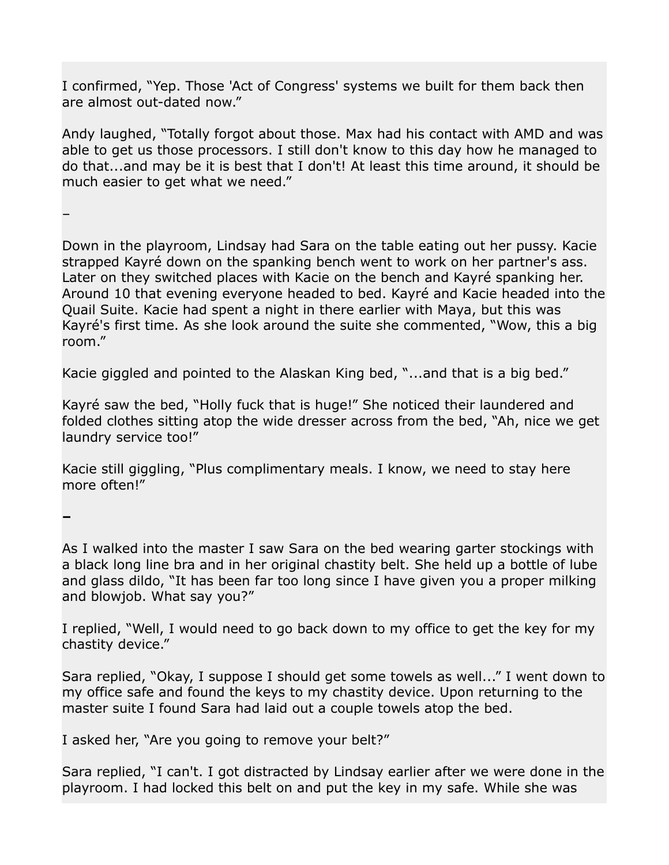I confirmed, "Yep. Those 'Act of Congress' systems we built for them back then are almost out-dated now."

Andy laughed, "Totally forgot about those. Max had his contact with AMD and was able to get us those processors. I still don't know to this day how he managed to do that...and may be it is best that I don't! At least this time around, it should be much easier to get what we need."

–

Down in the playroom, Lindsay had Sara on the table eating out her pussy. Kacie strapped Kayré down on the spanking bench went to work on her partner's ass. Later on they switched places with Kacie on the bench and Kayré spanking her. Around 10 that evening everyone headed to bed. Kayré and Kacie headed into the Quail Suite. Kacie had spent a night in there earlier with Maya, but this was Kayré's first time. As she look around the suite she commented, "Wow, this a big room."

Kacie giggled and pointed to the Alaskan King bed, "...and that is a big bed."

Kayré saw the bed, "Holly fuck that is huge!" She noticed their laundered and folded clothes sitting atop the wide dresser across from the bed, "Ah, nice we get laundry service too!"

Kacie still giggling, "Plus complimentary meals. I know, we need to stay here more often!"

**–**

As I walked into the master I saw Sara on the bed wearing garter stockings with a black long line bra and in her original chastity belt. She held up a bottle of lube and glass dildo, "It has been far too long since I have given you a proper milking and blowjob. What say you?"

I replied, "Well, I would need to go back down to my office to get the key for my chastity device."

Sara replied, "Okay, I suppose I should get some towels as well..." I went down to my office safe and found the keys to my chastity device. Upon returning to the master suite I found Sara had laid out a couple towels atop the bed.

I asked her, "Are you going to remove your belt?"

Sara replied, "I can't. I got distracted by Lindsay earlier after we were done in the playroom. I had locked this belt on and put the key in my safe. While she was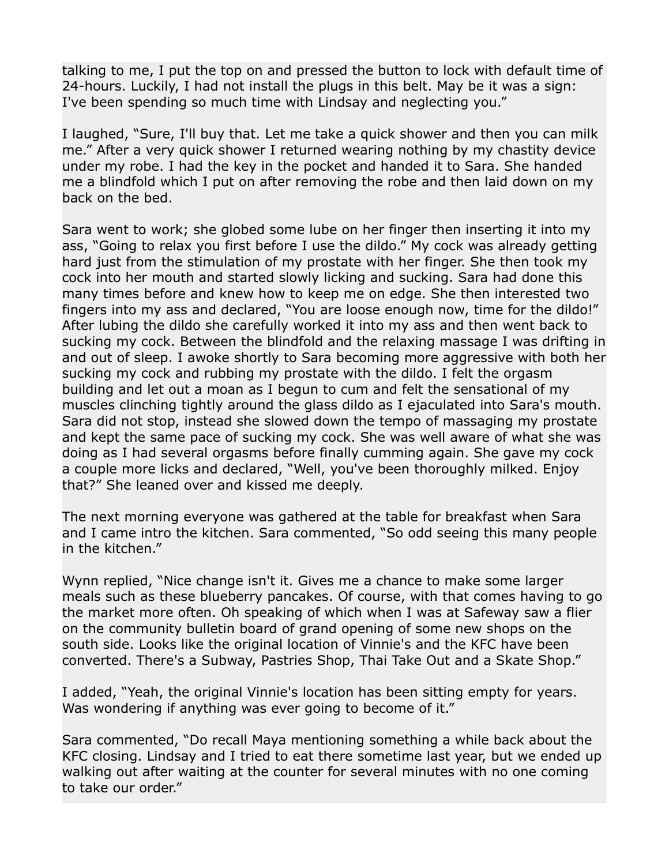talking to me, I put the top on and pressed the button to lock with default time of 24-hours. Luckily, I had not install the plugs in this belt. May be it was a sign: I've been spending so much time with Lindsay and neglecting you."

I laughed, "Sure, I'll buy that. Let me take a quick shower and then you can milk me." After a very quick shower I returned wearing nothing by my chastity device under my robe. I had the key in the pocket and handed it to Sara. She handed me a blindfold which I put on after removing the robe and then laid down on my back on the bed.

Sara went to work; she globed some lube on her finger then inserting it into my ass, "Going to relax you first before I use the dildo." My cock was already getting hard just from the stimulation of my prostate with her finger. She then took my cock into her mouth and started slowly licking and sucking. Sara had done this many times before and knew how to keep me on edge. She then interested two fingers into my ass and declared, "You are loose enough now, time for the dildo!" After lubing the dildo she carefully worked it into my ass and then went back to sucking my cock. Between the blindfold and the relaxing massage I was drifting in and out of sleep. I awoke shortly to Sara becoming more aggressive with both her sucking my cock and rubbing my prostate with the dildo. I felt the orgasm building and let out a moan as I begun to cum and felt the sensational of my muscles clinching tightly around the glass dildo as I ejaculated into Sara's mouth. Sara did not stop, instead she slowed down the tempo of massaging my prostate and kept the same pace of sucking my cock. She was well aware of what she was doing as I had several orgasms before finally cumming again. She gave my cock a couple more licks and declared, "Well, you've been thoroughly milked. Enjoy that?" She leaned over and kissed me deeply.

The next morning everyone was gathered at the table for breakfast when Sara and I came intro the kitchen. Sara commented, "So odd seeing this many people in the kitchen."

Wynn replied, "Nice change isn't it. Gives me a chance to make some larger meals such as these blueberry pancakes. Of course, with that comes having to go the market more often. Oh speaking of which when I was at Safeway saw a flier on the community bulletin board of grand opening of some new shops on the south side. Looks like the original location of Vinnie's and the KFC have been converted. There's a Subway, Pastries Shop, Thai Take Out and a Skate Shop."

I added, "Yeah, the original Vinnie's location has been sitting empty for years. Was wondering if anything was ever going to become of it."

Sara commented, "Do recall Maya mentioning something a while back about the KFC closing. Lindsay and I tried to eat there sometime last year, but we ended up walking out after waiting at the counter for several minutes with no one coming to take our order."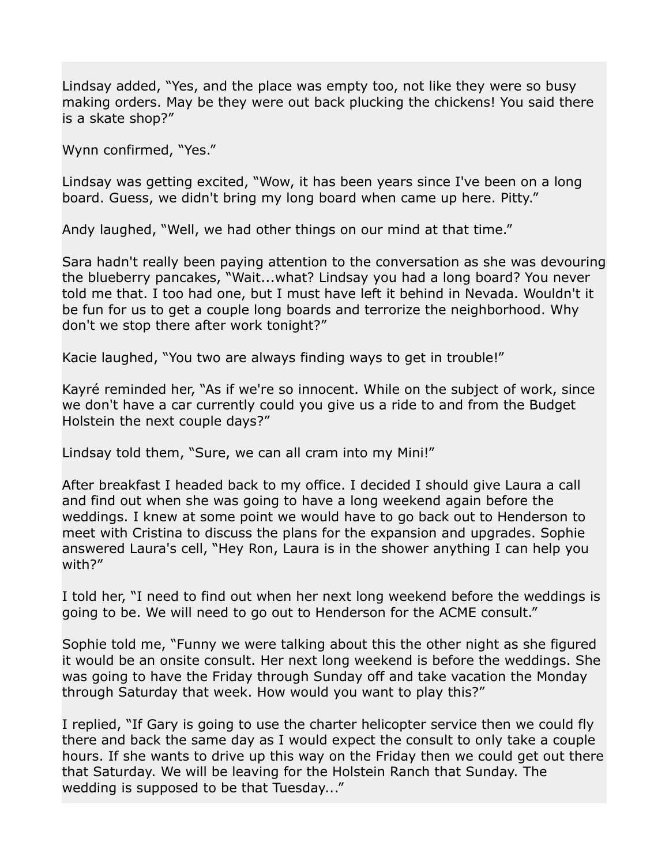Lindsay added, "Yes, and the place was empty too, not like they were so busy making orders. May be they were out back plucking the chickens! You said there is a skate shop?"

Wynn confirmed, "Yes."

Lindsay was getting excited, "Wow, it has been years since I've been on a long board. Guess, we didn't bring my long board when came up here. Pitty."

Andy laughed, "Well, we had other things on our mind at that time."

Sara hadn't really been paying attention to the conversation as she was devouring the blueberry pancakes, "Wait...what? Lindsay you had a long board? You never told me that. I too had one, but I must have left it behind in Nevada. Wouldn't it be fun for us to get a couple long boards and terrorize the neighborhood. Why don't we stop there after work tonight?"

Kacie laughed, "You two are always finding ways to get in trouble!"

Kayré reminded her, "As if we're so innocent. While on the subject of work, since we don't have a car currently could you give us a ride to and from the Budget Holstein the next couple days?"

Lindsay told them, "Sure, we can all cram into my Mini!"

After breakfast I headed back to my office. I decided I should give Laura a call and find out when she was going to have a long weekend again before the weddings. I knew at some point we would have to go back out to Henderson to meet with Cristina to discuss the plans for the expansion and upgrades. Sophie answered Laura's cell, "Hey Ron, Laura is in the shower anything I can help you with?"

I told her, "I need to find out when her next long weekend before the weddings is going to be. We will need to go out to Henderson for the ACME consult."

Sophie told me, "Funny we were talking about this the other night as she figured it would be an onsite consult. Her next long weekend is before the weddings. She was going to have the Friday through Sunday off and take vacation the Monday through Saturday that week. How would you want to play this?"

I replied, "If Gary is going to use the charter helicopter service then we could fly there and back the same day as I would expect the consult to only take a couple hours. If she wants to drive up this way on the Friday then we could get out there that Saturday. We will be leaving for the Holstein Ranch that Sunday. The wedding is supposed to be that Tuesday..."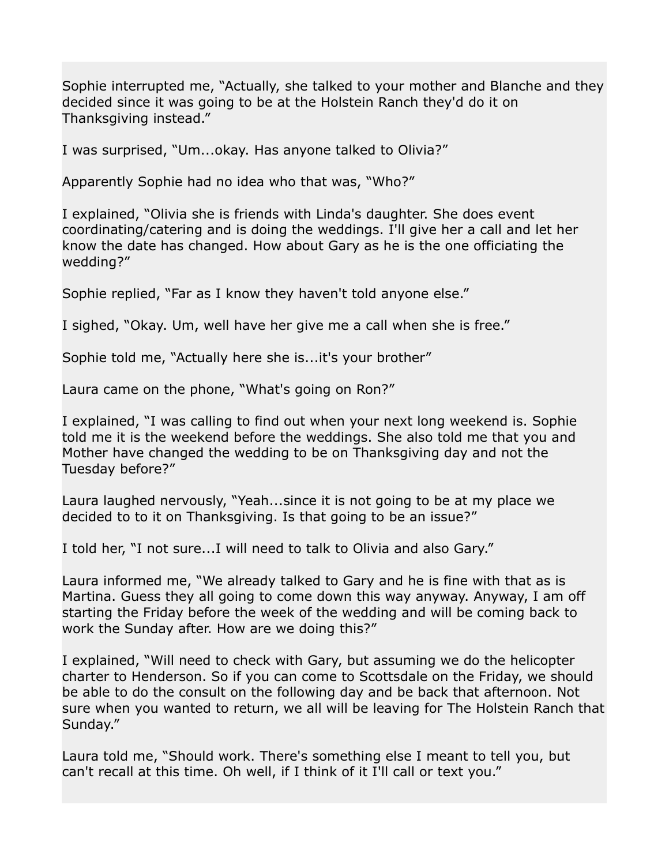Sophie interrupted me, "Actually, she talked to your mother and Blanche and they decided since it was going to be at the Holstein Ranch they'd do it on Thanksgiving instead."

I was surprised, "Um...okay. Has anyone talked to Olivia?"

Apparently Sophie had no idea who that was, "Who?"

I explained, "Olivia she is friends with Linda's daughter. She does event coordinating/catering and is doing the weddings. I'll give her a call and let her know the date has changed. How about Gary as he is the one officiating the wedding?"

Sophie replied, "Far as I know they haven't told anyone else."

I sighed, "Okay. Um, well have her give me a call when she is free."

Sophie told me, "Actually here she is...it's your brother"

Laura came on the phone, "What's going on Ron?"

I explained, "I was calling to find out when your next long weekend is. Sophie told me it is the weekend before the weddings. She also told me that you and Mother have changed the wedding to be on Thanksgiving day and not the Tuesday before?"

Laura laughed nervously, "Yeah...since it is not going to be at my place we decided to to it on Thanksgiving. Is that going to be an issue?"

I told her, "I not sure...I will need to talk to Olivia and also Gary."

Laura informed me, "We already talked to Gary and he is fine with that as is Martina. Guess they all going to come down this way anyway. Anyway, I am off starting the Friday before the week of the wedding and will be coming back to work the Sunday after. How are we doing this?"

I explained, "Will need to check with Gary, but assuming we do the helicopter charter to Henderson. So if you can come to Scottsdale on the Friday, we should be able to do the consult on the following day and be back that afternoon. Not sure when you wanted to return, we all will be leaving for The Holstein Ranch that Sunday."

Laura told me, "Should work. There's something else I meant to tell you, but can't recall at this time. Oh well, if I think of it I'll call or text you."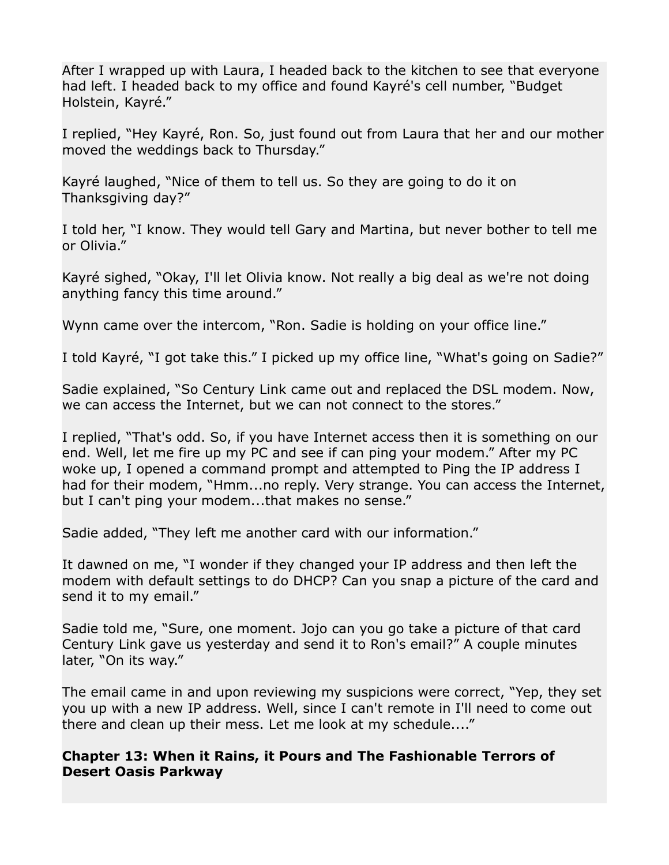After I wrapped up with Laura, I headed back to the kitchen to see that everyone had left. I headed back to my office and found Kayré's cell number, "Budget Holstein, Kayré."

I replied, "Hey Kayré, Ron. So, just found out from Laura that her and our mother moved the weddings back to Thursday."

Kayré laughed, "Nice of them to tell us. So they are going to do it on Thanksgiving day?"

I told her, "I know. They would tell Gary and Martina, but never bother to tell me or Olivia."

Kayré sighed, "Okay, I'll let Olivia know. Not really a big deal as we're not doing anything fancy this time around."

Wynn came over the intercom, "Ron. Sadie is holding on your office line."

I told Kayré, "I got take this." I picked up my office line, "What's going on Sadie?"

Sadie explained, "So Century Link came out and replaced the DSL modem. Now, we can access the Internet, but we can not connect to the stores."

I replied, "That's odd. So, if you have Internet access then it is something on our end. Well, let me fire up my PC and see if can ping your modem." After my PC woke up, I opened a command prompt and attempted to Ping the IP address I had for their modem, "Hmm...no reply. Very strange. You can access the Internet, but I can't ping your modem...that makes no sense."

Sadie added, "They left me another card with our information."

It dawned on me, "I wonder if they changed your IP address and then left the modem with default settings to do DHCP? Can you snap a picture of the card and send it to my email."

Sadie told me, "Sure, one moment. Jojo can you go take a picture of that card Century Link gave us yesterday and send it to Ron's email?" A couple minutes later, "On its way."

The email came in and upon reviewing my suspicions were correct, "Yep, they set you up with a new IP address. Well, since I can't remote in I'll need to come out there and clean up their mess. Let me look at my schedule...."

### **Chapter 13: When it Rains, it Pours and The Fashionable Terrors of Desert Oasis Parkway**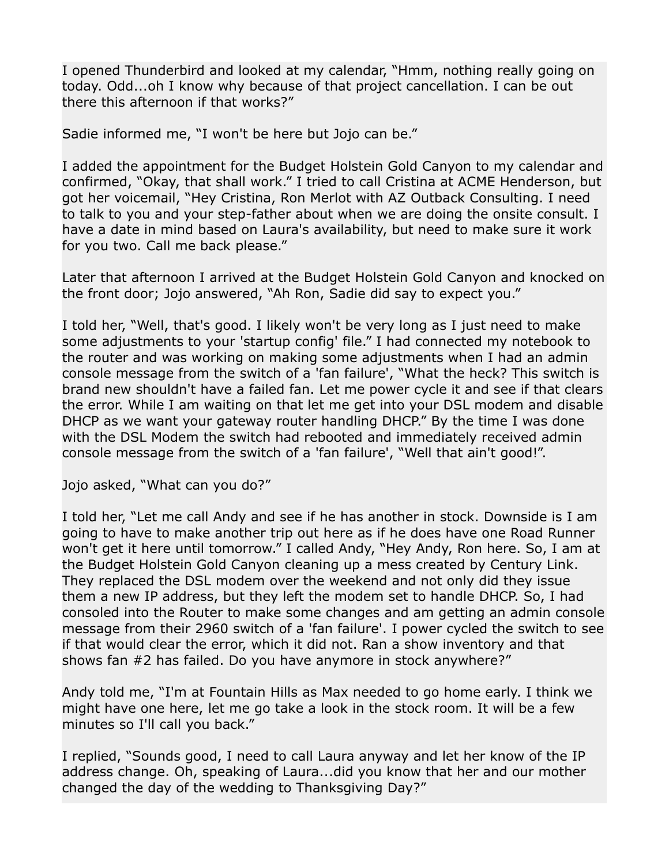I opened Thunderbird and looked at my calendar, "Hmm, nothing really going on today. Odd...oh I know why because of that project cancellation. I can be out there this afternoon if that works?"

Sadie informed me, "I won't be here but Jojo can be."

I added the appointment for the Budget Holstein Gold Canyon to my calendar and confirmed, "Okay, that shall work." I tried to call Cristina at ACME Henderson, but got her voicemail, "Hey Cristina, Ron Merlot with AZ Outback Consulting. I need to talk to you and your step-father about when we are doing the onsite consult. I have a date in mind based on Laura's availability, but need to make sure it work for you two. Call me back please."

Later that afternoon I arrived at the Budget Holstein Gold Canyon and knocked on the front door; Jojo answered, "Ah Ron, Sadie did say to expect you."

I told her, "Well, that's good. I likely won't be very long as I just need to make some adjustments to your 'startup config' file." I had connected my notebook to the router and was working on making some adjustments when I had an admin console message from the switch of a 'fan failure', "What the heck? This switch is brand new shouldn't have a failed fan. Let me power cycle it and see if that clears the error. While I am waiting on that let me get into your DSL modem and disable DHCP as we want your gateway router handling DHCP." By the time I was done with the DSL Modem the switch had rebooted and immediately received admin console message from the switch of a 'fan failure', "Well that ain't good!".

Jojo asked, "What can you do?"

I told her, "Let me call Andy and see if he has another in stock. Downside is I am going to have to make another trip out here as if he does have one Road Runner won't get it here until tomorrow." I called Andy, "Hey Andy, Ron here. So, I am at the Budget Holstein Gold Canyon cleaning up a mess created by Century Link. They replaced the DSL modem over the weekend and not only did they issue them a new IP address, but they left the modem set to handle DHCP. So, I had consoled into the Router to make some changes and am getting an admin console message from their 2960 switch of a 'fan failure'. I power cycled the switch to see if that would clear the error, which it did not. Ran a show inventory and that shows fan #2 has failed. Do you have anymore in stock anywhere?"

Andy told me, "I'm at Fountain Hills as Max needed to go home early. I think we might have one here, let me go take a look in the stock room. It will be a few minutes so I'll call you back."

I replied, "Sounds good, I need to call Laura anyway and let her know of the IP address change. Oh, speaking of Laura...did you know that her and our mother changed the day of the wedding to Thanksgiving Day?"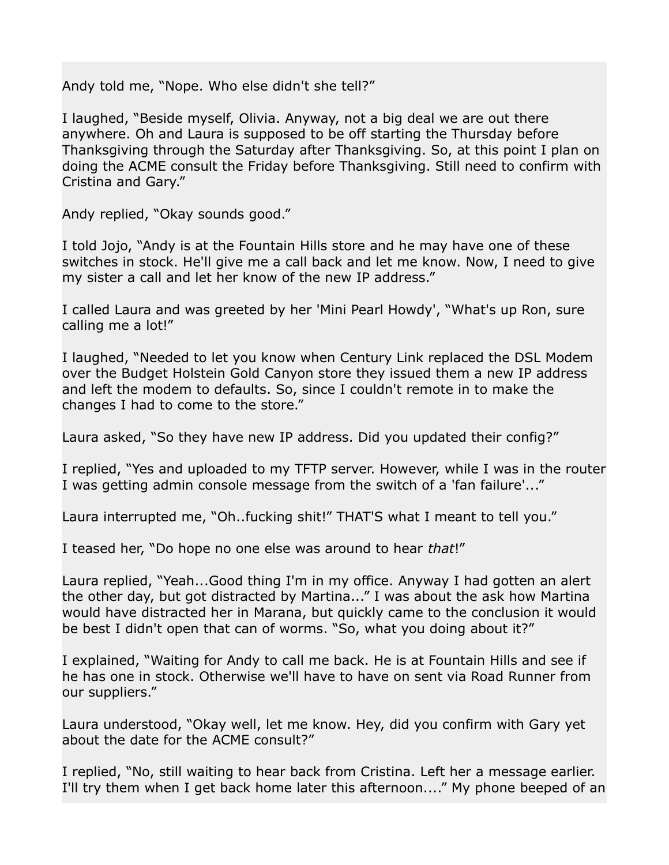Andy told me, "Nope. Who else didn't she tell?"

I laughed, "Beside myself, Olivia. Anyway, not a big deal we are out there anywhere. Oh and Laura is supposed to be off starting the Thursday before Thanksgiving through the Saturday after Thanksgiving. So, at this point I plan on doing the ACME consult the Friday before Thanksgiving. Still need to confirm with Cristina and Gary."

Andy replied, "Okay sounds good."

I told Jojo, "Andy is at the Fountain Hills store and he may have one of these switches in stock. He'll give me a call back and let me know. Now, I need to give my sister a call and let her know of the new IP address."

I called Laura and was greeted by her 'Mini Pearl Howdy', "What's up Ron, sure calling me a lot!"

I laughed, "Needed to let you know when Century Link replaced the DSL Modem over the Budget Holstein Gold Canyon store they issued them a new IP address and left the modem to defaults. So, since I couldn't remote in to make the changes I had to come to the store."

Laura asked, "So they have new IP address. Did you updated their config?"

I replied, "Yes and uploaded to my TFTP server. However, while I was in the router I was getting admin console message from the switch of a 'fan failure'..."

Laura interrupted me, "Oh..fucking shit!" THAT'S what I meant to tell you."

I teased her, "Do hope no one else was around to hear *that*!"

Laura replied, "Yeah...Good thing I'm in my office. Anyway I had gotten an alert the other day, but got distracted by Martina..." I was about the ask how Martina would have distracted her in Marana, but quickly came to the conclusion it would be best I didn't open that can of worms. "So, what you doing about it?"

I explained, "Waiting for Andy to call me back. He is at Fountain Hills and see if he has one in stock. Otherwise we'll have to have on sent via Road Runner from our suppliers."

Laura understood, "Okay well, let me know. Hey, did you confirm with Gary yet about the date for the ACME consult?"

I replied, "No, still waiting to hear back from Cristina. Left her a message earlier. I'll try them when I get back home later this afternoon...." My phone beeped of an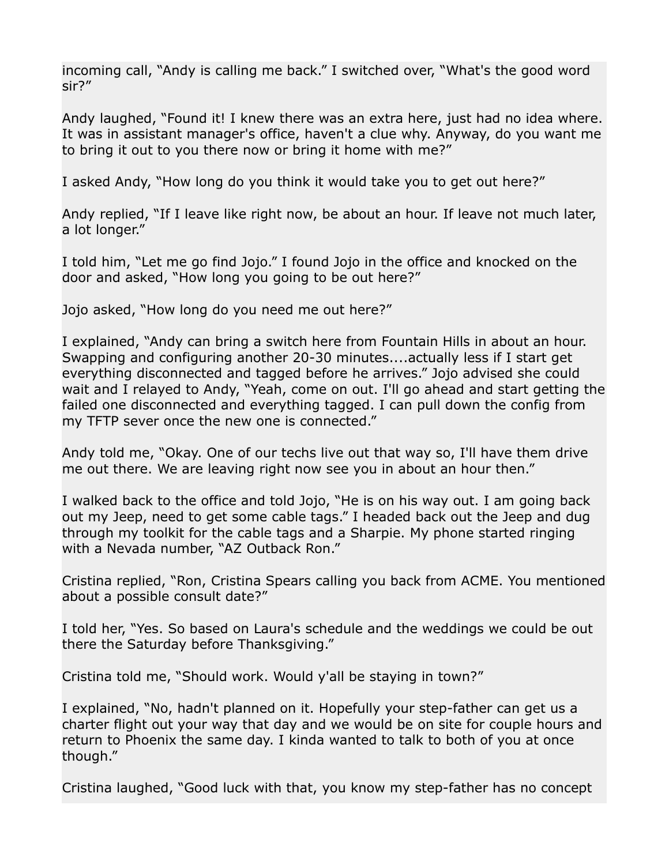incoming call, "Andy is calling me back." I switched over, "What's the good word sir?"

Andy laughed, "Found it! I knew there was an extra here, just had no idea where. It was in assistant manager's office, haven't a clue why. Anyway, do you want me to bring it out to you there now or bring it home with me?"

I asked Andy, "How long do you think it would take you to get out here?"

Andy replied, "If I leave like right now, be about an hour. If leave not much later, a lot longer."

I told him, "Let me go find Jojo." I found Jojo in the office and knocked on the door and asked, "How long you going to be out here?"

Jojo asked, "How long do you need me out here?"

I explained, "Andy can bring a switch here from Fountain Hills in about an hour. Swapping and configuring another 20-30 minutes....actually less if I start get everything disconnected and tagged before he arrives." Jojo advised she could wait and I relayed to Andy, "Yeah, come on out. I'll go ahead and start getting the failed one disconnected and everything tagged. I can pull down the config from my TFTP sever once the new one is connected."

Andy told me, "Okay. One of our techs live out that way so, I'll have them drive me out there. We are leaving right now see you in about an hour then."

I walked back to the office and told Jojo, "He is on his way out. I am going back out my Jeep, need to get some cable tags." I headed back out the Jeep and dug through my toolkit for the cable tags and a Sharpie. My phone started ringing with a Nevada number, "AZ Outback Ron."

Cristina replied, "Ron, Cristina Spears calling you back from ACME. You mentioned about a possible consult date?"

I told her, "Yes. So based on Laura's schedule and the weddings we could be out there the Saturday before Thanksgiving."

Cristina told me, "Should work. Would y'all be staying in town?"

I explained, "No, hadn't planned on it. Hopefully your step-father can get us a charter flight out your way that day and we would be on site for couple hours and return to Phoenix the same day. I kinda wanted to talk to both of you at once though."

Cristina laughed, "Good luck with that, you know my step-father has no concept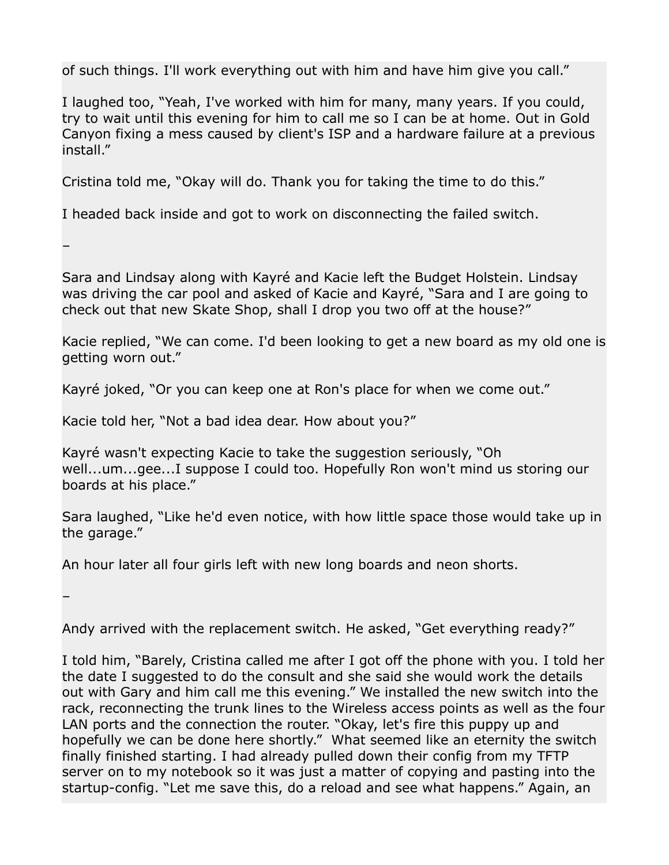of such things. I'll work everything out with him and have him give you call."

I laughed too, "Yeah, I've worked with him for many, many years. If you could, try to wait until this evening for him to call me so I can be at home. Out in Gold Canyon fixing a mess caused by client's ISP and a hardware failure at a previous install."

Cristina told me, "Okay will do. Thank you for taking the time to do this."

I headed back inside and got to work on disconnecting the failed switch.

–

Sara and Lindsay along with Kayré and Kacie left the Budget Holstein. Lindsay was driving the car pool and asked of Kacie and Kayré, "Sara and I are going to check out that new Skate Shop, shall I drop you two off at the house?"

Kacie replied, "We can come. I'd been looking to get a new board as my old one is getting worn out."

Kayré joked, "Or you can keep one at Ron's place for when we come out."

Kacie told her, "Not a bad idea dear. How about you?"

Kayré wasn't expecting Kacie to take the suggestion seriously, "Oh well...um...gee...I suppose I could too. Hopefully Ron won't mind us storing our boards at his place."

Sara laughed, "Like he'd even notice, with how little space those would take up in the garage."

An hour later all four girls left with new long boards and neon shorts.

–

Andy arrived with the replacement switch. He asked, "Get everything ready?"

I told him, "Barely, Cristina called me after I got off the phone with you. I told her the date I suggested to do the consult and she said she would work the details out with Gary and him call me this evening." We installed the new switch into the rack, reconnecting the trunk lines to the Wireless access points as well as the four LAN ports and the connection the router. "Okay, let's fire this puppy up and hopefully we can be done here shortly." What seemed like an eternity the switch finally finished starting. I had already pulled down their config from my TFTP server on to my notebook so it was just a matter of copying and pasting into the startup-config. "Let me save this, do a reload and see what happens." Again, an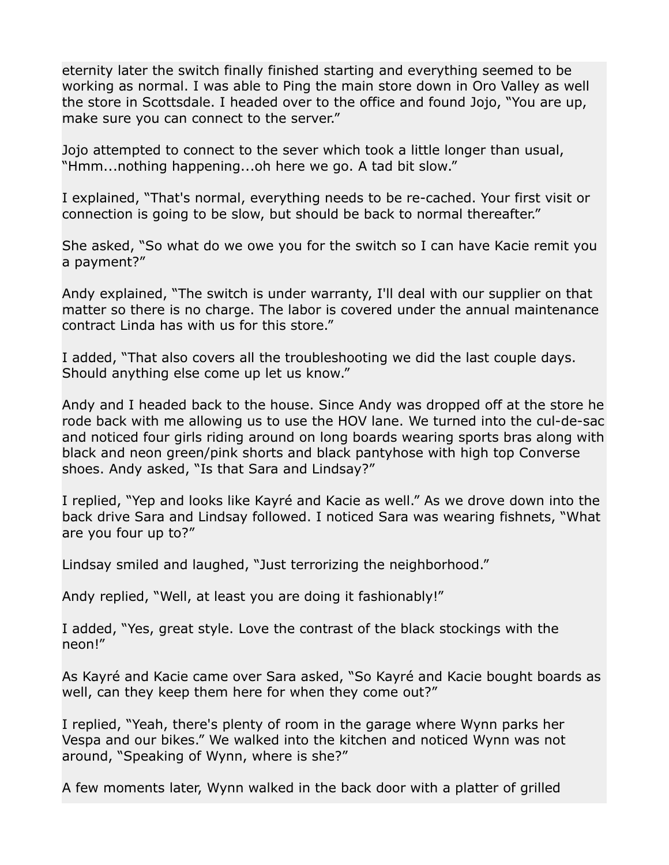eternity later the switch finally finished starting and everything seemed to be working as normal. I was able to Ping the main store down in Oro Valley as well the store in Scottsdale. I headed over to the office and found Jojo, "You are up, make sure you can connect to the server."

Jojo attempted to connect to the sever which took a little longer than usual, "Hmm...nothing happening...oh here we go. A tad bit slow."

I explained, "That's normal, everything needs to be re-cached. Your first visit or connection is going to be slow, but should be back to normal thereafter."

She asked, "So what do we owe you for the switch so I can have Kacie remit you a payment?"

Andy explained, "The switch is under warranty, I'll deal with our supplier on that matter so there is no charge. The labor is covered under the annual maintenance contract Linda has with us for this store."

I added, "That also covers all the troubleshooting we did the last couple days. Should anything else come up let us know."

Andy and I headed back to the house. Since Andy was dropped off at the store he rode back with me allowing us to use the HOV lane. We turned into the cul-de-sac and noticed four girls riding around on long boards wearing sports bras along with black and neon green/pink shorts and black pantyhose with high top Converse shoes. Andy asked, "Is that Sara and Lindsay?"

I replied, "Yep and looks like Kayré and Kacie as well." As we drove down into the back drive Sara and Lindsay followed. I noticed Sara was wearing fishnets, "What are you four up to?"

Lindsay smiled and laughed, "Just terrorizing the neighborhood."

Andy replied, "Well, at least you are doing it fashionably!"

I added, "Yes, great style. Love the contrast of the black stockings with the neon!"

As Kayré and Kacie came over Sara asked, "So Kayré and Kacie bought boards as well, can they keep them here for when they come out?"

I replied, "Yeah, there's plenty of room in the garage where Wynn parks her Vespa and our bikes." We walked into the kitchen and noticed Wynn was not around, "Speaking of Wynn, where is she?"

A few moments later, Wynn walked in the back door with a platter of grilled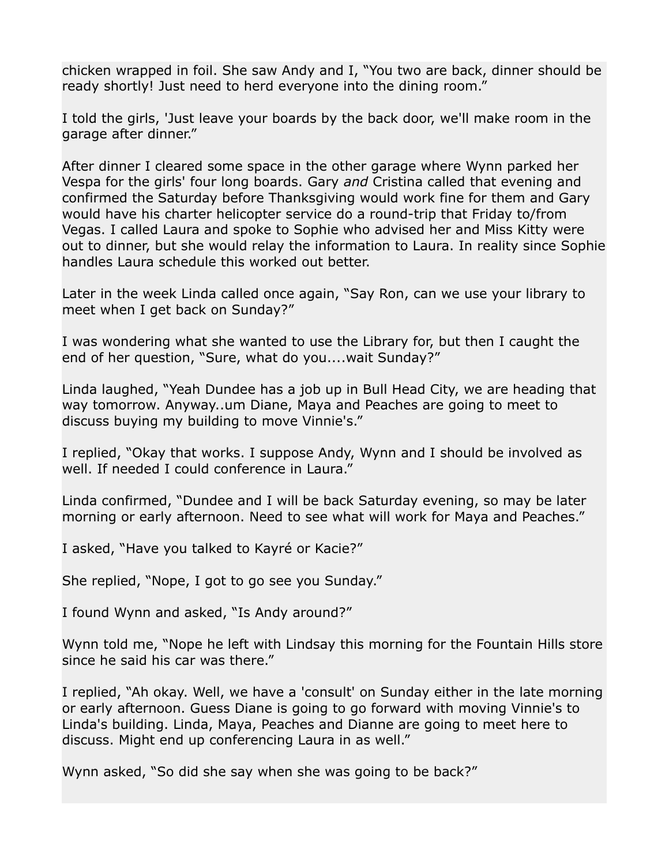chicken wrapped in foil. She saw Andy and I, "You two are back, dinner should be ready shortly! Just need to herd everyone into the dining room."

I told the girls, 'Just leave your boards by the back door, we'll make room in the garage after dinner."

After dinner I cleared some space in the other garage where Wynn parked her Vespa for the girls' four long boards. Gary *and* Cristina called that evening and confirmed the Saturday before Thanksgiving would work fine for them and Gary would have his charter helicopter service do a round-trip that Friday to/from Vegas. I called Laura and spoke to Sophie who advised her and Miss Kitty were out to dinner, but she would relay the information to Laura. In reality since Sophie handles Laura schedule this worked out better.

Later in the week Linda called once again, "Say Ron, can we use your library to meet when I get back on Sunday?"

I was wondering what she wanted to use the Library for, but then I caught the end of her question, "Sure, what do you....wait Sunday?"

Linda laughed, "Yeah Dundee has a job up in Bull Head City, we are heading that way tomorrow. Anyway..um Diane, Maya and Peaches are going to meet to discuss buying my building to move Vinnie's."

I replied, "Okay that works. I suppose Andy, Wynn and I should be involved as well. If needed I could conference in Laura."

Linda confirmed, "Dundee and I will be back Saturday evening, so may be later morning or early afternoon. Need to see what will work for Maya and Peaches."

I asked, "Have you talked to Kayré or Kacie?"

She replied, "Nope, I got to go see you Sunday."

I found Wynn and asked, "Is Andy around?"

Wynn told me, "Nope he left with Lindsay this morning for the Fountain Hills store since he said his car was there."

I replied, "Ah okay. Well, we have a 'consult' on Sunday either in the late morning or early afternoon. Guess Diane is going to go forward with moving Vinnie's to Linda's building. Linda, Maya, Peaches and Dianne are going to meet here to discuss. Might end up conferencing Laura in as well."

Wynn asked, "So did she say when she was going to be back?"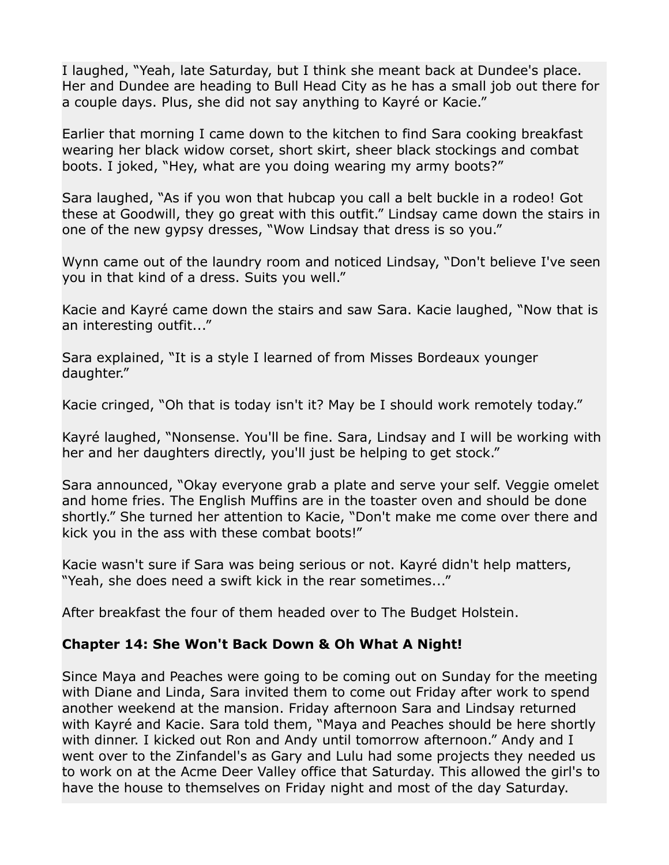I laughed, "Yeah, late Saturday, but I think she meant back at Dundee's place. Her and Dundee are heading to Bull Head City as he has a small job out there for a couple days. Plus, she did not say anything to Kayré or Kacie."

Earlier that morning I came down to the kitchen to find Sara cooking breakfast wearing her black widow corset, short skirt, sheer black stockings and combat boots. I joked, "Hey, what are you doing wearing my army boots?"

Sara laughed, "As if you won that hubcap you call a belt buckle in a rodeo! Got these at Goodwill, they go great with this outfit." Lindsay came down the stairs in one of the new gypsy dresses, "Wow Lindsay that dress is so you."

Wynn came out of the laundry room and noticed Lindsay, "Don't believe I've seen you in that kind of a dress. Suits you well."

Kacie and Kayré came down the stairs and saw Sara. Kacie laughed, "Now that is an interesting outfit..."

Sara explained, "It is a style I learned of from Misses Bordeaux younger daughter."

Kacie cringed, "Oh that is today isn't it? May be I should work remotely today."

Kayré laughed, "Nonsense. You'll be fine. Sara, Lindsay and I will be working with her and her daughters directly, you'll just be helping to get stock."

Sara announced, "Okay everyone grab a plate and serve your self. Veggie omelet and home fries. The English Muffins are in the toaster oven and should be done shortly." She turned her attention to Kacie, "Don't make me come over there and kick you in the ass with these combat boots!"

Kacie wasn't sure if Sara was being serious or not. Kayré didn't help matters, "Yeah, she does need a swift kick in the rear sometimes..."

After breakfast the four of them headed over to The Budget Holstein.

#### **Chapter 14: She Won't Back Down & Oh What A Night!**

Since Maya and Peaches were going to be coming out on Sunday for the meeting with Diane and Linda, Sara invited them to come out Friday after work to spend another weekend at the mansion. Friday afternoon Sara and Lindsay returned with Kayré and Kacie. Sara told them, "Maya and Peaches should be here shortly with dinner. I kicked out Ron and Andy until tomorrow afternoon." Andy and I went over to the Zinfandel's as Gary and Lulu had some projects they needed us to work on at the Acme Deer Valley office that Saturday. This allowed the girl's to have the house to themselves on Friday night and most of the day Saturday.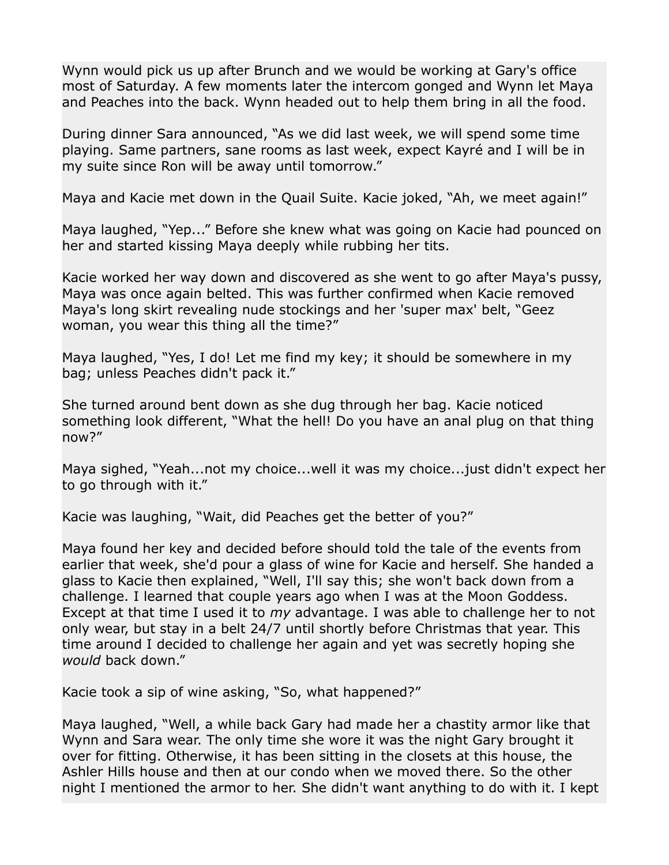Wynn would pick us up after Brunch and we would be working at Gary's office most of Saturday. A few moments later the intercom gonged and Wynn let Maya and Peaches into the back. Wynn headed out to help them bring in all the food.

During dinner Sara announced, "As we did last week, we will spend some time playing. Same partners, sane rooms as last week, expect Kayré and I will be in my suite since Ron will be away until tomorrow."

Maya and Kacie met down in the Quail Suite. Kacie joked, "Ah, we meet again!"

Maya laughed, "Yep..." Before she knew what was going on Kacie had pounced on her and started kissing Maya deeply while rubbing her tits.

Kacie worked her way down and discovered as she went to go after Maya's pussy, Maya was once again belted. This was further confirmed when Kacie removed Maya's long skirt revealing nude stockings and her 'super max' belt, "Geez woman, you wear this thing all the time?"

Maya laughed, "Yes, I do! Let me find my key; it should be somewhere in my bag; unless Peaches didn't pack it."

She turned around bent down as she dug through her bag. Kacie noticed something look different, "What the hell! Do you have an anal plug on that thing now?"

Maya sighed, "Yeah...not my choice...well it was my choice...just didn't expect her to go through with it."

Kacie was laughing, "Wait, did Peaches get the better of you?"

Maya found her key and decided before should told the tale of the events from earlier that week, she'd pour a glass of wine for Kacie and herself. She handed a glass to Kacie then explained, "Well, I'll say this; she won't back down from a challenge. I learned that couple years ago when I was at the Moon Goddess. Except at that time I used it to *my* advantage. I was able to challenge her to not only wear, but stay in a belt 24/7 until shortly before Christmas that year. This time around I decided to challenge her again and yet was secretly hoping she *would* back down."

Kacie took a sip of wine asking, "So, what happened?"

Maya laughed, "Well, a while back Gary had made her a chastity armor like that Wynn and Sara wear. The only time she wore it was the night Gary brought it over for fitting. Otherwise, it has been sitting in the closets at this house, the Ashler Hills house and then at our condo when we moved there. So the other night I mentioned the armor to her. She didn't want anything to do with it. I kept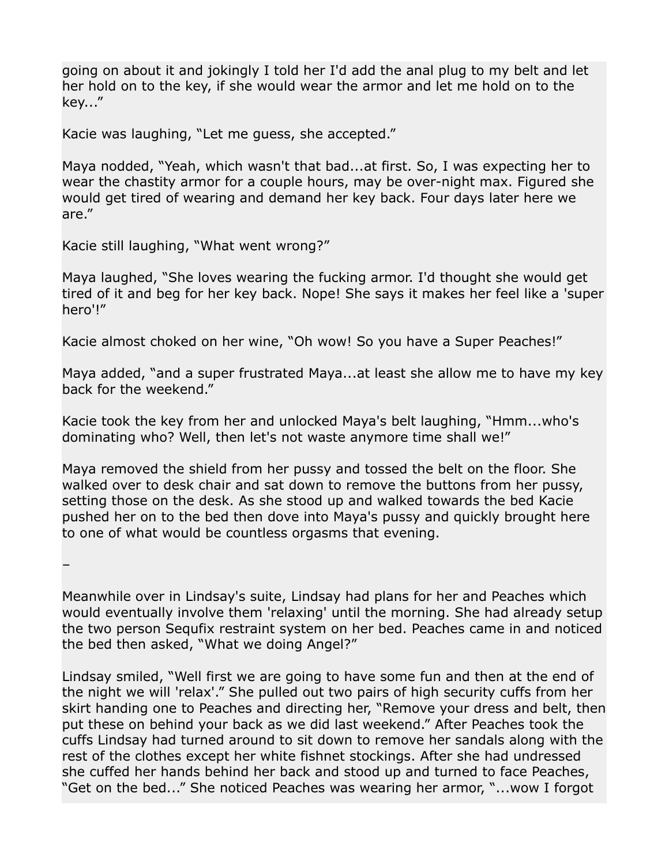going on about it and jokingly I told her I'd add the anal plug to my belt and let her hold on to the key, if she would wear the armor and let me hold on to the key..."

Kacie was laughing, "Let me guess, she accepted."

Maya nodded, "Yeah, which wasn't that bad...at first. So, I was expecting her to wear the chastity armor for a couple hours, may be over-night max. Figured she would get tired of wearing and demand her key back. Four days later here we are."

Kacie still laughing, "What went wrong?"

Maya laughed, "She loves wearing the fucking armor. I'd thought she would get tired of it and beg for her key back. Nope! She says it makes her feel like a 'super hero'!"

Kacie almost choked on her wine, "Oh wow! So you have a Super Peaches!"

Maya added, "and a super frustrated Maya...at least she allow me to have my key back for the weekend."

Kacie took the key from her and unlocked Maya's belt laughing, "Hmm...who's dominating who? Well, then let's not waste anymore time shall we!"

Maya removed the shield from her pussy and tossed the belt on the floor. She walked over to desk chair and sat down to remove the buttons from her pussy, setting those on the desk. As she stood up and walked towards the bed Kacie pushed her on to the bed then dove into Maya's pussy and quickly brought here to one of what would be countless orgasms that evening.

–

Meanwhile over in Lindsay's suite, Lindsay had plans for her and Peaches which would eventually involve them 'relaxing' until the morning. She had already setup the two person Sequfix restraint system on her bed. Peaches came in and noticed the bed then asked, "What we doing Angel?"

Lindsay smiled, "Well first we are going to have some fun and then at the end of the night we will 'relax'." She pulled out two pairs of high security cuffs from her skirt handing one to Peaches and directing her, "Remove your dress and belt, then put these on behind your back as we did last weekend." After Peaches took the cuffs Lindsay had turned around to sit down to remove her sandals along with the rest of the clothes except her white fishnet stockings. After she had undressed she cuffed her hands behind her back and stood up and turned to face Peaches, "Get on the bed..." She noticed Peaches was wearing her armor, "...wow I forgot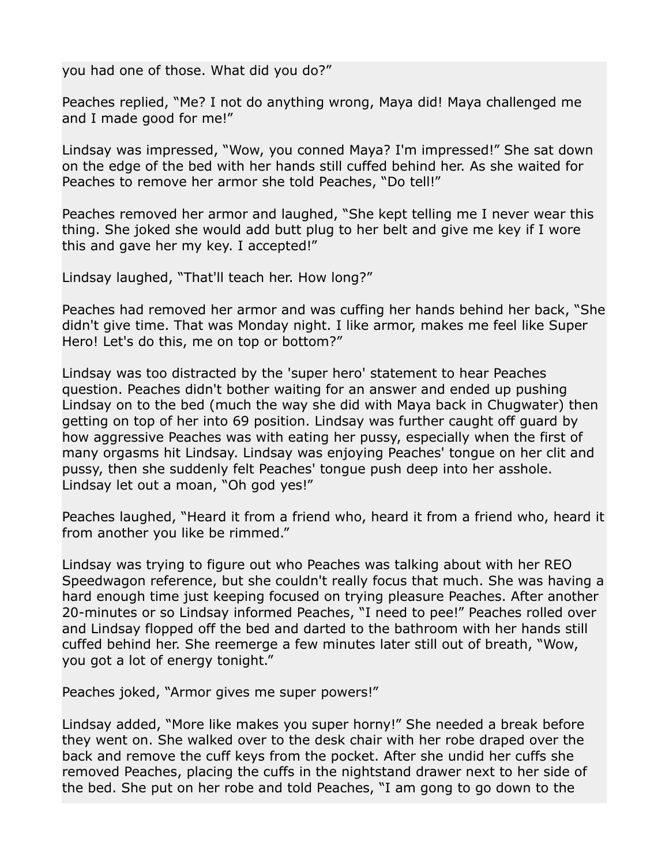you had one of those. What did you do?"

Peaches replied, "Me? I not do anything wrong, Maya did! Maya challenged me and I made good for me!"

Lindsay was impressed, "Wow, you conned Maya? I'm impressed!" She sat down on the edge of the bed with her hands still cuffed behind her. As she waited for Peaches to remove her armor she told Peaches, "Do tell!"

Peaches removed her armor and laughed, "She kept telling me I never wear this thing. She joked she would add butt plug to her belt and give me key if I wore this and gave her my key. I accepted!"

Lindsay laughed, "That'll teach her. How long?"

Peaches had removed her armor and was cuffing her hands behind her back, "She didn't give time. That was Monday night. I like armor, makes me feel like Super Hero! Let's do this, me on top or bottom?"

Lindsay was too distracted by the 'super hero' statement to hear Peaches question. Peaches didn't bother waiting for an answer and ended up pushing Lindsay on to the bed (much the way she did with Maya back in Chugwater) then getting on top of her into 69 position. Lindsay was further caught off guard by how aggressive Peaches was with eating her pussy, especially when the first of many orgasms hit Lindsay. Lindsay was enjoying Peaches' tongue on her clit and pussy, then she suddenly felt Peaches' tongue push deep into her asshole. Lindsay let out a moan, "Oh god yes!"

Peaches laughed, "Heard it from a friend who, heard it from a friend who, heard it from another you like be rimmed."

Lindsay was trying to figure out who Peaches was talking about with her REO Speedwagon reference, but she couldn't really focus that much. She was having a hard enough time just keeping focused on trying pleasure Peaches. After another 20-minutes or so Lindsay informed Peaches, "I need to pee!" Peaches rolled over and Lindsay flopped off the bed and darted to the bathroom with her hands still cuffed behind her. She reemerge a few minutes later still out of breath, "Wow, you got a lot of energy tonight."

Peaches joked, "Armor gives me super powers!"

Lindsay added, "More like makes you super horny!" She needed a break before they went on. She walked over to the desk chair with her robe draped over the back and remove the cuff keys from the pocket. After she undid her cuffs she removed Peaches, placing the cuffs in the nightstand drawer next to her side of the bed. She put on her robe and told Peaches, "I am gong to go down to the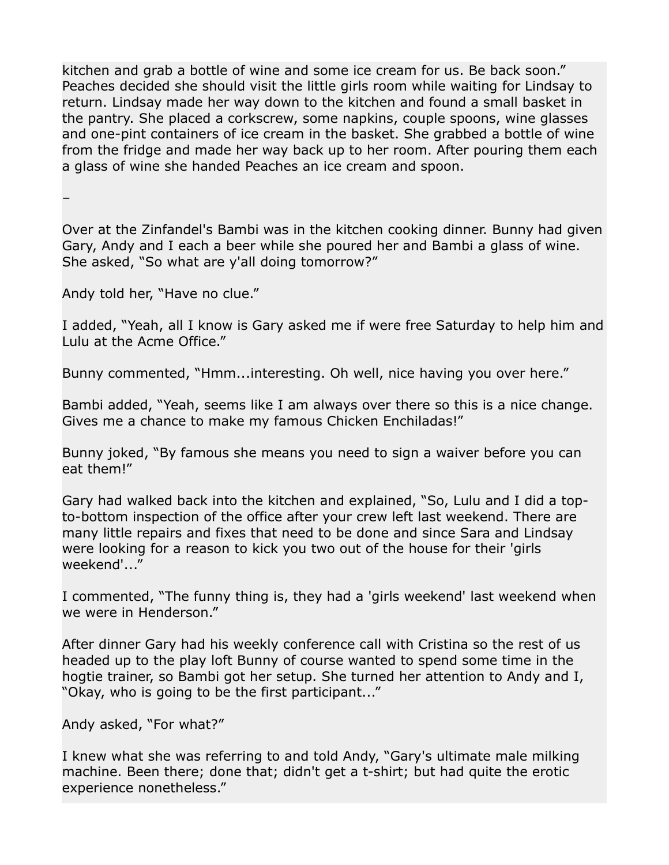kitchen and grab a bottle of wine and some ice cream for us. Be back soon." Peaches decided she should visit the little girls room while waiting for Lindsay to return. Lindsay made her way down to the kitchen and found a small basket in the pantry. She placed a corkscrew, some napkins, couple spoons, wine glasses and one-pint containers of ice cream in the basket. She grabbed a bottle of wine from the fridge and made her way back up to her room. After pouring them each a glass of wine she handed Peaches an ice cream and spoon.

–

Over at the Zinfandel's Bambi was in the kitchen cooking dinner. Bunny had given Gary, Andy and I each a beer while she poured her and Bambi a glass of wine. She asked, "So what are y'all doing tomorrow?"

Andy told her, "Have no clue."

I added, "Yeah, all I know is Gary asked me if were free Saturday to help him and Lulu at the Acme Office."

Bunny commented, "Hmm...interesting. Oh well, nice having you over here."

Bambi added, "Yeah, seems like I am always over there so this is a nice change. Gives me a chance to make my famous Chicken Enchiladas!"

Bunny joked, "By famous she means you need to sign a waiver before you can eat them!"

Gary had walked back into the kitchen and explained, "So, Lulu and I did a topto-bottom inspection of the office after your crew left last weekend. There are many little repairs and fixes that need to be done and since Sara and Lindsay were looking for a reason to kick you two out of the house for their 'girls weekend'..."

I commented, "The funny thing is, they had a 'girls weekend' last weekend when we were in Henderson."

After dinner Gary had his weekly conference call with Cristina so the rest of us headed up to the play loft Bunny of course wanted to spend some time in the hogtie trainer, so Bambi got her setup. She turned her attention to Andy and I, "Okay, who is going to be the first participant..."

Andy asked, "For what?"

I knew what she was referring to and told Andy, "Gary's ultimate male milking machine. Been there; done that; didn't get a t-shirt; but had quite the erotic experience nonetheless."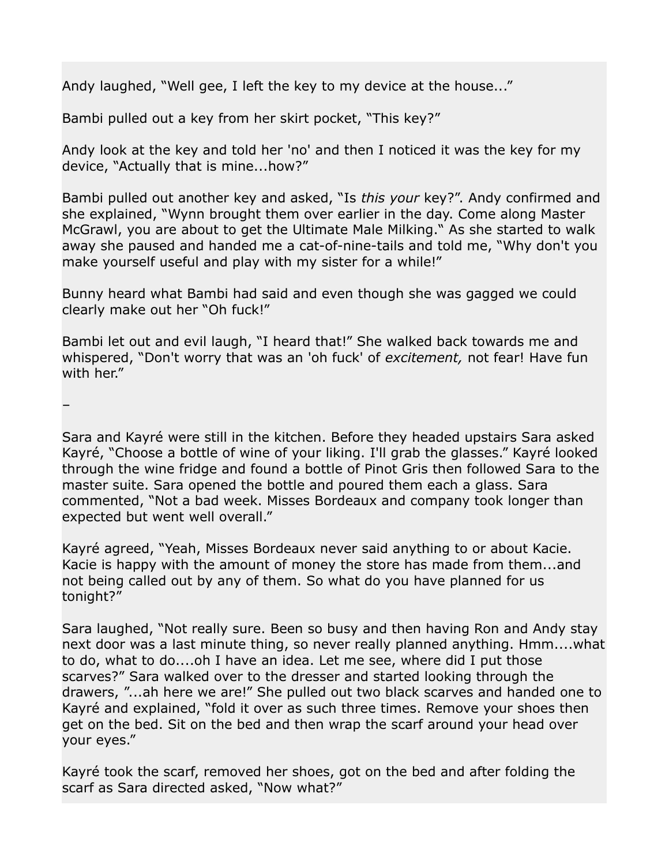Andy laughed, "Well gee, I left the key to my device at the house..."

Bambi pulled out a key from her skirt pocket, "This key?"

Andy look at the key and told her 'no' and then I noticed it was the key for my device, "Actually that is mine...how?"

Bambi pulled out another key and asked, "Is *this your* key?". Andy confirmed and she explained, "Wynn brought them over earlier in the day. Come along Master McGrawl, you are about to get the Ultimate Male Milking." As she started to walk away she paused and handed me a cat-of-nine-tails and told me, "Why don't you make yourself useful and play with my sister for a while!"

Bunny heard what Bambi had said and even though she was gagged we could clearly make out her "Oh fuck!"

Bambi let out and evil laugh, "I heard that!" She walked back towards me and whispered, "Don't worry that was an 'oh fuck' of *excitement,* not fear! Have fun with her."

–

Sara and Kayré were still in the kitchen. Before they headed upstairs Sara asked Kayré, "Choose a bottle of wine of your liking. I'll grab the glasses." Kayré looked through the wine fridge and found a bottle of Pinot Gris then followed Sara to the master suite. Sara opened the bottle and poured them each a glass. Sara commented, "Not a bad week. Misses Bordeaux and company took longer than expected but went well overall."

Kayré agreed, "Yeah, Misses Bordeaux never said anything to or about Kacie. Kacie is happy with the amount of money the store has made from them...and not being called out by any of them. So what do you have planned for us tonight?"

Sara laughed, "Not really sure. Been so busy and then having Ron and Andy stay next door was a last minute thing, so never really planned anything. Hmm....what to do, what to do....oh I have an idea. Let me see, where did I put those scarves?" Sara walked over to the dresser and started looking through the drawers, "...ah here we are!" She pulled out two black scarves and handed one to Kayré and explained, "fold it over as such three times. Remove your shoes then get on the bed. Sit on the bed and then wrap the scarf around your head over your eyes."

Kayré took the scarf, removed her shoes, got on the bed and after folding the scarf as Sara directed asked, "Now what?"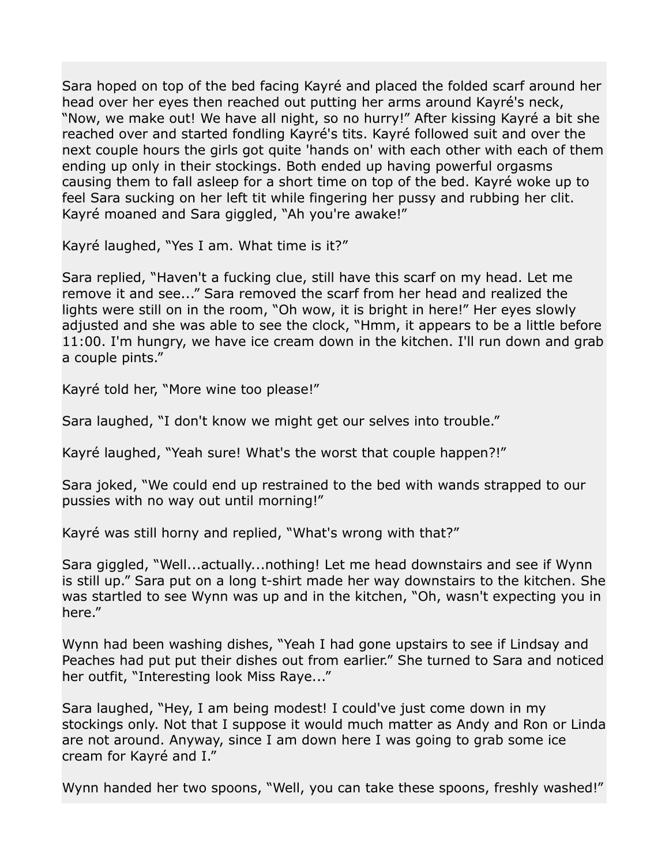Sara hoped on top of the bed facing Kayré and placed the folded scarf around her head over her eyes then reached out putting her arms around Kayré's neck, "Now, we make out! We have all night, so no hurry!" After kissing Kayré a bit she reached over and started fondling Kayré's tits. Kayré followed suit and over the next couple hours the girls got quite 'hands on' with each other with each of them ending up only in their stockings. Both ended up having powerful orgasms causing them to fall asleep for a short time on top of the bed. Kayré woke up to feel Sara sucking on her left tit while fingering her pussy and rubbing her clit. Kayré moaned and Sara giggled, "Ah you're awake!"

Kayré laughed, "Yes I am. What time is it?"

Sara replied, "Haven't a fucking clue, still have this scarf on my head. Let me remove it and see..." Sara removed the scarf from her head and realized the lights were still on in the room, "Oh wow, it is bright in here!" Her eyes slowly adjusted and she was able to see the clock, "Hmm, it appears to be a little before 11:00. I'm hungry, we have ice cream down in the kitchen. I'll run down and grab a couple pints."

Kayré told her, "More wine too please!"

Sara laughed, "I don't know we might get our selves into trouble."

Kayré laughed, "Yeah sure! What's the worst that couple happen?!"

Sara joked, "We could end up restrained to the bed with wands strapped to our pussies with no way out until morning!"

Kayré was still horny and replied, "What's wrong with that?"

Sara giggled, "Well...actually...nothing! Let me head downstairs and see if Wynn is still up." Sara put on a long t-shirt made her way downstairs to the kitchen. She was startled to see Wynn was up and in the kitchen, "Oh, wasn't expecting you in here."

Wynn had been washing dishes, "Yeah I had gone upstairs to see if Lindsay and Peaches had put put their dishes out from earlier." She turned to Sara and noticed her outfit, "Interesting look Miss Raye..."

Sara laughed, "Hey, I am being modest! I could've just come down in my stockings only. Not that I suppose it would much matter as Andy and Ron or Linda are not around. Anyway, since I am down here I was going to grab some ice cream for Kayré and I."

Wynn handed her two spoons, "Well, you can take these spoons, freshly washed!"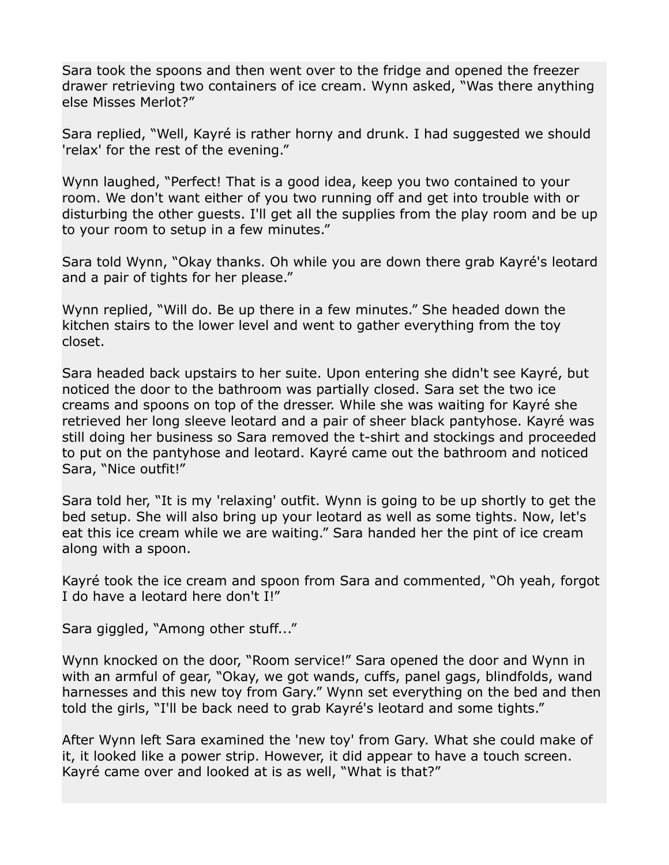Sara took the spoons and then went over to the fridge and opened the freezer drawer retrieving two containers of ice cream. Wynn asked, "Was there anything else Misses Merlot?"

Sara replied, "Well, Kayré is rather horny and drunk. I had suggested we should 'relax' for the rest of the evening."

Wynn laughed, "Perfect! That is a good idea, keep you two contained to your room. We don't want either of you two running off and get into trouble with or disturbing the other guests. I'll get all the supplies from the play room and be up to your room to setup in a few minutes."

Sara told Wynn, "Okay thanks. Oh while you are down there grab Kayré's leotard and a pair of tights for her please."

Wynn replied, "Will do. Be up there in a few minutes." She headed down the kitchen stairs to the lower level and went to gather everything from the toy closet.

Sara headed back upstairs to her suite. Upon entering she didn't see Kayré, but noticed the door to the bathroom was partially closed. Sara set the two ice creams and spoons on top of the dresser. While she was waiting for Kayré she retrieved her long sleeve leotard and a pair of sheer black pantyhose. Kayré was still doing her business so Sara removed the t-shirt and stockings and proceeded to put on the pantyhose and leotard. Kayré came out the bathroom and noticed Sara, "Nice outfit!"

Sara told her, "It is my 'relaxing' outfit. Wynn is going to be up shortly to get the bed setup. She will also bring up your leotard as well as some tights. Now, let's eat this ice cream while we are waiting." Sara handed her the pint of ice cream along with a spoon.

Kayré took the ice cream and spoon from Sara and commented, "Oh yeah, forgot I do have a leotard here don't I!"

Sara giggled, "Among other stuff..."

Wynn knocked on the door, "Room service!" Sara opened the door and Wynn in with an armful of gear, "Okay, we got wands, cuffs, panel gags, blindfolds, wand harnesses and this new toy from Gary." Wynn set everything on the bed and then told the girls, "I'll be back need to grab Kayré's leotard and some tights."

After Wynn left Sara examined the 'new toy' from Gary. What she could make of it, it looked like a power strip. However, it did appear to have a touch screen. Kayré came over and looked at is as well, "What is that?"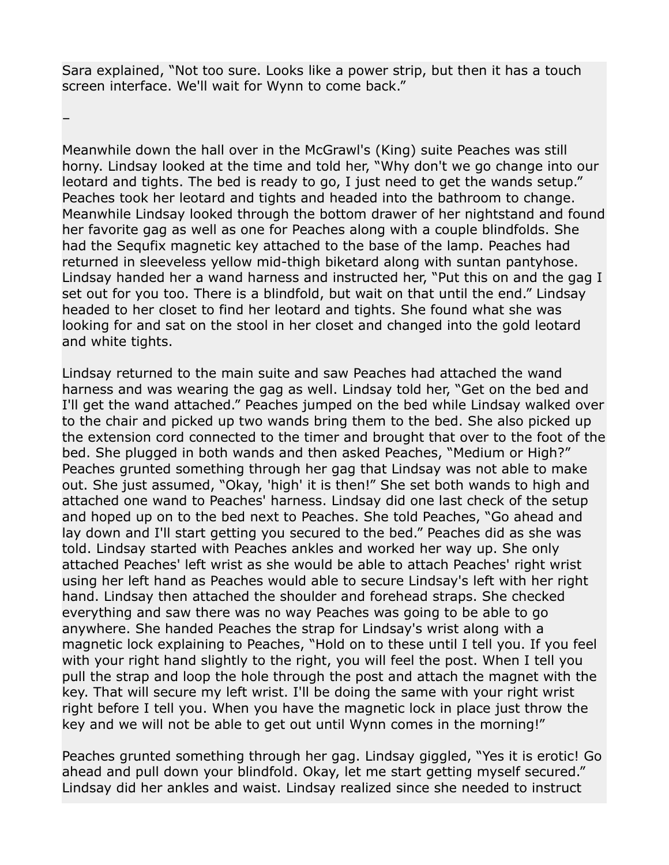Sara explained, "Not too sure. Looks like a power strip, but then it has a touch screen interface. We'll wait for Wynn to come back."

–

Meanwhile down the hall over in the McGrawl's (King) suite Peaches was still horny. Lindsay looked at the time and told her, "Why don't we go change into our leotard and tights. The bed is ready to go, I just need to get the wands setup." Peaches took her leotard and tights and headed into the bathroom to change. Meanwhile Lindsay looked through the bottom drawer of her nightstand and found her favorite gag as well as one for Peaches along with a couple blindfolds. She had the Sequfix magnetic key attached to the base of the lamp. Peaches had returned in sleeveless yellow mid-thigh biketard along with suntan pantyhose. Lindsay handed her a wand harness and instructed her, "Put this on and the gag I set out for you too. There is a blindfold, but wait on that until the end." Lindsay headed to her closet to find her leotard and tights. She found what she was looking for and sat on the stool in her closet and changed into the gold leotard and white tights.

Lindsay returned to the main suite and saw Peaches had attached the wand harness and was wearing the gag as well. Lindsay told her, "Get on the bed and I'll get the wand attached." Peaches jumped on the bed while Lindsay walked over to the chair and picked up two wands bring them to the bed. She also picked up the extension cord connected to the timer and brought that over to the foot of the bed. She plugged in both wands and then asked Peaches, "Medium or High?" Peaches grunted something through her gag that Lindsay was not able to make out. She just assumed, "Okay, 'high' it is then!" She set both wands to high and attached one wand to Peaches' harness. Lindsay did one last check of the setup and hoped up on to the bed next to Peaches. She told Peaches, "Go ahead and lay down and I'll start getting you secured to the bed." Peaches did as she was told. Lindsay started with Peaches ankles and worked her way up. She only attached Peaches' left wrist as she would be able to attach Peaches' right wrist using her left hand as Peaches would able to secure Lindsay's left with her right hand. Lindsay then attached the shoulder and forehead straps. She checked everything and saw there was no way Peaches was going to be able to go anywhere. She handed Peaches the strap for Lindsay's wrist along with a magnetic lock explaining to Peaches, "Hold on to these until I tell you. If you feel with your right hand slightly to the right, you will feel the post. When I tell you pull the strap and loop the hole through the post and attach the magnet with the key. That will secure my left wrist. I'll be doing the same with your right wrist right before I tell you. When you have the magnetic lock in place just throw the key and we will not be able to get out until Wynn comes in the morning!"

Peaches grunted something through her gag. Lindsay giggled, "Yes it is erotic! Go ahead and pull down your blindfold. Okay, let me start getting myself secured." Lindsay did her ankles and waist. Lindsay realized since she needed to instruct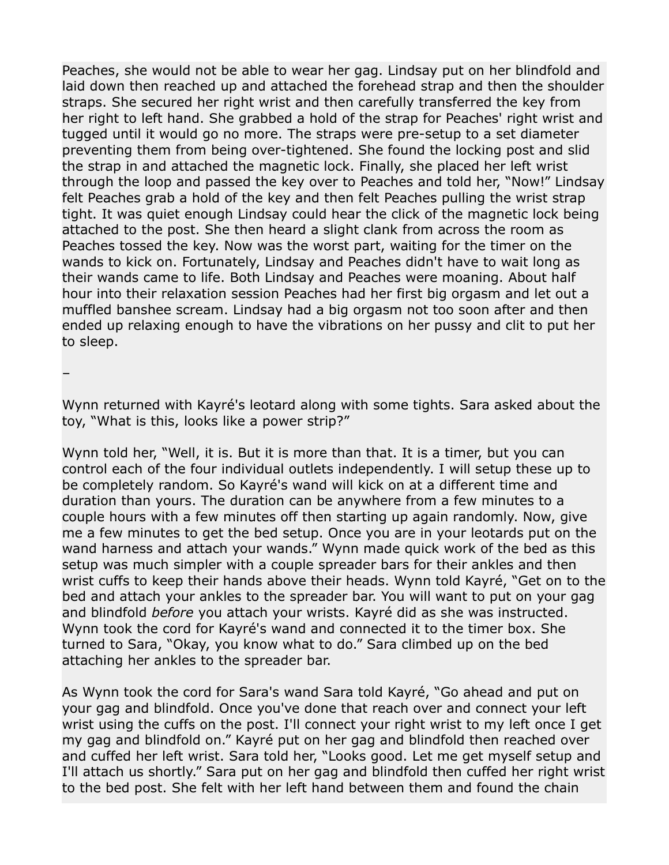Peaches, she would not be able to wear her gag. Lindsay put on her blindfold and laid down then reached up and attached the forehead strap and then the shoulder straps. She secured her right wrist and then carefully transferred the key from her right to left hand. She grabbed a hold of the strap for Peaches' right wrist and tugged until it would go no more. The straps were pre-setup to a set diameter preventing them from being over-tightened. She found the locking post and slid the strap in and attached the magnetic lock. Finally, she placed her left wrist through the loop and passed the key over to Peaches and told her, "Now!" Lindsay felt Peaches grab a hold of the key and then felt Peaches pulling the wrist strap tight. It was quiet enough Lindsay could hear the click of the magnetic lock being attached to the post. She then heard a slight clank from across the room as Peaches tossed the key. Now was the worst part, waiting for the timer on the wands to kick on. Fortunately, Lindsay and Peaches didn't have to wait long as their wands came to life. Both Lindsay and Peaches were moaning. About half hour into their relaxation session Peaches had her first big orgasm and let out a muffled banshee scream. Lindsay had a big orgasm not too soon after and then ended up relaxing enough to have the vibrations on her pussy and clit to put her to sleep.

–

Wynn returned with Kayré's leotard along with some tights. Sara asked about the toy, "What is this, looks like a power strip?"

Wynn told her, "Well, it is. But it is more than that. It is a timer, but you can control each of the four individual outlets independently. I will setup these up to be completely random. So Kayré's wand will kick on at a different time and duration than yours. The duration can be anywhere from a few minutes to a couple hours with a few minutes off then starting up again randomly. Now, give me a few minutes to get the bed setup. Once you are in your leotards put on the wand harness and attach your wands." Wynn made quick work of the bed as this setup was much simpler with a couple spreader bars for their ankles and then wrist cuffs to keep their hands above their heads. Wynn told Kayré, "Get on to the bed and attach your ankles to the spreader bar. You will want to put on your gag and blindfold *before* you attach your wrists. Kayré did as she was instructed. Wynn took the cord for Kayré's wand and connected it to the timer box. She turned to Sara, "Okay, you know what to do." Sara climbed up on the bed attaching her ankles to the spreader bar.

As Wynn took the cord for Sara's wand Sara told Kayré, "Go ahead and put on your gag and blindfold. Once you've done that reach over and connect your left wrist using the cuffs on the post. I'll connect your right wrist to my left once I get my gag and blindfold on." Kayré put on her gag and blindfold then reached over and cuffed her left wrist. Sara told her, "Looks good. Let me get myself setup and I'll attach us shortly." Sara put on her gag and blindfold then cuffed her right wrist to the bed post. She felt with her left hand between them and found the chain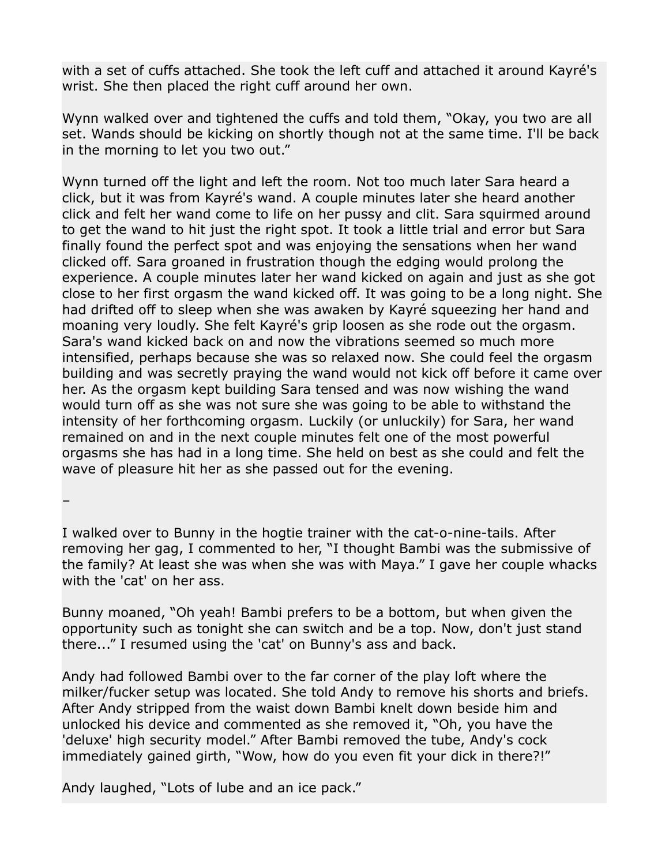with a set of cuffs attached. She took the left cuff and attached it around Kayré's wrist. She then placed the right cuff around her own.

Wynn walked over and tightened the cuffs and told them, "Okay, you two are all set. Wands should be kicking on shortly though not at the same time. I'll be back in the morning to let you two out."

Wynn turned off the light and left the room. Not too much later Sara heard a click, but it was from Kayré's wand. A couple minutes later she heard another click and felt her wand come to life on her pussy and clit. Sara squirmed around to get the wand to hit just the right spot. It took a little trial and error but Sara finally found the perfect spot and was enjoying the sensations when her wand clicked off. Sara groaned in frustration though the edging would prolong the experience. A couple minutes later her wand kicked on again and just as she got close to her first orgasm the wand kicked off. It was going to be a long night. She had drifted off to sleep when she was awaken by Kayré squeezing her hand and moaning very loudly. She felt Kayré's grip loosen as she rode out the orgasm. Sara's wand kicked back on and now the vibrations seemed so much more intensified, perhaps because she was so relaxed now. She could feel the orgasm building and was secretly praying the wand would not kick off before it came over her. As the orgasm kept building Sara tensed and was now wishing the wand would turn off as she was not sure she was going to be able to withstand the intensity of her forthcoming orgasm. Luckily (or unluckily) for Sara, her wand remained on and in the next couple minutes felt one of the most powerful orgasms she has had in a long time. She held on best as she could and felt the wave of pleasure hit her as she passed out for the evening.

–

I walked over to Bunny in the hogtie trainer with the cat-o-nine-tails. After removing her gag, I commented to her, "I thought Bambi was the submissive of the family? At least she was when she was with Maya." I gave her couple whacks with the 'cat' on her ass.

Bunny moaned, "Oh yeah! Bambi prefers to be a bottom, but when given the opportunity such as tonight she can switch and be a top. Now, don't just stand there..." I resumed using the 'cat' on Bunny's ass and back.

Andy had followed Bambi over to the far corner of the play loft where the milker/fucker setup was located. She told Andy to remove his shorts and briefs. After Andy stripped from the waist down Bambi knelt down beside him and unlocked his device and commented as she removed it, "Oh, you have the 'deluxe' high security model." After Bambi removed the tube, Andy's cock immediately gained girth, "Wow, how do you even fit your dick in there?!"

Andy laughed, "Lots of lube and an ice pack."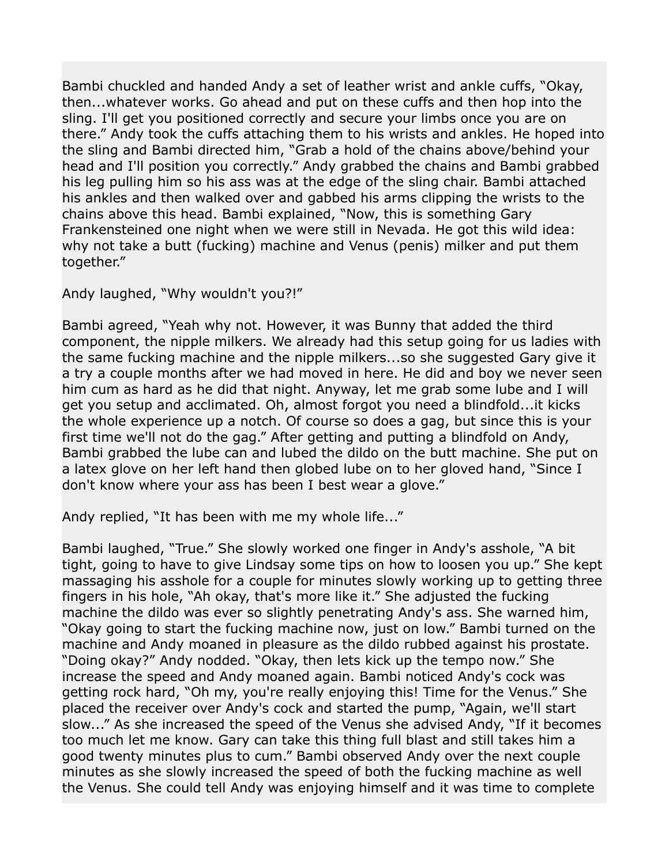Bambi chuckled and handed Andy a set of leather wrist and ankle cuffs, "Okay, then...whatever works. Go ahead and put on these cuffs and then hop into the sling. I'll get you positioned correctly and secure your limbs once you are on there." Andy took the cuffs attaching them to his wrists and ankles. He hoped into the sling and Bambi directed him, "Grab a hold of the chains above/behind your head and I'll position you correctly." Andy grabbed the chains and Bambi grabbed his leg pulling him so his ass was at the edge of the sling chair. Bambi attached his ankles and then walked over and gabbed his arms clipping the wrists to the chains above this head. Bambi explained, "Now, this is something Gary Frankensteined one night when we were still in Nevada. He got this wild idea: why not take a butt (fucking) machine and Venus (penis) milker and put them together."

Andy laughed, "Why wouldn't you?!"

Bambi agreed, "Yeah why not. However, it was Bunny that added the third component, the nipple milkers. We already had this setup going for us ladies with the same fucking machine and the nipple milkers...so she suggested Gary give it a try a couple months after we had moved in here. He did and boy we never seen him cum as hard as he did that night. Anyway, let me grab some lube and I will get you setup and acclimated. Oh, almost forgot you need a blindfold...it kicks the whole experience up a notch. Of course so does a gag, but since this is your first time we'll not do the gag." After getting and putting a blindfold on Andy, Bambi grabbed the lube can and lubed the dildo on the butt machine. She put on a latex glove on her left hand then globed lube on to her gloved hand, "Since I don't know where your ass has been I best wear a glove."

Andy replied, "It has been with me my whole life..."

Bambi laughed, "True." She slowly worked one finger in Andy's asshole, "A bit tight, going to have to give Lindsay some tips on how to loosen you up." She kept massaging his asshole for a couple for minutes slowly working up to getting three fingers in his hole, "Ah okay, that's more like it." She adjusted the fucking machine the dildo was ever so slightly penetrating Andy's ass. She warned him, "Okay going to start the fucking machine now, just on low." Bambi turned on the machine and Andy moaned in pleasure as the dildo rubbed against his prostate. "Doing okay?" Andy nodded. "Okay, then lets kick up the tempo now." She increase the speed and Andy moaned again. Bambi noticed Andy's cock was getting rock hard, "Oh my, you're really enjoying this! Time for the Venus." She placed the receiver over Andy's cock and started the pump, "Again, we'll start slow..." As she increased the speed of the Venus she advised Andy, "If it becomes too much let me know. Gary can take this thing full blast and still takes him a good twenty minutes plus to cum." Bambi observed Andy over the next couple minutes as she slowly increased the speed of both the fucking machine as well the Venus. She could tell Andy was enjoying himself and it was time to complete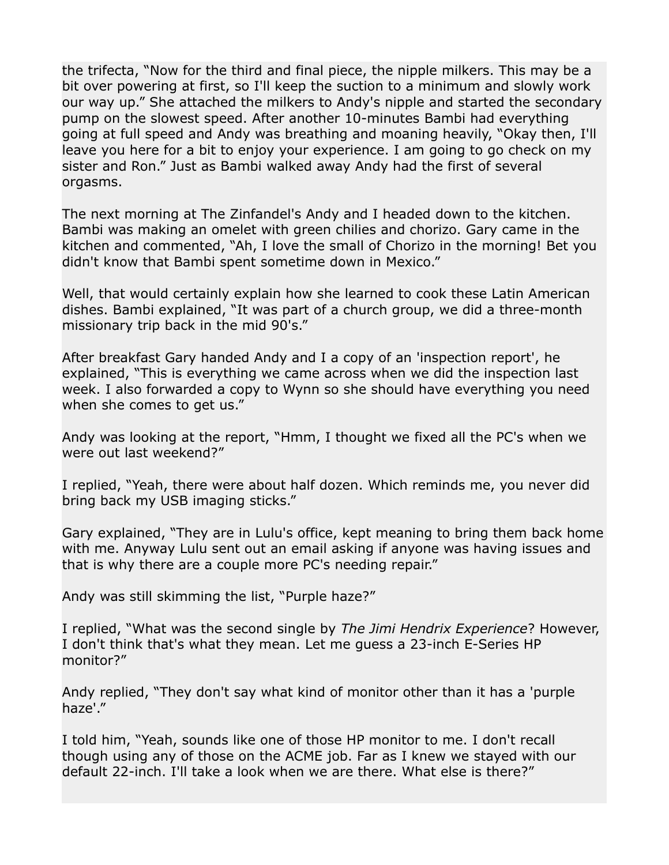the trifecta, "Now for the third and final piece, the nipple milkers. This may be a bit over powering at first, so I'll keep the suction to a minimum and slowly work our way up." She attached the milkers to Andy's nipple and started the secondary pump on the slowest speed. After another 10-minutes Bambi had everything going at full speed and Andy was breathing and moaning heavily, "Okay then, I'll leave you here for a bit to enjoy your experience. I am going to go check on my sister and Ron." Just as Bambi walked away Andy had the first of several orgasms.

The next morning at The Zinfandel's Andy and I headed down to the kitchen. Bambi was making an omelet with green chilies and chorizo. Gary came in the kitchen and commented, "Ah, I love the small of Chorizo in the morning! Bet you didn't know that Bambi spent sometime down in Mexico."

Well, that would certainly explain how she learned to cook these Latin American dishes. Bambi explained, "It was part of a church group, we did a three-month missionary trip back in the mid 90's."

After breakfast Gary handed Andy and I a copy of an 'inspection report', he explained, "This is everything we came across when we did the inspection last week. I also forwarded a copy to Wynn so she should have everything you need when she comes to get us."

Andy was looking at the report, "Hmm, I thought we fixed all the PC's when we were out last weekend?"

I replied, "Yeah, there were about half dozen. Which reminds me, you never did bring back my USB imaging sticks."

Gary explained, "They are in Lulu's office, kept meaning to bring them back home with me. Anyway Lulu sent out an email asking if anyone was having issues and that is why there are a couple more PC's needing repair."

Andy was still skimming the list, "Purple haze?"

I replied, "What was the second single by *The Jimi Hendrix Experience*? However, I don't think that's what they mean. Let me guess a 23-inch E-Series HP monitor?"

Andy replied, "They don't say what kind of monitor other than it has a 'purple haze'."

I told him, "Yeah, sounds like one of those HP monitor to me. I don't recall though using any of those on the ACME job. Far as I knew we stayed with our default 22-inch. I'll take a look when we are there. What else is there?"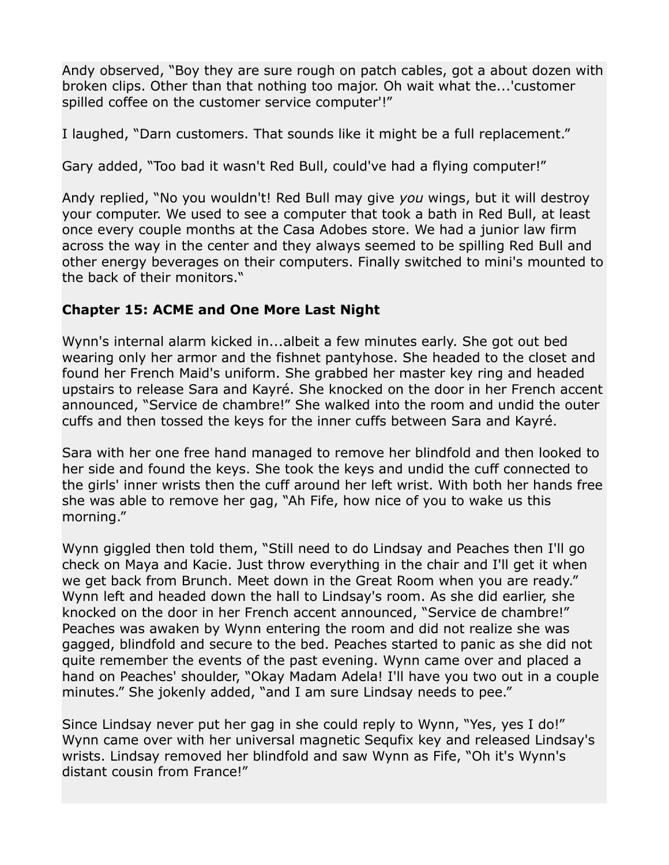Andy observed, "Boy they are sure rough on patch cables, got a about dozen with broken clips. Other than that nothing too major. Oh wait what the...'customer spilled coffee on the customer service computer'!"

I laughed, "Darn customers. That sounds like it might be a full replacement."

Gary added, "Too bad it wasn't Red Bull, could've had a flying computer!"

Andy replied, "No you wouldn't! Red Bull may give *you* wings, but it will destroy your computer. We used to see a computer that took a bath in Red Bull, at least once every couple months at the Casa Adobes store. We had a junior law firm across the way in the center and they always seemed to be spilling Red Bull and other energy beverages on their computers. Finally switched to mini's mounted to the back of their monitors."

## **Chapter 15: ACME and One More Last Night**

Wynn's internal alarm kicked in...albeit a few minutes early. She got out bed wearing only her armor and the fishnet pantyhose. She headed to the closet and found her French Maid's uniform. She grabbed her master key ring and headed upstairs to release Sara and Kayré. She knocked on the door in her French accent announced, "Service de chambre!" She walked into the room and undid the outer cuffs and then tossed the keys for the inner cuffs between Sara and Kayré.

Sara with her one free hand managed to remove her blindfold and then looked to her side and found the keys. She took the keys and undid the cuff connected to the girls' inner wrists then the cuff around her left wrist. With both her hands free she was able to remove her gag, "Ah Fife, how nice of you to wake us this morning."

Wynn giggled then told them, "Still need to do Lindsay and Peaches then I'll go check on Maya and Kacie. Just throw everything in the chair and I'll get it when we get back from Brunch. Meet down in the Great Room when you are ready." Wynn left and headed down the hall to Lindsay's room. As she did earlier, she knocked on the door in her French accent announced, "Service de chambre!" Peaches was awaken by Wynn entering the room and did not realize she was gagged, blindfold and secure to the bed. Peaches started to panic as she did not quite remember the events of the past evening. Wynn came over and placed a hand on Peaches' shoulder, "Okay Madam Adela! I'll have you two out in a couple minutes." She jokenly added, "and I am sure Lindsay needs to pee."

Since Lindsay never put her gag in she could reply to Wynn, "Yes, yes I do!" Wynn came over with her universal magnetic Sequfix key and released Lindsay's wrists. Lindsay removed her blindfold and saw Wynn as Fife, "Oh it's Wynn's distant cousin from France!"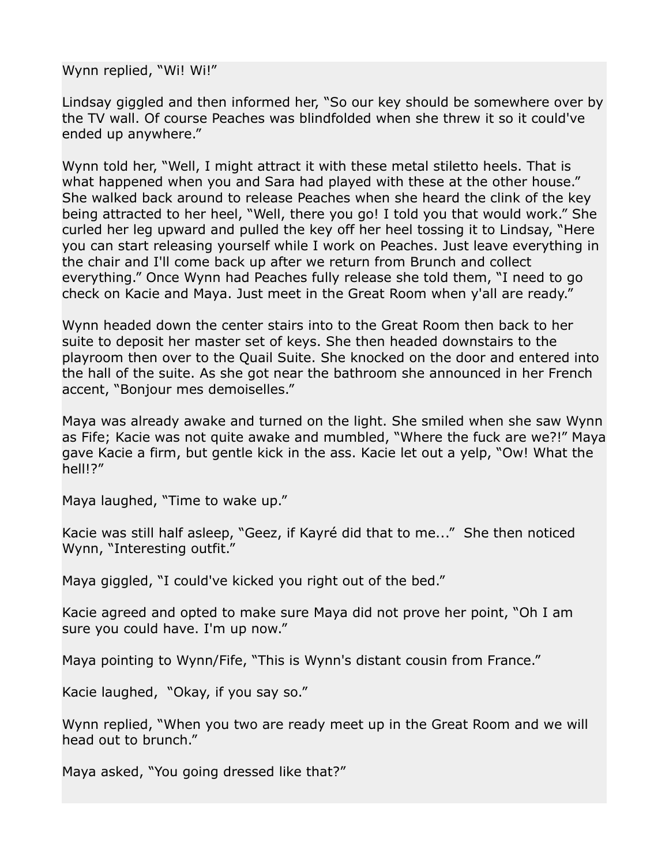Wynn replied, "Wi! Wi!"

Lindsay giggled and then informed her, "So our key should be somewhere over by the TV wall. Of course Peaches was blindfolded when she threw it so it could've ended up anywhere."

Wynn told her, "Well, I might attract it with these metal stiletto heels. That is what happened when you and Sara had played with these at the other house." She walked back around to release Peaches when she heard the clink of the key being attracted to her heel, "Well, there you go! I told you that would work." She curled her leg upward and pulled the key off her heel tossing it to Lindsay, "Here you can start releasing yourself while I work on Peaches. Just leave everything in the chair and I'll come back up after we return from Brunch and collect everything." Once Wynn had Peaches fully release she told them, "I need to go check on Kacie and Maya. Just meet in the Great Room when y'all are ready."

Wynn headed down the center stairs into to the Great Room then back to her suite to deposit her master set of keys. She then headed downstairs to the playroom then over to the Quail Suite. She knocked on the door and entered into the hall of the suite. As she got near the bathroom she announced in her French accent, "Bonjour mes demoiselles."

Maya was already awake and turned on the light. She smiled when she saw Wynn as Fife; Kacie was not quite awake and mumbled, "Where the fuck are we?!" Maya gave Kacie a firm, but gentle kick in the ass. Kacie let out a yelp, "Ow! What the hell!?"

Maya laughed, "Time to wake up."

Kacie was still half asleep, "Geez, if Kayré did that to me..." She then noticed Wynn, "Interesting outfit."

Maya giggled, "I could've kicked you right out of the bed."

Kacie agreed and opted to make sure Maya did not prove her point, "Oh I am sure you could have. I'm up now."

Maya pointing to Wynn/Fife, "This is Wynn's distant cousin from France."

Kacie laughed, "Okay, if you say so."

Wynn replied, "When you two are ready meet up in the Great Room and we will head out to brunch."

Maya asked, "You going dressed like that?"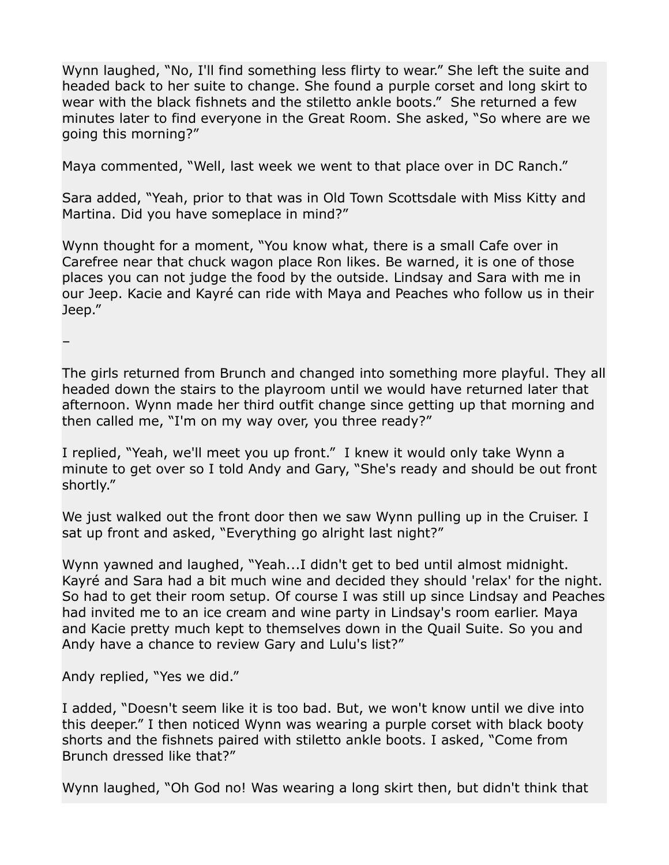Wynn laughed, "No, I'll find something less flirty to wear." She left the suite and headed back to her suite to change. She found a purple corset and long skirt to wear with the black fishnets and the stiletto ankle boots." She returned a few minutes later to find everyone in the Great Room. She asked, "So where are we going this morning?"

Maya commented, "Well, last week we went to that place over in DC Ranch."

Sara added, "Yeah, prior to that was in Old Town Scottsdale with Miss Kitty and Martina. Did you have someplace in mind?"

Wynn thought for a moment, "You know what, there is a small Cafe over in Carefree near that chuck wagon place Ron likes. Be warned, it is one of those places you can not judge the food by the outside. Lindsay and Sara with me in our Jeep. Kacie and Kayré can ride with Maya and Peaches who follow us in their Jeep."

–

The girls returned from Brunch and changed into something more playful. They all headed down the stairs to the playroom until we would have returned later that afternoon. Wynn made her third outfit change since getting up that morning and then called me, "I'm on my way over, you three ready?"

I replied, "Yeah, we'll meet you up front." I knew it would only take Wynn a minute to get over so I told Andy and Gary, "She's ready and should be out front shortly."

We just walked out the front door then we saw Wynn pulling up in the Cruiser. I sat up front and asked, "Everything go alright last night?"

Wynn yawned and laughed, "Yeah...I didn't get to bed until almost midnight. Kayré and Sara had a bit much wine and decided they should 'relax' for the night. So had to get their room setup. Of course I was still up since Lindsay and Peaches had invited me to an ice cream and wine party in Lindsay's room earlier. Maya and Kacie pretty much kept to themselves down in the Quail Suite. So you and Andy have a chance to review Gary and Lulu's list?"

Andy replied, "Yes we did."

I added, "Doesn't seem like it is too bad. But, we won't know until we dive into this deeper." I then noticed Wynn was wearing a purple corset with black booty shorts and the fishnets paired with stiletto ankle boots. I asked, "Come from Brunch dressed like that?"

Wynn laughed, "Oh God no! Was wearing a long skirt then, but didn't think that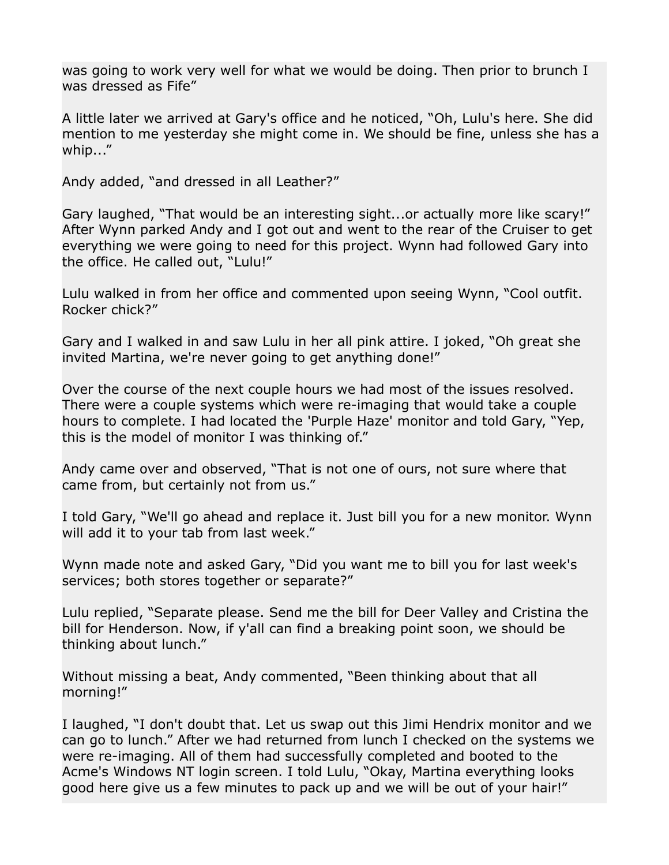was going to work very well for what we would be doing. Then prior to brunch I was dressed as Fife"

A little later we arrived at Gary's office and he noticed, "Oh, Lulu's here. She did mention to me yesterday she might come in. We should be fine, unless she has a whip..."

Andy added, "and dressed in all Leather?"

Gary laughed, "That would be an interesting sight...or actually more like scary!" After Wynn parked Andy and I got out and went to the rear of the Cruiser to get everything we were going to need for this project. Wynn had followed Gary into the office. He called out, "Lulu!"

Lulu walked in from her office and commented upon seeing Wynn, "Cool outfit. Rocker chick?"

Gary and I walked in and saw Lulu in her all pink attire. I joked, "Oh great she invited Martina, we're never going to get anything done!"

Over the course of the next couple hours we had most of the issues resolved. There were a couple systems which were re-imaging that would take a couple hours to complete. I had located the 'Purple Haze' monitor and told Gary, "Yep, this is the model of monitor I was thinking of."

Andy came over and observed, "That is not one of ours, not sure where that came from, but certainly not from us."

I told Gary, "We'll go ahead and replace it. Just bill you for a new monitor. Wynn will add it to your tab from last week."

Wynn made note and asked Gary, "Did you want me to bill you for last week's services; both stores together or separate?"

Lulu replied, "Separate please. Send me the bill for Deer Valley and Cristina the bill for Henderson. Now, if y'all can find a breaking point soon, we should be thinking about lunch."

Without missing a beat, Andy commented, "Been thinking about that all morning!"

I laughed, "I don't doubt that. Let us swap out this Jimi Hendrix monitor and we can go to lunch." After we had returned from lunch I checked on the systems we were re-imaging. All of them had successfully completed and booted to the Acme's Windows NT login screen. I told Lulu, "Okay, Martina everything looks good here give us a few minutes to pack up and we will be out of your hair!"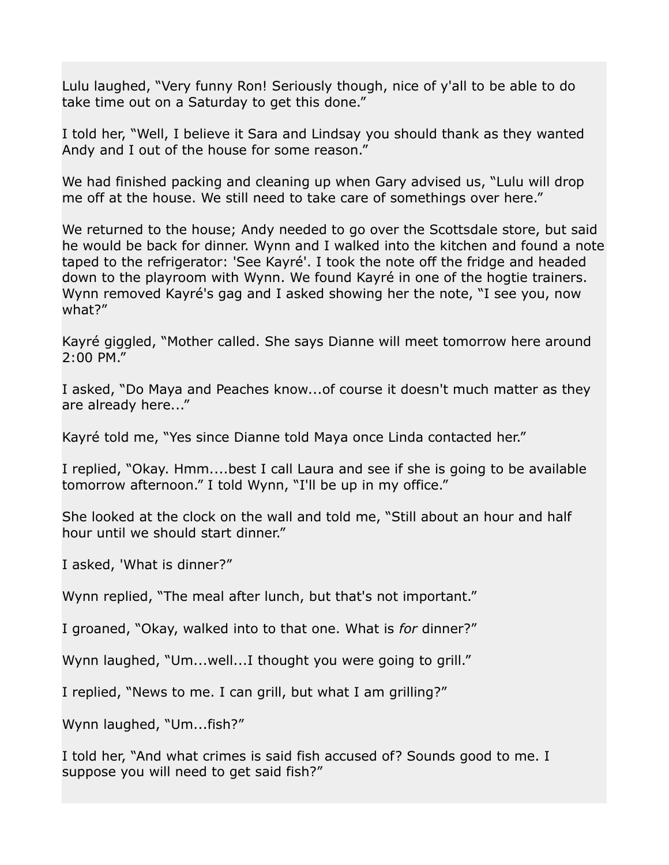Lulu laughed, "Very funny Ron! Seriously though, nice of y'all to be able to do take time out on a Saturday to get this done."

I told her, "Well, I believe it Sara and Lindsay you should thank as they wanted Andy and I out of the house for some reason."

We had finished packing and cleaning up when Gary advised us, "Lulu will drop me off at the house. We still need to take care of somethings over here."

We returned to the house; Andy needed to go over the Scottsdale store, but said he would be back for dinner. Wynn and I walked into the kitchen and found a note taped to the refrigerator: 'See Kayré'. I took the note off the fridge and headed down to the playroom with Wynn. We found Kayré in one of the hogtie trainers. Wynn removed Kayré's gag and I asked showing her the note, "I see you, now what?"

Kayré giggled, "Mother called. She says Dianne will meet tomorrow here around 2:00 PM."

I asked, "Do Maya and Peaches know...of course it doesn't much matter as they are already here..."

Kayré told me, "Yes since Dianne told Maya once Linda contacted her."

I replied, "Okay. Hmm....best I call Laura and see if she is going to be available tomorrow afternoon." I told Wynn, "I'll be up in my office."

She looked at the clock on the wall and told me, "Still about an hour and half hour until we should start dinner."

I asked, 'What is dinner?"

Wynn replied, "The meal after lunch, but that's not important."

I groaned, "Okay, walked into to that one. What is *for* dinner?"

Wynn laughed, "Um...well...I thought you were going to grill."

I replied, "News to me. I can grill, but what I am grilling?"

Wynn laughed, "Um...fish?"

I told her, "And what crimes is said fish accused of? Sounds good to me. I suppose you will need to get said fish?"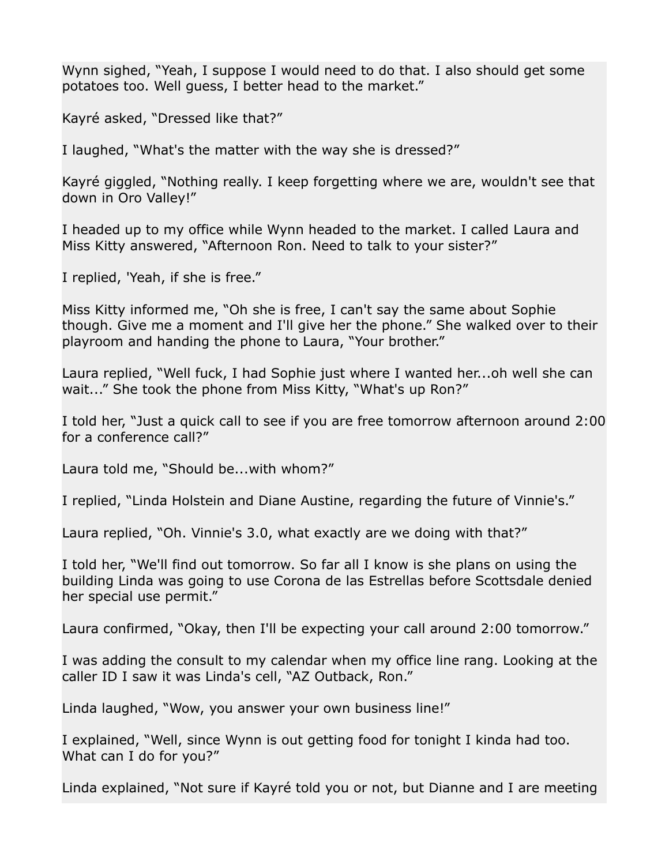Wynn sighed, "Yeah, I suppose I would need to do that. I also should get some potatoes too. Well guess, I better head to the market."

Kayré asked, "Dressed like that?"

I laughed, "What's the matter with the way she is dressed?"

Kayré giggled, "Nothing really. I keep forgetting where we are, wouldn't see that down in Oro Valley!"

I headed up to my office while Wynn headed to the market. I called Laura and Miss Kitty answered, "Afternoon Ron. Need to talk to your sister?"

I replied, 'Yeah, if she is free."

Miss Kitty informed me, "Oh she is free, I can't say the same about Sophie though. Give me a moment and I'll give her the phone." She walked over to their playroom and handing the phone to Laura, "Your brother."

Laura replied, "Well fuck, I had Sophie just where I wanted her...oh well she can wait..." She took the phone from Miss Kitty, "What's up Ron?"

I told her, "Just a quick call to see if you are free tomorrow afternoon around 2:00 for a conference call?"

Laura told me, "Should be...with whom?"

I replied, "Linda Holstein and Diane Austine, regarding the future of Vinnie's."

Laura replied, "Oh. Vinnie's 3.0, what exactly are we doing with that?"

I told her, "We'll find out tomorrow. So far all I know is she plans on using the building Linda was going to use Corona de las Estrellas before Scottsdale denied her special use permit."

Laura confirmed, "Okay, then I'll be expecting your call around 2:00 tomorrow."

I was adding the consult to my calendar when my office line rang. Looking at the caller ID I saw it was Linda's cell, "AZ Outback, Ron."

Linda laughed, "Wow, you answer your own business line!"

I explained, "Well, since Wynn is out getting food for tonight I kinda had too. What can I do for you?"

Linda explained, "Not sure if Kayré told you or not, but Dianne and I are meeting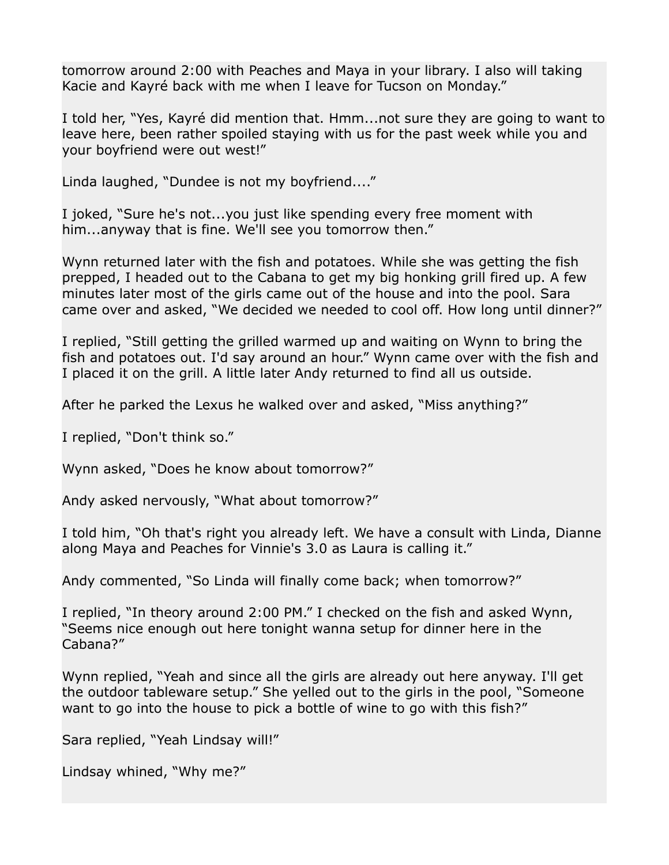tomorrow around 2:00 with Peaches and Maya in your library. I also will taking Kacie and Kayré back with me when I leave for Tucson on Monday."

I told her, "Yes, Kayré did mention that. Hmm...not sure they are going to want to leave here, been rather spoiled staying with us for the past week while you and your boyfriend were out west!"

Linda laughed, "Dundee is not my boyfriend...."

I joked, "Sure he's not...you just like spending every free moment with him...anyway that is fine. We'll see you tomorrow then."

Wynn returned later with the fish and potatoes. While she was getting the fish prepped, I headed out to the Cabana to get my big honking grill fired up. A few minutes later most of the girls came out of the house and into the pool. Sara came over and asked, "We decided we needed to cool off. How long until dinner?"

I replied, "Still getting the grilled warmed up and waiting on Wynn to bring the fish and potatoes out. I'd say around an hour." Wynn came over with the fish and I placed it on the grill. A little later Andy returned to find all us outside.

After he parked the Lexus he walked over and asked, "Miss anything?"

I replied, "Don't think so."

Wynn asked, "Does he know about tomorrow?"

Andy asked nervously, "What about tomorrow?"

I told him, "Oh that's right you already left. We have a consult with Linda, Dianne along Maya and Peaches for Vinnie's 3.0 as Laura is calling it."

Andy commented, "So Linda will finally come back; when tomorrow?"

I replied, "In theory around 2:00 PM." I checked on the fish and asked Wynn, "Seems nice enough out here tonight wanna setup for dinner here in the Cabana?"

Wynn replied, "Yeah and since all the girls are already out here anyway. I'll get the outdoor tableware setup." She yelled out to the girls in the pool, "Someone want to go into the house to pick a bottle of wine to go with this fish?"

Sara replied, "Yeah Lindsay will!"

```
Lindsay whined, "Why me?"
```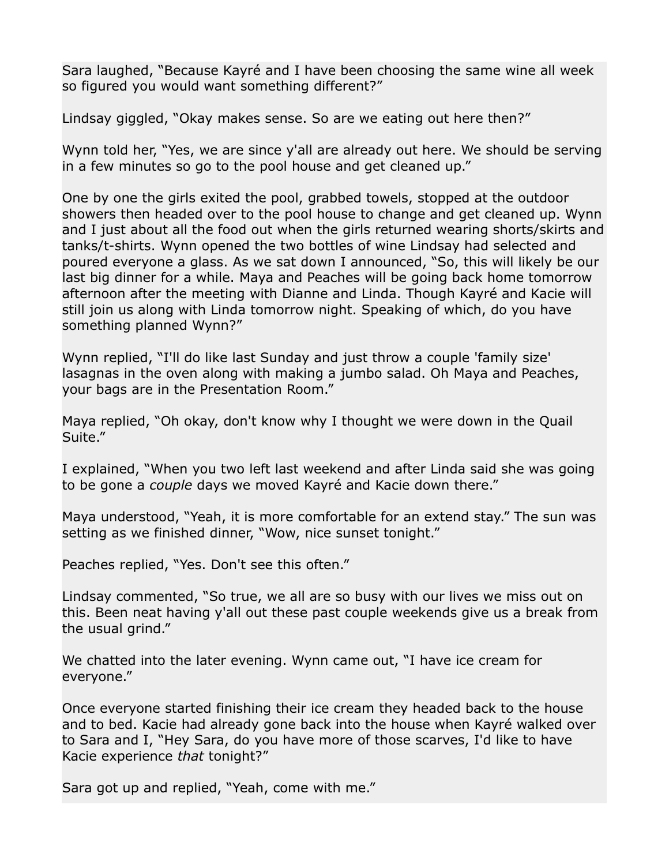Sara laughed, "Because Kayré and I have been choosing the same wine all week so figured you would want something different?"

Lindsay giggled, "Okay makes sense. So are we eating out here then?"

Wynn told her, "Yes, we are since y'all are already out here. We should be serving in a few minutes so go to the pool house and get cleaned up."

One by one the girls exited the pool, grabbed towels, stopped at the outdoor showers then headed over to the pool house to change and get cleaned up. Wynn and I just about all the food out when the girls returned wearing shorts/skirts and tanks/t-shirts. Wynn opened the two bottles of wine Lindsay had selected and poured everyone a glass. As we sat down I announced, "So, this will likely be our last big dinner for a while. Maya and Peaches will be going back home tomorrow afternoon after the meeting with Dianne and Linda. Though Kayré and Kacie will still join us along with Linda tomorrow night. Speaking of which, do you have something planned Wynn?"

Wynn replied, "I'll do like last Sunday and just throw a couple 'family size' lasagnas in the oven along with making a jumbo salad. Oh Maya and Peaches, your bags are in the Presentation Room."

Maya replied, "Oh okay, don't know why I thought we were down in the Quail Suite."

I explained, "When you two left last weekend and after Linda said she was going to be gone a *couple* days we moved Kayré and Kacie down there."

Maya understood, "Yeah, it is more comfortable for an extend stay." The sun was setting as we finished dinner, "Wow, nice sunset tonight."

Peaches replied, "Yes. Don't see this often."

Lindsay commented, "So true, we all are so busy with our lives we miss out on this. Been neat having y'all out these past couple weekends give us a break from the usual grind."

We chatted into the later evening. Wynn came out, "I have ice cream for everyone."

Once everyone started finishing their ice cream they headed back to the house and to bed. Kacie had already gone back into the house when Kayré walked over to Sara and I, "Hey Sara, do you have more of those scarves, I'd like to have Kacie experience *that* tonight?"

Sara got up and replied, "Yeah, come with me."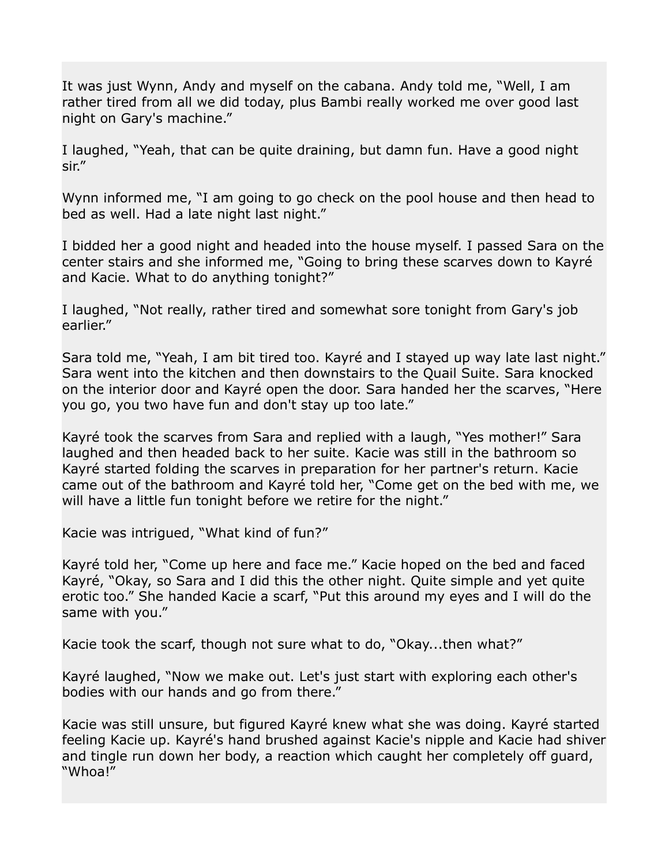It was just Wynn, Andy and myself on the cabana. Andy told me, "Well, I am rather tired from all we did today, plus Bambi really worked me over good last night on Gary's machine."

I laughed, "Yeah, that can be quite draining, but damn fun. Have a good night sir."

Wynn informed me, "I am going to go check on the pool house and then head to bed as well. Had a late night last night."

I bidded her a good night and headed into the house myself. I passed Sara on the center stairs and she informed me, "Going to bring these scarves down to Kayré and Kacie. What to do anything tonight?"

I laughed, "Not really, rather tired and somewhat sore tonight from Gary's job earlier."

Sara told me, "Yeah, I am bit tired too. Kayré and I stayed up way late last night." Sara went into the kitchen and then downstairs to the Quail Suite. Sara knocked on the interior door and Kayré open the door. Sara handed her the scarves, "Here you go, you two have fun and don't stay up too late."

Kayré took the scarves from Sara and replied with a laugh, "Yes mother!" Sara laughed and then headed back to her suite. Kacie was still in the bathroom so Kayré started folding the scarves in preparation for her partner's return. Kacie came out of the bathroom and Kayré told her, "Come get on the bed with me, we will have a little fun tonight before we retire for the night."

Kacie was intrigued, "What kind of fun?"

Kayré told her, "Come up here and face me." Kacie hoped on the bed and faced Kayré, "Okay, so Sara and I did this the other night. Quite simple and yet quite erotic too." She handed Kacie a scarf, "Put this around my eyes and I will do the same with you."

Kacie took the scarf, though not sure what to do, "Okay...then what?"

Kayré laughed, "Now we make out. Let's just start with exploring each other's bodies with our hands and go from there."

Kacie was still unsure, but figured Kayré knew what she was doing. Kayré started feeling Kacie up. Kayré's hand brushed against Kacie's nipple and Kacie had shiver and tingle run down her body, a reaction which caught her completely off guard, "Whoa!"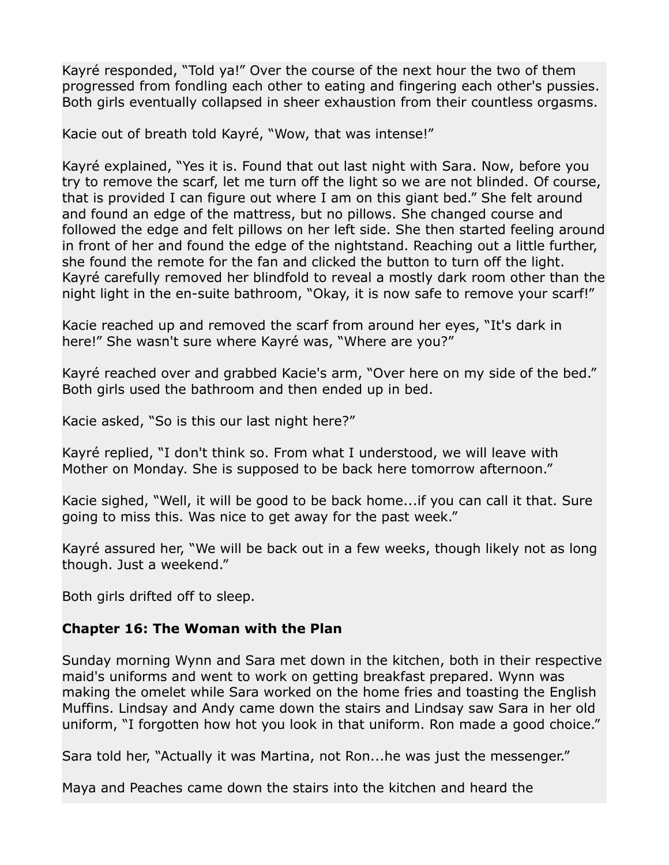Kayré responded, "Told ya!" Over the course of the next hour the two of them progressed from fondling each other to eating and fingering each other's pussies. Both girls eventually collapsed in sheer exhaustion from their countless orgasms.

Kacie out of breath told Kayré, "Wow, that was intense!"

Kayré explained, "Yes it is. Found that out last night with Sara. Now, before you try to remove the scarf, let me turn off the light so we are not blinded. Of course, that is provided I can figure out where I am on this giant bed." She felt around and found an edge of the mattress, but no pillows. She changed course and followed the edge and felt pillows on her left side. She then started feeling around in front of her and found the edge of the nightstand. Reaching out a little further, she found the remote for the fan and clicked the button to turn off the light. Kayré carefully removed her blindfold to reveal a mostly dark room other than the night light in the en-suite bathroom, "Okay, it is now safe to remove your scarf!"

Kacie reached up and removed the scarf from around her eyes, "It's dark in here!" She wasn't sure where Kayré was, "Where are you?"

Kayré reached over and grabbed Kacie's arm, "Over here on my side of the bed." Both girls used the bathroom and then ended up in bed.

Kacie asked, "So is this our last night here?"

Kayré replied, "I don't think so. From what I understood, we will leave with Mother on Monday. She is supposed to be back here tomorrow afternoon."

Kacie sighed, "Well, it will be good to be back home...if you can call it that. Sure going to miss this. Was nice to get away for the past week."

Kayré assured her, "We will be back out in a few weeks, though likely not as long though. Just a weekend."

Both girls drifted off to sleep.

## **Chapter 16: The Woman with the Plan**

Sunday morning Wynn and Sara met down in the kitchen, both in their respective maid's uniforms and went to work on getting breakfast prepared. Wynn was making the omelet while Sara worked on the home fries and toasting the English Muffins. Lindsay and Andy came down the stairs and Lindsay saw Sara in her old uniform, "I forgotten how hot you look in that uniform. Ron made a good choice."

Sara told her, "Actually it was Martina, not Ron...he was just the messenger."

Maya and Peaches came down the stairs into the kitchen and heard the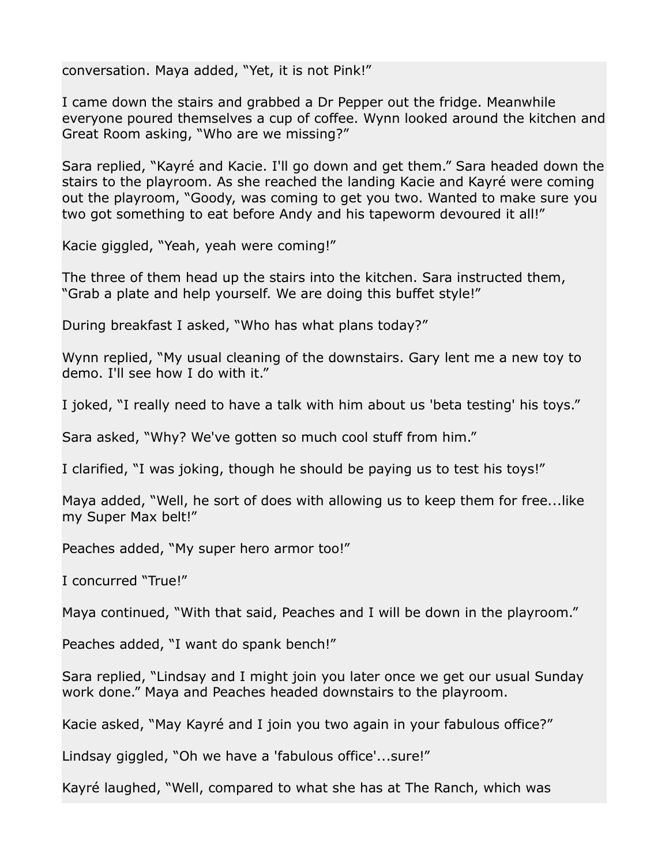conversation. Maya added, "Yet, it is not Pink!"

I came down the stairs and grabbed a Dr Pepper out the fridge. Meanwhile everyone poured themselves a cup of coffee. Wynn looked around the kitchen and Great Room asking, "Who are we missing?"

Sara replied, "Kayré and Kacie. I'll go down and get them." Sara headed down the stairs to the playroom. As she reached the landing Kacie and Kayré were coming out the playroom, "Goody, was coming to get you two. Wanted to make sure you two got something to eat before Andy and his tapeworm devoured it all!"

Kacie giggled, "Yeah, yeah were coming!"

The three of them head up the stairs into the kitchen. Sara instructed them, "Grab a plate and help yourself. We are doing this buffet style!"

During breakfast I asked, "Who has what plans today?"

Wynn replied, "My usual cleaning of the downstairs. Gary lent me a new toy to demo. I'll see how I do with it."

I joked, "I really need to have a talk with him about us 'beta testing' his toys."

Sara asked, "Why? We've gotten so much cool stuff from him."

I clarified, "I was joking, though he should be paying us to test his toys!"

Maya added, "Well, he sort of does with allowing us to keep them for free...like my Super Max belt!"

Peaches added, "My super hero armor too!"

I concurred "True!"

Maya continued, "With that said, Peaches and I will be down in the playroom."

Peaches added, "I want do spank bench!"

Sara replied, "Lindsay and I might join you later once we get our usual Sunday work done." Maya and Peaches headed downstairs to the playroom.

Kacie asked, "May Kayré and I join you two again in your fabulous office?"

Lindsay giggled, "Oh we have a 'fabulous office'...sure!"

Kayré laughed, "Well, compared to what she has at The Ranch, which was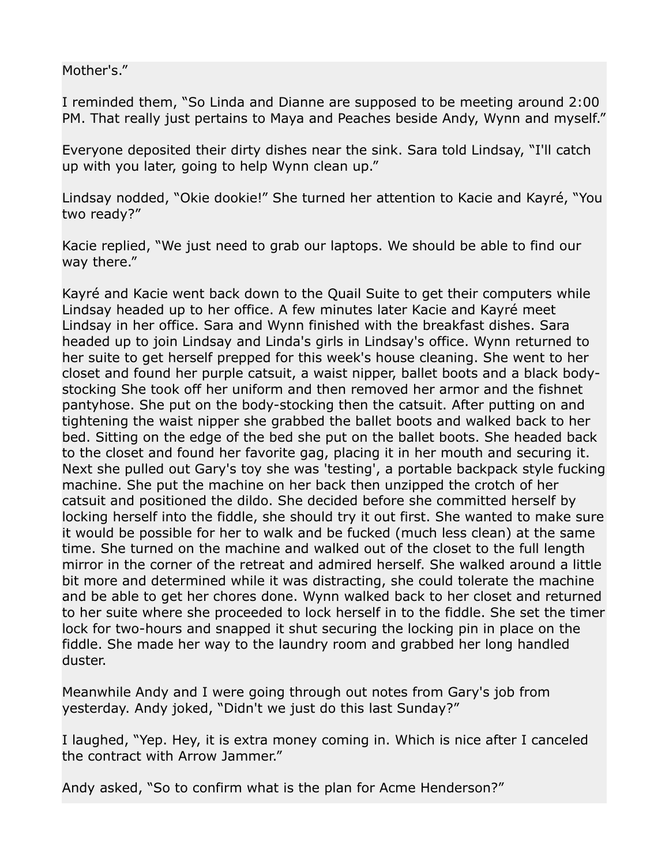Mother's."

I reminded them, "So Linda and Dianne are supposed to be meeting around 2:00 PM. That really just pertains to Maya and Peaches beside Andy, Wynn and myself."

Everyone deposited their dirty dishes near the sink. Sara told Lindsay, "I'll catch up with you later, going to help Wynn clean up."

Lindsay nodded, "Okie dookie!" She turned her attention to Kacie and Kayré, "You two ready?"

Kacie replied, "We just need to grab our laptops. We should be able to find our way there."

Kayré and Kacie went back down to the Quail Suite to get their computers while Lindsay headed up to her office. A few minutes later Kacie and Kayré meet Lindsay in her office. Sara and Wynn finished with the breakfast dishes. Sara headed up to join Lindsay and Linda's girls in Lindsay's office. Wynn returned to her suite to get herself prepped for this week's house cleaning. She went to her closet and found her purple catsuit, a waist nipper, ballet boots and a black bodystocking She took off her uniform and then removed her armor and the fishnet pantyhose. She put on the body-stocking then the catsuit. After putting on and tightening the waist nipper she grabbed the ballet boots and walked back to her bed. Sitting on the edge of the bed she put on the ballet boots. She headed back to the closet and found her favorite gag, placing it in her mouth and securing it. Next she pulled out Gary's toy she was 'testing', a portable backpack style fucking machine. She put the machine on her back then unzipped the crotch of her catsuit and positioned the dildo. She decided before she committed herself by locking herself into the fiddle, she should try it out first. She wanted to make sure it would be possible for her to walk and be fucked (much less clean) at the same time. She turned on the machine and walked out of the closet to the full length mirror in the corner of the retreat and admired herself. She walked around a little bit more and determined while it was distracting, she could tolerate the machine and be able to get her chores done. Wynn walked back to her closet and returned to her suite where she proceeded to lock herself in to the fiddle. She set the timer lock for two-hours and snapped it shut securing the locking pin in place on the fiddle. She made her way to the laundry room and grabbed her long handled duster.

Meanwhile Andy and I were going through out notes from Gary's job from yesterday. Andy joked, "Didn't we just do this last Sunday?"

I laughed, "Yep. Hey, it is extra money coming in. Which is nice after I canceled the contract with Arrow Jammer."

Andy asked, "So to confirm what is the plan for Acme Henderson?"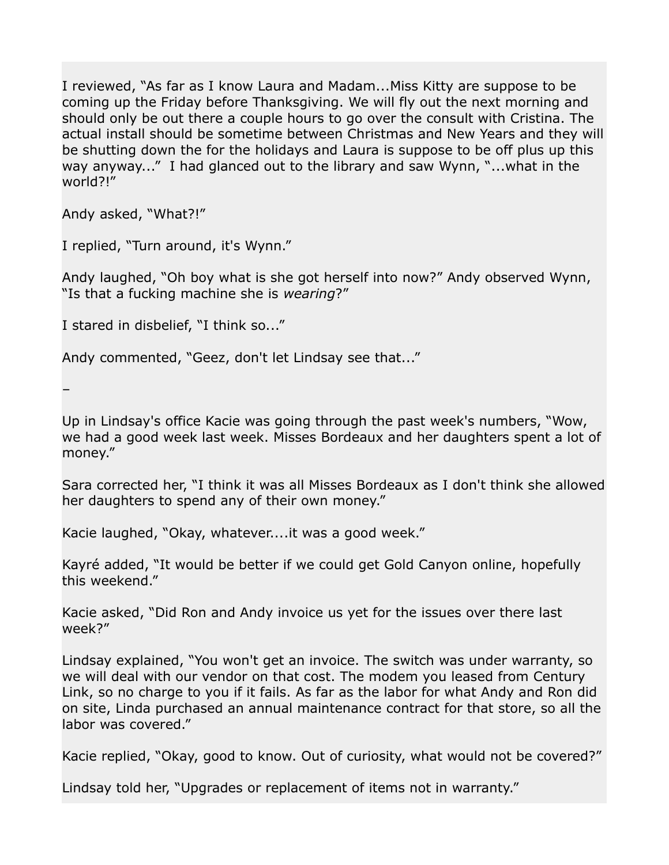I reviewed, "As far as I know Laura and Madam...Miss Kitty are suppose to be coming up the Friday before Thanksgiving. We will fly out the next morning and should only be out there a couple hours to go over the consult with Cristina. The actual install should be sometime between Christmas and New Years and they will be shutting down the for the holidays and Laura is suppose to be off plus up this way anyway..." I had glanced out to the library and saw Wynn, "...what in the world?!"

Andy asked, "What?!"

I replied, "Turn around, it's Wynn."

Andy laughed, "Oh boy what is she got herself into now?" Andy observed Wynn, "Is that a fucking machine she is *wearing*?"

I stared in disbelief, "I think so..."

Andy commented, "Geez, don't let Lindsay see that..."

–

Up in Lindsay's office Kacie was going through the past week's numbers, "Wow, we had a good week last week. Misses Bordeaux and her daughters spent a lot of money."

Sara corrected her, "I think it was all Misses Bordeaux as I don't think she allowed her daughters to spend any of their own money."

Kacie laughed, "Okay, whatever....it was a good week."

Kayré added, "It would be better if we could get Gold Canyon online, hopefully this weekend."

Kacie asked, "Did Ron and Andy invoice us yet for the issues over there last week?"

Lindsay explained, "You won't get an invoice. The switch was under warranty, so we will deal with our vendor on that cost. The modem you leased from Century Link, so no charge to you if it fails. As far as the labor for what Andy and Ron did on site, Linda purchased an annual maintenance contract for that store, so all the labor was covered."

Kacie replied, "Okay, good to know. Out of curiosity, what would not be covered?"

Lindsay told her, "Upgrades or replacement of items not in warranty."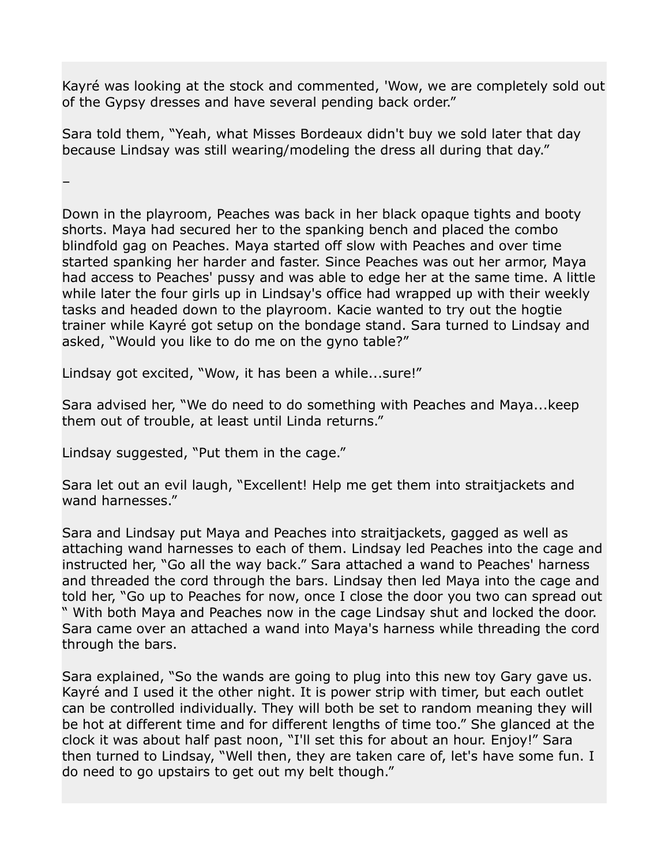Kayré was looking at the stock and commented, 'Wow, we are completely sold out of the Gypsy dresses and have several pending back order."

Sara told them, "Yeah, what Misses Bordeaux didn't buy we sold later that day because Lindsay was still wearing/modeling the dress all during that day."

–

Down in the playroom, Peaches was back in her black opaque tights and booty shorts. Maya had secured her to the spanking bench and placed the combo blindfold gag on Peaches. Maya started off slow with Peaches and over time started spanking her harder and faster. Since Peaches was out her armor, Maya had access to Peaches' pussy and was able to edge her at the same time. A little while later the four girls up in Lindsay's office had wrapped up with their weekly tasks and headed down to the playroom. Kacie wanted to try out the hogtie trainer while Kayré got setup on the bondage stand. Sara turned to Lindsay and asked, "Would you like to do me on the gyno table?"

Lindsay got excited, "Wow, it has been a while...sure!"

Sara advised her, "We do need to do something with Peaches and Maya...keep them out of trouble, at least until Linda returns."

Lindsay suggested, "Put them in the cage."

Sara let out an evil laugh, "Excellent! Help me get them into straitjackets and wand harnesses."

Sara and Lindsay put Maya and Peaches into straitjackets, gagged as well as attaching wand harnesses to each of them. Lindsay led Peaches into the cage and instructed her, "Go all the way back." Sara attached a wand to Peaches' harness and threaded the cord through the bars. Lindsay then led Maya into the cage and told her, "Go up to Peaches for now, once I close the door you two can spread out " With both Maya and Peaches now in the cage Lindsay shut and locked the door. Sara came over an attached a wand into Maya's harness while threading the cord through the bars.

Sara explained, "So the wands are going to plug into this new toy Gary gave us. Kayré and I used it the other night. It is power strip with timer, but each outlet can be controlled individually. They will both be set to random meaning they will be hot at different time and for different lengths of time too." She glanced at the clock it was about half past noon, "I'll set this for about an hour. Enjoy!" Sara then turned to Lindsay, "Well then, they are taken care of, let's have some fun. I do need to go upstairs to get out my belt though."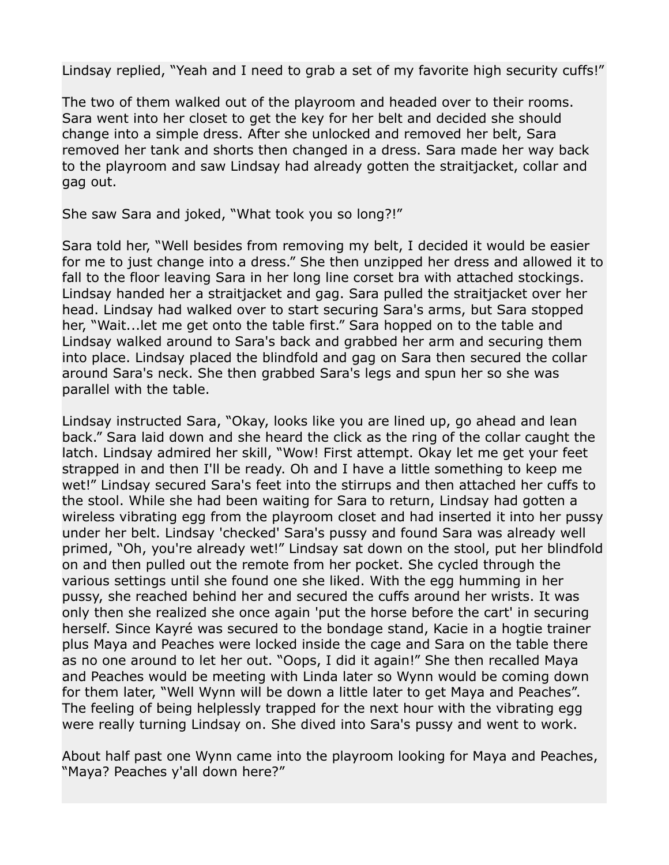Lindsay replied, "Yeah and I need to grab a set of my favorite high security cuffs!"

The two of them walked out of the playroom and headed over to their rooms. Sara went into her closet to get the key for her belt and decided she should change into a simple dress. After she unlocked and removed her belt, Sara removed her tank and shorts then changed in a dress. Sara made her way back to the playroom and saw Lindsay had already gotten the straitjacket, collar and gag out.

She saw Sara and joked, "What took you so long?!"

Sara told her, "Well besides from removing my belt, I decided it would be easier for me to just change into a dress." She then unzipped her dress and allowed it to fall to the floor leaving Sara in her long line corset bra with attached stockings. Lindsay handed her a straitjacket and gag. Sara pulled the straitjacket over her head. Lindsay had walked over to start securing Sara's arms, but Sara stopped her, "Wait...let me get onto the table first." Sara hopped on to the table and Lindsay walked around to Sara's back and grabbed her arm and securing them into place. Lindsay placed the blindfold and gag on Sara then secured the collar around Sara's neck. She then grabbed Sara's legs and spun her so she was parallel with the table.

Lindsay instructed Sara, "Okay, looks like you are lined up, go ahead and lean back." Sara laid down and she heard the click as the ring of the collar caught the latch. Lindsay admired her skill, "Wow! First attempt. Okay let me get your feet strapped in and then I'll be ready. Oh and I have a little something to keep me wet!" Lindsay secured Sara's feet into the stirrups and then attached her cuffs to the stool. While she had been waiting for Sara to return, Lindsay had gotten a wireless vibrating egg from the playroom closet and had inserted it into her pussy under her belt. Lindsay 'checked' Sara's pussy and found Sara was already well primed, "Oh, you're already wet!" Lindsay sat down on the stool, put her blindfold on and then pulled out the remote from her pocket. She cycled through the various settings until she found one she liked. With the egg humming in her pussy, she reached behind her and secured the cuffs around her wrists. It was only then she realized she once again 'put the horse before the cart' in securing herself. Since Kayré was secured to the bondage stand, Kacie in a hogtie trainer plus Maya and Peaches were locked inside the cage and Sara on the table there as no one around to let her out. "Oops, I did it again!" She then recalled Maya and Peaches would be meeting with Linda later so Wynn would be coming down for them later, "Well Wynn will be down a little later to get Maya and Peaches". The feeling of being helplessly trapped for the next hour with the vibrating egg were really turning Lindsay on. She dived into Sara's pussy and went to work.

About half past one Wynn came into the playroom looking for Maya and Peaches, "Maya? Peaches y'all down here?"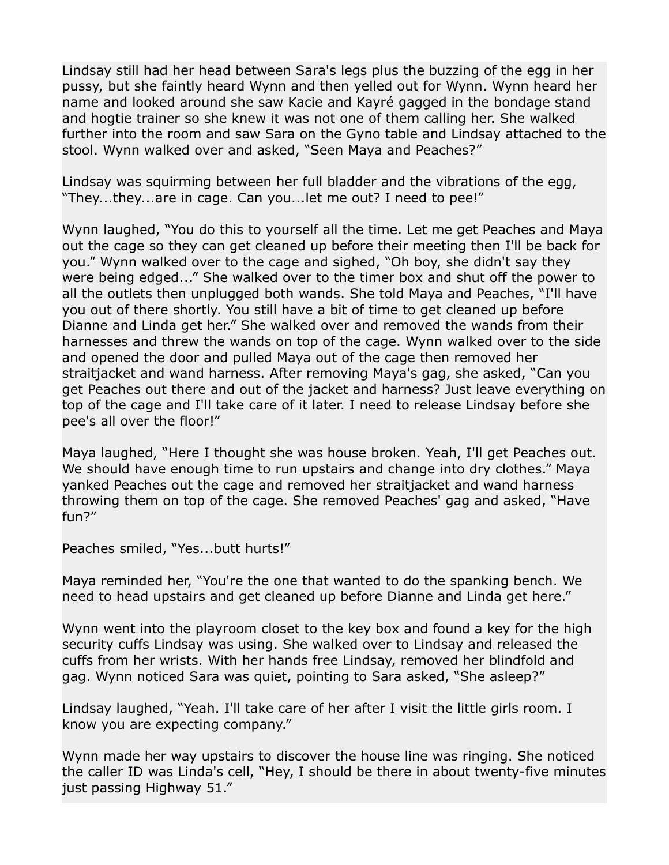Lindsay still had her head between Sara's legs plus the buzzing of the egg in her pussy, but she faintly heard Wynn and then yelled out for Wynn. Wynn heard her name and looked around she saw Kacie and Kayré gagged in the bondage stand and hogtie trainer so she knew it was not one of them calling her. She walked further into the room and saw Sara on the Gyno table and Lindsay attached to the stool. Wynn walked over and asked, "Seen Maya and Peaches?"

Lindsay was squirming between her full bladder and the vibrations of the egg, "They...they...are in cage. Can you...let me out? I need to pee!"

Wynn laughed, "You do this to yourself all the time. Let me get Peaches and Maya out the cage so they can get cleaned up before their meeting then I'll be back for you." Wynn walked over to the cage and sighed, "Oh boy, she didn't say they were being edged..." She walked over to the timer box and shut off the power to all the outlets then unplugged both wands. She told Maya and Peaches, "I'll have you out of there shortly. You still have a bit of time to get cleaned up before Dianne and Linda get her." She walked over and removed the wands from their harnesses and threw the wands on top of the cage. Wynn walked over to the side and opened the door and pulled Maya out of the cage then removed her straitjacket and wand harness. After removing Maya's gag, she asked, "Can you get Peaches out there and out of the jacket and harness? Just leave everything on top of the cage and I'll take care of it later. I need to release Lindsay before she pee's all over the floor!"

Maya laughed, "Here I thought she was house broken. Yeah, I'll get Peaches out. We should have enough time to run upstairs and change into dry clothes." Maya yanked Peaches out the cage and removed her straitjacket and wand harness throwing them on top of the cage. She removed Peaches' gag and asked, "Have fun?"

Peaches smiled, "Yes...butt hurts!"

Maya reminded her, "You're the one that wanted to do the spanking bench. We need to head upstairs and get cleaned up before Dianne and Linda get here."

Wynn went into the playroom closet to the key box and found a key for the high security cuffs Lindsay was using. She walked over to Lindsay and released the cuffs from her wrists. With her hands free Lindsay, removed her blindfold and gag. Wynn noticed Sara was quiet, pointing to Sara asked, "She asleep?"

Lindsay laughed, "Yeah. I'll take care of her after I visit the little girls room. I know you are expecting company."

Wynn made her way upstairs to discover the house line was ringing. She noticed the caller ID was Linda's cell, "Hey, I should be there in about twenty-five minutes just passing Highway 51."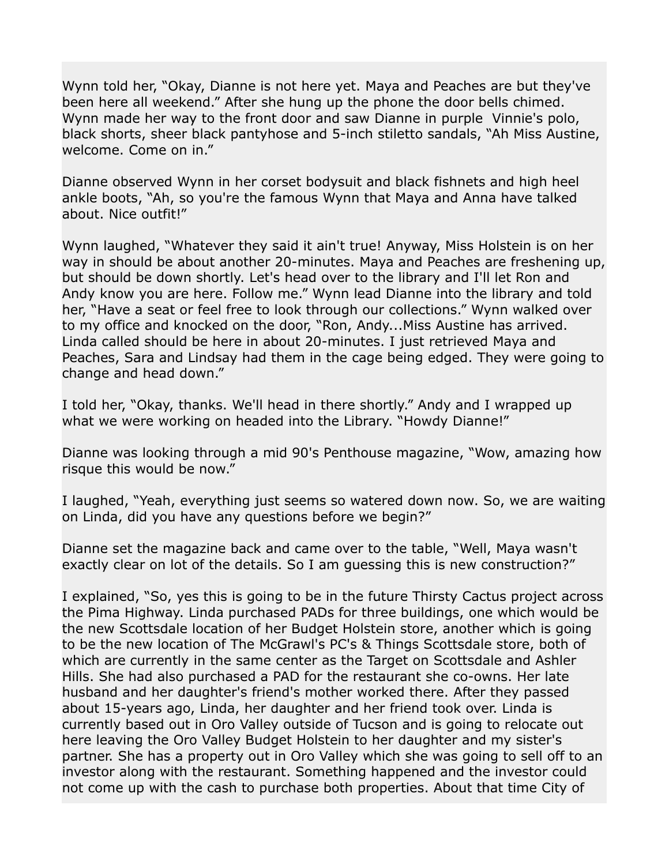Wynn told her, "Okay, Dianne is not here yet. Maya and Peaches are but they've been here all weekend." After she hung up the phone the door bells chimed. Wynn made her way to the front door and saw Dianne in purple Vinnie's polo, black shorts, sheer black pantyhose and 5-inch stiletto sandals, "Ah Miss Austine, welcome. Come on in."

Dianne observed Wynn in her corset bodysuit and black fishnets and high heel ankle boots, "Ah, so you're the famous Wynn that Maya and Anna have talked about. Nice outfit!"

Wynn laughed, "Whatever they said it ain't true! Anyway, Miss Holstein is on her way in should be about another 20-minutes. Maya and Peaches are freshening up, but should be down shortly. Let's head over to the library and I'll let Ron and Andy know you are here. Follow me." Wynn lead Dianne into the library and told her, "Have a seat or feel free to look through our collections." Wynn walked over to my office and knocked on the door, "Ron, Andy...Miss Austine has arrived. Linda called should be here in about 20-minutes. I just retrieved Maya and Peaches, Sara and Lindsay had them in the cage being edged. They were going to change and head down."

I told her, "Okay, thanks. We'll head in there shortly." Andy and I wrapped up what we were working on headed into the Library. "Howdy Dianne!"

Dianne was looking through a mid 90's Penthouse magazine, "Wow, amazing how risque this would be now."

I laughed, "Yeah, everything just seems so watered down now. So, we are waiting on Linda, did you have any questions before we begin?"

Dianne set the magazine back and came over to the table, "Well, Maya wasn't exactly clear on lot of the details. So I am guessing this is new construction?"

I explained, "So, yes this is going to be in the future Thirsty Cactus project across the Pima Highway. Linda purchased PADs for three buildings, one which would be the new Scottsdale location of her Budget Holstein store, another which is going to be the new location of The McGrawl's PC's & Things Scottsdale store, both of which are currently in the same center as the Target on Scottsdale and Ashler Hills. She had also purchased a PAD for the restaurant she co-owns. Her late husband and her daughter's friend's mother worked there. After they passed about 15-years ago, Linda, her daughter and her friend took over. Linda is currently based out in Oro Valley outside of Tucson and is going to relocate out here leaving the Oro Valley Budget Holstein to her daughter and my sister's partner. She has a property out in Oro Valley which she was going to sell off to an investor along with the restaurant. Something happened and the investor could not come up with the cash to purchase both properties. About that time City of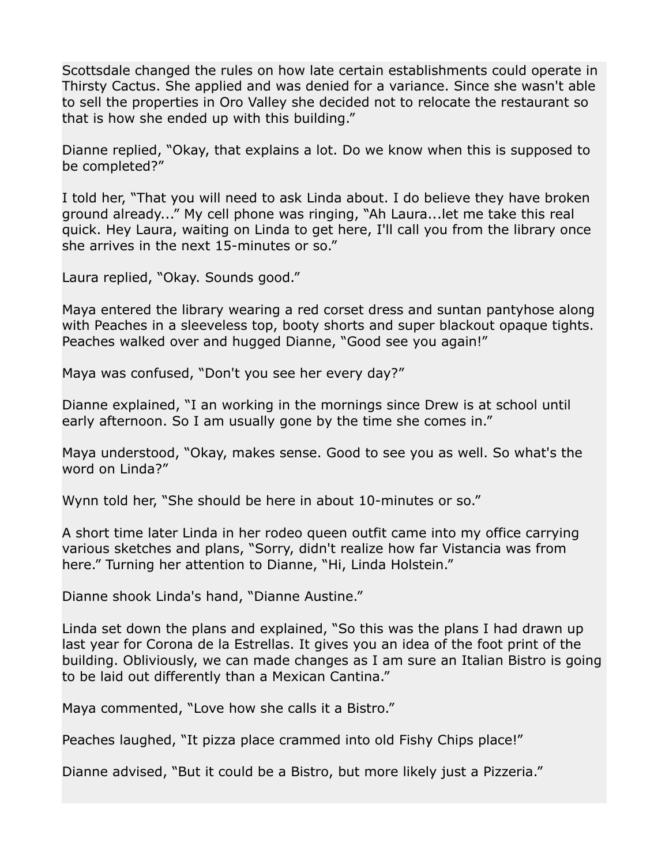Scottsdale changed the rules on how late certain establishments could operate in Thirsty Cactus. She applied and was denied for a variance. Since she wasn't able to sell the properties in Oro Valley she decided not to relocate the restaurant so that is how she ended up with this building."

Dianne replied, "Okay, that explains a lot. Do we know when this is supposed to be completed?"

I told her, "That you will need to ask Linda about. I do believe they have broken ground already..." My cell phone was ringing, "Ah Laura...let me take this real quick. Hey Laura, waiting on Linda to get here, I'll call you from the library once she arrives in the next 15-minutes or so."

Laura replied, "Okay. Sounds good."

Maya entered the library wearing a red corset dress and suntan pantyhose along with Peaches in a sleeveless top, booty shorts and super blackout opaque tights. Peaches walked over and hugged Dianne, "Good see you again!"

Maya was confused, "Don't you see her every day?"

Dianne explained, "I an working in the mornings since Drew is at school until early afternoon. So I am usually gone by the time she comes in."

Maya understood, "Okay, makes sense. Good to see you as well. So what's the word on Linda?"

Wynn told her, "She should be here in about 10-minutes or so."

A short time later Linda in her rodeo queen outfit came into my office carrying various sketches and plans, "Sorry, didn't realize how far Vistancia was from here." Turning her attention to Dianne, "Hi, Linda Holstein."

Dianne shook Linda's hand, "Dianne Austine."

Linda set down the plans and explained, "So this was the plans I had drawn up last year for Corona de la Estrellas. It gives you an idea of the foot print of the building. Obliviously, we can made changes as I am sure an Italian Bistro is going to be laid out differently than a Mexican Cantina."

Maya commented, "Love how she calls it a Bistro."

Peaches laughed, "It pizza place crammed into old Fishy Chips place!"

Dianne advised, "But it could be a Bistro, but more likely just a Pizzeria."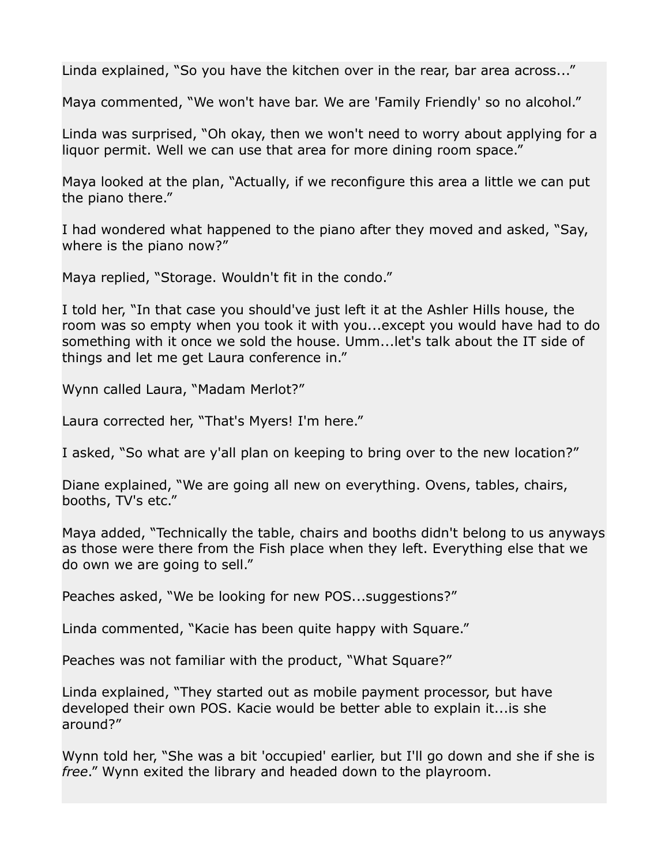Linda explained, "So you have the kitchen over in the rear, bar area across..."

Maya commented, "We won't have bar. We are 'Family Friendly' so no alcohol."

Linda was surprised, "Oh okay, then we won't need to worry about applying for a liquor permit. Well we can use that area for more dining room space."

Maya looked at the plan, "Actually, if we reconfigure this area a little we can put the piano there."

I had wondered what happened to the piano after they moved and asked, "Say, where is the piano now?"

Maya replied, "Storage. Wouldn't fit in the condo."

I told her, "In that case you should've just left it at the Ashler Hills house, the room was so empty when you took it with you...except you would have had to do something with it once we sold the house. Umm...let's talk about the IT side of things and let me get Laura conference in."

Wynn called Laura, "Madam Merlot?"

Laura corrected her, "That's Myers! I'm here."

I asked, "So what are y'all plan on keeping to bring over to the new location?"

Diane explained, "We are going all new on everything. Ovens, tables, chairs, booths, TV's etc."

Maya added, "Technically the table, chairs and booths didn't belong to us anyways as those were there from the Fish place when they left. Everything else that we do own we are going to sell."

Peaches asked, "We be looking for new POS...suggestions?"

Linda commented, "Kacie has been quite happy with Square."

Peaches was not familiar with the product, "What Square?"

Linda explained, "They started out as mobile payment processor, but have developed their own POS. Kacie would be better able to explain it...is she around?"

Wynn told her, "She was a bit 'occupied' earlier, but I'll go down and she if she is *free*." Wynn exited the library and headed down to the playroom.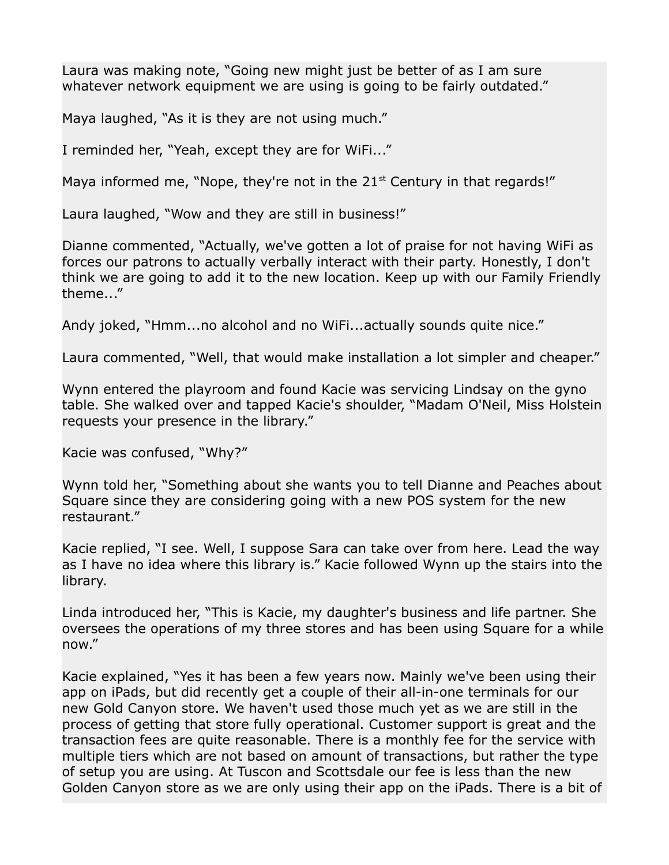Laura was making note, "Going new might just be better of as I am sure whatever network equipment we are using is going to be fairly outdated."

Maya laughed, "As it is they are not using much."

I reminded her, "Yeah, except they are for WiFi..."

Maya informed me, "Nope, they're not in the  $21<sup>st</sup>$  Century in that regards!"

Laura laughed, "Wow and they are still in business!"

Dianne commented, "Actually, we've gotten a lot of praise for not having WiFi as forces our patrons to actually verbally interact with their party. Honestly, I don't think we are going to add it to the new location. Keep up with our Family Friendly theme..."

Andy joked, "Hmm...no alcohol and no WiFi...actually sounds quite nice."

Laura commented, "Well, that would make installation a lot simpler and cheaper."

Wynn entered the playroom and found Kacie was servicing Lindsay on the gyno table. She walked over and tapped Kacie's shoulder, "Madam O'Neil, Miss Holstein requests your presence in the library."

Kacie was confused, "Why?"

Wynn told her, "Something about she wants you to tell Dianne and Peaches about Square since they are considering going with a new POS system for the new restaurant."

Kacie replied, "I see. Well, I suppose Sara can take over from here. Lead the way as I have no idea where this library is." Kacie followed Wynn up the stairs into the library.

Linda introduced her, "This is Kacie, my daughter's business and life partner. She oversees the operations of my three stores and has been using Square for a while now."

Kacie explained, "Yes it has been a few years now. Mainly we've been using their app on iPads, but did recently get a couple of their all-in-one terminals for our new Gold Canyon store. We haven't used those much yet as we are still in the process of getting that store fully operational. Customer support is great and the transaction fees are quite reasonable. There is a monthly fee for the service with multiple tiers which are not based on amount of transactions, but rather the type of setup you are using. At Tuscon and Scottsdale our fee is less than the new Golden Canyon store as we are only using their app on the iPads. There is a bit of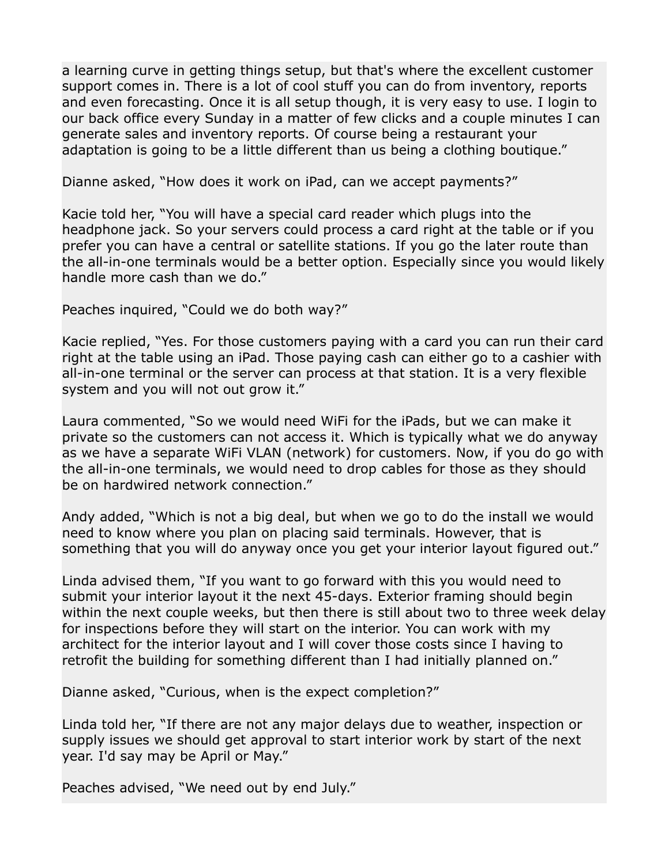a learning curve in getting things setup, but that's where the excellent customer support comes in. There is a lot of cool stuff you can do from inventory, reports and even forecasting. Once it is all setup though, it is very easy to use. I login to our back office every Sunday in a matter of few clicks and a couple minutes I can generate sales and inventory reports. Of course being a restaurant your adaptation is going to be a little different than us being a clothing boutique."

Dianne asked, "How does it work on iPad, can we accept payments?"

Kacie told her, "You will have a special card reader which plugs into the headphone jack. So your servers could process a card right at the table or if you prefer you can have a central or satellite stations. If you go the later route than the all-in-one terminals would be a better option. Especially since you would likely handle more cash than we do."

Peaches inquired, "Could we do both way?"

Kacie replied, "Yes. For those customers paying with a card you can run their card right at the table using an iPad. Those paying cash can either go to a cashier with all-in-one terminal or the server can process at that station. It is a very flexible system and you will not out grow it."

Laura commented, "So we would need WiFi for the iPads, but we can make it private so the customers can not access it. Which is typically what we do anyway as we have a separate WiFi VLAN (network) for customers. Now, if you do go with the all-in-one terminals, we would need to drop cables for those as they should be on hardwired network connection."

Andy added, "Which is not a big deal, but when we go to do the install we would need to know where you plan on placing said terminals. However, that is something that you will do anyway once you get your interior layout figured out."

Linda advised them, "If you want to go forward with this you would need to submit your interior layout it the next 45-days. Exterior framing should begin within the next couple weeks, but then there is still about two to three week delay for inspections before they will start on the interior. You can work with my architect for the interior layout and I will cover those costs since I having to retrofit the building for something different than I had initially planned on."

Dianne asked, "Curious, when is the expect completion?"

Linda told her, "If there are not any major delays due to weather, inspection or supply issues we should get approval to start interior work by start of the next year. I'd say may be April or May."

Peaches advised, "We need out by end July."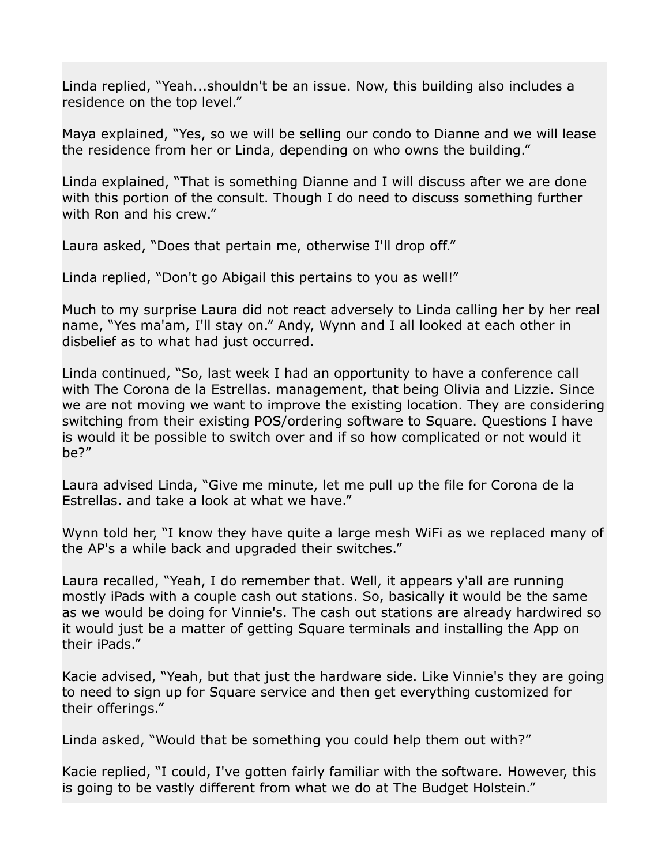Linda replied, "Yeah...shouldn't be an issue. Now, this building also includes a residence on the top level."

Maya explained, "Yes, so we will be selling our condo to Dianne and we will lease the residence from her or Linda, depending on who owns the building."

Linda explained, "That is something Dianne and I will discuss after we are done with this portion of the consult. Though I do need to discuss something further with Ron and his crew."

Laura asked, "Does that pertain me, otherwise I'll drop off."

Linda replied, "Don't go Abigail this pertains to you as well!"

Much to my surprise Laura did not react adversely to Linda calling her by her real name, "Yes ma'am, I'll stay on." Andy, Wynn and I all looked at each other in disbelief as to what had just occurred.

Linda continued, "So, last week I had an opportunity to have a conference call with The Corona de la Estrellas. management, that being Olivia and Lizzie. Since we are not moving we want to improve the existing location. They are considering switching from their existing POS/ordering software to Square. Questions I have is would it be possible to switch over and if so how complicated or not would it be?"

Laura advised Linda, "Give me minute, let me pull up the file for Corona de la Estrellas. and take a look at what we have."

Wynn told her, "I know they have quite a large mesh WiFi as we replaced many of the AP's a while back and upgraded their switches."

Laura recalled, "Yeah, I do remember that. Well, it appears y'all are running mostly iPads with a couple cash out stations. So, basically it would be the same as we would be doing for Vinnie's. The cash out stations are already hardwired so it would just be a matter of getting Square terminals and installing the App on their iPads."

Kacie advised, "Yeah, but that just the hardware side. Like Vinnie's they are going to need to sign up for Square service and then get everything customized for their offerings."

Linda asked, "Would that be something you could help them out with?"

Kacie replied, "I could, I've gotten fairly familiar with the software. However, this is going to be vastly different from what we do at The Budget Holstein."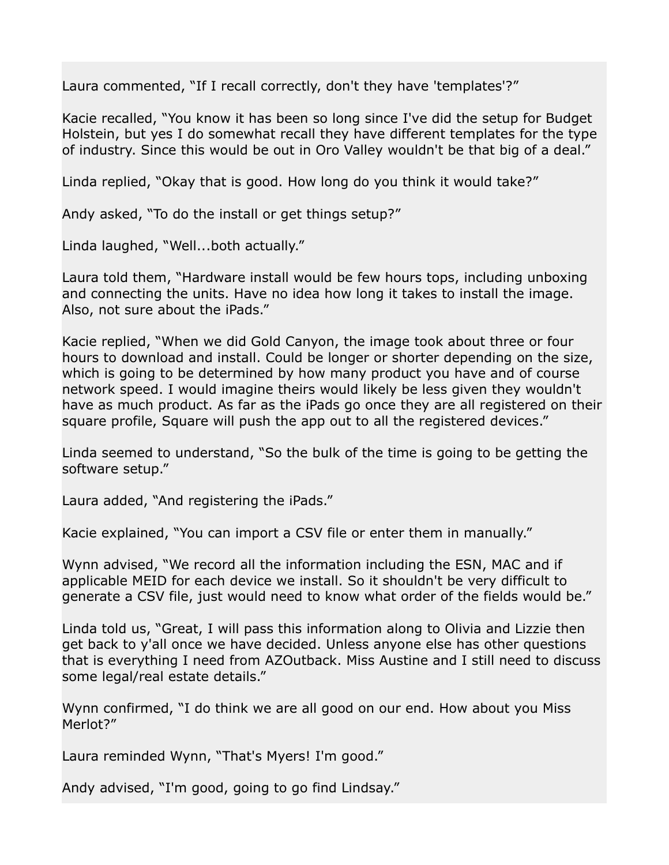Laura commented, "If I recall correctly, don't they have 'templates'?"

Kacie recalled, "You know it has been so long since I've did the setup for Budget Holstein, but yes I do somewhat recall they have different templates for the type of industry. Since this would be out in Oro Valley wouldn't be that big of a deal."

Linda replied, "Okay that is good. How long do you think it would take?"

Andy asked, "To do the install or get things setup?"

Linda laughed, "Well...both actually."

Laura told them, "Hardware install would be few hours tops, including unboxing and connecting the units. Have no idea how long it takes to install the image. Also, not sure about the iPads."

Kacie replied, "When we did Gold Canyon, the image took about three or four hours to download and install. Could be longer or shorter depending on the size, which is going to be determined by how many product you have and of course network speed. I would imagine theirs would likely be less given they wouldn't have as much product. As far as the iPads go once they are all registered on their square profile, Square will push the app out to all the registered devices."

Linda seemed to understand, "So the bulk of the time is going to be getting the software setup."

Laura added, "And registering the iPads."

Kacie explained, "You can import a CSV file or enter them in manually."

Wynn advised, "We record all the information including the ESN, MAC and if applicable MEID for each device we install. So it shouldn't be very difficult to generate a CSV file, just would need to know what order of the fields would be."

Linda told us, "Great, I will pass this information along to Olivia and Lizzie then get back to y'all once we have decided. Unless anyone else has other questions that is everything I need from AZOutback. Miss Austine and I still need to discuss some legal/real estate details."

Wynn confirmed, "I do think we are all good on our end. How about you Miss Merlot?"

Laura reminded Wynn, "That's Myers! I'm good."

Andy advised, "I'm good, going to go find Lindsay."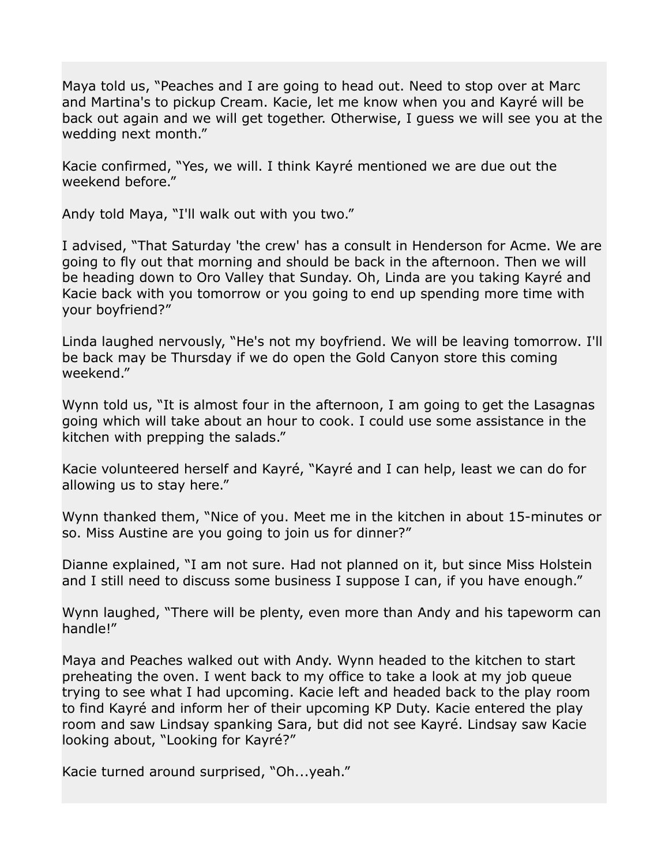Maya told us, "Peaches and I are going to head out. Need to stop over at Marc and Martina's to pickup Cream. Kacie, let me know when you and Kayré will be back out again and we will get together. Otherwise, I guess we will see you at the wedding next month."

Kacie confirmed, "Yes, we will. I think Kayré mentioned we are due out the weekend before."

Andy told Maya, "I'll walk out with you two."

I advised, "That Saturday 'the crew' has a consult in Henderson for Acme. We are going to fly out that morning and should be back in the afternoon. Then we will be heading down to Oro Valley that Sunday. Oh, Linda are you taking Kayré and Kacie back with you tomorrow or you going to end up spending more time with your boyfriend?"

Linda laughed nervously, "He's not my boyfriend. We will be leaving tomorrow. I'll be back may be Thursday if we do open the Gold Canyon store this coming weekend."

Wynn told us, "It is almost four in the afternoon, I am going to get the Lasagnas going which will take about an hour to cook. I could use some assistance in the kitchen with prepping the salads."

Kacie volunteered herself and Kayré, "Kayré and I can help, least we can do for allowing us to stay here."

Wynn thanked them, "Nice of you. Meet me in the kitchen in about 15-minutes or so. Miss Austine are you going to join us for dinner?"

Dianne explained, "I am not sure. Had not planned on it, but since Miss Holstein and I still need to discuss some business I suppose I can, if you have enough."

Wynn laughed, "There will be plenty, even more than Andy and his tapeworm can handle!"

Maya and Peaches walked out with Andy. Wynn headed to the kitchen to start preheating the oven. I went back to my office to take a look at my job queue trying to see what I had upcoming. Kacie left and headed back to the play room to find Kayré and inform her of their upcoming KP Duty. Kacie entered the play room and saw Lindsay spanking Sara, but did not see Kayré. Lindsay saw Kacie looking about, "Looking for Kayré?"

Kacie turned around surprised, "Oh...yeah."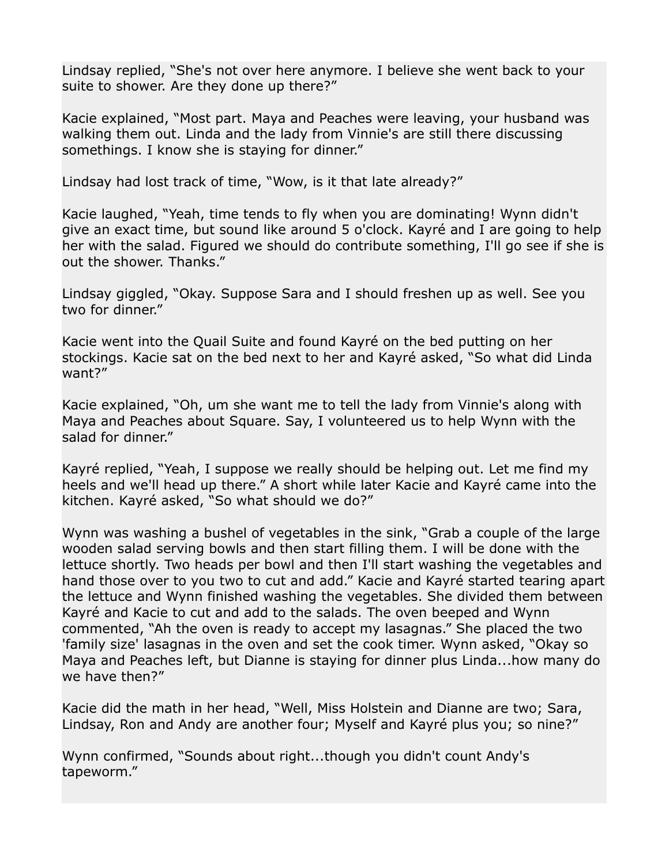Lindsay replied, "She's not over here anymore. I believe she went back to your suite to shower. Are they done up there?"

Kacie explained, "Most part. Maya and Peaches were leaving, your husband was walking them out. Linda and the lady from Vinnie's are still there discussing somethings. I know she is staying for dinner."

Lindsay had lost track of time, "Wow, is it that late already?"

Kacie laughed, "Yeah, time tends to fly when you are dominating! Wynn didn't give an exact time, but sound like around 5 o'clock. Kayré and I are going to help her with the salad. Figured we should do contribute something, I'll go see if she is out the shower. Thanks."

Lindsay giggled, "Okay. Suppose Sara and I should freshen up as well. See you two for dinner."

Kacie went into the Quail Suite and found Kayré on the bed putting on her stockings. Kacie sat on the bed next to her and Kayré asked, "So what did Linda want?"

Kacie explained, "Oh, um she want me to tell the lady from Vinnie's along with Maya and Peaches about Square. Say, I volunteered us to help Wynn with the salad for dinner."

Kayré replied, "Yeah, I suppose we really should be helping out. Let me find my heels and we'll head up there." A short while later Kacie and Kayré came into the kitchen. Kayré asked, "So what should we do?"

Wynn was washing a bushel of vegetables in the sink, "Grab a couple of the large wooden salad serving bowls and then start filling them. I will be done with the lettuce shortly. Two heads per bowl and then I'll start washing the vegetables and hand those over to you two to cut and add." Kacie and Kayré started tearing apart the lettuce and Wynn finished washing the vegetables. She divided them between Kayré and Kacie to cut and add to the salads. The oven beeped and Wynn commented, "Ah the oven is ready to accept my lasagnas." She placed the two 'family size' lasagnas in the oven and set the cook timer. Wynn asked, "Okay so Maya and Peaches left, but Dianne is staying for dinner plus Linda...how many do we have then?"

Kacie did the math in her head, "Well, Miss Holstein and Dianne are two; Sara, Lindsay, Ron and Andy are another four; Myself and Kayré plus you; so nine?"

Wynn confirmed, "Sounds about right...though you didn't count Andy's tapeworm."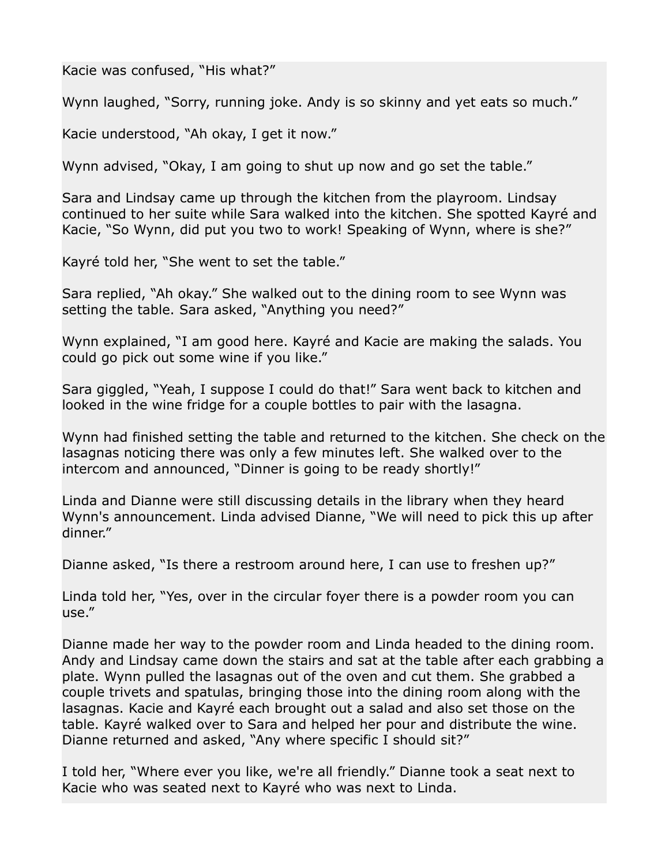Kacie was confused, "His what?"

Wynn laughed, "Sorry, running joke. Andy is so skinny and yet eats so much."

Kacie understood, "Ah okay, I get it now."

Wynn advised, "Okay, I am going to shut up now and go set the table."

Sara and Lindsay came up through the kitchen from the playroom. Lindsay continued to her suite while Sara walked into the kitchen. She spotted Kayré and Kacie, "So Wynn, did put you two to work! Speaking of Wynn, where is she?"

Kayré told her, "She went to set the table."

Sara replied, "Ah okay." She walked out to the dining room to see Wynn was setting the table. Sara asked, "Anything you need?"

Wynn explained, "I am good here. Kayré and Kacie are making the salads. You could go pick out some wine if you like."

Sara giggled, "Yeah, I suppose I could do that!" Sara went back to kitchen and looked in the wine fridge for a couple bottles to pair with the lasagna.

Wynn had finished setting the table and returned to the kitchen. She check on the lasagnas noticing there was only a few minutes left. She walked over to the intercom and announced, "Dinner is going to be ready shortly!"

Linda and Dianne were still discussing details in the library when they heard Wynn's announcement. Linda advised Dianne, "We will need to pick this up after dinner."

Dianne asked, "Is there a restroom around here, I can use to freshen up?"

Linda told her, "Yes, over in the circular foyer there is a powder room you can use."

Dianne made her way to the powder room and Linda headed to the dining room. Andy and Lindsay came down the stairs and sat at the table after each grabbing a plate. Wynn pulled the lasagnas out of the oven and cut them. She grabbed a couple trivets and spatulas, bringing those into the dining room along with the lasagnas. Kacie and Kayré each brought out a salad and also set those on the table. Kayré walked over to Sara and helped her pour and distribute the wine. Dianne returned and asked, "Any where specific I should sit?"

I told her, "Where ever you like, we're all friendly." Dianne took a seat next to Kacie who was seated next to Kayré who was next to Linda.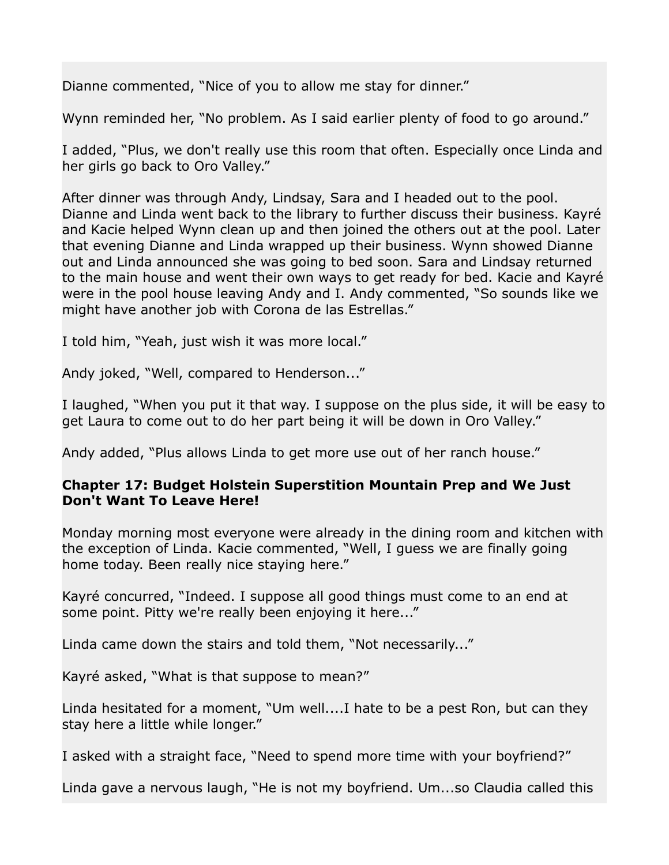Dianne commented, "Nice of you to allow me stay for dinner."

Wynn reminded her, "No problem. As I said earlier plenty of food to go around."

I added, "Plus, we don't really use this room that often. Especially once Linda and her girls go back to Oro Valley."

After dinner was through Andy, Lindsay, Sara and I headed out to the pool. Dianne and Linda went back to the library to further discuss their business. Kayré and Kacie helped Wynn clean up and then joined the others out at the pool. Later that evening Dianne and Linda wrapped up their business. Wynn showed Dianne out and Linda announced she was going to bed soon. Sara and Lindsay returned to the main house and went their own ways to get ready for bed. Kacie and Kayré were in the pool house leaving Andy and I. Andy commented, "So sounds like we might have another job with Corona de las Estrellas."

I told him, "Yeah, just wish it was more local."

Andy joked, "Well, compared to Henderson..."

I laughed, "When you put it that way. I suppose on the plus side, it will be easy to get Laura to come out to do her part being it will be down in Oro Valley."

Andy added, "Plus allows Linda to get more use out of her ranch house."

## **Chapter 17: Budget Holstein Superstition Mountain Prep and We Just Don't Want To Leave Here!**

Monday morning most everyone were already in the dining room and kitchen with the exception of Linda. Kacie commented, "Well, I guess we are finally going home today. Been really nice staying here."

Kayré concurred, "Indeed. I suppose all good things must come to an end at some point. Pitty we're really been enjoying it here..."

Linda came down the stairs and told them, "Not necessarily..."

Kayré asked, "What is that suppose to mean?"

Linda hesitated for a moment, "Um well....I hate to be a pest Ron, but can they stay here a little while longer."

I asked with a straight face, "Need to spend more time with your boyfriend?"

Linda gave a nervous laugh, "He is not my boyfriend. Um...so Claudia called this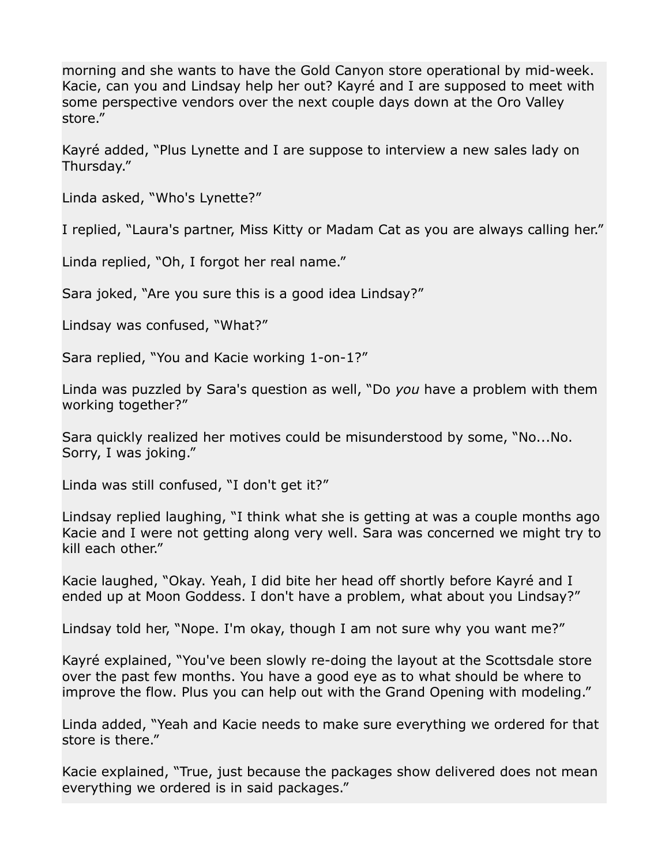morning and she wants to have the Gold Canyon store operational by mid-week. Kacie, can you and Lindsay help her out? Kayré and I are supposed to meet with some perspective vendors over the next couple days down at the Oro Valley store."

Kayré added, "Plus Lynette and I are suppose to interview a new sales lady on Thursday."

Linda asked, "Who's Lynette?"

I replied, "Laura's partner, Miss Kitty or Madam Cat as you are always calling her."

Linda replied, "Oh, I forgot her real name."

Sara joked, "Are you sure this is a good idea Lindsay?"

Lindsay was confused, "What?"

Sara replied, "You and Kacie working 1-on-1?"

Linda was puzzled by Sara's question as well, "Do *you* have a problem with them working together?"

Sara quickly realized her motives could be misunderstood by some, "No...No. Sorry, I was joking."

Linda was still confused, "I don't get it?"

Lindsay replied laughing, "I think what she is getting at was a couple months ago Kacie and I were not getting along very well. Sara was concerned we might try to kill each other."

Kacie laughed, "Okay. Yeah, I did bite her head off shortly before Kayré and I ended up at Moon Goddess. I don't have a problem, what about you Lindsay?"

Lindsay told her, "Nope. I'm okay, though I am not sure why you want me?"

Kayré explained, "You've been slowly re-doing the layout at the Scottsdale store over the past few months. You have a good eye as to what should be where to improve the flow. Plus you can help out with the Grand Opening with modeling."

Linda added, "Yeah and Kacie needs to make sure everything we ordered for that store is there."

Kacie explained, "True, just because the packages show delivered does not mean everything we ordered is in said packages."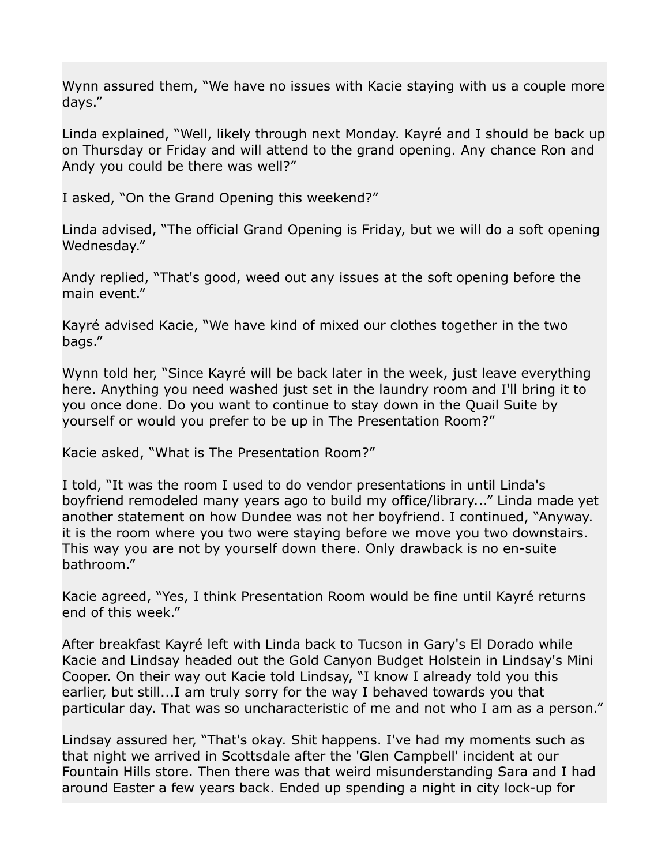Wynn assured them, "We have no issues with Kacie staying with us a couple more days."

Linda explained, "Well, likely through next Monday. Kayré and I should be back up on Thursday or Friday and will attend to the grand opening. Any chance Ron and Andy you could be there was well?"

I asked, "On the Grand Opening this weekend?"

Linda advised, "The official Grand Opening is Friday, but we will do a soft opening Wednesday."

Andy replied, "That's good, weed out any issues at the soft opening before the main event."

Kayré advised Kacie, "We have kind of mixed our clothes together in the two bags."

Wynn told her, "Since Kayré will be back later in the week, just leave everything here. Anything you need washed just set in the laundry room and I'll bring it to you once done. Do you want to continue to stay down in the Quail Suite by yourself or would you prefer to be up in The Presentation Room?"

Kacie asked, "What is The Presentation Room?"

I told, "It was the room I used to do vendor presentations in until Linda's boyfriend remodeled many years ago to build my office/library..." Linda made yet another statement on how Dundee was not her boyfriend. I continued, "Anyway. it is the room where you two were staying before we move you two downstairs. This way you are not by yourself down there. Only drawback is no en-suite bathroom."

Kacie agreed, "Yes, I think Presentation Room would be fine until Kayré returns end of this week."

After breakfast Kayré left with Linda back to Tucson in Gary's El Dorado while Kacie and Lindsay headed out the Gold Canyon Budget Holstein in Lindsay's Mini Cooper. On their way out Kacie told Lindsay, "I know I already told you this earlier, but still...I am truly sorry for the way I behaved towards you that particular day. That was so uncharacteristic of me and not who I am as a person."

Lindsay assured her, "That's okay. Shit happens. I've had my moments such as that night we arrived in Scottsdale after the 'Glen Campbell' incident at our Fountain Hills store. Then there was that weird misunderstanding Sara and I had around Easter a few years back. Ended up spending a night in city lock-up for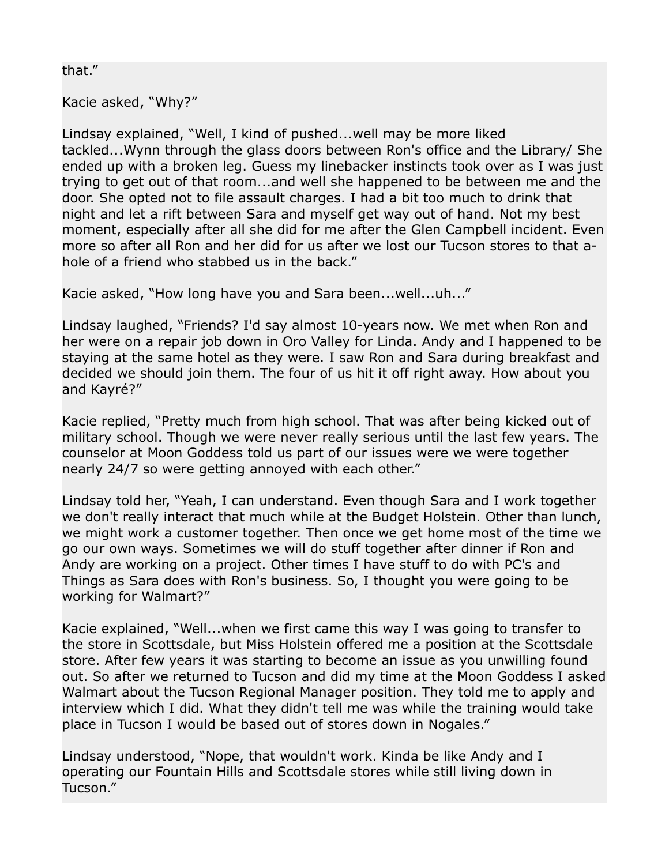## that."

Kacie asked, "Why?"

Lindsay explained, "Well, I kind of pushed...well may be more liked tackled...Wynn through the glass doors between Ron's office and the Library/ She ended up with a broken leg. Guess my linebacker instincts took over as I was just trying to get out of that room...and well she happened to be between me and the door. She opted not to file assault charges. I had a bit too much to drink that night and let a rift between Sara and myself get way out of hand. Not my best moment, especially after all she did for me after the Glen Campbell incident. Even more so after all Ron and her did for us after we lost our Tucson stores to that ahole of a friend who stabbed us in the back."

Kacie asked, "How long have you and Sara been...well...uh..."

Lindsay laughed, "Friends? I'd say almost 10-years now. We met when Ron and her were on a repair job down in Oro Valley for Linda. Andy and I happened to be staying at the same hotel as they were. I saw Ron and Sara during breakfast and decided we should join them. The four of us hit it off right away. How about you and Kayré?"

Kacie replied, "Pretty much from high school. That was after being kicked out of military school. Though we were never really serious until the last few years. The counselor at Moon Goddess told us part of our issues were we were together nearly 24/7 so were getting annoyed with each other."

Lindsay told her, "Yeah, I can understand. Even though Sara and I work together we don't really interact that much while at the Budget Holstein. Other than lunch, we might work a customer together. Then once we get home most of the time we go our own ways. Sometimes we will do stuff together after dinner if Ron and Andy are working on a project. Other times I have stuff to do with PC's and Things as Sara does with Ron's business. So, I thought you were going to be working for Walmart?"

Kacie explained, "Well...when we first came this way I was going to transfer to the store in Scottsdale, but Miss Holstein offered me a position at the Scottsdale store. After few years it was starting to become an issue as you unwilling found out. So after we returned to Tucson and did my time at the Moon Goddess I asked Walmart about the Tucson Regional Manager position. They told me to apply and interview which I did. What they didn't tell me was while the training would take place in Tucson I would be based out of stores down in Nogales."

Lindsay understood, "Nope, that wouldn't work. Kinda be like Andy and I operating our Fountain Hills and Scottsdale stores while still living down in Tucson."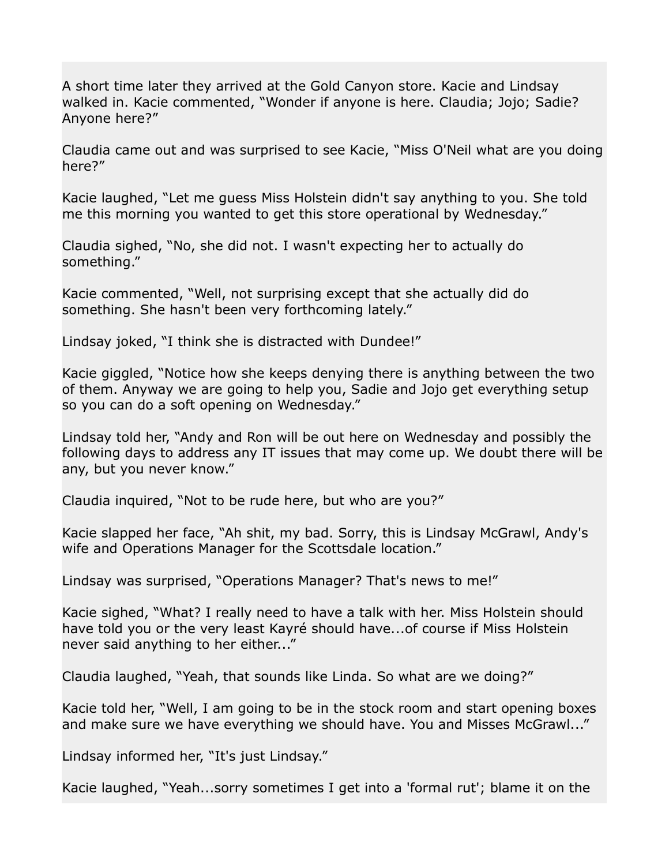A short time later they arrived at the Gold Canyon store. Kacie and Lindsay walked in. Kacie commented, "Wonder if anyone is here. Claudia; Jojo; Sadie? Anyone here?"

Claudia came out and was surprised to see Kacie, "Miss O'Neil what are you doing here?"

Kacie laughed, "Let me guess Miss Holstein didn't say anything to you. She told me this morning you wanted to get this store operational by Wednesday."

Claudia sighed, "No, she did not. I wasn't expecting her to actually do something."

Kacie commented, "Well, not surprising except that she actually did do something. She hasn't been very forthcoming lately."

Lindsay joked, "I think she is distracted with Dundee!"

Kacie giggled, "Notice how she keeps denying there is anything between the two of them. Anyway we are going to help you, Sadie and Jojo get everything setup so you can do a soft opening on Wednesday."

Lindsay told her, "Andy and Ron will be out here on Wednesday and possibly the following days to address any IT issues that may come up. We doubt there will be any, but you never know."

Claudia inquired, "Not to be rude here, but who are you?"

Kacie slapped her face, "Ah shit, my bad. Sorry, this is Lindsay McGrawl, Andy's wife and Operations Manager for the Scottsdale location."

Lindsay was surprised, "Operations Manager? That's news to me!"

Kacie sighed, "What? I really need to have a talk with her. Miss Holstein should have told you or the very least Kayré should have...of course if Miss Holstein never said anything to her either..."

Claudia laughed, "Yeah, that sounds like Linda. So what are we doing?"

Kacie told her, "Well, I am going to be in the stock room and start opening boxes and make sure we have everything we should have. You and Misses McGrawl..."

Lindsay informed her, "It's just Lindsay."

Kacie laughed, "Yeah...sorry sometimes I get into a 'formal rut'; blame it on the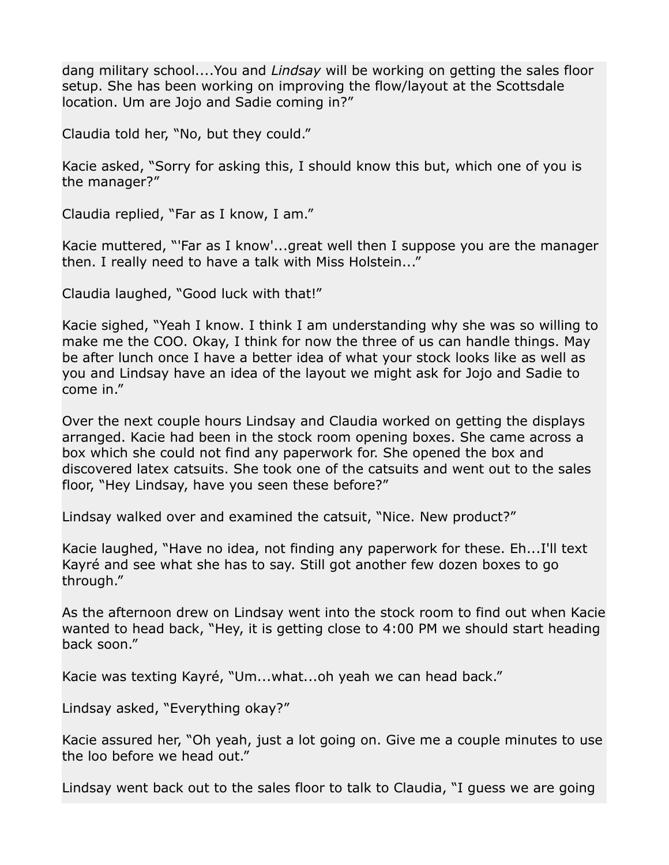dang military school....You and *Lindsay* will be working on getting the sales floor setup. She has been working on improving the flow/layout at the Scottsdale location. Um are Jojo and Sadie coming in?"

Claudia told her, "No, but they could."

Kacie asked, "Sorry for asking this, I should know this but, which one of you is the manager?"

Claudia replied, "Far as I know, I am."

Kacie muttered, "'Far as I know'...great well then I suppose you are the manager then. I really need to have a talk with Miss Holstein..."

Claudia laughed, "Good luck with that!"

Kacie sighed, "Yeah I know. I think I am understanding why she was so willing to make me the COO. Okay, I think for now the three of us can handle things. May be after lunch once I have a better idea of what your stock looks like as well as you and Lindsay have an idea of the layout we might ask for Jojo and Sadie to come in."

Over the next couple hours Lindsay and Claudia worked on getting the displays arranged. Kacie had been in the stock room opening boxes. She came across a box which she could not find any paperwork for. She opened the box and discovered latex catsuits. She took one of the catsuits and went out to the sales floor, "Hey Lindsay, have you seen these before?"

Lindsay walked over and examined the catsuit, "Nice. New product?"

Kacie laughed, "Have no idea, not finding any paperwork for these. Eh...I'll text Kayré and see what she has to say. Still got another few dozen boxes to go through."

As the afternoon drew on Lindsay went into the stock room to find out when Kacie wanted to head back, "Hey, it is getting close to 4:00 PM we should start heading back soon."

Kacie was texting Kayré, "Um...what...oh yeah we can head back."

Lindsay asked, "Everything okay?"

Kacie assured her, "Oh yeah, just a lot going on. Give me a couple minutes to use the loo before we head out."

Lindsay went back out to the sales floor to talk to Claudia, "I guess we are going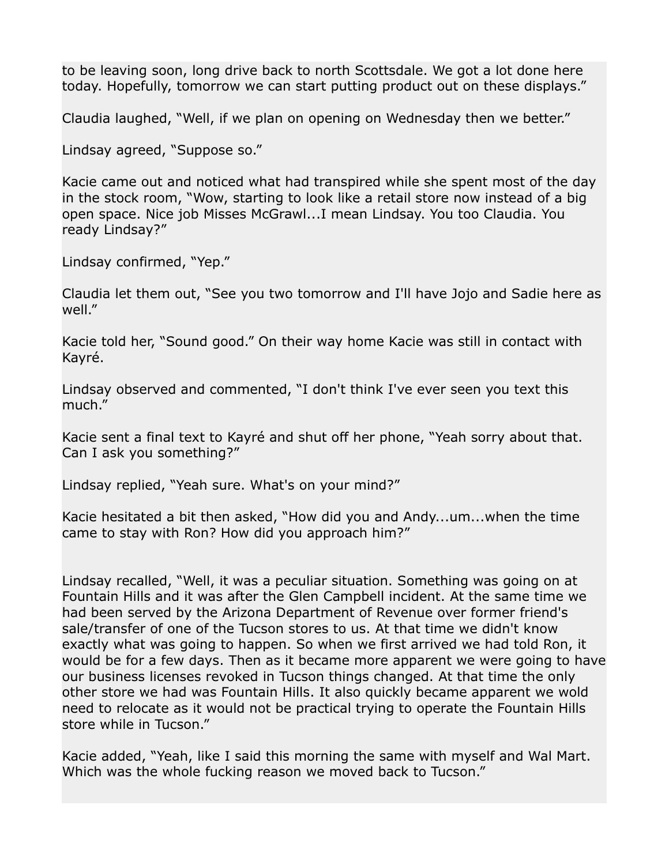to be leaving soon, long drive back to north Scottsdale. We got a lot done here today. Hopefully, tomorrow we can start putting product out on these displays."

Claudia laughed, "Well, if we plan on opening on Wednesday then we better."

Lindsay agreed, "Suppose so."

Kacie came out and noticed what had transpired while she spent most of the day in the stock room, "Wow, starting to look like a retail store now instead of a big open space. Nice job Misses McGrawl...I mean Lindsay. You too Claudia. You ready Lindsay?"

Lindsay confirmed, "Yep."

Claudia let them out, "See you two tomorrow and I'll have Jojo and Sadie here as well."

Kacie told her, "Sound good." On their way home Kacie was still in contact with Kayré.

Lindsay observed and commented, "I don't think I've ever seen you text this much."

Kacie sent a final text to Kayré and shut off her phone, "Yeah sorry about that. Can I ask you something?"

Lindsay replied, "Yeah sure. What's on your mind?"

Kacie hesitated a bit then asked, "How did you and Andy...um...when the time came to stay with Ron? How did you approach him?"

Lindsay recalled, "Well, it was a peculiar situation. Something was going on at Fountain Hills and it was after the Glen Campbell incident. At the same time we had been served by the Arizona Department of Revenue over former friend's sale/transfer of one of the Tucson stores to us. At that time we didn't know exactly what was going to happen. So when we first arrived we had told Ron, it would be for a few days. Then as it became more apparent we were going to have our business licenses revoked in Tucson things changed. At that time the only other store we had was Fountain Hills. It also quickly became apparent we wold need to relocate as it would not be practical trying to operate the Fountain Hills store while in Tucson."

Kacie added, "Yeah, like I said this morning the same with myself and Wal Mart. Which was the whole fucking reason we moved back to Tucson."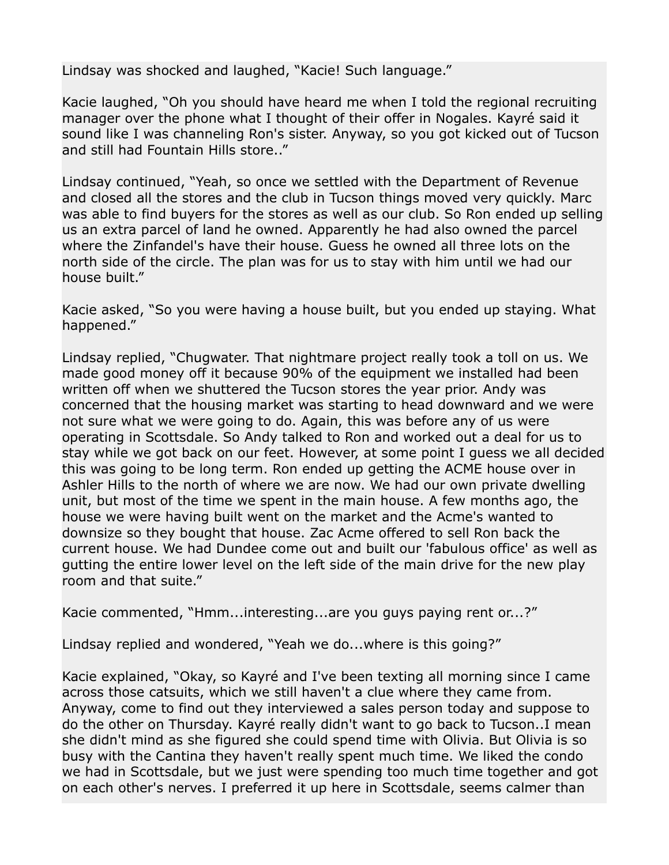Lindsay was shocked and laughed, "Kacie! Such language."

Kacie laughed, "Oh you should have heard me when I told the regional recruiting manager over the phone what I thought of their offer in Nogales. Kayré said it sound like I was channeling Ron's sister. Anyway, so you got kicked out of Tucson and still had Fountain Hills store.."

Lindsay continued, "Yeah, so once we settled with the Department of Revenue and closed all the stores and the club in Tucson things moved very quickly. Marc was able to find buyers for the stores as well as our club. So Ron ended up selling us an extra parcel of land he owned. Apparently he had also owned the parcel where the Zinfandel's have their house. Guess he owned all three lots on the north side of the circle. The plan was for us to stay with him until we had our house built."

Kacie asked, "So you were having a house built, but you ended up staying. What happened."

Lindsay replied, "Chugwater. That nightmare project really took a toll on us. We made good money off it because 90% of the equipment we installed had been written off when we shuttered the Tucson stores the year prior. Andy was concerned that the housing market was starting to head downward and we were not sure what we were going to do. Again, this was before any of us were operating in Scottsdale. So Andy talked to Ron and worked out a deal for us to stay while we got back on our feet. However, at some point I guess we all decided this was going to be long term. Ron ended up getting the ACME house over in Ashler Hills to the north of where we are now. We had our own private dwelling unit, but most of the time we spent in the main house. A few months ago, the house we were having built went on the market and the Acme's wanted to downsize so they bought that house. Zac Acme offered to sell Ron back the current house. We had Dundee come out and built our 'fabulous office' as well as gutting the entire lower level on the left side of the main drive for the new play room and that suite."

Kacie commented, "Hmm...interesting...are you guys paying rent or...?"

Lindsay replied and wondered, "Yeah we do...where is this going?"

Kacie explained, "Okay, so Kayré and I've been texting all morning since I came across those catsuits, which we still haven't a clue where they came from. Anyway, come to find out they interviewed a sales person today and suppose to do the other on Thursday. Kayré really didn't want to go back to Tucson..I mean she didn't mind as she figured she could spend time with Olivia. But Olivia is so busy with the Cantina they haven't really spent much time. We liked the condo we had in Scottsdale, but we just were spending too much time together and got on each other's nerves. I preferred it up here in Scottsdale, seems calmer than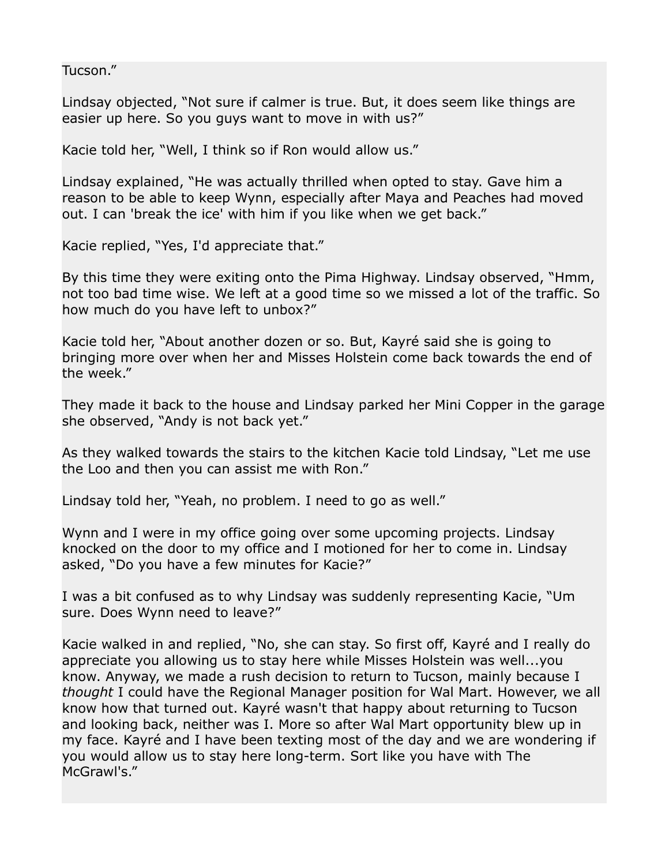Tucson."

Lindsay objected, "Not sure if calmer is true. But, it does seem like things are easier up here. So you guys want to move in with us?"

Kacie told her, "Well, I think so if Ron would allow us."

Lindsay explained, "He was actually thrilled when opted to stay. Gave him a reason to be able to keep Wynn, especially after Maya and Peaches had moved out. I can 'break the ice' with him if you like when we get back."

Kacie replied, "Yes, I'd appreciate that."

By this time they were exiting onto the Pima Highway. Lindsay observed, "Hmm, not too bad time wise. We left at a good time so we missed a lot of the traffic. So how much do you have left to unbox?"

Kacie told her, "About another dozen or so. But, Kayré said she is going to bringing more over when her and Misses Holstein come back towards the end of the week."

They made it back to the house and Lindsay parked her Mini Copper in the garage she observed, "Andy is not back yet."

As they walked towards the stairs to the kitchen Kacie told Lindsay, "Let me use the Loo and then you can assist me with Ron."

Lindsay told her, "Yeah, no problem. I need to go as well."

Wynn and I were in my office going over some upcoming projects. Lindsay knocked on the door to my office and I motioned for her to come in. Lindsay asked, "Do you have a few minutes for Kacie?"

I was a bit confused as to why Lindsay was suddenly representing Kacie, "Um sure. Does Wynn need to leave?"

Kacie walked in and replied, "No, she can stay. So first off, Kayré and I really do appreciate you allowing us to stay here while Misses Holstein was well...you know. Anyway, we made a rush decision to return to Tucson, mainly because I *thought* I could have the Regional Manager position for Wal Mart. However, we all know how that turned out. Kayré wasn't that happy about returning to Tucson and looking back, neither was I. More so after Wal Mart opportunity blew up in my face. Kayré and I have been texting most of the day and we are wondering if you would allow us to stay here long-term. Sort like you have with The McGrawl's."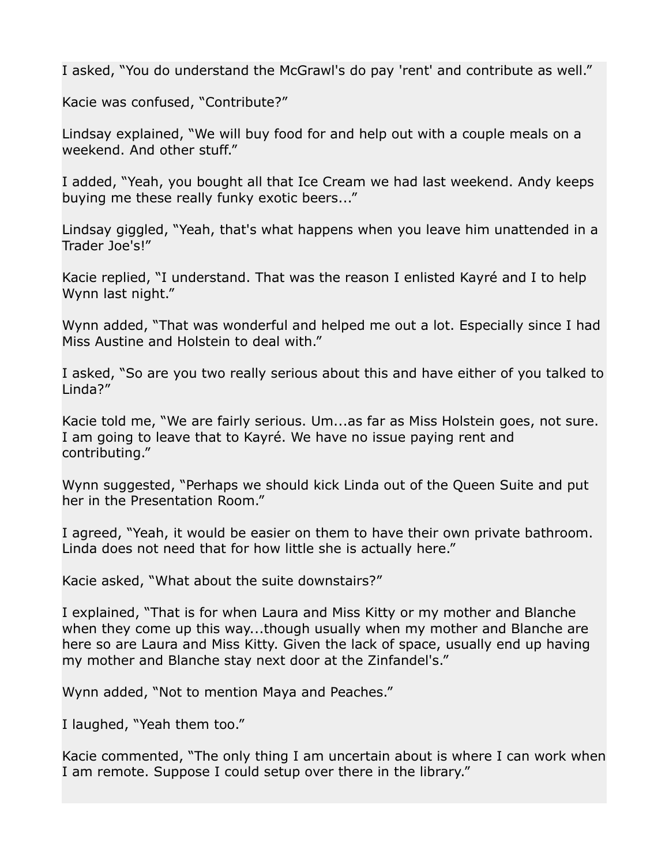I asked, "You do understand the McGrawl's do pay 'rent' and contribute as well."

Kacie was confused, "Contribute?"

Lindsay explained, "We will buy food for and help out with a couple meals on a weekend. And other stuff."

I added, "Yeah, you bought all that Ice Cream we had last weekend. Andy keeps buying me these really funky exotic beers..."

Lindsay giggled, "Yeah, that's what happens when you leave him unattended in a Trader Joe's!"

Kacie replied, "I understand. That was the reason I enlisted Kayré and I to help Wynn last night."

Wynn added, "That was wonderful and helped me out a lot. Especially since I had Miss Austine and Holstein to deal with."

I asked, "So are you two really serious about this and have either of you talked to Linda?"

Kacie told me, "We are fairly serious. Um...as far as Miss Holstein goes, not sure. I am going to leave that to Kayré. We have no issue paying rent and contributing."

Wynn suggested, "Perhaps we should kick Linda out of the Queen Suite and put her in the Presentation Room."

I agreed, "Yeah, it would be easier on them to have their own private bathroom. Linda does not need that for how little she is actually here."

Kacie asked, "What about the suite downstairs?"

I explained, "That is for when Laura and Miss Kitty or my mother and Blanche when they come up this way...though usually when my mother and Blanche are here so are Laura and Miss Kitty. Given the lack of space, usually end up having my mother and Blanche stay next door at the Zinfandel's."

Wynn added, "Not to mention Maya and Peaches."

I laughed, "Yeah them too."

Kacie commented, "The only thing I am uncertain about is where I can work when I am remote. Suppose I could setup over there in the library."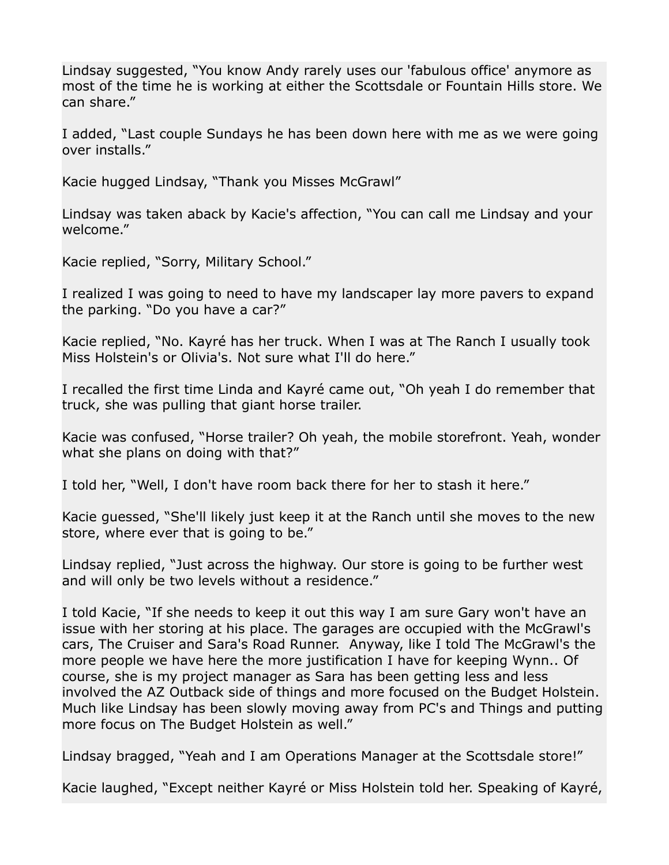Lindsay suggested, "You know Andy rarely uses our 'fabulous office' anymore as most of the time he is working at either the Scottsdale or Fountain Hills store. We can share."

I added, "Last couple Sundays he has been down here with me as we were going over installs."

Kacie hugged Lindsay, "Thank you Misses McGrawl"

Lindsay was taken aback by Kacie's affection, "You can call me Lindsay and your welcome."

Kacie replied, "Sorry, Military School."

I realized I was going to need to have my landscaper lay more pavers to expand the parking. "Do you have a car?"

Kacie replied, "No. Kayré has her truck. When I was at The Ranch I usually took Miss Holstein's or Olivia's. Not sure what I'll do here."

I recalled the first time Linda and Kayré came out, "Oh yeah I do remember that truck, she was pulling that giant horse trailer.

Kacie was confused, "Horse trailer? Oh yeah, the mobile storefront. Yeah, wonder what she plans on doing with that?"

I told her, "Well, I don't have room back there for her to stash it here."

Kacie guessed, "She'll likely just keep it at the Ranch until she moves to the new store, where ever that is going to be."

Lindsay replied, "Just across the highway. Our store is going to be further west and will only be two levels without a residence."

I told Kacie, "If she needs to keep it out this way I am sure Gary won't have an issue with her storing at his place. The garages are occupied with the McGrawl's cars, The Cruiser and Sara's Road Runner. Anyway, like I told The McGrawl's the more people we have here the more justification I have for keeping Wynn.. Of course, she is my project manager as Sara has been getting less and less involved the AZ Outback side of things and more focused on the Budget Holstein. Much like Lindsay has been slowly moving away from PC's and Things and putting more focus on The Budget Holstein as well."

Lindsay bragged, "Yeah and I am Operations Manager at the Scottsdale store!"

Kacie laughed, "Except neither Kayré or Miss Holstein told her. Speaking of Kayré,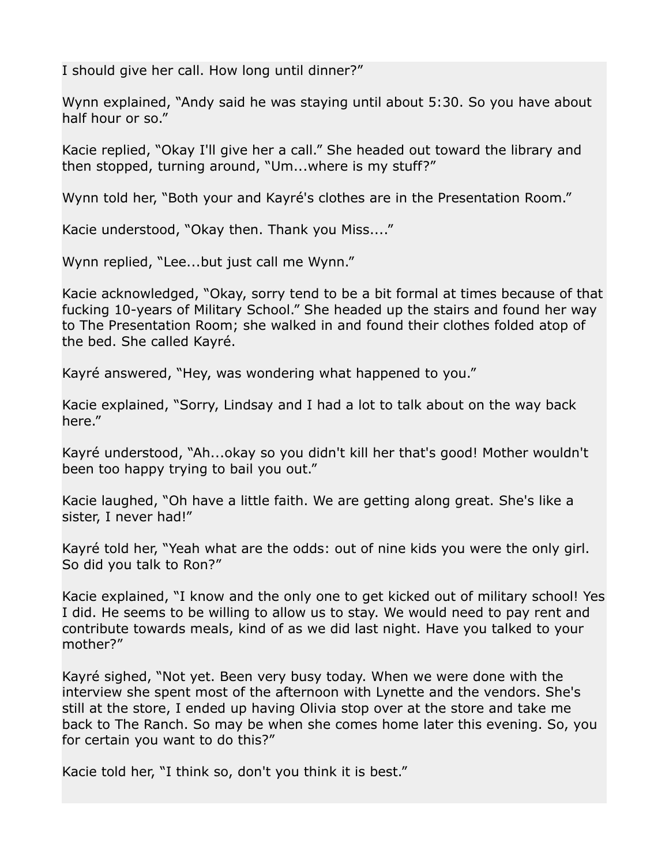I should give her call. How long until dinner?"

Wynn explained, "Andy said he was staying until about 5:30. So you have about half hour or so."

Kacie replied, "Okay I'll give her a call." She headed out toward the library and then stopped, turning around, "Um...where is my stuff?"

Wynn told her, "Both your and Kayré's clothes are in the Presentation Room."

Kacie understood, "Okay then. Thank you Miss...."

Wynn replied, "Lee...but just call me Wynn."

Kacie acknowledged, "Okay, sorry tend to be a bit formal at times because of that fucking 10-years of Military School." She headed up the stairs and found her way to The Presentation Room; she walked in and found their clothes folded atop of the bed. She called Kayré.

Kayré answered, "Hey, was wondering what happened to you."

Kacie explained, "Sorry, Lindsay and I had a lot to talk about on the way back here."

Kayré understood, "Ah...okay so you didn't kill her that's good! Mother wouldn't been too happy trying to bail you out."

Kacie laughed, "Oh have a little faith. We are getting along great. She's like a sister, I never had!"

Kayré told her, "Yeah what are the odds: out of nine kids you were the only girl. So did you talk to Ron?"

Kacie explained, "I know and the only one to get kicked out of military school! Yes I did. He seems to be willing to allow us to stay. We would need to pay rent and contribute towards meals, kind of as we did last night. Have you talked to your mother?"

Kayré sighed, "Not yet. Been very busy today. When we were done with the interview she spent most of the afternoon with Lynette and the vendors. She's still at the store, I ended up having Olivia stop over at the store and take me back to The Ranch. So may be when she comes home later this evening. So, you for certain you want to do this?"

Kacie told her, "I think so, don't you think it is best."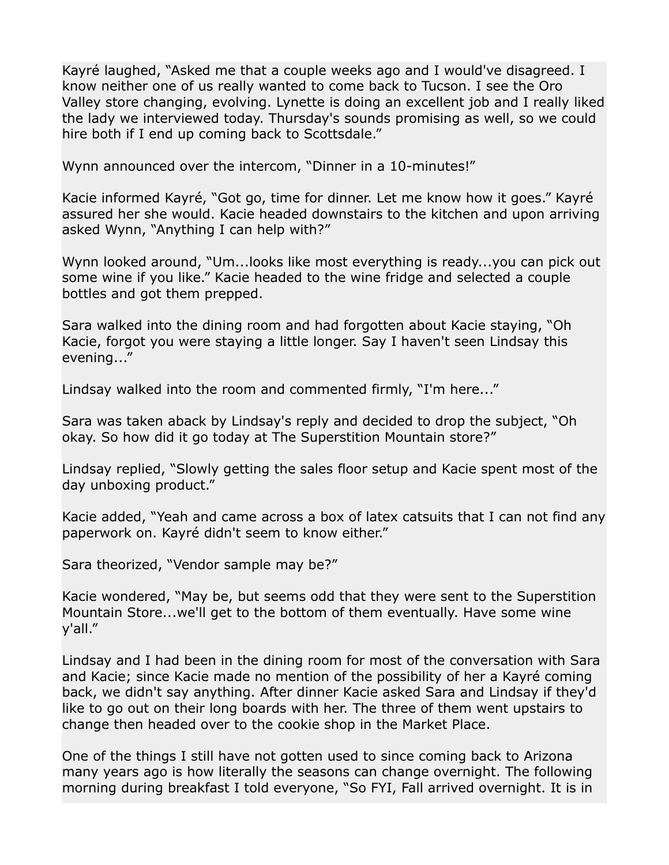Kayré laughed, "Asked me that a couple weeks ago and I would've disagreed. I know neither one of us really wanted to come back to Tucson. I see the Oro Valley store changing, evolving. Lynette is doing an excellent job and I really liked the lady we interviewed today. Thursday's sounds promising as well, so we could hire both if I end up coming back to Scottsdale."

Wynn announced over the intercom, "Dinner in a 10-minutes!"

Kacie informed Kayré, "Got go, time for dinner. Let me know how it goes." Kayré assured her she would. Kacie headed downstairs to the kitchen and upon arriving asked Wynn, "Anything I can help with?"

Wynn looked around, "Um...looks like most everything is ready...you can pick out some wine if you like." Kacie headed to the wine fridge and selected a couple bottles and got them prepped.

Sara walked into the dining room and had forgotten about Kacie staying, "Oh Kacie, forgot you were staying a little longer. Say I haven't seen Lindsay this evening..."

Lindsay walked into the room and commented firmly, "I'm here..."

Sara was taken aback by Lindsay's reply and decided to drop the subject, "Oh okay. So how did it go today at The Superstition Mountain store?"

Lindsay replied, "Slowly getting the sales floor setup and Kacie spent most of the day unboxing product."

Kacie added, "Yeah and came across a box of latex catsuits that I can not find any paperwork on. Kayré didn't seem to know either."

Sara theorized, "Vendor sample may be?"

Kacie wondered, "May be, but seems odd that they were sent to the Superstition Mountain Store...we'll get to the bottom of them eventually. Have some wine y'all."

Lindsay and I had been in the dining room for most of the conversation with Sara and Kacie; since Kacie made no mention of the possibility of her a Kayré coming back, we didn't say anything. After dinner Kacie asked Sara and Lindsay if they'd like to go out on their long boards with her. The three of them went upstairs to change then headed over to the cookie shop in the Market Place.

One of the things I still have not gotten used to since coming back to Arizona many years ago is how literally the seasons can change overnight. The following morning during breakfast I told everyone, "So FYI, Fall arrived overnight. It is in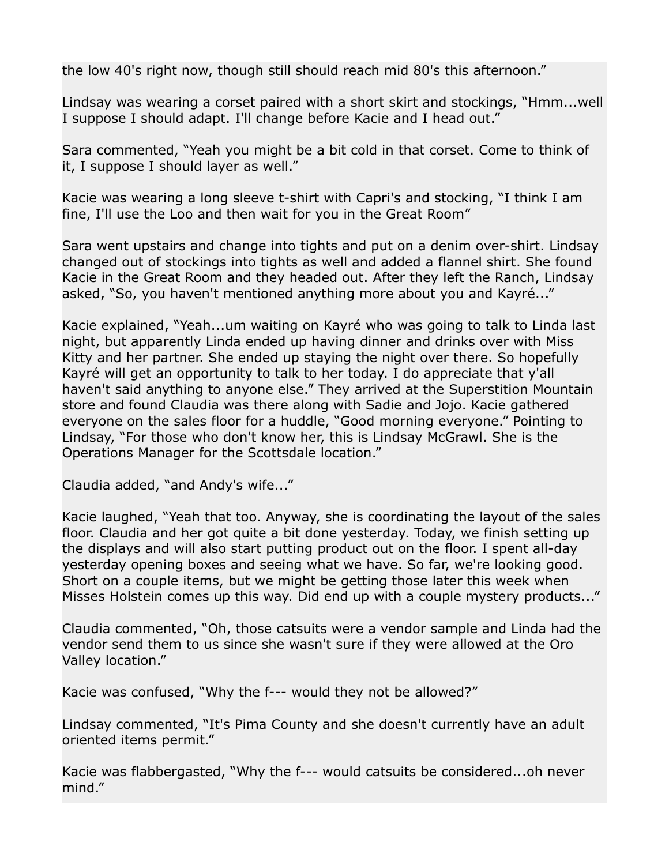the low 40's right now, though still should reach mid 80's this afternoon."

Lindsay was wearing a corset paired with a short skirt and stockings, "Hmm...well I suppose I should adapt. I'll change before Kacie and I head out."

Sara commented, "Yeah you might be a bit cold in that corset. Come to think of it, I suppose I should layer as well."

Kacie was wearing a long sleeve t-shirt with Capri's and stocking, "I think I am fine, I'll use the Loo and then wait for you in the Great Room"

Sara went upstairs and change into tights and put on a denim over-shirt. Lindsay changed out of stockings into tights as well and added a flannel shirt. She found Kacie in the Great Room and they headed out. After they left the Ranch, Lindsay asked, "So, you haven't mentioned anything more about you and Kayré..."

Kacie explained, "Yeah...um waiting on Kayré who was going to talk to Linda last night, but apparently Linda ended up having dinner and drinks over with Miss Kitty and her partner. She ended up staying the night over there. So hopefully Kayré will get an opportunity to talk to her today. I do appreciate that y'all haven't said anything to anyone else." They arrived at the Superstition Mountain store and found Claudia was there along with Sadie and Jojo. Kacie gathered everyone on the sales floor for a huddle, "Good morning everyone." Pointing to Lindsay, "For those who don't know her, this is Lindsay McGrawl. She is the Operations Manager for the Scottsdale location."

Claudia added, "and Andy's wife..."

Kacie laughed, "Yeah that too. Anyway, she is coordinating the layout of the sales floor. Claudia and her got quite a bit done yesterday. Today, we finish setting up the displays and will also start putting product out on the floor. I spent all-day yesterday opening boxes and seeing what we have. So far, we're looking good. Short on a couple items, but we might be getting those later this week when Misses Holstein comes up this way. Did end up with a couple mystery products..."

Claudia commented, "Oh, those catsuits were a vendor sample and Linda had the vendor send them to us since she wasn't sure if they were allowed at the Oro Valley location."

Kacie was confused, "Why the f--- would they not be allowed?"

Lindsay commented, "It's Pima County and she doesn't currently have an adult oriented items permit."

Kacie was flabbergasted, "Why the f--- would catsuits be considered...oh never mind."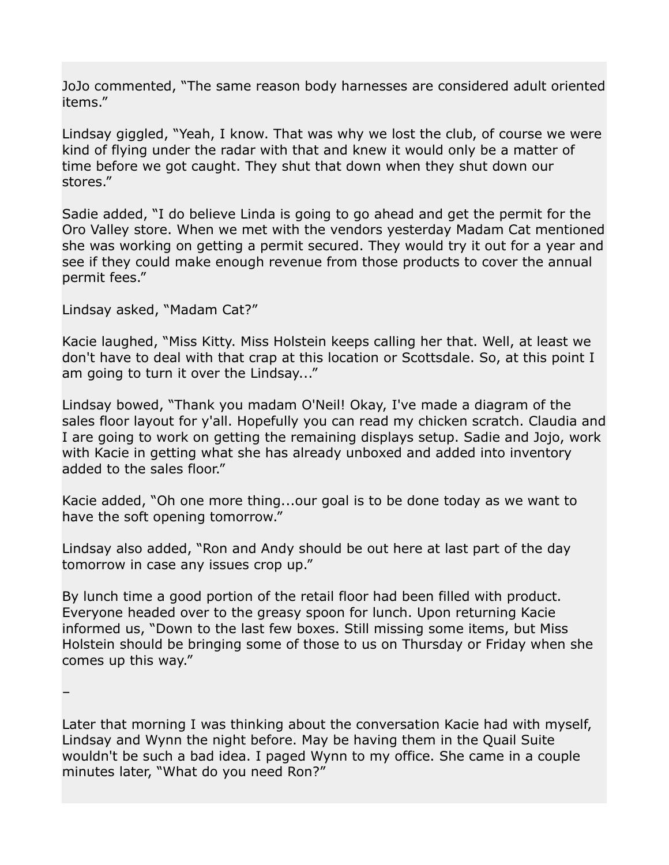JoJo commented, "The same reason body harnesses are considered adult oriented items."

Lindsay giggled, "Yeah, I know. That was why we lost the club, of course we were kind of flying under the radar with that and knew it would only be a matter of time before we got caught. They shut that down when they shut down our stores."

Sadie added, "I do believe Linda is going to go ahead and get the permit for the Oro Valley store. When we met with the vendors yesterday Madam Cat mentioned she was working on getting a permit secured. They would try it out for a year and see if they could make enough revenue from those products to cover the annual permit fees."

Lindsay asked, "Madam Cat?"

–

Kacie laughed, "Miss Kitty. Miss Holstein keeps calling her that. Well, at least we don't have to deal with that crap at this location or Scottsdale. So, at this point I am going to turn it over the Lindsay..."

Lindsay bowed, "Thank you madam O'Neil! Okay, I've made a diagram of the sales floor layout for y'all. Hopefully you can read my chicken scratch. Claudia and I are going to work on getting the remaining displays setup. Sadie and Jojo, work with Kacie in getting what she has already unboxed and added into inventory added to the sales floor."

Kacie added, "Oh one more thing...our goal is to be done today as we want to have the soft opening tomorrow."

Lindsay also added, "Ron and Andy should be out here at last part of the day tomorrow in case any issues crop up."

By lunch time a good portion of the retail floor had been filled with product. Everyone headed over to the greasy spoon for lunch. Upon returning Kacie informed us, "Down to the last few boxes. Still missing some items, but Miss Holstein should be bringing some of those to us on Thursday or Friday when she comes up this way."

Later that morning I was thinking about the conversation Kacie had with myself, Lindsay and Wynn the night before. May be having them in the Quail Suite wouldn't be such a bad idea. I paged Wynn to my office. She came in a couple minutes later, "What do you need Ron?"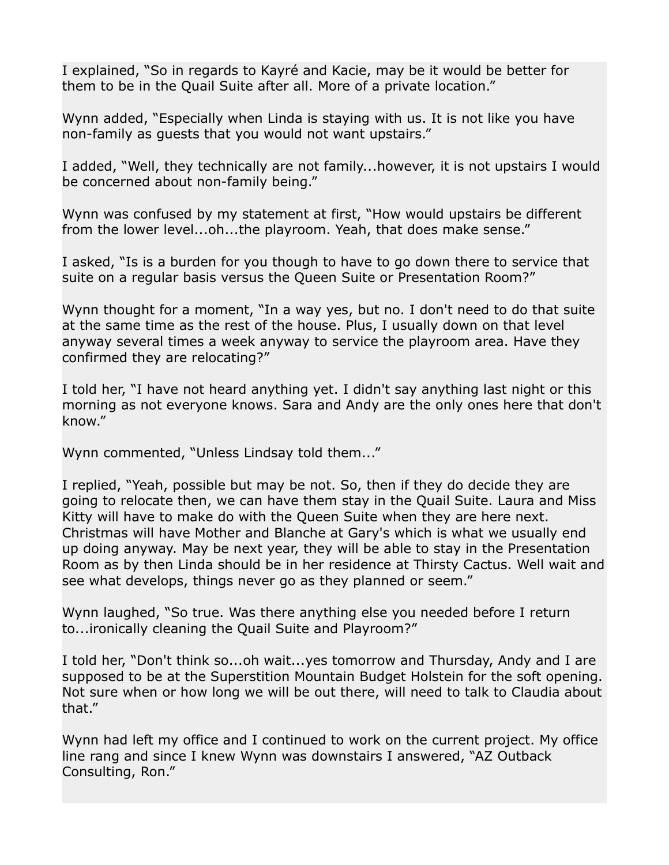I explained, "So in regards to Kayré and Kacie, may be it would be better for them to be in the Quail Suite after all. More of a private location."

Wynn added, "Especially when Linda is staying with us. It is not like you have non-family as guests that you would not want upstairs."

I added, "Well, they technically are not family...however, it is not upstairs I would be concerned about non-family being."

Wynn was confused by my statement at first, "How would upstairs be different from the lower level...oh...the playroom. Yeah, that does make sense."

I asked, "Is is a burden for you though to have to go down there to service that suite on a regular basis versus the Queen Suite or Presentation Room?"

Wynn thought for a moment, "In a way yes, but no. I don't need to do that suite at the same time as the rest of the house. Plus, I usually down on that level anyway several times a week anyway to service the playroom area. Have they confirmed they are relocating?"

I told her, "I have not heard anything yet. I didn't say anything last night or this morning as not everyone knows. Sara and Andy are the only ones here that don't know."

Wynn commented, "Unless Lindsay told them..."

I replied, "Yeah, possible but may be not. So, then if they do decide they are going to relocate then, we can have them stay in the Quail Suite. Laura and Miss Kitty will have to make do with the Queen Suite when they are here next. Christmas will have Mother and Blanche at Gary's which is what we usually end up doing anyway. May be next year, they will be able to stay in the Presentation Room as by then Linda should be in her residence at Thirsty Cactus. Well wait and see what develops, things never go as they planned or seem."

Wynn laughed, "So true. Was there anything else you needed before I return to...ironically cleaning the Quail Suite and Playroom?"

I told her, "Don't think so...oh wait...yes tomorrow and Thursday, Andy and I are supposed to be at the Superstition Mountain Budget Holstein for the soft opening. Not sure when or how long we will be out there, will need to talk to Claudia about that."

Wynn had left my office and I continued to work on the current project. My office line rang and since I knew Wynn was downstairs I answered, "AZ Outback Consulting, Ron."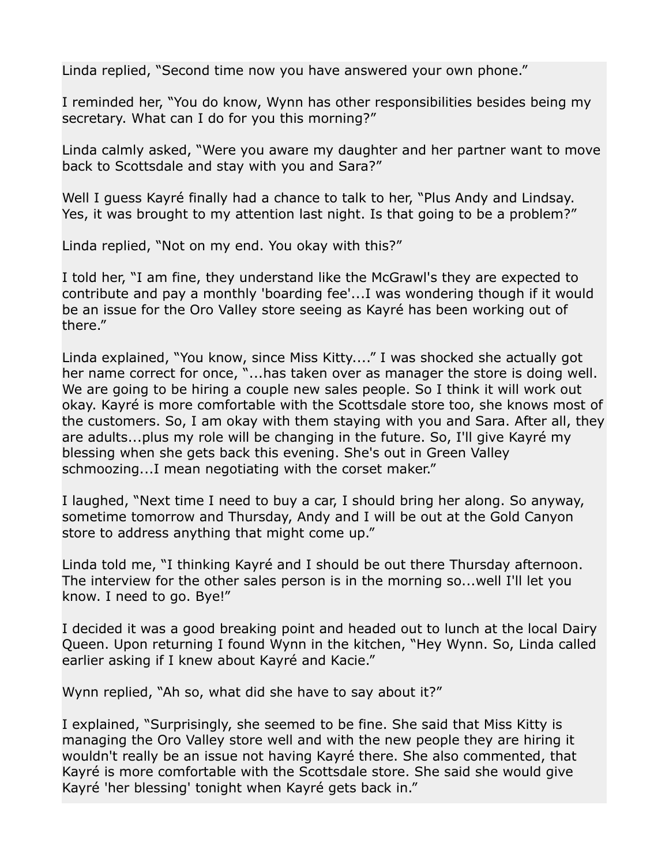Linda replied, "Second time now you have answered your own phone."

I reminded her, "You do know, Wynn has other responsibilities besides being my secretary. What can I do for you this morning?"

Linda calmly asked, "Were you aware my daughter and her partner want to move back to Scottsdale and stay with you and Sara?"

Well I guess Kayré finally had a chance to talk to her, "Plus Andy and Lindsay. Yes, it was brought to my attention last night. Is that going to be a problem?"

Linda replied, "Not on my end. You okay with this?"

I told her, "I am fine, they understand like the McGrawl's they are expected to contribute and pay a monthly 'boarding fee'...I was wondering though if it would be an issue for the Oro Valley store seeing as Kayré has been working out of there."

Linda explained, "You know, since Miss Kitty...." I was shocked she actually got her name correct for once, "...has taken over as manager the store is doing well. We are going to be hiring a couple new sales people. So I think it will work out okay. Kayré is more comfortable with the Scottsdale store too, she knows most of the customers. So, I am okay with them staying with you and Sara. After all, they are adults...plus my role will be changing in the future. So, I'll give Kayré my blessing when she gets back this evening. She's out in Green Valley schmoozing...I mean negotiating with the corset maker."

I laughed, "Next time I need to buy a car, I should bring her along. So anyway, sometime tomorrow and Thursday, Andy and I will be out at the Gold Canyon store to address anything that might come up."

Linda told me, "I thinking Kayré and I should be out there Thursday afternoon. The interview for the other sales person is in the morning so...well I'll let you know. I need to go. Bye!"

I decided it was a good breaking point and headed out to lunch at the local Dairy Queen. Upon returning I found Wynn in the kitchen, "Hey Wynn. So, Linda called earlier asking if I knew about Kayré and Kacie."

Wynn replied, "Ah so, what did she have to say about it?"

I explained, "Surprisingly, she seemed to be fine. She said that Miss Kitty is managing the Oro Valley store well and with the new people they are hiring it wouldn't really be an issue not having Kayré there. She also commented, that Kayré is more comfortable with the Scottsdale store. She said she would give Kayré 'her blessing' tonight when Kayré gets back in."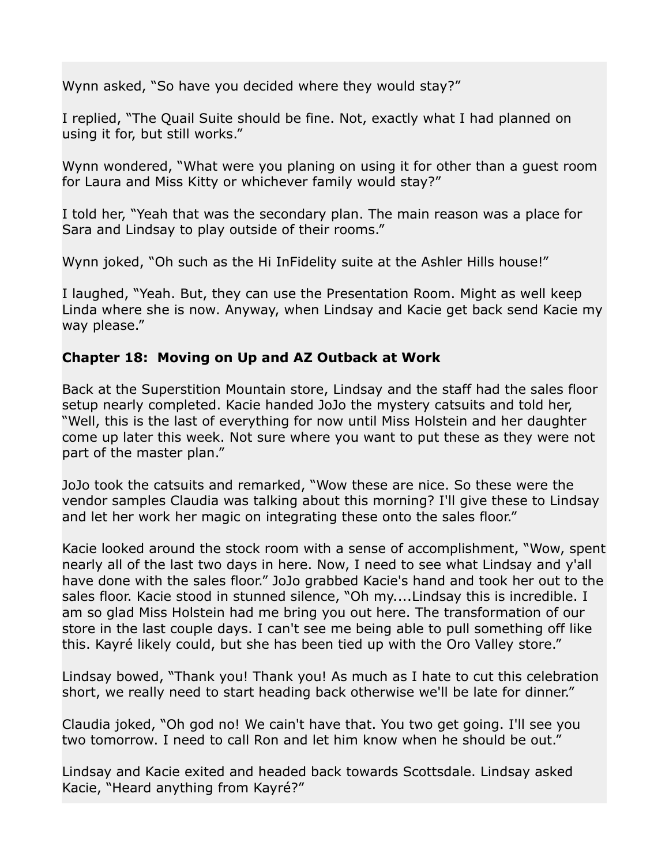Wynn asked, "So have you decided where they would stay?"

I replied, "The Quail Suite should be fine. Not, exactly what I had planned on using it for, but still works."

Wynn wondered, "What were you planing on using it for other than a guest room for Laura and Miss Kitty or whichever family would stay?"

I told her, "Yeah that was the secondary plan. The main reason was a place for Sara and Lindsay to play outside of their rooms."

Wynn joked, "Oh such as the Hi InFidelity suite at the Ashler Hills house!"

I laughed, "Yeah. But, they can use the Presentation Room. Might as well keep Linda where she is now. Anyway, when Lindsay and Kacie get back send Kacie my way please."

## **Chapter 18: Moving on Up and AZ Outback at Work**

Back at the Superstition Mountain store, Lindsay and the staff had the sales floor setup nearly completed. Kacie handed JoJo the mystery catsuits and told her, "Well, this is the last of everything for now until Miss Holstein and her daughter come up later this week. Not sure where you want to put these as they were not part of the master plan."

JoJo took the catsuits and remarked, "Wow these are nice. So these were the vendor samples Claudia was talking about this morning? I'll give these to Lindsay and let her work her magic on integrating these onto the sales floor."

Kacie looked around the stock room with a sense of accomplishment, "Wow, spent nearly all of the last two days in here. Now, I need to see what Lindsay and y'all have done with the sales floor." JoJo grabbed Kacie's hand and took her out to the sales floor. Kacie stood in stunned silence, "Oh my....Lindsay this is incredible. I am so glad Miss Holstein had me bring you out here. The transformation of our store in the last couple days. I can't see me being able to pull something off like this. Kayré likely could, but she has been tied up with the Oro Valley store."

Lindsay bowed, "Thank you! Thank you! As much as I hate to cut this celebration short, we really need to start heading back otherwise we'll be late for dinner."

Claudia joked, "Oh god no! We cain't have that. You two get going. I'll see you two tomorrow. I need to call Ron and let him know when he should be out."

Lindsay and Kacie exited and headed back towards Scottsdale. Lindsay asked Kacie, "Heard anything from Kayré?"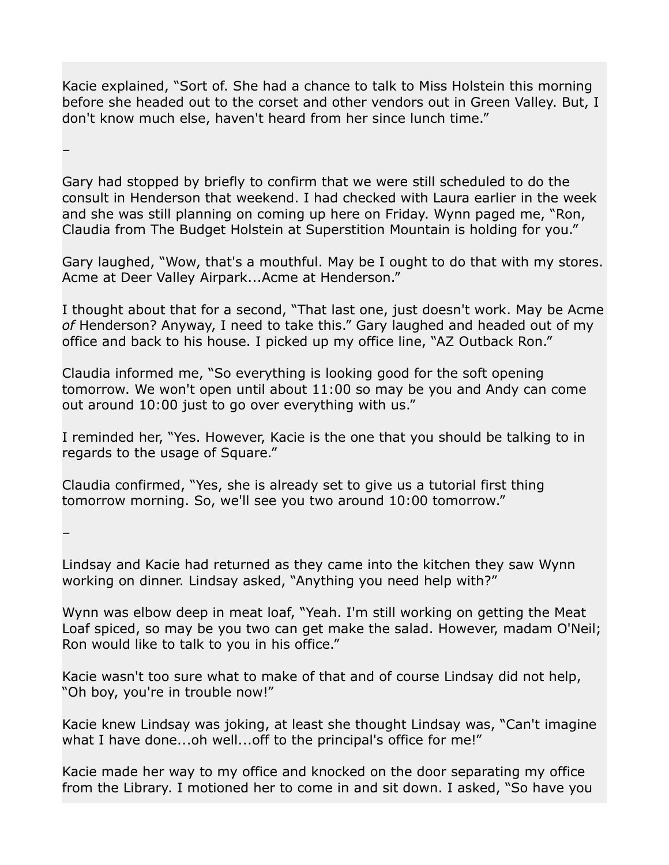Kacie explained, "Sort of. She had a chance to talk to Miss Holstein this morning before she headed out to the corset and other vendors out in Green Valley. But, I don't know much else, haven't heard from her since lunch time."

–

Gary had stopped by briefly to confirm that we were still scheduled to do the consult in Henderson that weekend. I had checked with Laura earlier in the week and she was still planning on coming up here on Friday. Wynn paged me, "Ron, Claudia from The Budget Holstein at Superstition Mountain is holding for you."

Gary laughed, "Wow, that's a mouthful. May be I ought to do that with my stores. Acme at Deer Valley Airpark...Acme at Henderson."

I thought about that for a second, "That last one, just doesn't work. May be Acme *of* Henderson? Anyway, I need to take this." Gary laughed and headed out of my office and back to his house. I picked up my office line, "AZ Outback Ron."

Claudia informed me, "So everything is looking good for the soft opening tomorrow. We won't open until about 11:00 so may be you and Andy can come out around 10:00 just to go over everything with us."

I reminded her, "Yes. However, Kacie is the one that you should be talking to in regards to the usage of Square."

Claudia confirmed, "Yes, she is already set to give us a tutorial first thing tomorrow morning. So, we'll see you two around 10:00 tomorrow."

–

Lindsay and Kacie had returned as they came into the kitchen they saw Wynn working on dinner. Lindsay asked, "Anything you need help with?"

Wynn was elbow deep in meat loaf, "Yeah. I'm still working on getting the Meat Loaf spiced, so may be you two can get make the salad. However, madam O'Neil; Ron would like to talk to you in his office."

Kacie wasn't too sure what to make of that and of course Lindsay did not help, "Oh boy, you're in trouble now!"

Kacie knew Lindsay was joking, at least she thought Lindsay was, "Can't imagine what I have done...oh well...off to the principal's office for me!"

Kacie made her way to my office and knocked on the door separating my office from the Library. I motioned her to come in and sit down. I asked, "So have you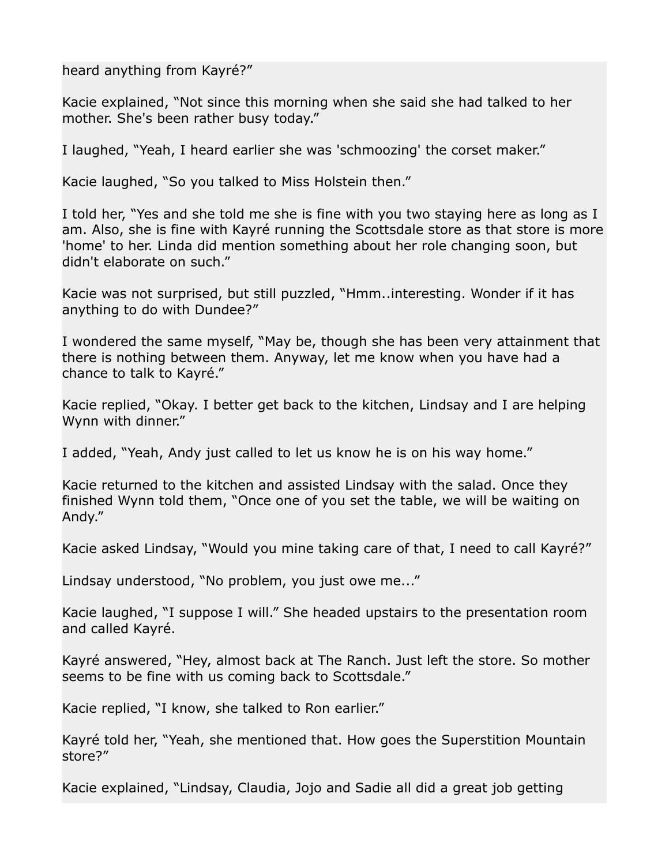heard anything from Kayré?"

Kacie explained, "Not since this morning when she said she had talked to her mother. She's been rather busy today."

I laughed, "Yeah, I heard earlier she was 'schmoozing' the corset maker."

Kacie laughed, "So you talked to Miss Holstein then."

I told her, "Yes and she told me she is fine with you two staying here as long as I am. Also, she is fine with Kayré running the Scottsdale store as that store is more 'home' to her. Linda did mention something about her role changing soon, but didn't elaborate on such."

Kacie was not surprised, but still puzzled, "Hmm..interesting. Wonder if it has anything to do with Dundee?"

I wondered the same myself, "May be, though she has been very attainment that there is nothing between them. Anyway, let me know when you have had a chance to talk to Kayré."

Kacie replied, "Okay. I better get back to the kitchen, Lindsay and I are helping Wynn with dinner."

I added, "Yeah, Andy just called to let us know he is on his way home."

Kacie returned to the kitchen and assisted Lindsay with the salad. Once they finished Wynn told them, "Once one of you set the table, we will be waiting on Andy."

Kacie asked Lindsay, "Would you mine taking care of that, I need to call Kayré?"

Lindsay understood, "No problem, you just owe me..."

Kacie laughed, "I suppose I will." She headed upstairs to the presentation room and called Kayré.

Kayré answered, "Hey, almost back at The Ranch. Just left the store. So mother seems to be fine with us coming back to Scottsdale."

Kacie replied, "I know, she talked to Ron earlier."

Kayré told her, "Yeah, she mentioned that. How goes the Superstition Mountain store?"

Kacie explained, "Lindsay, Claudia, Jojo and Sadie all did a great job getting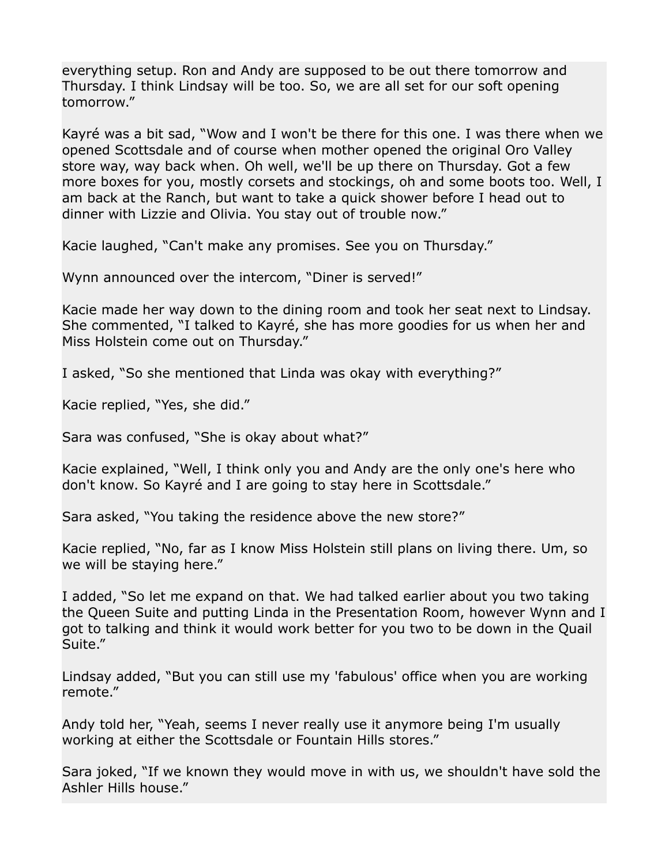everything setup. Ron and Andy are supposed to be out there tomorrow and Thursday. I think Lindsay will be too. So, we are all set for our soft opening tomorrow."

Kayré was a bit sad, "Wow and I won't be there for this one. I was there when we opened Scottsdale and of course when mother opened the original Oro Valley store way, way back when. Oh well, we'll be up there on Thursday. Got a few more boxes for you, mostly corsets and stockings, oh and some boots too. Well, I am back at the Ranch, but want to take a quick shower before I head out to dinner with Lizzie and Olivia. You stay out of trouble now."

Kacie laughed, "Can't make any promises. See you on Thursday."

Wynn announced over the intercom, "Diner is served!"

Kacie made her way down to the dining room and took her seat next to Lindsay. She commented, "I talked to Kayré, she has more goodies for us when her and Miss Holstein come out on Thursday."

I asked, "So she mentioned that Linda was okay with everything?"

Kacie replied, "Yes, she did."

Sara was confused, "She is okay about what?"

Kacie explained, "Well, I think only you and Andy are the only one's here who don't know. So Kayré and I are going to stay here in Scottsdale."

Sara asked, "You taking the residence above the new store?"

Kacie replied, "No, far as I know Miss Holstein still plans on living there. Um, so we will be staying here."

I added, "So let me expand on that. We had talked earlier about you two taking the Queen Suite and putting Linda in the Presentation Room, however Wynn and I got to talking and think it would work better for you two to be down in the Quail Suite."

Lindsay added, "But you can still use my 'fabulous' office when you are working remote."

Andy told her, "Yeah, seems I never really use it anymore being I'm usually working at either the Scottsdale or Fountain Hills stores."

Sara joked, "If we known they would move in with us, we shouldn't have sold the Ashler Hills house."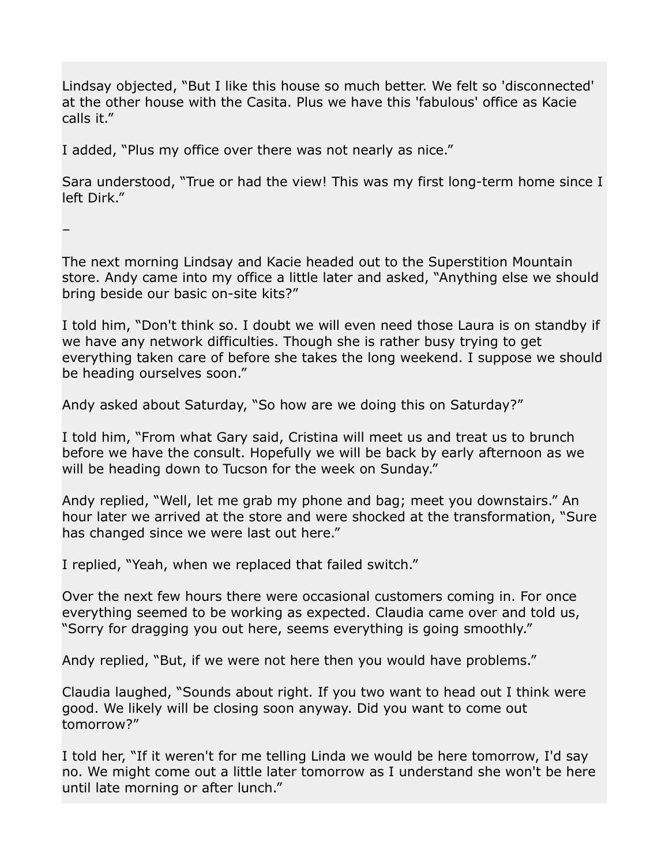Lindsay objected, "But I like this house so much better. We felt so 'disconnected' at the other house with the Casita. Plus we have this 'fabulous' office as Kacie calls it."

I added, "Plus my office over there was not nearly as nice."

Sara understood, "True or had the view! This was my first long-term home since I left Dirk."

–

The next morning Lindsay and Kacie headed out to the Superstition Mountain store. Andy came into my office a little later and asked, "Anything else we should bring beside our basic on-site kits?"

I told him, "Don't think so. I doubt we will even need those Laura is on standby if we have any network difficulties. Though she is rather busy trying to get everything taken care of before she takes the long weekend. I suppose we should be heading ourselves soon."

Andy asked about Saturday, "So how are we doing this on Saturday?"

I told him, "From what Gary said, Cristina will meet us and treat us to brunch before we have the consult. Hopefully we will be back by early afternoon as we will be heading down to Tucson for the week on Sunday."

Andy replied, "Well, let me grab my phone and bag; meet you downstairs." An hour later we arrived at the store and were shocked at the transformation, "Sure has changed since we were last out here."

I replied, "Yeah, when we replaced that failed switch."

Over the next few hours there were occasional customers coming in. For once everything seemed to be working as expected. Claudia came over and told us, "Sorry for dragging you out here, seems everything is going smoothly."

Andy replied, "But, if we were not here then you would have problems."

Claudia laughed, "Sounds about right. If you two want to head out I think were good. We likely will be closing soon anyway. Did you want to come out tomorrow?"

I told her, "If it weren't for me telling Linda we would be here tomorrow, I'd say no. We might come out a little later tomorrow as I understand she won't be here until late morning or after lunch."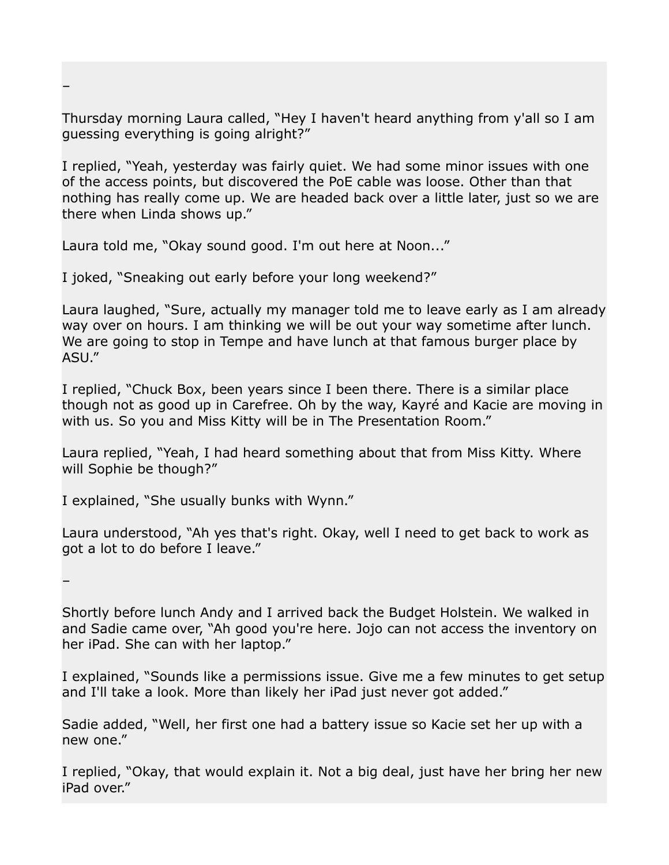Thursday morning Laura called, "Hey I haven't heard anything from y'all so I am guessing everything is going alright?"

I replied, "Yeah, yesterday was fairly quiet. We had some minor issues with one of the access points, but discovered the PoE cable was loose. Other than that nothing has really come up. We are headed back over a little later, just so we are there when Linda shows up."

Laura told me, "Okay sound good. I'm out here at Noon..."

I joked, "Sneaking out early before your long weekend?"

Laura laughed, "Sure, actually my manager told me to leave early as I am already way over on hours. I am thinking we will be out your way sometime after lunch. We are going to stop in Tempe and have lunch at that famous burger place by ASU."

I replied, "Chuck Box, been years since I been there. There is a similar place though not as good up in Carefree. Oh by the way, Kayré and Kacie are moving in with us. So you and Miss Kitty will be in The Presentation Room."

Laura replied, "Yeah, I had heard something about that from Miss Kitty. Where will Sophie be though?"

I explained, "She usually bunks with Wynn."

Laura understood, "Ah yes that's right. Okay, well I need to get back to work as got a lot to do before I leave."

–

–

Shortly before lunch Andy and I arrived back the Budget Holstein. We walked in and Sadie came over, "Ah good you're here. Jojo can not access the inventory on her iPad. She can with her laptop."

I explained, "Sounds like a permissions issue. Give me a few minutes to get setup and I'll take a look. More than likely her iPad just never got added."

Sadie added, "Well, her first one had a battery issue so Kacie set her up with a new one."

I replied, "Okay, that would explain it. Not a big deal, just have her bring her new iPad over."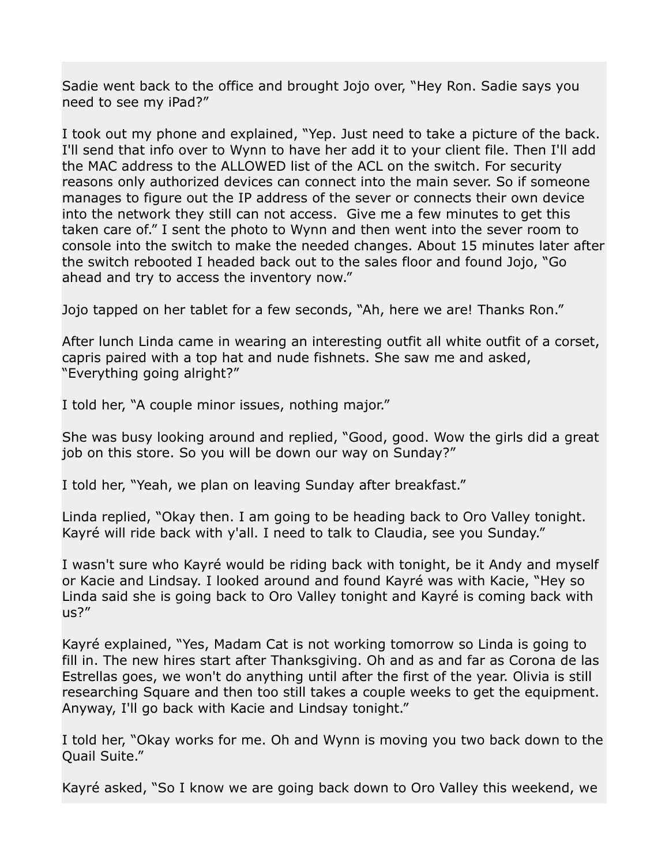Sadie went back to the office and brought Jojo over, "Hey Ron. Sadie says you need to see my iPad?"

I took out my phone and explained, "Yep. Just need to take a picture of the back. I'll send that info over to Wynn to have her add it to your client file. Then I'll add the MAC address to the ALLOWED list of the ACL on the switch. For security reasons only authorized devices can connect into the main sever. So if someone manages to figure out the IP address of the sever or connects their own device into the network they still can not access. Give me a few minutes to get this taken care of." I sent the photo to Wynn and then went into the sever room to console into the switch to make the needed changes. About 15 minutes later after the switch rebooted I headed back out to the sales floor and found Jojo, "Go ahead and try to access the inventory now."

Jojo tapped on her tablet for a few seconds, "Ah, here we are! Thanks Ron."

After lunch Linda came in wearing an interesting outfit all white outfit of a corset, capris paired with a top hat and nude fishnets. She saw me and asked, "Everything going alright?"

I told her, "A couple minor issues, nothing major."

She was busy looking around and replied, "Good, good. Wow the girls did a great job on this store. So you will be down our way on Sunday?"

I told her, "Yeah, we plan on leaving Sunday after breakfast."

Linda replied, "Okay then. I am going to be heading back to Oro Valley tonight. Kayré will ride back with y'all. I need to talk to Claudia, see you Sunday."

I wasn't sure who Kayré would be riding back with tonight, be it Andy and myself or Kacie and Lindsay. I looked around and found Kayré was with Kacie, "Hey so Linda said she is going back to Oro Valley tonight and Kayré is coming back with us?"

Kayré explained, "Yes, Madam Cat is not working tomorrow so Linda is going to fill in. The new hires start after Thanksgiving. Oh and as and far as Corona de las Estrellas goes, we won't do anything until after the first of the year. Olivia is still researching Square and then too still takes a couple weeks to get the equipment. Anyway, I'll go back with Kacie and Lindsay tonight."

I told her, "Okay works for me. Oh and Wynn is moving you two back down to the Quail Suite."

Kayré asked, "So I know we are going back down to Oro Valley this weekend, we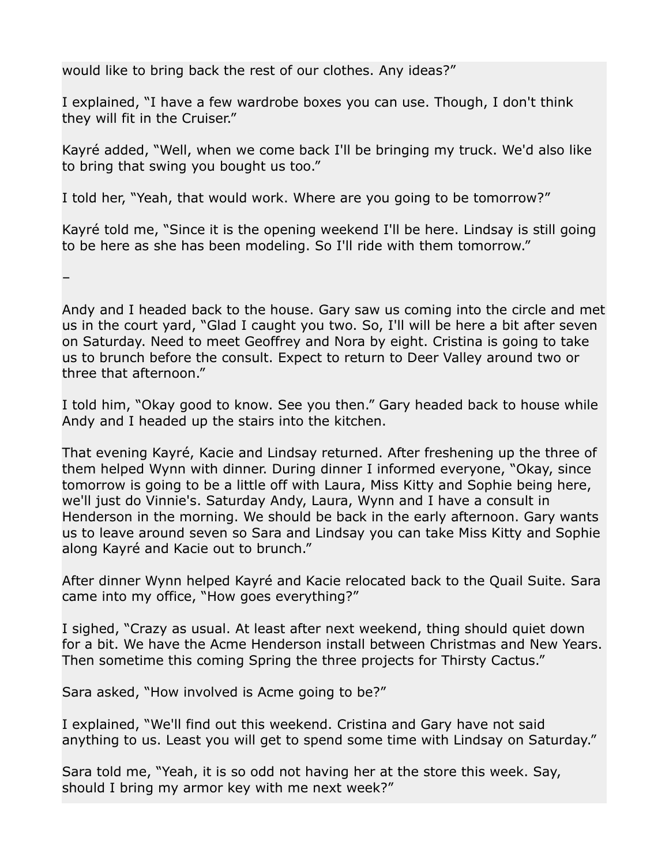would like to bring back the rest of our clothes. Any ideas?"

I explained, "I have a few wardrobe boxes you can use. Though, I don't think they will fit in the Cruiser."

Kayré added, "Well, when we come back I'll be bringing my truck. We'd also like to bring that swing you bought us too."

I told her, "Yeah, that would work. Where are you going to be tomorrow?"

Kayré told me, "Since it is the opening weekend I'll be here. Lindsay is still going to be here as she has been modeling. So I'll ride with them tomorrow."

–

Andy and I headed back to the house. Gary saw us coming into the circle and met us in the court yard, "Glad I caught you two. So, I'll will be here a bit after seven on Saturday. Need to meet Geoffrey and Nora by eight. Cristina is going to take us to brunch before the consult. Expect to return to Deer Valley around two or three that afternoon."

I told him, "Okay good to know. See you then." Gary headed back to house while Andy and I headed up the stairs into the kitchen.

That evening Kayré, Kacie and Lindsay returned. After freshening up the three of them helped Wynn with dinner. During dinner I informed everyone, "Okay, since tomorrow is going to be a little off with Laura, Miss Kitty and Sophie being here, we'll just do Vinnie's. Saturday Andy, Laura, Wynn and I have a consult in Henderson in the morning. We should be back in the early afternoon. Gary wants us to leave around seven so Sara and Lindsay you can take Miss Kitty and Sophie along Kayré and Kacie out to brunch."

After dinner Wynn helped Kayré and Kacie relocated back to the Quail Suite. Sara came into my office, "How goes everything?"

I sighed, "Crazy as usual. At least after next weekend, thing should quiet down for a bit. We have the Acme Henderson install between Christmas and New Years. Then sometime this coming Spring the three projects for Thirsty Cactus."

Sara asked, "How involved is Acme going to be?"

I explained, "We'll find out this weekend. Cristina and Gary have not said anything to us. Least you will get to spend some time with Lindsay on Saturday."

Sara told me, "Yeah, it is so odd not having her at the store this week. Say, should I bring my armor key with me next week?"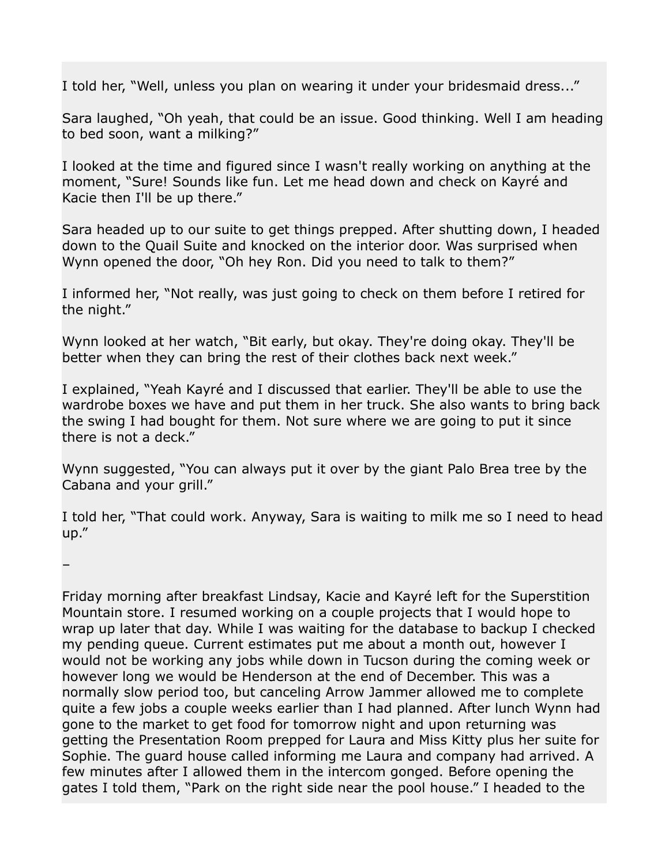I told her, "Well, unless you plan on wearing it under your bridesmaid dress..."

Sara laughed, "Oh yeah, that could be an issue. Good thinking. Well I am heading to bed soon, want a milking?"

I looked at the time and figured since I wasn't really working on anything at the moment, "Sure! Sounds like fun. Let me head down and check on Kayré and Kacie then I'll be up there."

Sara headed up to our suite to get things prepped. After shutting down, I headed down to the Quail Suite and knocked on the interior door. Was surprised when Wynn opened the door, "Oh hey Ron. Did you need to talk to them?"

I informed her, "Not really, was just going to check on them before I retired for the night."

Wynn looked at her watch, "Bit early, but okay. They're doing okay. They'll be better when they can bring the rest of their clothes back next week."

I explained, "Yeah Kayré and I discussed that earlier. They'll be able to use the wardrobe boxes we have and put them in her truck. She also wants to bring back the swing I had bought for them. Not sure where we are going to put it since there is not a deck."

Wynn suggested, "You can always put it over by the giant Palo Brea tree by the Cabana and your grill."

I told her, "That could work. Anyway, Sara is waiting to milk me so I need to head up."

–

Friday morning after breakfast Lindsay, Kacie and Kayré left for the Superstition Mountain store. I resumed working on a couple projects that I would hope to wrap up later that day. While I was waiting for the database to backup I checked my pending queue. Current estimates put me about a month out, however I would not be working any jobs while down in Tucson during the coming week or however long we would be Henderson at the end of December. This was a normally slow period too, but canceling Arrow Jammer allowed me to complete quite a few jobs a couple weeks earlier than I had planned. After lunch Wynn had gone to the market to get food for tomorrow night and upon returning was getting the Presentation Room prepped for Laura and Miss Kitty plus her suite for Sophie. The guard house called informing me Laura and company had arrived. A few minutes after I allowed them in the intercom gonged. Before opening the gates I told them, "Park on the right side near the pool house." I headed to the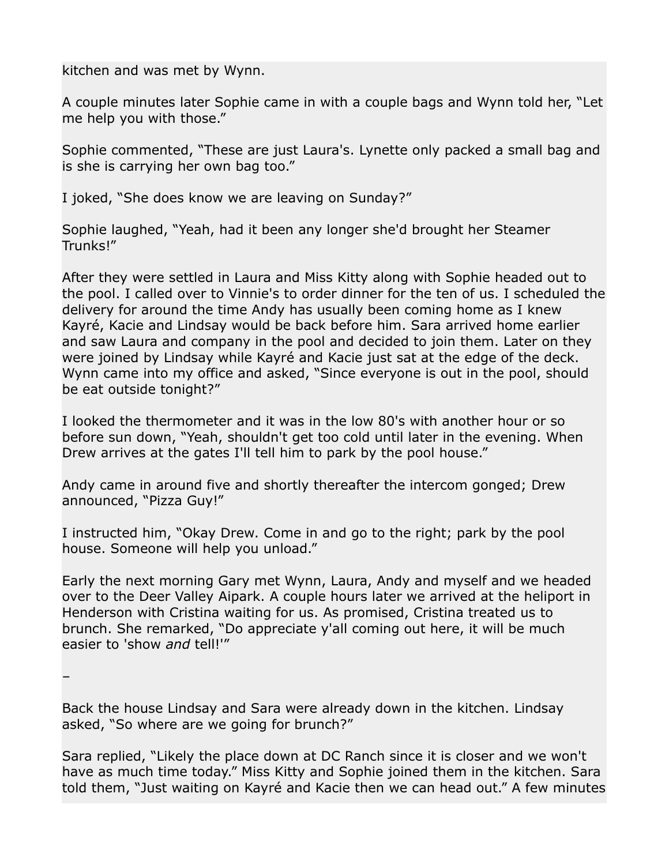kitchen and was met by Wynn.

A couple minutes later Sophie came in with a couple bags and Wynn told her, "Let me help you with those."

Sophie commented, "These are just Laura's. Lynette only packed a small bag and is she is carrying her own bag too."

I joked, "She does know we are leaving on Sunday?"

Sophie laughed, "Yeah, had it been any longer she'd brought her Steamer Trunks!"

After they were settled in Laura and Miss Kitty along with Sophie headed out to the pool. I called over to Vinnie's to order dinner for the ten of us. I scheduled the delivery for around the time Andy has usually been coming home as I knew Kayré, Kacie and Lindsay would be back before him. Sara arrived home earlier and saw Laura and company in the pool and decided to join them. Later on they were joined by Lindsay while Kayré and Kacie just sat at the edge of the deck. Wynn came into my office and asked, "Since everyone is out in the pool, should be eat outside tonight?"

I looked the thermometer and it was in the low 80's with another hour or so before sun down, "Yeah, shouldn't get too cold until later in the evening. When Drew arrives at the gates I'll tell him to park by the pool house."

Andy came in around five and shortly thereafter the intercom gonged; Drew announced, "Pizza Guy!"

I instructed him, "Okay Drew. Come in and go to the right; park by the pool house. Someone will help you unload."

Early the next morning Gary met Wynn, Laura, Andy and myself and we headed over to the Deer Valley Aipark. A couple hours later we arrived at the heliport in Henderson with Cristina waiting for us. As promised, Cristina treated us to brunch. She remarked, "Do appreciate y'all coming out here, it will be much easier to 'show *and* tell!'"

–

Back the house Lindsay and Sara were already down in the kitchen. Lindsay asked, "So where are we going for brunch?"

Sara replied, "Likely the place down at DC Ranch since it is closer and we won't have as much time today." Miss Kitty and Sophie joined them in the kitchen. Sara told them, "Just waiting on Kayré and Kacie then we can head out." A few minutes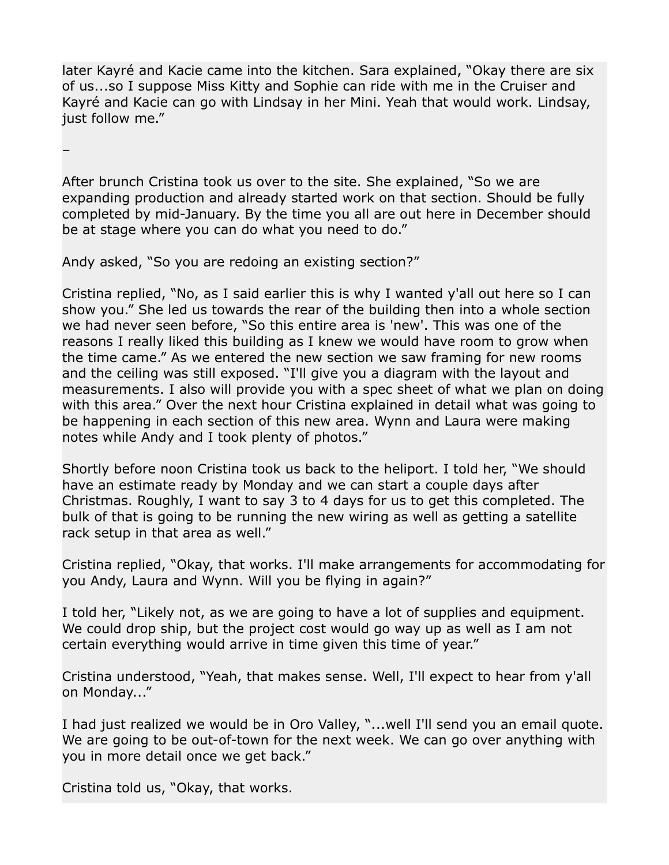later Kayré and Kacie came into the kitchen. Sara explained, "Okay there are six of us...so I suppose Miss Kitty and Sophie can ride with me in the Cruiser and Kayré and Kacie can go with Lindsay in her Mini. Yeah that would work. Lindsay, just follow me."

–

After brunch Cristina took us over to the site. She explained, "So we are expanding production and already started work on that section. Should be fully completed by mid-January. By the time you all are out here in December should be at stage where you can do what you need to do."

Andy asked, "So you are redoing an existing section?"

Cristina replied, "No, as I said earlier this is why I wanted y'all out here so I can show you." She led us towards the rear of the building then into a whole section we had never seen before, "So this entire area is 'new'. This was one of the reasons I really liked this building as I knew we would have room to grow when the time came." As we entered the new section we saw framing for new rooms and the ceiling was still exposed. "I'll give you a diagram with the layout and measurements. I also will provide you with a spec sheet of what we plan on doing with this area." Over the next hour Cristina explained in detail what was going to be happening in each section of this new area. Wynn and Laura were making notes while Andy and I took plenty of photos."

Shortly before noon Cristina took us back to the heliport. I told her, "We should have an estimate ready by Monday and we can start a couple days after Christmas. Roughly, I want to say 3 to 4 days for us to get this completed. The bulk of that is going to be running the new wiring as well as getting a satellite rack setup in that area as well."

Cristina replied, "Okay, that works. I'll make arrangements for accommodating for you Andy, Laura and Wynn. Will you be flying in again?"

I told her, "Likely not, as we are going to have a lot of supplies and equipment. We could drop ship, but the project cost would go way up as well as I am not certain everything would arrive in time given this time of year."

Cristina understood, "Yeah, that makes sense. Well, I'll expect to hear from y'all on Monday..."

I had just realized we would be in Oro Valley, "...well I'll send you an email quote. We are going to be out-of-town for the next week. We can go over anything with you in more detail once we get back."

Cristina told us, "Okay, that works.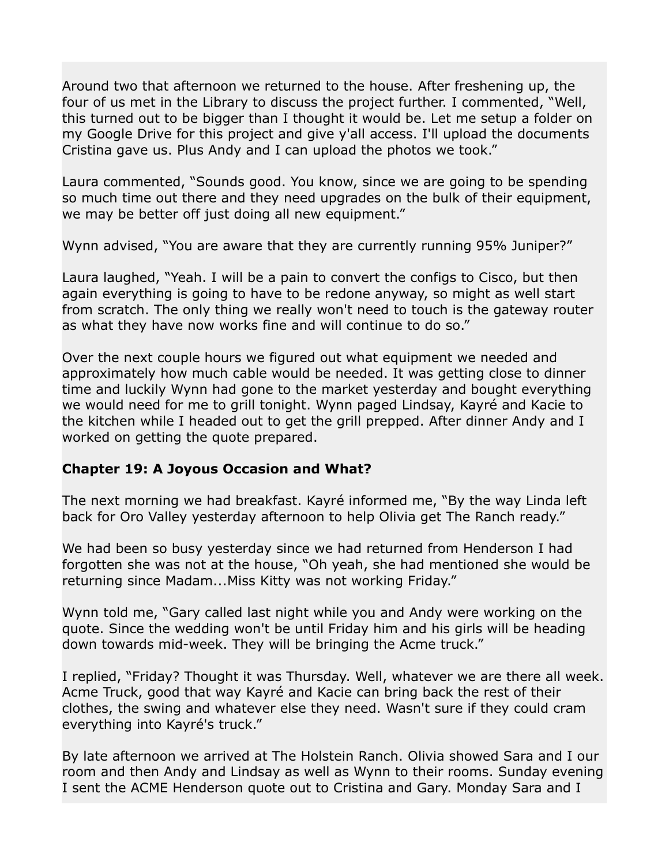Around two that afternoon we returned to the house. After freshening up, the four of us met in the Library to discuss the project further. I commented, "Well, this turned out to be bigger than I thought it would be. Let me setup a folder on my Google Drive for this project and give y'all access. I'll upload the documents Cristina gave us. Plus Andy and I can upload the photos we took."

Laura commented, "Sounds good. You know, since we are going to be spending so much time out there and they need upgrades on the bulk of their equipment, we may be better off just doing all new equipment."

Wynn advised, "You are aware that they are currently running 95% Juniper?"

Laura laughed, "Yeah. I will be a pain to convert the configs to Cisco, but then again everything is going to have to be redone anyway, so might as well start from scratch. The only thing we really won't need to touch is the gateway router as what they have now works fine and will continue to do so."

Over the next couple hours we figured out what equipment we needed and approximately how much cable would be needed. It was getting close to dinner time and luckily Wynn had gone to the market yesterday and bought everything we would need for me to grill tonight. Wynn paged Lindsay, Kayré and Kacie to the kitchen while I headed out to get the grill prepped. After dinner Andy and I worked on getting the quote prepared.

## **Chapter 19: A Joyous Occasion and What?**

The next morning we had breakfast. Kayré informed me, "By the way Linda left back for Oro Valley yesterday afternoon to help Olivia get The Ranch ready."

We had been so busy yesterday since we had returned from Henderson I had forgotten she was not at the house, "Oh yeah, she had mentioned she would be returning since Madam...Miss Kitty was not working Friday."

Wynn told me, "Gary called last night while you and Andy were working on the quote. Since the wedding won't be until Friday him and his girls will be heading down towards mid-week. They will be bringing the Acme truck."

I replied, "Friday? Thought it was Thursday. Well, whatever we are there all week. Acme Truck, good that way Kayré and Kacie can bring back the rest of their clothes, the swing and whatever else they need. Wasn't sure if they could cram everything into Kayré's truck."

By late afternoon we arrived at The Holstein Ranch. Olivia showed Sara and I our room and then Andy and Lindsay as well as Wynn to their rooms. Sunday evening I sent the ACME Henderson quote out to Cristina and Gary. Monday Sara and I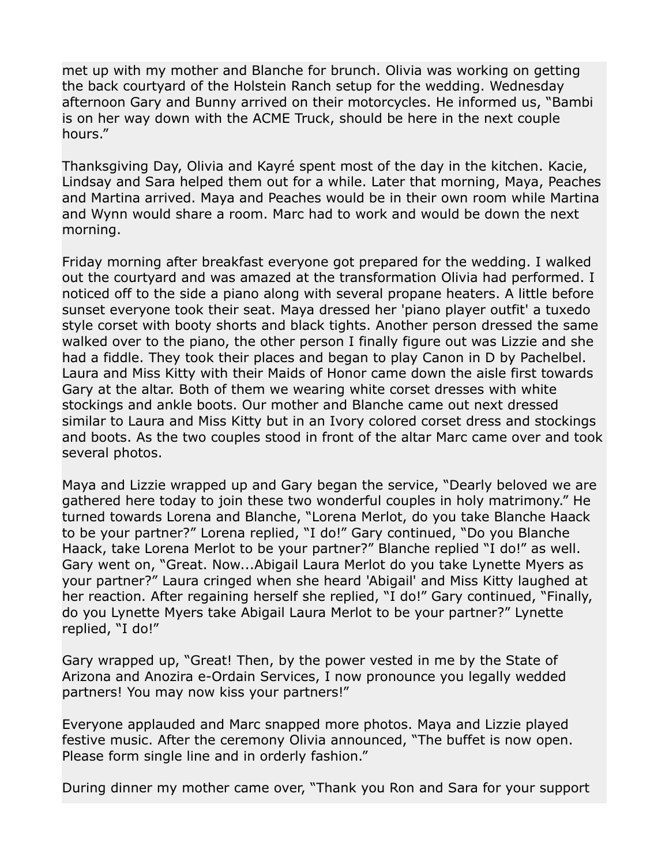met up with my mother and Blanche for brunch. Olivia was working on getting the back courtyard of the Holstein Ranch setup for the wedding. Wednesday afternoon Gary and Bunny arrived on their motorcycles. He informed us, "Bambi is on her way down with the ACME Truck, should be here in the next couple hours."

Thanksgiving Day, Olivia and Kayré spent most of the day in the kitchen. Kacie, Lindsay and Sara helped them out for a while. Later that morning, Maya, Peaches and Martina arrived. Maya and Peaches would be in their own room while Martina and Wynn would share a room. Marc had to work and would be down the next morning.

Friday morning after breakfast everyone got prepared for the wedding. I walked out the courtyard and was amazed at the transformation Olivia had performed. I noticed off to the side a piano along with several propane heaters. A little before sunset everyone took their seat. Maya dressed her 'piano player outfit' a tuxedo style corset with booty shorts and black tights. Another person dressed the same walked over to the piano, the other person I finally figure out was Lizzie and she had a fiddle. They took their places and began to play Canon in D by Pachelbel. Laura and Miss Kitty with their Maids of Honor came down the aisle first towards Gary at the altar. Both of them we wearing white corset dresses with white stockings and ankle boots. Our mother and Blanche came out next dressed similar to Laura and Miss Kitty but in an Ivory colored corset dress and stockings and boots. As the two couples stood in front of the altar Marc came over and took several photos.

Maya and Lizzie wrapped up and Gary began the service, "Dearly beloved we are gathered here today to join these two wonderful couples in holy matrimony." He turned towards Lorena and Blanche, "Lorena Merlot, do you take Blanche Haack to be your partner?" Lorena replied, "I do!" Gary continued, "Do you Blanche Haack, take Lorena Merlot to be your partner?" Blanche replied "I do!" as well. Gary went on, "Great. Now...Abigail Laura Merlot do you take Lynette Myers as your partner?" Laura cringed when she heard 'Abigail' and Miss Kitty laughed at her reaction. After regaining herself she replied, "I do!" Gary continued, "Finally, do you Lynette Myers take Abigail Laura Merlot to be your partner?" Lynette replied, "I do!"

Gary wrapped up, "Great! Then, by the power vested in me by the State of Arizona and Anozira e-Ordain Services, I now pronounce you legally wedded partners! You may now kiss your partners!"

Everyone applauded and Marc snapped more photos. Maya and Lizzie played festive music. After the ceremony Olivia announced, "The buffet is now open. Please form single line and in orderly fashion."

During dinner my mother came over, "Thank you Ron and Sara for your support